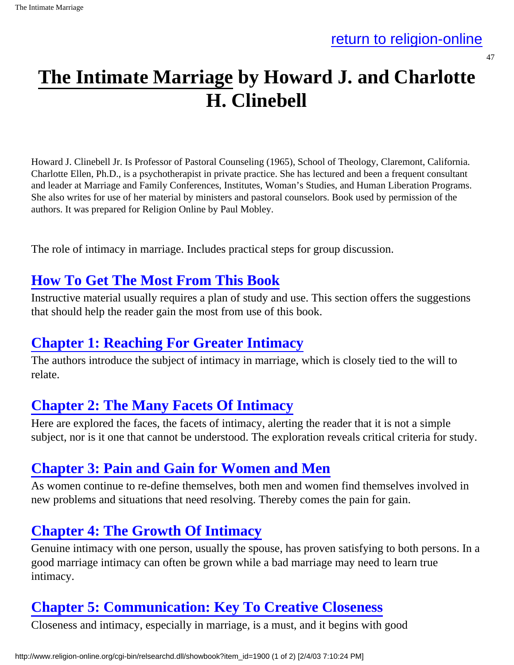# **The Intimate Marriage by Howard J. and Charlotte H. Clinebell**

Howard J. Clinebell Jr. Is Professor of Pastoral Counseling (1965), School of Theology, Claremont, California. Charlotte Ellen, Ph.D., is a psychotherapist in private practice. She has lectured and been a frequent consultant and leader at Marriage and Family Conferences, Institutes, Woman's Studies, and Human Liberation Programs. She also writes for use of her material by ministers and pastoral counselors. Book used by permission of the authors. It was prepared for Religion Online by Paul Mobley.

The role of intimacy in marriage. Includes practical steps for group discussion.

### **[How To Get The Most From This Book](#page-2-0)**

Instructive material usually requires a plan of study and use. This section offers the suggestions that should help the reader gain the most from use of this book.

### **[Chapter 1: Reaching For Greater Intimacy](#page-8-0)**

The authors introduce the subject of intimacy in marriage, which is closely tied to the will to relate.

## **[Chapter 2: The Many Facets Of Intimacy](#page-30-0)**

Here are explored the faces, the facets of intimacy, alerting the reader that it is not a simple subject, nor is it one that cannot be understood. The exploration reveals critical criteria for study.

## **[Chapter 3: Pain and Gain for Women and Men](#page-48-0)**

As women continue to re-define themselves, both men and women find themselves involved in new problems and situations that need resolving. Thereby comes the pain for gain.

## **[Chapter 4: The Growth Of Intimacy](#page-58-0)**

Genuine intimacy with one person, usually the spouse, has proven satisfying to both persons. In a good marriage intimacy can often be grown while a bad marriage may need to learn true intimacy.

## **[Chapter 5: Communication: Key To Creative Closeness](#page-78-0)**

Closeness and intimacy, especially in marriage, is a must, and it begins with good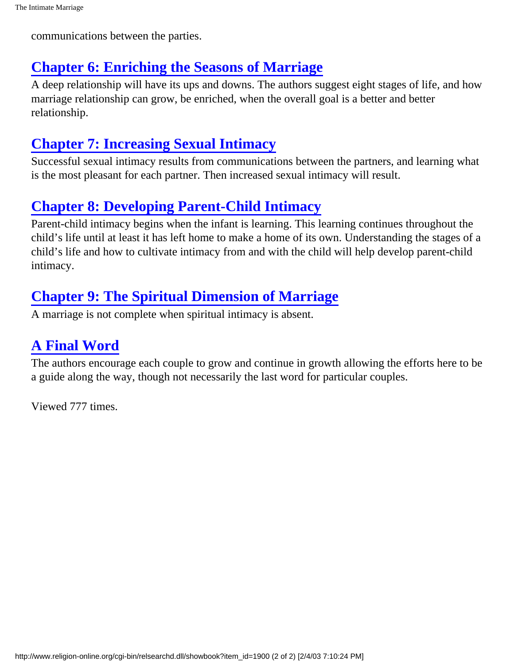communications between the parties.

### **[Chapter 6: Enriching the Seasons of Marriage](#page-93-0)**

A deep relationship will have its ups and downs. The authors suggest eight stages of life, and how marriage relationship can grow, be enriched, when the overall goal is a better and better relationship.

### **[Chapter 7: Increasing Sexual Intimacy](#page-122-0)**

Successful sexual intimacy results from communications between the partners, and learning what is the most pleasant for each partner. Then increased sexual intimacy will result.

## **[Chapter 8: Developing Parent-Child Intimacy](#page-148-0)**

Parent-child intimacy begins when the infant is learning. This learning continues throughout the child's life until at least it has left home to make a home of its own. Understanding the stages of a child's life and how to cultivate intimacy from and with the child will help develop parent-child intimacy.

## **[Chapter 9: The Spiritual Dimension of Marriage](#page-165-0)**

A marriage is not complete when spiritual intimacy is absent.

## **[A Final Word](#page-188-0)**

The authors encourage each couple to grow and continue in growth allowing the efforts here to be a guide along the way, though not necessarily the last word for particular couples.

Viewed 777 times.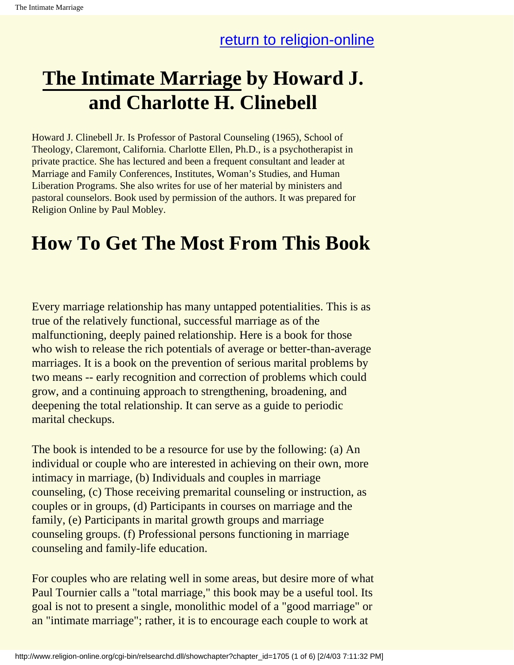### [return to religion-online](http://www.religion-online.org/)

# <span id="page-2-0"></span>**The Intimate Marriage by Howard J. and Charlotte H. Clinebell**

Howard J. Clinebell Jr. Is Professor of Pastoral Counseling (1965), School of Theology, Claremont, California. Charlotte Ellen, Ph.D., is a psychotherapist in private practice. She has lectured and been a frequent consultant and leader at Marriage and Family Conferences, Institutes, Woman's Studies, and Human Liberation Programs. She also writes for use of her material by ministers and pastoral counselors. Book used by permission of the authors. It was prepared for Religion Online by Paul Mobley.

## **How To Get The Most From This Book**

Every marriage relationship has many untapped potentialities. This is as true of the relatively functional, successful marriage as of the malfunctioning, deeply pained relationship. Here is a book for those who wish to release the rich potentials of average or better-than-average marriages. It is a book on the prevention of serious marital problems by two means -- early recognition and correction of problems which could grow, and a continuing approach to strengthening, broadening, and deepening the total relationship. It can serve as a guide to periodic marital checkups.

The book is intended to be a resource for use by the following: (a) An individual or couple who are interested in achieving on their own, more intimacy in marriage, (b) Individuals and couples in marriage counseling, (c) Those receiving premarital counseling or instruction, as couples or in groups, (d) Participants in courses on marriage and the family, (e) Participants in marital growth groups and marriage counseling groups. (f) Professional persons functioning in marriage counseling and family-life education.

For couples who are relating well in some areas, but desire more of what Paul Tournier calls a "total marriage," this book may be a useful tool. Its goal is not to present a single, monolithic model of a "good marriage" or an "intimate marriage"; rather, it is to encourage each couple to work at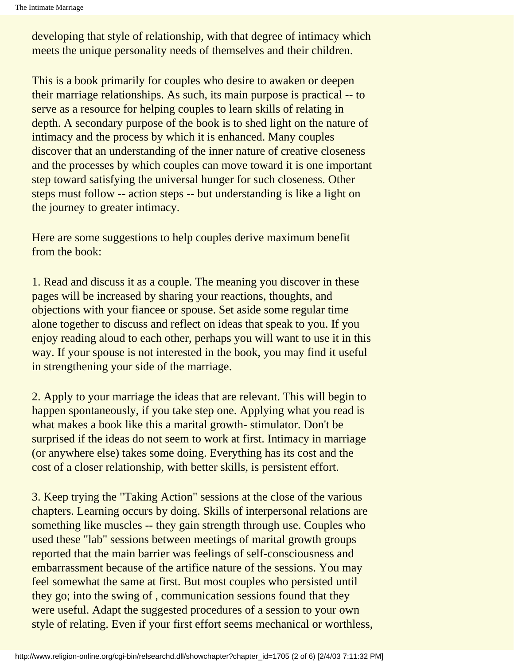developing that style of relationship, with that degree of intimacy which meets the unique personality needs of themselves and their children.

This is a book primarily for couples who desire to awaken or deepen their marriage relationships. As such, its main purpose is practical -- to serve as a resource for helping couples to learn skills of relating in depth. A secondary purpose of the book is to shed light on the nature of intimacy and the process by which it is enhanced. Many couples discover that an understanding of the inner nature of creative closeness and the processes by which couples can move toward it is one important step toward satisfying the universal hunger for such closeness. Other steps must follow -- action steps -- but understanding is like a light on the journey to greater intimacy.

Here are some suggestions to help couples derive maximum benefit from the book:

1. Read and discuss it as a couple. The meaning you discover in these pages will be increased by sharing your reactions, thoughts, and objections with your fiancee or spouse. Set aside some regular time alone together to discuss and reflect on ideas that speak to you. If you enjoy reading aloud to each other, perhaps you will want to use it in this way. If your spouse is not interested in the book, you may find it useful in strengthening your side of the marriage.

2. Apply to your marriage the ideas that are relevant. This will begin to happen spontaneously, if you take step one. Applying what you read is what makes a book like this a marital growth- stimulator. Don't be surprised if the ideas do not seem to work at first. Intimacy in marriage (or anywhere else) takes some doing. Everything has its cost and the cost of a closer relationship, with better skills, is persistent effort.

3. Keep trying the "Taking Action" sessions at the close of the various chapters. Learning occurs by doing. Skills of interpersonal relations are something like muscles -- they gain strength through use. Couples who used these "lab" sessions between meetings of marital growth groups reported that the main barrier was feelings of self-consciousness and embarrassment because of the artifice nature of the sessions. You may feel somewhat the same at first. But most couples who persisted until they go; into the swing of , communication sessions found that they were useful. Adapt the suggested procedures of a session to your own style of relating. Even if your first effort seems mechanical or worthless,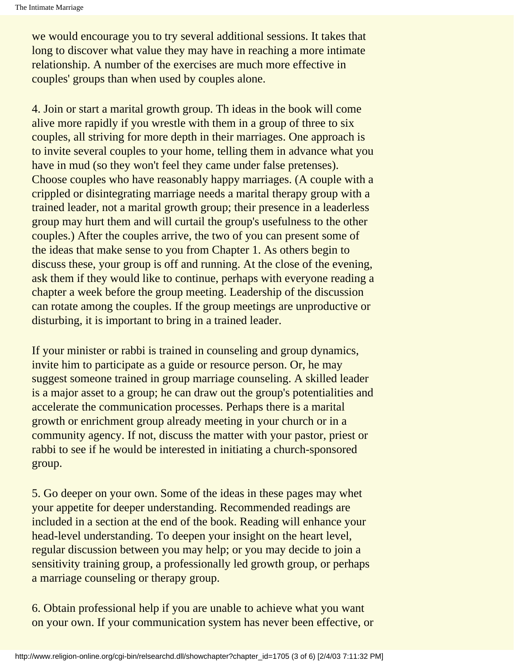we would encourage you to try several additional sessions. It takes that long to discover what value they may have in reaching a more intimate relationship. A number of the exercises are much more effective in couples' groups than when used by couples alone.

4. Join or start a marital growth group. Th ideas in the book will come alive more rapidly if you wrestle with them in a group of three to six couples, all striving for more depth in their marriages. One approach is to invite several couples to your home, telling them in advance what you have in mud (so they won't feel they came under false pretenses). Choose couples who have reasonably happy marriages. (A couple with a crippled or disintegrating marriage needs a marital therapy group with a trained leader, not a marital growth group; their presence in a leaderless group may hurt them and will curtail the group's usefulness to the other couples.) After the couples arrive, the two of you can present some of the ideas that make sense to you from Chapter 1. As others begin to discuss these, your group is off and running. At the close of the evening, ask them if they would like to continue, perhaps with everyone reading a chapter a week before the group meeting. Leadership of the discussion can rotate among the couples. If the group meetings are unproductive or disturbing, it is important to bring in a trained leader.

If your minister or rabbi is trained in counseling and group dynamics, invite him to participate as a guide or resource person. Or, he may suggest someone trained in group marriage counseling. A skilled leader is a major asset to a group; he can draw out the group's potentialities and accelerate the communication processes. Perhaps there is a marital growth or enrichment group already meeting in your church or in a community agency. If not, discuss the matter with your pastor, priest or rabbi to see if he would be interested in initiating a church-sponsored group.

5. Go deeper on your own. Some of the ideas in these pages may whet your appetite for deeper understanding. Recommended readings are included in a section at the end of the book. Reading will enhance your head-level understanding. To deepen your insight on the heart level, regular discussion between you may help; or you may decide to join a sensitivity training group, a professionally led growth group, or perhaps a marriage counseling or therapy group.

6. Obtain professional help if you are unable to achieve what you want on your own. If your communication system has never been effective, or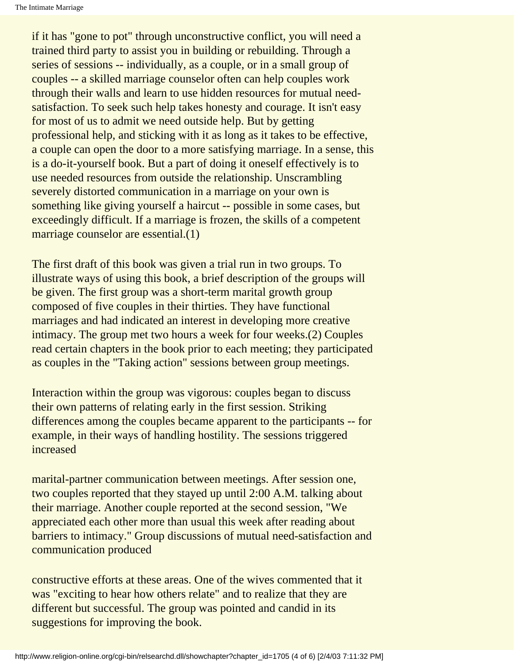if it has "gone to pot" through unconstructive conflict, you will need a trained third party to assist you in building or rebuilding. Through a series of sessions -- individually, as a couple, or in a small group of couples -- a skilled marriage counselor often can help couples work through their walls and learn to use hidden resources for mutual needsatisfaction. To seek such help takes honesty and courage. It isn't easy for most of us to admit we need outside help. But by getting professional help, and sticking with it as long as it takes to be effective, a couple can open the door to a more satisfying marriage. In a sense, this is a do-it-yourself book. But a part of doing it oneself effectively is to use needed resources from outside the relationship. Unscrambling severely distorted communication in a marriage on your own is something like giving yourself a haircut -- possible in some cases, but exceedingly difficult. If a marriage is frozen, the skills of a competent marriage counselor are essential.(1)

The first draft of this book was given a trial run in two groups. To illustrate ways of using this book, a brief description of the groups will be given. The first group was a short-term marital growth group composed of five couples in their thirties. They have functional marriages and had indicated an interest in developing more creative intimacy. The group met two hours a week for four weeks.(2) Couples read certain chapters in the book prior to each meeting; they participated as couples in the "Taking action" sessions between group meetings.

Interaction within the group was vigorous: couples began to discuss their own patterns of relating early in the first session. Striking differences among the couples became apparent to the participants -- for example, in their ways of handling hostility. The sessions triggered increased

marital-partner communication between meetings. After session one, two couples reported that they stayed up until 2:00 A.M. talking about their marriage. Another couple reported at the second session, "We appreciated each other more than usual this week after reading about barriers to intimacy." Group discussions of mutual need-satisfaction and communication produced

constructive efforts at these areas. One of the wives commented that it was "exciting to hear how others relate" and to realize that they are different but successful. The group was pointed and candid in its suggestions for improving the book.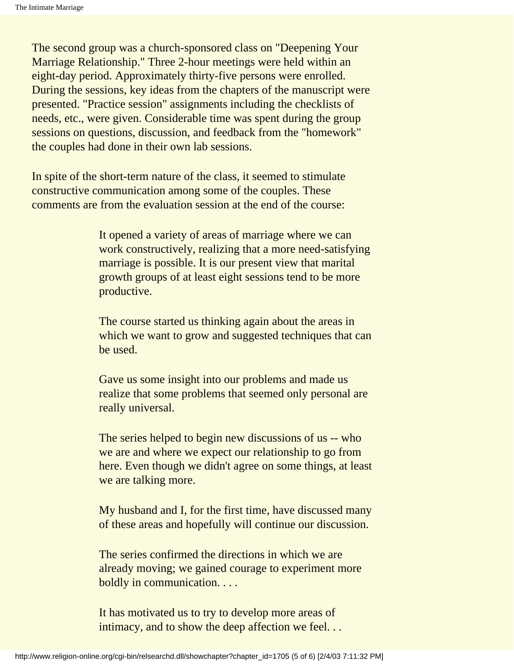The second group was a church-sponsored class on "Deepening Your Marriage Relationship." Three 2-hour meetings were held within an eight-day period. Approximately thirty-five persons were enrolled. During the sessions, key ideas from the chapters of the manuscript were presented. "Practice session" assignments including the checklists of needs, etc., were given. Considerable time was spent during the group sessions on questions, discussion, and feedback from the "homework" the couples had done in their own lab sessions.

In spite of the short-term nature of the class, it seemed to stimulate constructive communication among some of the couples. These comments are from the evaluation session at the end of the course:

> It opened a variety of areas of marriage where we can work constructively, realizing that a more need-satisfying marriage is possible. It is our present view that marital growth groups of at least eight sessions tend to be more productive.

> The course started us thinking again about the areas in which we want to grow and suggested techniques that can be used.

Gave us some insight into our problems and made us realize that some problems that seemed only personal are really universal.

The series helped to begin new discussions of us -- who we are and where we expect our relationship to go from here. Even though we didn't agree on some things, at least we are talking more.

My husband and I, for the first time, have discussed many of these areas and hopefully will continue our discussion.

The series confirmed the directions in which we are already moving; we gained courage to experiment more boldly in communication. . . .

It has motivated us to try to develop more areas of intimacy, and to show the deep affection we feel. . .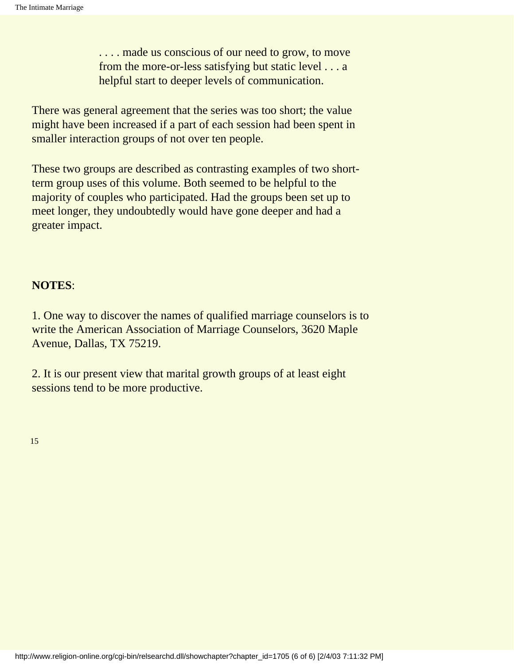... made us conscious of our need to grow, to move from the more-or-less satisfying but static level . . . a helpful start to deeper levels of communication.

There was general agreement that the series was too short; the value might have been increased if a part of each session had been spent in smaller interaction groups of not over ten people.

These two groups are described as contrasting examples of two shortterm group uses of this volume. Both seemed to be helpful to the majority of couples who participated. Had the groups been set up to meet longer, they undoubtedly would have gone deeper and had a greater impact.

#### **NOTES**:

1. One way to discover the names of qualified marriage counselors is to write the American Association of Marriage Counselors, 3620 Maple Avenue, Dallas, TX 75219.

2. It is our present view that marital growth groups of at least eight sessions tend to be more productive.

15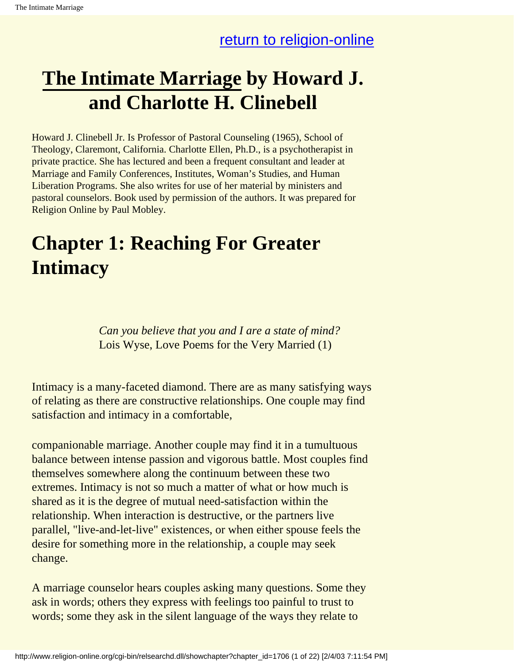### [return to religion-online](http://www.religion-online.org/)

# <span id="page-8-0"></span>**The Intimate Marriage by Howard J. and Charlotte H. Clinebell**

Howard J. Clinebell Jr. Is Professor of Pastoral Counseling (1965), School of Theology, Claremont, California. Charlotte Ellen, Ph.D., is a psychotherapist in private practice. She has lectured and been a frequent consultant and leader at Marriage and Family Conferences, Institutes, Woman's Studies, and Human Liberation Programs. She also writes for use of her material by ministers and pastoral counselors. Book used by permission of the authors. It was prepared for Religion Online by Paul Mobley.

# **Chapter 1: Reaching For Greater Intimacy**

*Can you believe that you and I are a state of mind?* Lois Wyse, Love Poems for the Very Married (1)

Intimacy is a many-faceted diamond. There are as many satisfying ways of relating as there are constructive relationships. One couple may find satisfaction and intimacy in a comfortable,

companionable marriage. Another couple may find it in a tumultuous balance between intense passion and vigorous battle. Most couples find themselves somewhere along the continuum between these two extremes. Intimacy is not so much a matter of what or how much is shared as it is the degree of mutual need-satisfaction within the relationship. When interaction is destructive, or the partners live parallel, "live-and-let-live" existences, or when either spouse feels the desire for something more in the relationship, a couple may seek change.

A marriage counselor hears couples asking many questions. Some they ask in words; others they express with feelings too painful to trust to words; some they ask in the silent language of the ways they relate to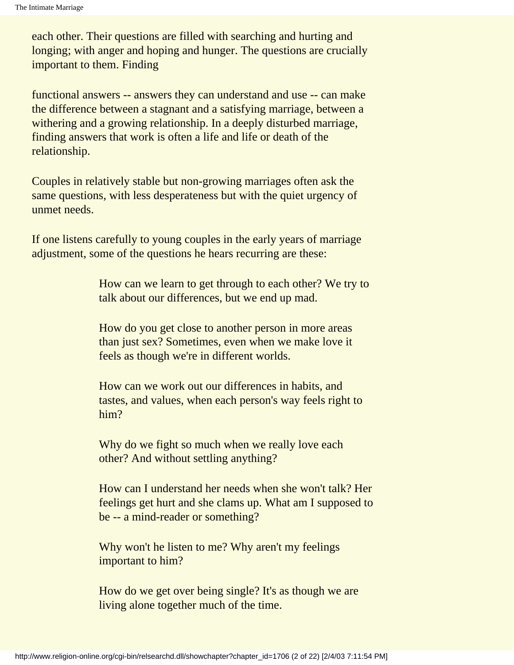each other. Their questions are filled with searching and hurting and longing; with anger and hoping and hunger. The questions are crucially important to them. Finding

functional answers -- answers they can understand and use -- can make the difference between a stagnant and a satisfying marriage, between a withering and a growing relationship. In a deeply disturbed marriage, finding answers that work is often a life and life or death of the relationship.

Couples in relatively stable but non-growing marriages often ask the same questions, with less desperateness but with the quiet urgency of unmet needs.

If one listens carefully to young couples in the early years of marriage adjustment, some of the questions he hears recurring are these:

> How can we learn to get through to each other? We try to talk about our differences, but we end up mad.

How do you get close to another person in more areas than just sex? Sometimes, even when we make love it feels as though we're in different worlds.

How can we work out our differences in habits, and tastes, and values, when each person's way feels right to him?

Why do we fight so much when we really love each other? And without settling anything?

How can I understand her needs when she won't talk? Her feelings get hurt and she clams up. What am I supposed to be -- a mind-reader or something?

Why won't he listen to me? Why aren't my feelings important to him?

How do we get over being single? It's as though we are living alone together much of the time.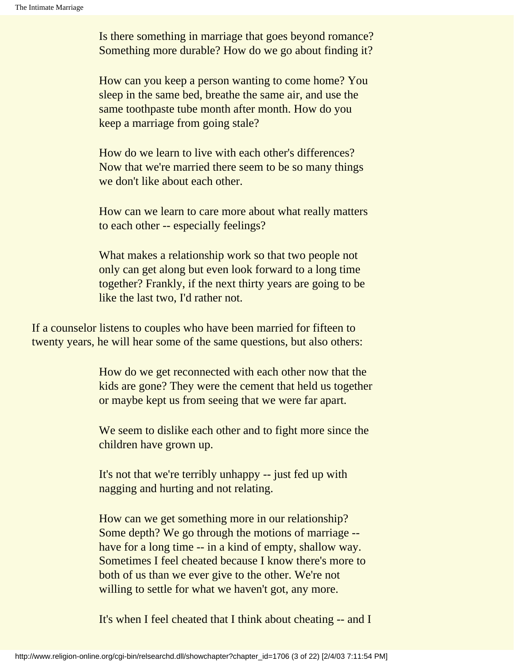Is there something in marriage that goes beyond romance? Something more durable? How do we go about finding it?

How can you keep a person wanting to come home? You sleep in the same bed, breathe the same air, and use the same toothpaste tube month after month. How do you keep a marriage from going stale?

How do we learn to live with each other's differences? Now that we're married there seem to be so many things we don't like about each other.

How can we learn to care more about what really matters to each other -- especially feelings?

What makes a relationship work so that two people not only can get along but even look forward to a long time together? Frankly, if the next thirty years are going to be like the last two, I'd rather not.

If a counselor listens to couples who have been married for fifteen to twenty years, he will hear some of the same questions, but also others:

> How do we get reconnected with each other now that the kids are gone? They were the cement that held us together or maybe kept us from seeing that we were far apart.

We seem to dislike each other and to fight more since the children have grown up.

It's not that we're terribly unhappy -- just fed up with nagging and hurting and not relating.

How can we get something more in our relationship? Some depth? We go through the motions of marriage - have for a long time -- in a kind of empty, shallow way. Sometimes I feel cheated because I know there's more to both of us than we ever give to the other. We're not willing to settle for what we haven't got, any more.

It's when I feel cheated that I think about cheating -- and I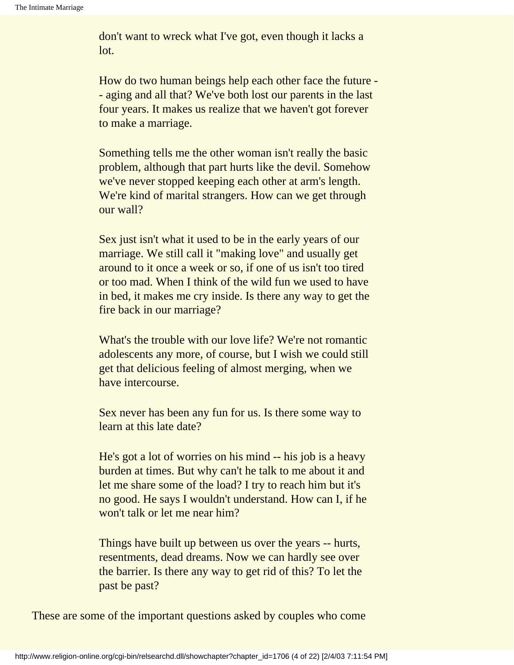don't want to wreck what I've got, even though it lacks a lot.

How do two human beings help each other face the future - - aging and all that? We've both lost our parents in the last four years. It makes us realize that we haven't got forever to make a marriage.

Something tells me the other woman isn't really the basic problem, although that part hurts like the devil. Somehow we've never stopped keeping each other at arm's length. We're kind of marital strangers. How can we get through our wall?

Sex just isn't what it used to be in the early years of our marriage. We still call it "making love" and usually get around to it once a week or so, if one of us isn't too tired or too mad. When I think of the wild fun we used to have in bed, it makes me cry inside. Is there any way to get the fire back in our marriage?

What's the trouble with our love life? We're not romantic adolescents any more, of course, but I wish we could still get that delicious feeling of almost merging, when we have intercourse.

Sex never has been any fun for us. Is there some way to learn at this late date?

He's got a lot of worries on his mind -- his job is a heavy burden at times. But why can't he talk to me about it and let me share some of the load? I try to reach him but it's no good. He says I wouldn't understand. How can I, if he won't talk or let me near him?

Things have built up between us over the years -- hurts, resentments, dead dreams. Now we can hardly see over the barrier. Is there any way to get rid of this? To let the past be past?

These are some of the important questions asked by couples who come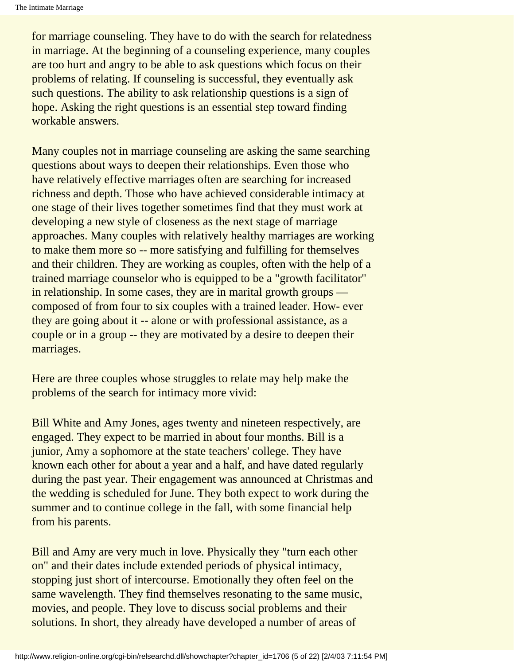for marriage counseling. They have to do with the search for relatedness in marriage. At the beginning of a counseling experience, many couples are too hurt and angry to be able to ask questions which focus on their problems of relating. If counseling is successful, they eventually ask such questions. The ability to ask relationship questions is a sign of hope. Asking the right questions is an essential step toward finding workable answers.

Many couples not in marriage counseling are asking the same searching questions about ways to deepen their relationships. Even those who have relatively effective marriages often are searching for increased richness and depth. Those who have achieved considerable intimacy at one stage of their lives together sometimes find that they must work at developing a new style of closeness as the next stage of marriage approaches. Many couples with relatively healthy marriages are working to make them more so -- more satisfying and fulfilling for themselves and their children. They are working as couples, often with the help of a trained marriage counselor who is equipped to be a "growth facilitator" in relationship. In some cases, they are in marital growth groups composed of from four to six couples with a trained leader. How- ever they are going about it -- alone or with professional assistance, as a couple or in a group -- they are motivated by a desire to deepen their marriages.

Here are three couples whose struggles to relate may help make the problems of the search for intimacy more vivid:

Bill White and Amy Jones, ages twenty and nineteen respectively, are engaged. They expect to be married in about four months. Bill is a junior, Amy a sophomore at the state teachers' college. They have known each other for about a year and a half, and have dated regularly during the past year. Their engagement was announced at Christmas and the wedding is scheduled for June. They both expect to work during the summer and to continue college in the fall, with some financial help from his parents.

Bill and Amy are very much in love. Physically they "turn each other on" and their dates include extended periods of physical intimacy, stopping just short of intercourse. Emotionally they often feel on the same wavelength. They find themselves resonating to the same music, movies, and people. They love to discuss social problems and their solutions. In short, they already have developed a number of areas of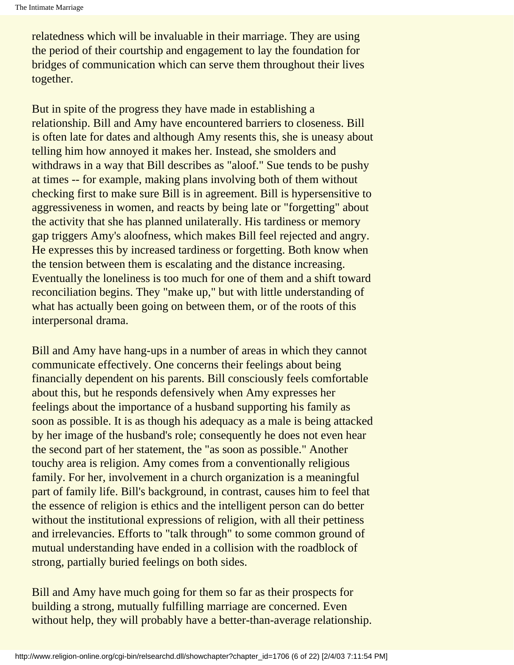relatedness which will be invaluable in their marriage. They are using the period of their courtship and engagement to lay the foundation for bridges of communication which can serve them throughout their lives together.

But in spite of the progress they have made in establishing a relationship. Bill and Amy have encountered barriers to closeness. Bill is often late for dates and although Amy resents this, she is uneasy about telling him how annoyed it makes her. Instead, she smolders and withdraws in a way that Bill describes as "aloof." Sue tends to be pushy at times -- for example, making plans involving both of them without checking first to make sure Bill is in agreement. Bill is hypersensitive to aggressiveness in women, and reacts by being late or "forgetting" about the activity that she has planned unilaterally. His tardiness or memory gap triggers Amy's aloofness, which makes Bill feel rejected and angry. He expresses this by increased tardiness or forgetting. Both know when the tension between them is escalating and the distance increasing. Eventually the loneliness is too much for one of them and a shift toward reconciliation begins. They "make up," but with little understanding of what has actually been going on between them, or of the roots of this interpersonal drama.

Bill and Amy have hang-ups in a number of areas in which they cannot communicate effectively. One concerns their feelings about being financially dependent on his parents. Bill consciously feels comfortable about this, but he responds defensively when Amy expresses her feelings about the importance of a husband supporting his family as soon as possible. It is as though his adequacy as a male is being attacked by her image of the husband's role; consequently he does not even hear the second part of her statement, the "as soon as possible." Another touchy area is religion. Amy comes from a conventionally religious family. For her, involvement in a church organization is a meaningful part of family life. Bill's background, in contrast, causes him to feel that the essence of religion is ethics and the intelligent person can do better without the institutional expressions of religion, with all their pettiness and irrelevancies. Efforts to "talk through" to some common ground of mutual understanding have ended in a collision with the roadblock of strong, partially buried feelings on both sides.

Bill and Amy have much going for them so far as their prospects for building a strong, mutually fulfilling marriage are concerned. Even without help, they will probably have a better-than-average relationship.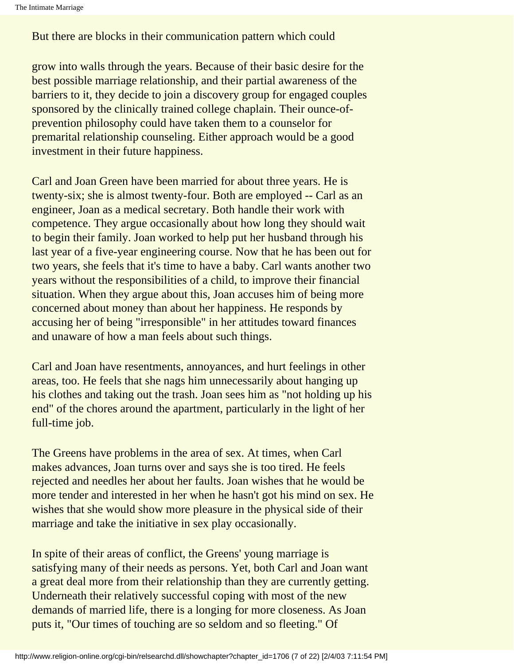But there are blocks in their communication pattern which could

grow into walls through the years. Because of their basic desire for the best possible marriage relationship, and their partial awareness of the barriers to it, they decide to join a discovery group for engaged couples sponsored by the clinically trained college chaplain. Their ounce-ofprevention philosophy could have taken them to a counselor for premarital relationship counseling. Either approach would be a good investment in their future happiness.

Carl and Joan Green have been married for about three years. He is twenty-six; she is almost twenty-four. Both are employed -- Carl as an engineer, Joan as a medical secretary. Both handle their work with competence. They argue occasionally about how long they should wait to begin their family. Joan worked to help put her husband through his last year of a five-year engineering course. Now that he has been out for two years, she feels that it's time to have a baby. Carl wants another two years without the responsibilities of a child, to improve their financial situation. When they argue about this, Joan accuses him of being more concerned about money than about her happiness. He responds by accusing her of being "irresponsible" in her attitudes toward finances and unaware of how a man feels about such things.

Carl and Joan have resentments, annoyances, and hurt feelings in other areas, too. He feels that she nags him unnecessarily about hanging up his clothes and taking out the trash. Joan sees him as "not holding up his end" of the chores around the apartment, particularly in the light of her full-time job.

The Greens have problems in the area of sex. At times, when Carl makes advances, Joan turns over and says she is too tired. He feels rejected and needles her about her faults. Joan wishes that he would be more tender and interested in her when he hasn't got his mind on sex. He wishes that she would show more pleasure in the physical side of their marriage and take the initiative in sex play occasionally.

In spite of their areas of conflict, the Greens' young marriage is satisfying many of their needs as persons. Yet, both Carl and Joan want a great deal more from their relationship than they are currently getting. Underneath their relatively successful coping with most of the new demands of married life, there is a longing for more closeness. As Joan puts it, "Our times of touching are so seldom and so fleeting." Of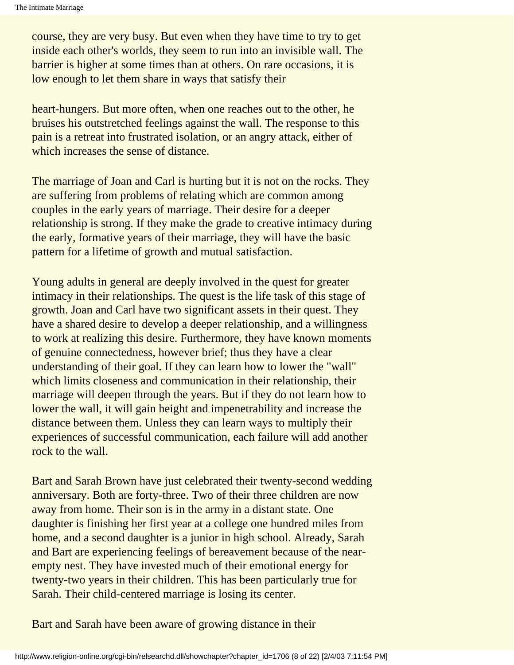course, they are very busy. But even when they have time to try to get inside each other's worlds, they seem to run into an invisible wall. The barrier is higher at some times than at others. On rare occasions, it is low enough to let them share in ways that satisfy their

heart-hungers. But more often, when one reaches out to the other, he bruises his outstretched feelings against the wall. The response to this pain is a retreat into frustrated isolation, or an angry attack, either of which increases the sense of distance.

The marriage of Joan and Carl is hurting but it is not on the rocks. They are suffering from problems of relating which are common among couples in the early years of marriage. Their desire for a deeper relationship is strong. If they make the grade to creative intimacy during the early, formative years of their marriage, they will have the basic pattern for a lifetime of growth and mutual satisfaction.

Young adults in general are deeply involved in the quest for greater intimacy in their relationships. The quest is the life task of this stage of growth. Joan and Carl have two significant assets in their quest. They have a shared desire to develop a deeper relationship, and a willingness to work at realizing this desire. Furthermore, they have known moments of genuine connectedness, however brief; thus they have a clear understanding of their goal. If they can learn how to lower the "wall" which limits closeness and communication in their relationship, their marriage will deepen through the years. But if they do not learn how to lower the wall, it will gain height and impenetrability and increase the distance between them. Unless they can learn ways to multiply their experiences of successful communication, each failure will add another rock to the wall.

Bart and Sarah Brown have just celebrated their twenty-second wedding anniversary. Both are forty-three. Two of their three children are now away from home. Their son is in the army in a distant state. One daughter is finishing her first year at a college one hundred miles from home, and a second daughter is a junior in high school. Already, Sarah and Bart are experiencing feelings of bereavement because of the nearempty nest. They have invested much of their emotional energy for twenty-two years in their children. This has been particularly true for Sarah. Their child-centered marriage is losing its center.

Bart and Sarah have been aware of growing distance in their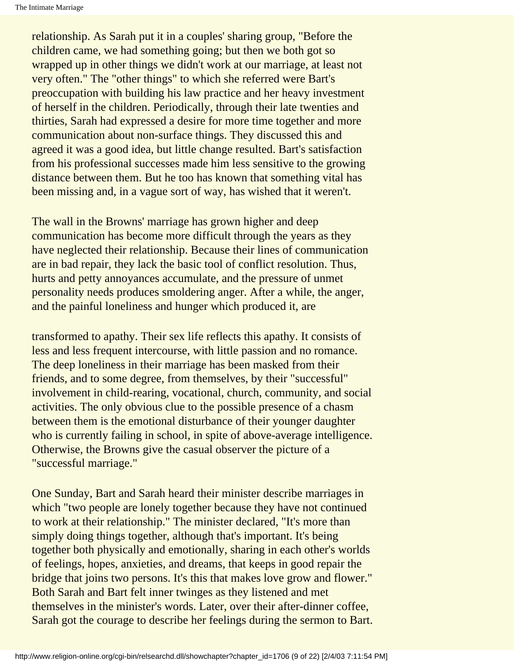relationship. As Sarah put it in a couples' sharing group, "Before the children came, we had something going; but then we both got so wrapped up in other things we didn't work at our marriage, at least not very often." The "other things" to which she referred were Bart's preoccupation with building his law practice and her heavy investment of herself in the children. Periodically, through their late twenties and thirties, Sarah had expressed a desire for more time together and more communication about non-surface things. They discussed this and agreed it was a good idea, but little change resulted. Bart's satisfaction from his professional successes made him less sensitive to the growing distance between them. But he too has known that something vital has been missing and, in a vague sort of way, has wished that it weren't.

The wall in the Browns' marriage has grown higher and deep communication has become more difficult through the years as they have neglected their relationship. Because their lines of communication are in bad repair, they lack the basic tool of conflict resolution. Thus, hurts and petty annoyances accumulate, and the pressure of unmet personality needs produces smoldering anger. After a while, the anger, and the painful loneliness and hunger which produced it, are

transformed to apathy. Their sex life reflects this apathy. It consists of less and less frequent intercourse, with little passion and no romance. The deep loneliness in their marriage has been masked from their friends, and to some degree, from themselves, by their "successful" involvement in child-rearing, vocational, church, community, and social activities. The only obvious clue to the possible presence of a chasm between them is the emotional disturbance of their younger daughter who is currently failing in school, in spite of above-average intelligence. Otherwise, the Browns give the casual observer the picture of a "successful marriage."

One Sunday, Bart and Sarah heard their minister describe marriages in which "two people are lonely together because they have not continued to work at their relationship." The minister declared, "It's more than simply doing things together, although that's important. It's being together both physically and emotionally, sharing in each other's worlds of feelings, hopes, anxieties, and dreams, that keeps in good repair the bridge that joins two persons. It's this that makes love grow and flower." Both Sarah and Bart felt inner twinges as they listened and met themselves in the minister's words. Later, over their after-dinner coffee, Sarah got the courage to describe her feelings during the sermon to Bart.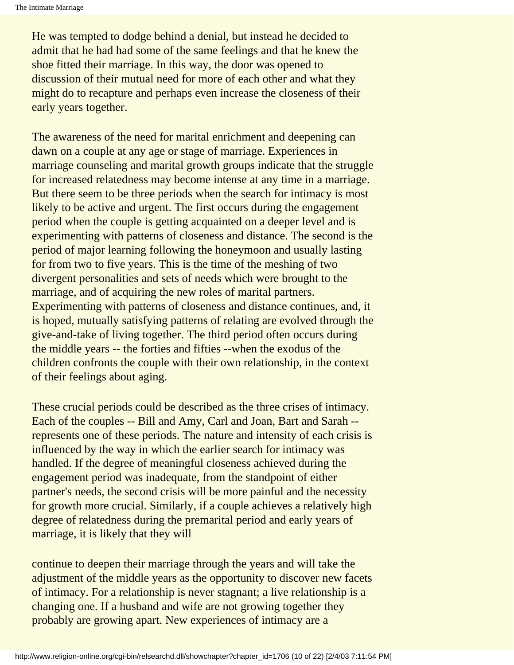He was tempted to dodge behind a denial, but instead he decided to admit that he had had some of the same feelings and that he knew the shoe fitted their marriage. In this way, the door was opened to discussion of their mutual need for more of each other and what they might do to recapture and perhaps even increase the closeness of their early years together.

The awareness of the need for marital enrichment and deepening can dawn on a couple at any age or stage of marriage. Experiences in marriage counseling and marital growth groups indicate that the struggle for increased relatedness may become intense at any time in a marriage. But there seem to be three periods when the search for intimacy is most likely to be active and urgent. The first occurs during the engagement period when the couple is getting acquainted on a deeper level and is experimenting with patterns of closeness and distance. The second is the period of major learning following the honeymoon and usually lasting for from two to five years. This is the time of the meshing of two divergent personalities and sets of needs which were brought to the marriage, and of acquiring the new roles of marital partners. Experimenting with patterns of closeness and distance continues, and, it is hoped, mutually satisfying patterns of relating are evolved through the give-and-take of living together. The third period often occurs during the middle years -- the forties and fifties --when the exodus of the children confronts the couple with their own relationship, in the context of their feelings about aging.

These crucial periods could be described as the three crises of intimacy. Each of the couples -- Bill and Amy, Carl and Joan, Bart and Sarah - represents one of these periods. The nature and intensity of each crisis is influenced by the way in which the earlier search for intimacy was handled. If the degree of meaningful closeness achieved during the engagement period was inadequate, from the standpoint of either partner's needs, the second crisis will be more painful and the necessity for growth more crucial. Similarly, if a couple achieves a relatively high degree of relatedness during the premarital period and early years of marriage, it is likely that they will

continue to deepen their marriage through the years and will take the adjustment of the middle years as the opportunity to discover new facets of intimacy. For a relationship is never stagnant; a live relationship is a changing one. If a husband and wife are not growing together they probably are growing apart. New experiences of intimacy are a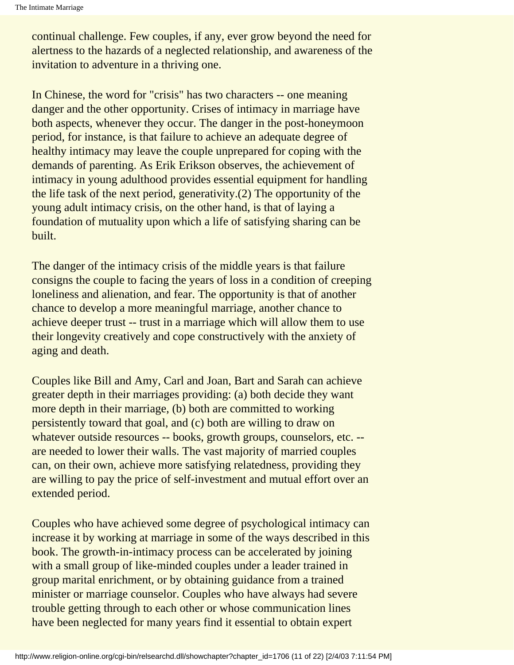continual challenge. Few couples, if any, ever grow beyond the need for alertness to the hazards of a neglected relationship, and awareness of the invitation to adventure in a thriving one.

In Chinese, the word for "crisis" has two characters -- one meaning danger and the other opportunity. Crises of intimacy in marriage have both aspects, whenever they occur. The danger in the post-honeymoon period, for instance, is that failure to achieve an adequate degree of healthy intimacy may leave the couple unprepared for coping with the demands of parenting. As Erik Erikson observes, the achievement of intimacy in young adulthood provides essential equipment for handling the life task of the next period, generativity.(2) The opportunity of the young adult intimacy crisis, on the other hand, is that of laying a foundation of mutuality upon which a life of satisfying sharing can be built.

The danger of the intimacy crisis of the middle years is that failure consigns the couple to facing the years of loss in a condition of creeping loneliness and alienation, and fear. The opportunity is that of another chance to develop a more meaningful marriage, another chance to achieve deeper trust -- trust in a marriage which will allow them to use their longevity creatively and cope constructively with the anxiety of aging and death.

Couples like Bill and Amy, Carl and Joan, Bart and Sarah can achieve greater depth in their marriages providing: (a) both decide they want more depth in their marriage, (b) both are committed to working persistently toward that goal, and (c) both are willing to draw on whatever outside resources -- books, growth groups, counselors, etc. -are needed to lower their walls. The vast majority of married couples can, on their own, achieve more satisfying relatedness, providing they are willing to pay the price of self-investment and mutual effort over an extended period.

Couples who have achieved some degree of psychological intimacy can increase it by working at marriage in some of the ways described in this book. The growth-in-intimacy process can be accelerated by joining with a small group of like-minded couples under a leader trained in group marital enrichment, or by obtaining guidance from a trained minister or marriage counselor. Couples who have always had severe trouble getting through to each other or whose communication lines have been neglected for many years find it essential to obtain expert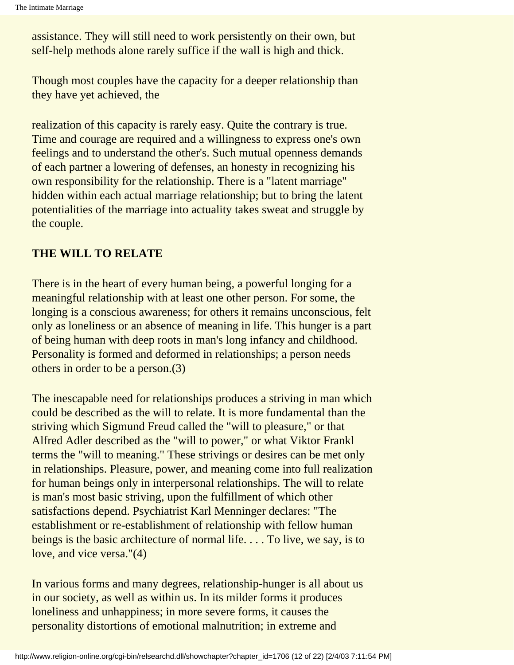assistance. They will still need to work persistently on their own, but self-help methods alone rarely suffice if the wall is high and thick.

Though most couples have the capacity for a deeper relationship than they have yet achieved, the

realization of this capacity is rarely easy. Quite the contrary is true. Time and courage are required and a willingness to express one's own feelings and to understand the other's. Such mutual openness demands of each partner a lowering of defenses, an honesty in recognizing his own responsibility for the relationship. There is a "latent marriage" hidden within each actual marriage relationship; but to bring the latent potentialities of the marriage into actuality takes sweat and struggle by the couple.

#### **THE WILL TO RELATE**

There is in the heart of every human being, a powerful longing for a meaningful relationship with at least one other person. For some, the longing is a conscious awareness; for others it remains unconscious, felt only as loneliness or an absence of meaning in life. This hunger is a part of being human with deep roots in man's long infancy and childhood. Personality is formed and deformed in relationships; a person needs others in order to be a person.(3)

The inescapable need for relationships produces a striving in man which could be described as the will to relate. It is more fundamental than the striving which Sigmund Freud called the "will to pleasure," or that Alfred Adler described as the "will to power," or what Viktor Frankl terms the "will to meaning." These strivings or desires can be met only in relationships. Pleasure, power, and meaning come into full realization for human beings only in interpersonal relationships. The will to relate is man's most basic striving, upon the fulfillment of which other satisfactions depend. Psychiatrist Karl Menninger declares: "The establishment or re-establishment of relationship with fellow human beings is the basic architecture of normal life. . . . To live, we say, is to love, and vice versa."(4)

In various forms and many degrees, relationship-hunger is all about us in our society, as well as within us. In its milder forms it produces loneliness and unhappiness; in more severe forms, it causes the personality distortions of emotional malnutrition; in extreme and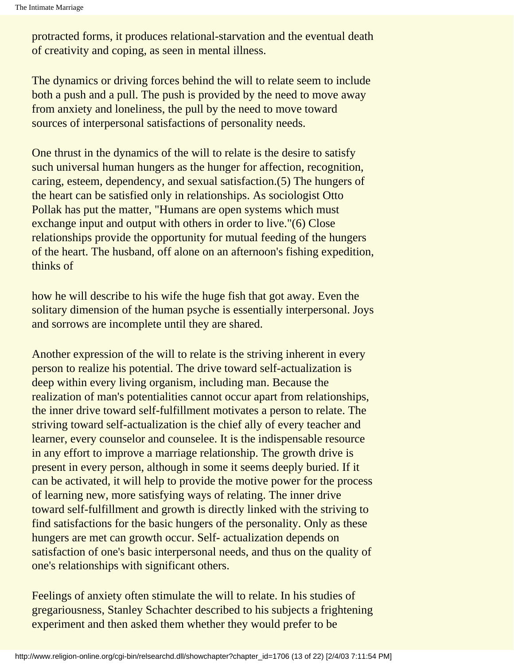protracted forms, it produces relational-starvation and the eventual death of creativity and coping, as seen in mental illness.

The dynamics or driving forces behind the will to relate seem to include both a push and a pull. The push is provided by the need to move away from anxiety and loneliness, the pull by the need to move toward sources of interpersonal satisfactions of personality needs.

One thrust in the dynamics of the will to relate is the desire to satisfy such universal human hungers as the hunger for affection, recognition, caring, esteem, dependency, and sexual satisfaction.(5) The hungers of the heart can be satisfied only in relationships. As sociologist Otto Pollak has put the matter, "Humans are open systems which must exchange input and output with others in order to live."(6) Close relationships provide the opportunity for mutual feeding of the hungers of the heart. The husband, off alone on an afternoon's fishing expedition, thinks of

how he will describe to his wife the huge fish that got away. Even the solitary dimension of the human psyche is essentially interpersonal. Joys and sorrows are incomplete until they are shared.

Another expression of the will to relate is the striving inherent in every person to realize his potential. The drive toward self-actualization is deep within every living organism, including man. Because the realization of man's potentialities cannot occur apart from relationships, the inner drive toward self-fulfillment motivates a person to relate. The striving toward self-actualization is the chief ally of every teacher and learner, every counselor and counselee. It is the indispensable resource in any effort to improve a marriage relationship. The growth drive is present in every person, although in some it seems deeply buried. If it can be activated, it will help to provide the motive power for the process of learning new, more satisfying ways of relating. The inner drive toward self-fulfillment and growth is directly linked with the striving to find satisfactions for the basic hungers of the personality. Only as these hungers are met can growth occur. Self- actualization depends on satisfaction of one's basic interpersonal needs, and thus on the quality of one's relationships with significant others.

Feelings of anxiety often stimulate the will to relate. In his studies of gregariousness, Stanley Schachter described to his subjects a frightening experiment and then asked them whether they would prefer to be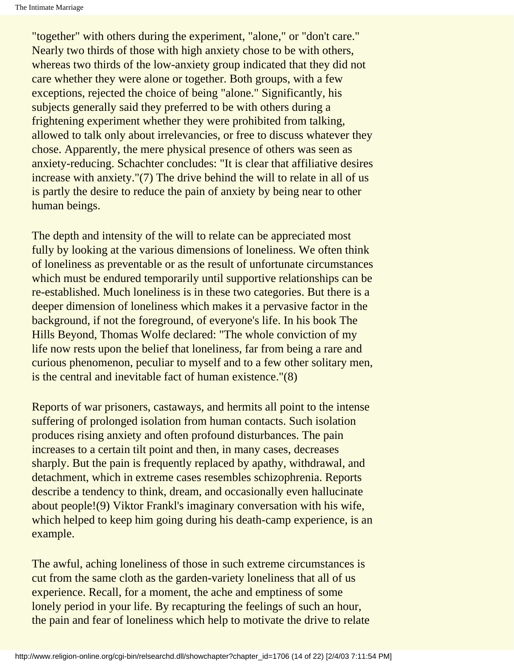"together" with others during the experiment, "alone," or "don't care." Nearly two thirds of those with high anxiety chose to be with others, whereas two thirds of the low-anxiety group indicated that they did not care whether they were alone or together. Both groups, with a few exceptions, rejected the choice of being "alone." Significantly, his subjects generally said they preferred to be with others during a frightening experiment whether they were prohibited from talking, allowed to talk only about irrelevancies, or free to discuss whatever they chose. Apparently, the mere physical presence of others was seen as anxiety-reducing. Schachter concludes: "It is clear that affiliative desires increase with anxiety."(7) The drive behind the will to relate in all of us is partly the desire to reduce the pain of anxiety by being near to other human beings.

The depth and intensity of the will to relate can be appreciated most fully by looking at the various dimensions of loneliness. We often think of loneliness as preventable or as the result of unfortunate circumstances which must be endured temporarily until supportive relationships can be re-established. Much loneliness is in these two categories. But there is a deeper dimension of loneliness which makes it a pervasive factor in the background, if not the foreground, of everyone's life. In his book The Hills Beyond, Thomas Wolfe declared: "The whole conviction of my life now rests upon the belief that loneliness, far from being a rare and curious phenomenon, peculiar to myself and to a few other solitary men, is the central and inevitable fact of human existence."(8)

Reports of war prisoners, castaways, and hermits all point to the intense suffering of prolonged isolation from human contacts. Such isolation produces rising anxiety and often profound disturbances. The pain increases to a certain tilt point and then, in many cases, decreases sharply. But the pain is frequently replaced by apathy, withdrawal, and detachment, which in extreme cases resembles schizophrenia. Reports describe a tendency to think, dream, and occasionally even hallucinate about people!(9) Viktor Frankl's imaginary conversation with his wife, which helped to keep him going during his death-camp experience, is an example.

The awful, aching loneliness of those in such extreme circumstances is cut from the same cloth as the garden-variety loneliness that all of us experience. Recall, for a moment, the ache and emptiness of some lonely period in your life. By recapturing the feelings of such an hour, the pain and fear of loneliness which help to motivate the drive to relate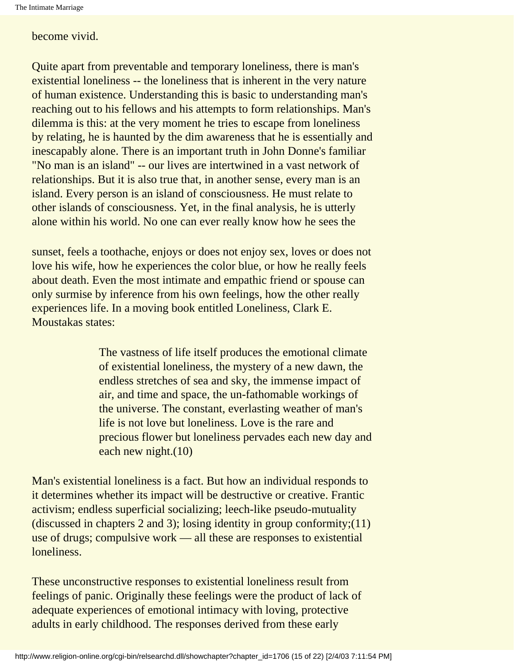#### become vivid.

Quite apart from preventable and temporary loneliness, there is man's existential loneliness -- the loneliness that is inherent in the very nature of human existence. Understanding this is basic to understanding man's reaching out to his fellows and his attempts to form relationships. Man's dilemma is this: at the very moment he tries to escape from loneliness by relating, he is haunted by the dim awareness that he is essentially and inescapably alone. There is an important truth in John Donne's familiar "No man is an island" -- our lives are intertwined in a vast network of relationships. But it is also true that, in another sense, every man is an island. Every person is an island of consciousness. He must relate to other islands of consciousness. Yet, in the final analysis, he is utterly alone within his world. No one can ever really know how he sees the

sunset, feels a toothache, enjoys or does not enjoy sex, loves or does not love his wife, how he experiences the color blue, or how he really feels about death. Even the most intimate and empathic friend or spouse can only surmise by inference from his own feelings, how the other really experiences life. In a moving book entitled Loneliness, Clark E. Moustakas states:

> The vastness of life itself produces the emotional climate of existential loneliness, the mystery of a new dawn, the endless stretches of sea and sky, the immense impact of air, and time and space, the un-fathomable workings of the universe. The constant, everlasting weather of man's life is not love but loneliness. Love is the rare and precious flower but loneliness pervades each new day and each new night.(10)

Man's existential loneliness is a fact. But how an individual responds to it determines whether its impact will be destructive or creative. Frantic activism; endless superficial socializing; leech-like pseudo-mutuality (discussed in chapters 2 and 3); losing identity in group conformity;(11) use of drugs; compulsive work — all these are responses to existential loneliness.

These unconstructive responses to existential loneliness result from feelings of panic. Originally these feelings were the product of lack of adequate experiences of emotional intimacy with loving, protective adults in early childhood. The responses derived from these early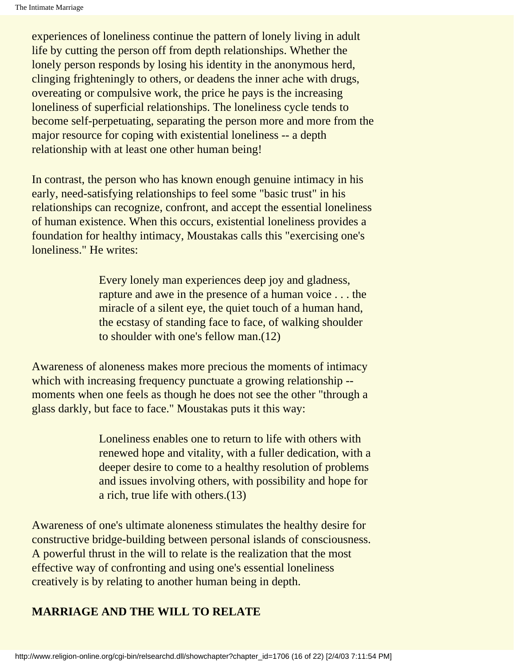experiences of loneliness continue the pattern of lonely living in adult life by cutting the person off from depth relationships. Whether the lonely person responds by losing his identity in the anonymous herd, clinging frighteningly to others, or deadens the inner ache with drugs, overeating or compulsive work, the price he pays is the increasing loneliness of superficial relationships. The loneliness cycle tends to become self-perpetuating, separating the person more and more from the major resource for coping with existential loneliness -- a depth relationship with at least one other human being!

In contrast, the person who has known enough genuine intimacy in his early, need-satisfying relationships to feel some "basic trust" in his relationships can recognize, confront, and accept the essential loneliness of human existence. When this occurs, existential loneliness provides a foundation for healthy intimacy, Moustakas calls this "exercising one's loneliness." He writes:

> Every lonely man experiences deep joy and gladness, rapture and awe in the presence of a human voice . . . the miracle of a silent eye, the quiet touch of a human hand, the ecstasy of standing face to face, of walking shoulder to shoulder with one's fellow man.(12)

Awareness of aloneness makes more precious the moments of intimacy which with increasing frequency punctuate a growing relationship -moments when one feels as though he does not see the other "through a glass darkly, but face to face." Moustakas puts it this way:

> Loneliness enables one to return to life with others with renewed hope and vitality, with a fuller dedication, with a deeper desire to come to a healthy resolution of problems and issues involving others, with possibility and hope for a rich, true life with others.(13)

Awareness of one's ultimate aloneness stimulates the healthy desire for constructive bridge-building between personal islands of consciousness. A powerful thrust in the will to relate is the realization that the most effective way of confronting and using one's essential loneliness creatively is by relating to another human being in depth.

#### **MARRIAGE AND THE WILL TO RELATE**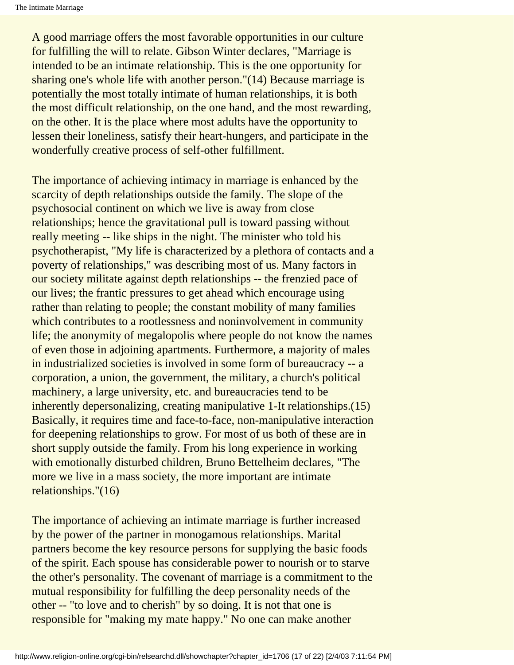A good marriage offers the most favorable opportunities in our culture for fulfilling the will to relate. Gibson Winter declares, "Marriage is intended to be an intimate relationship. This is the one opportunity for sharing one's whole life with another person."(14) Because marriage is potentially the most totally intimate of human relationships, it is both the most difficult relationship, on the one hand, and the most rewarding, on the other. It is the place where most adults have the opportunity to lessen their loneliness, satisfy their heart-hungers, and participate in the wonderfully creative process of self-other fulfillment.

The importance of achieving intimacy in marriage is enhanced by the scarcity of depth relationships outside the family. The slope of the psychosocial continent on which we live is away from close relationships; hence the gravitational pull is toward passing without really meeting -- like ships in the night. The minister who told his psychotherapist, "My life is characterized by a plethora of contacts and a poverty of relationships," was describing most of us. Many factors in our society militate against depth relationships -- the frenzied pace of our lives; the frantic pressures to get ahead which encourage using rather than relating to people; the constant mobility of many families which contributes to a rootlessness and noninvolvement in community life; the anonymity of megalopolis where people do not know the names of even those in adjoining apartments. Furthermore, a majority of males in industrialized societies is involved in some form of bureaucracy -- a corporation, a union, the government, the military, a church's political machinery, a large university, etc. and bureaucracies tend to be inherently depersonalizing, creating manipulative 1-It relationships.(15) Basically, it requires time and face-to-face, non-manipulative interaction for deepening relationships to grow. For most of us both of these are in short supply outside the family. From his long experience in working with emotionally disturbed children, Bruno Bettelheim declares, "The more we live in a mass society, the more important are intimate relationships."(16)

The importance of achieving an intimate marriage is further increased by the power of the partner in monogamous relationships. Marital partners become the key resource persons for supplying the basic foods of the spirit. Each spouse has considerable power to nourish or to starve the other's personality. The covenant of marriage is a commitment to the mutual responsibility for fulfilling the deep personality needs of the other -- "to love and to cherish" by so doing. It is not that one is responsible for "making my mate happy." No one can make another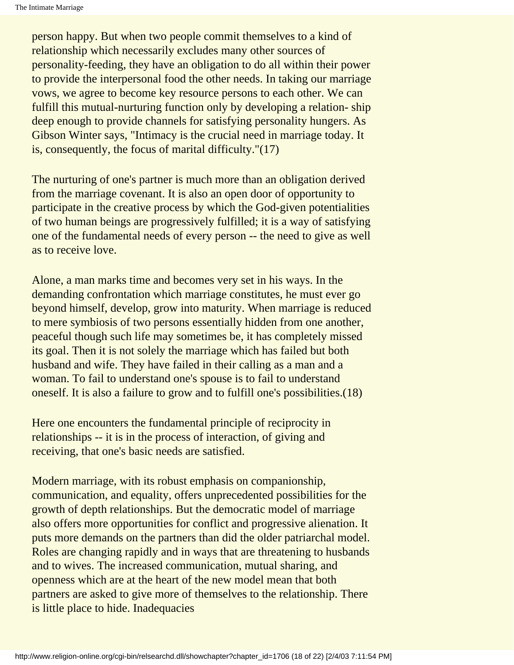person happy. But when two people commit themselves to a kind of relationship which necessarily excludes many other sources of personality-feeding, they have an obligation to do all within their power to provide the interpersonal food the other needs. In taking our marriage vows, we agree to become key resource persons to each other. We can fulfill this mutual-nurturing function only by developing a relation- ship deep enough to provide channels for satisfying personality hungers. As Gibson Winter says, "Intimacy is the crucial need in marriage today. It is, consequently, the focus of marital difficulty."(17)

The nurturing of one's partner is much more than an obligation derived from the marriage covenant. It is also an open door of opportunity to participate in the creative process by which the God-given potentialities of two human beings are progressively fulfilled; it is a way of satisfying one of the fundamental needs of every person -- the need to give as well as to receive love.

Alone, a man marks time and becomes very set in his ways. In the demanding confrontation which marriage constitutes, he must ever go beyond himself, develop, grow into maturity. When marriage is reduced to mere symbiosis of two persons essentially hidden from one another, peaceful though such life may sometimes be, it has completely missed its goal. Then it is not solely the marriage which has failed but both husband and wife. They have failed in their calling as a man and a woman. To fail to understand one's spouse is to fail to understand oneself. It is also a failure to grow and to fulfill one's possibilities.(18)

Here one encounters the fundamental principle of reciprocity in relationships -- it is in the process of interaction, of giving and receiving, that one's basic needs are satisfied.

Modern marriage, with its robust emphasis on companionship, communication, and equality, offers unprecedented possibilities for the growth of depth relationships. But the democratic model of marriage also offers more opportunities for conflict and progressive alienation. It puts more demands on the partners than did the older patriarchal model. Roles are changing rapidly and in ways that are threatening to husbands and to wives. The increased communication, mutual sharing, and openness which are at the heart of the new model mean that both partners are asked to give more of themselves to the relationship. There is little place to hide. Inadequacies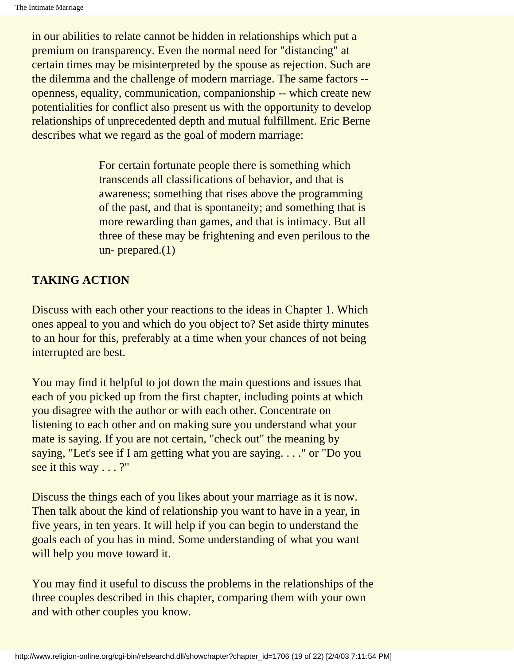in our abilities to relate cannot be hidden in relationships which put a premium on transparency. Even the normal need for "distancing" at certain times may be misinterpreted by the spouse as rejection. Such are the dilemma and the challenge of modern marriage. The same factors - openness, equality, communication, companionship -- which create new potentialities for conflict also present us with the opportunity to develop relationships of unprecedented depth and mutual fulfillment. Eric Berne describes what we regard as the goal of modern marriage:

> For certain fortunate people there is something which transcends all classifications of behavior, and that is awareness; something that rises above the programming of the past, and that is spontaneity; and something that is more rewarding than games, and that is intimacy. But all three of these may be frightening and even perilous to the un- prepared.(1)

#### **TAKING ACTION**

Discuss with each other your reactions to the ideas in Chapter 1. Which ones appeal to you and which do you object to? Set aside thirty minutes to an hour for this, preferably at a time when your chances of not being interrupted are best.

You may find it helpful to jot down the main questions and issues that each of you picked up from the first chapter, including points at which you disagree with the author or with each other. Concentrate on listening to each other and on making sure you understand what your mate is saying. If you are not certain, "check out" the meaning by saying, "Let's see if I am getting what you are saying. . . ." or "Do you see it this way . . . ?"

Discuss the things each of you likes about your marriage as it is now. Then talk about the kind of relationship you want to have in a year, in five years, in ten years. It will help if you can begin to understand the goals each of you has in mind. Some understanding of what you want will help you move toward it.

You may find it useful to discuss the problems in the relationships of the three couples described in this chapter, comparing them with your own and with other couples you know.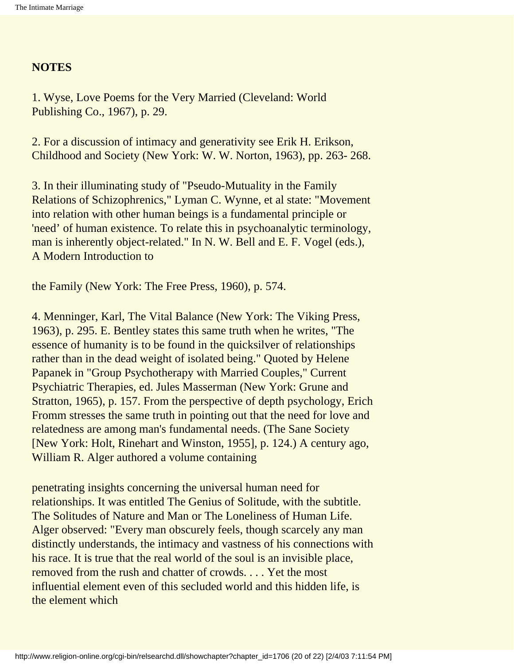#### **NOTES**

1. Wyse, Love Poems for the Very Married (Cleveland: World Publishing Co., 1967), p. 29.

2. For a discussion of intimacy and generativity see Erik H. Erikson, Childhood and Society (New York: W. W. Norton, 1963), pp. 263- 268.

3. In their illuminating study of "Pseudo-Mutuality in the Family Relations of Schizophrenics," Lyman C. Wynne, et al state: "Movement into relation with other human beings is a fundamental principle or 'need' of human existence. To relate this in psychoanalytic terminology, man is inherently object-related." In N. W. Bell and E. F. Vogel (eds.), A Modern Introduction to

the Family (New York: The Free Press, 1960), p. 574.

4. Menninger, Karl, The Vital Balance (New York: The Viking Press, 1963), p. 295. E. Bentley states this same truth when he writes, "The essence of humanity is to be found in the quicksilver of relationships rather than in the dead weight of isolated being." Quoted by Helene Papanek in "Group Psychotherapy with Married Couples," Current Psychiatric Therapies, ed. Jules Masserman (New York: Grune and Stratton, 1965), p. 157. From the perspective of depth psychology, Erich Fromm stresses the same truth in pointing out that the need for love and relatedness are among man's fundamental needs. (The Sane Society [New York: Holt, Rinehart and Winston, 1955], p. 124.) A century ago, William R. Alger authored a volume containing

penetrating insights concerning the universal human need for relationships. It was entitled The Genius of Solitude, with the subtitle. The Solitudes of Nature and Man or The Loneliness of Human Life. Alger observed: "Every man obscurely feels, though scarcely any man distinctly understands, the intimacy and vastness of his connections with his race. It is true that the real world of the soul is an invisible place, removed from the rush and chatter of crowds. . . . Yet the most influential element even of this secluded world and this hidden life, is the element which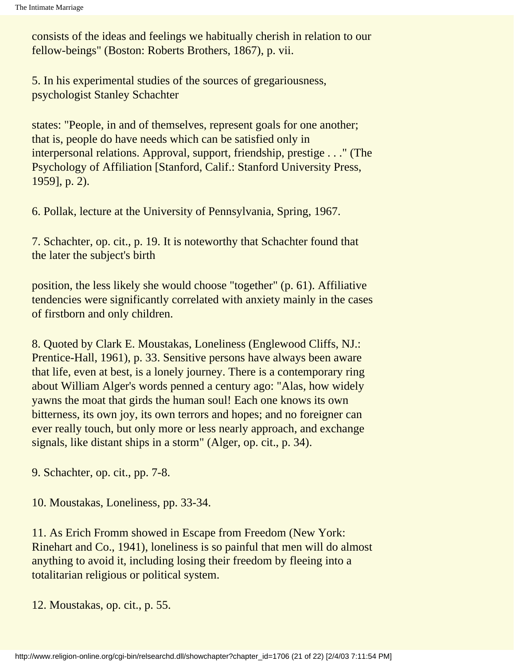consists of the ideas and feelings we habitually cherish in relation to our fellow-beings" (Boston: Roberts Brothers, 1867), p. vii.

5. In his experimental studies of the sources of gregariousness, psychologist Stanley Schachter

states: "People, in and of themselves, represent goals for one another; that is, people do have needs which can be satisfied only in interpersonal relations. Approval, support, friendship, prestige . . ." (The Psychology of Affiliation [Stanford, Calif.: Stanford University Press, 1959], p. 2).

6. Pollak, lecture at the University of Pennsylvania, Spring, 1967.

7. Schachter, op. cit., p. 19. It is noteworthy that Schachter found that the later the subject's birth

position, the less likely she would choose "together" (p. 61). Affiliative tendencies were significantly correlated with anxiety mainly in the cases of firstborn and only children.

8. Quoted by Clark E. Moustakas, Loneliness (Englewood Cliffs, NJ.: Prentice-Hall, 1961), p. 33. Sensitive persons have always been aware that life, even at best, is a lonely journey. There is a contemporary ring about William Alger's words penned a century ago: "Alas, how widely yawns the moat that girds the human soul! Each one knows its own bitterness, its own joy, its own terrors and hopes; and no foreigner can ever really touch, but only more or less nearly approach, and exchange signals, like distant ships in a storm" (Alger, op. cit., p. 34).

9. Schachter, op. cit., pp. 7-8.

10. Moustakas, Loneliness, pp. 33-34.

11. As Erich Fromm showed in Escape from Freedom (New York: Rinehart and Co., 1941), loneliness is so painful that men will do almost anything to avoid it, including losing their freedom by fleeing into a totalitarian religious or political system.

12. Moustakas, op. cit., p. 55.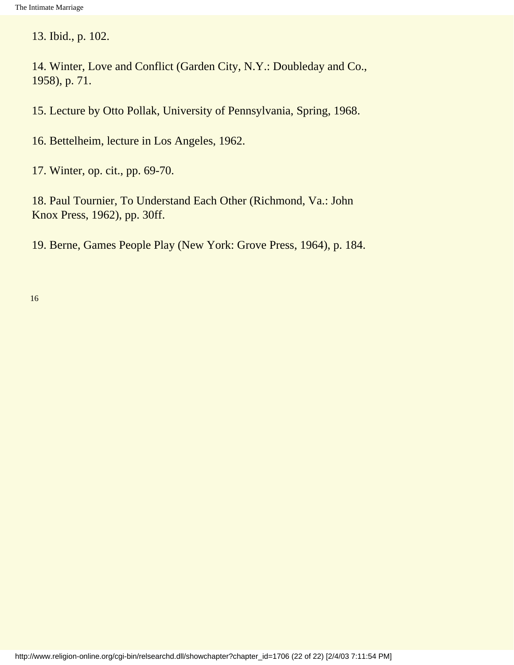13. Ibid., p. 102.

14. Winter, Love and Conflict (Garden City, N.Y.: Doubleday and Co., 1958), p. 71.

15. Lecture by Otto Pollak, University of Pennsylvania, Spring, 1968.

16. Bettelheim, lecture in Los Angeles, 1962.

17. Winter, op. cit., pp. 69-70.

18. Paul Tournier, To Understand Each Other (Richmond, Va.: John Knox Press, 1962), pp. 30ff.

19. Berne, Games People Play (New York: Grove Press, 1964), p. 184.

16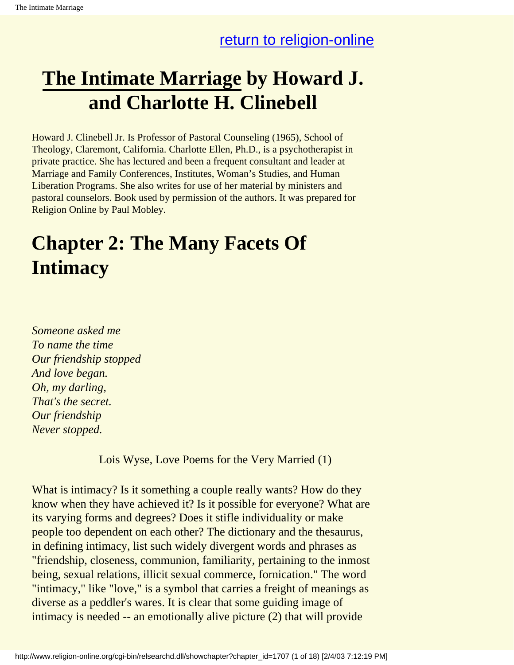### [return to religion-online](http://www.religion-online.org/)

# <span id="page-30-0"></span>**The Intimate Marriage by Howard J. and Charlotte H. Clinebell**

Howard J. Clinebell Jr. Is Professor of Pastoral Counseling (1965), School of Theology, Claremont, California. Charlotte Ellen, Ph.D., is a psychotherapist in private practice. She has lectured and been a frequent consultant and leader at Marriage and Family Conferences, Institutes, Woman's Studies, and Human Liberation Programs. She also writes for use of her material by ministers and pastoral counselors. Book used by permission of the authors. It was prepared for Religion Online by Paul Mobley.

# **Chapter 2: The Many Facets Of Intimacy**

*Someone asked me To name the time Our friendship stopped And love began. Oh, my darling, That's the secret. Our friendship Never stopped.*

Lois Wyse, Love Poems for the Very Married (1)

What is intimacy? Is it something a couple really wants? How do they know when they have achieved it? Is it possible for everyone? What are its varying forms and degrees? Does it stifle individuality or make people too dependent on each other? The dictionary and the thesaurus, in defining intimacy, list such widely divergent words and phrases as "friendship, closeness, communion, familiarity, pertaining to the inmost being, sexual relations, illicit sexual commerce, fornication." The word "intimacy," like "love," is a symbol that carries a freight of meanings as diverse as a peddler's wares. It is clear that some guiding image of intimacy is needed -- an emotionally alive picture (2) that will provide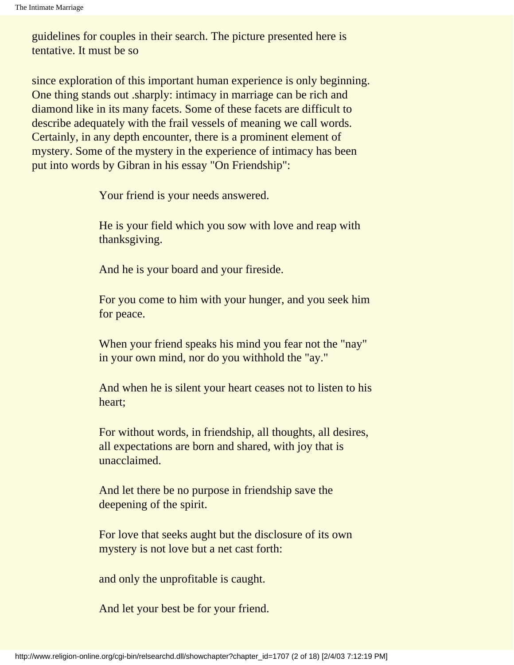guidelines for couples in their search. The picture presented here is tentative. It must be so

since exploration of this important human experience is only beginning. One thing stands out .sharply: intimacy in marriage can be rich and diamond like in its many facets. Some of these facets are difficult to describe adequately with the frail vessels of meaning we call words. Certainly, in any depth encounter, there is a prominent element of mystery. Some of the mystery in the experience of intimacy has been put into words by Gibran in his essay "On Friendship":

Your friend is your needs answered.

He is your field which you sow with love and reap with thanksgiving.

And he is your board and your fireside.

For you come to him with your hunger, and you seek him for peace.

When your friend speaks his mind you fear not the "nay" in your own mind, nor do you withhold the "ay."

And when he is silent your heart ceases not to listen to his heart;

For without words, in friendship, all thoughts, all desires, all expectations are born and shared, with joy that is unacclaimed.

And let there be no purpose in friendship save the deepening of the spirit.

For love that seeks aught but the disclosure of its own mystery is not love but a net cast forth:

and only the unprofitable is caught.

And let your best be for your friend.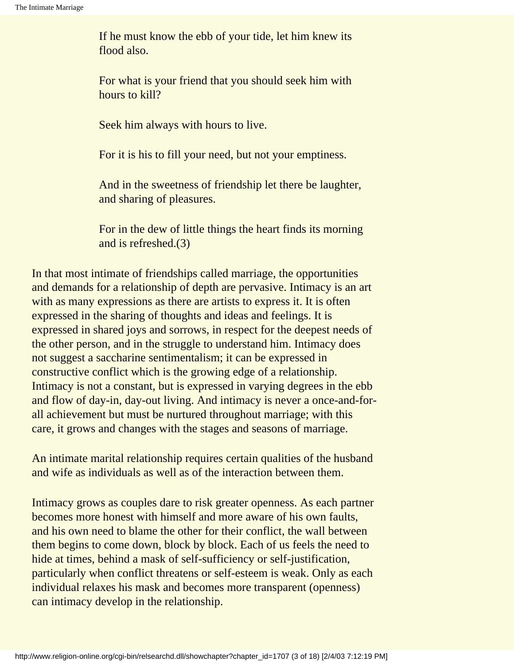If he must know the ebb of your tide, let him knew its flood also.

For what is your friend that you should seek him with hours to kill?

Seek him always with hours to live.

For it is his to fill your need, but not your emptiness.

And in the sweetness of friendship let there be laughter, and sharing of pleasures.

For in the dew of little things the heart finds its morning and is refreshed.(3)

In that most intimate of friendships called marriage, the opportunities and demands for a relationship of depth are pervasive. Intimacy is an art with as many expressions as there are artists to express it. It is often expressed in the sharing of thoughts and ideas and feelings. It is expressed in shared joys and sorrows, in respect for the deepest needs of the other person, and in the struggle to understand him. Intimacy does not suggest a saccharine sentimentalism; it can be expressed in constructive conflict which is the growing edge of a relationship. Intimacy is not a constant, but is expressed in varying degrees in the ebb and flow of day-in, day-out living. And intimacy is never a once-and-forall achievement but must be nurtured throughout marriage; with this care, it grows and changes with the stages and seasons of marriage.

An intimate marital relationship requires certain qualities of the husband and wife as individuals as well as of the interaction between them.

Intimacy grows as couples dare to risk greater openness. As each partner becomes more honest with himself and more aware of his own faults, and his own need to blame the other for their conflict, the wall between them begins to come down, block by block. Each of us feels the need to hide at times, behind a mask of self-sufficiency or self-justification, particularly when conflict threatens or self-esteem is weak. Only as each individual relaxes his mask and becomes more transparent (openness) can intimacy develop in the relationship.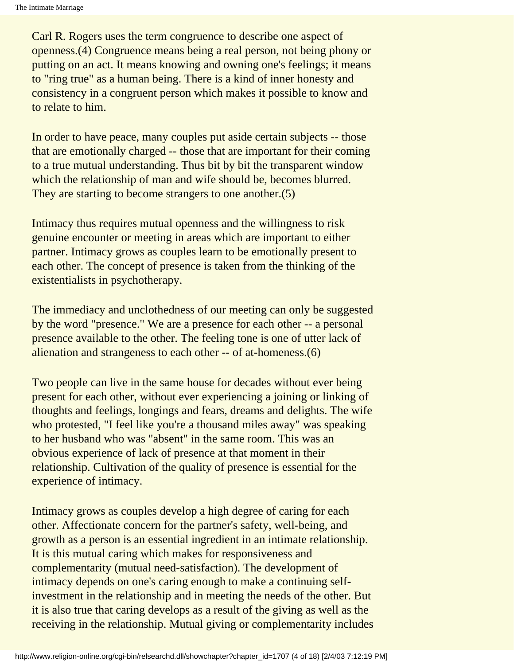Carl R. Rogers uses the term congruence to describe one aspect of openness.(4) Congruence means being a real person, not being phony or putting on an act. It means knowing and owning one's feelings; it means to "ring true" as a human being. There is a kind of inner honesty and consistency in a congruent person which makes it possible to know and to relate to him.

In order to have peace, many couples put aside certain subjects -- those that are emotionally charged -- those that are important for their coming to a true mutual understanding. Thus bit by bit the transparent window which the relationship of man and wife should be, becomes blurred. They are starting to become strangers to one another.(5)

Intimacy thus requires mutual openness and the willingness to risk genuine encounter or meeting in areas which are important to either partner. Intimacy grows as couples learn to be emotionally present to each other. The concept of presence is taken from the thinking of the existentialists in psychotherapy.

The immediacy and unclothedness of our meeting can only be suggested by the word "presence." We are a presence for each other -- a personal presence available to the other. The feeling tone is one of utter lack of alienation and strangeness to each other -- of at-homeness.(6)

Two people can live in the same house for decades without ever being present for each other, without ever experiencing a joining or linking of thoughts and feelings, longings and fears, dreams and delights. The wife who protested, "I feel like you're a thousand miles away" was speaking to her husband who was "absent" in the same room. This was an obvious experience of lack of presence at that moment in their relationship. Cultivation of the quality of presence is essential for the experience of intimacy.

Intimacy grows as couples develop a high degree of caring for each other. Affectionate concern for the partner's safety, well-being, and growth as a person is an essential ingredient in an intimate relationship. It is this mutual caring which makes for responsiveness and complementarity (mutual need-satisfaction). The development of intimacy depends on one's caring enough to make a continuing selfinvestment in the relationship and in meeting the needs of the other. But it is also true that caring develops as a result of the giving as well as the receiving in the relationship. Mutual giving or complementarity includes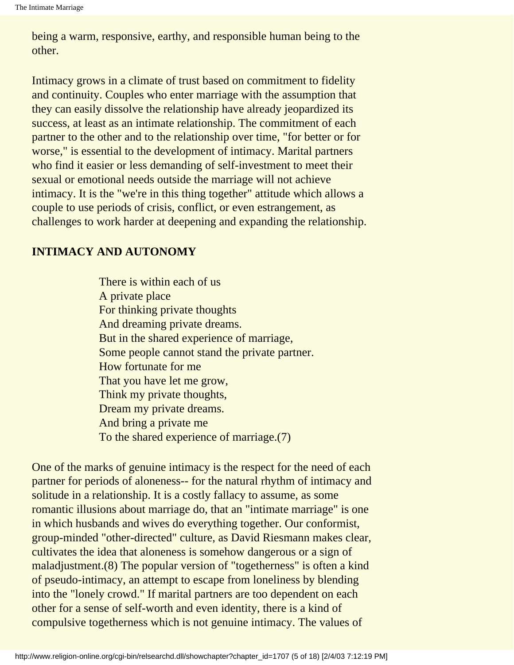being a warm, responsive, earthy, and responsible human being to the other.

Intimacy grows in a climate of trust based on commitment to fidelity and continuity. Couples who enter marriage with the assumption that they can easily dissolve the relationship have already jeopardized its success, at least as an intimate relationship. The commitment of each partner to the other and to the relationship over time, "for better or for worse," is essential to the development of intimacy. Marital partners who find it easier or less demanding of self-investment to meet their sexual or emotional needs outside the marriage will not achieve intimacy. It is the "we're in this thing together" attitude which allows a couple to use periods of crisis, conflict, or even estrangement, as challenges to work harder at deepening and expanding the relationship.

#### **INTIMACY AND AUTONOMY**

There is within each of us A private place For thinking private thoughts And dreaming private dreams. But in the shared experience of marriage, Some people cannot stand the private partner. How fortunate for me That you have let me grow, Think my private thoughts, Dream my private dreams. And bring a private me To the shared experience of marriage.(7)

One of the marks of genuine intimacy is the respect for the need of each partner for periods of aloneness-- for the natural rhythm of intimacy and solitude in a relationship. It is a costly fallacy to assume, as some romantic illusions about marriage do, that an "intimate marriage" is one in which husbands and wives do everything together. Our conformist, group-minded "other-directed" culture, as David Riesmann makes clear, cultivates the idea that aloneness is somehow dangerous or a sign of maladjustment.(8) The popular version of "togetherness" is often a kind of pseudo-intimacy, an attempt to escape from loneliness by blending into the "lonely crowd." If marital partners are too dependent on each other for a sense of self-worth and even identity, there is a kind of compulsive togetherness which is not genuine intimacy. The values of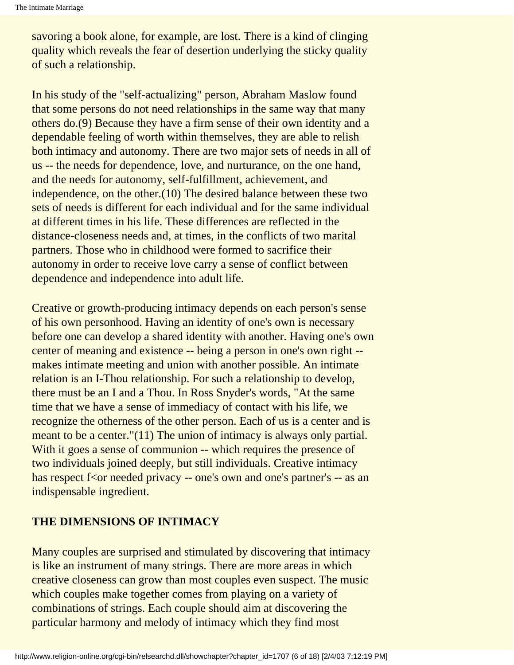savoring a book alone, for example, are lost. There is a kind of clinging quality which reveals the fear of desertion underlying the sticky quality of such a relationship.

In his study of the "self-actualizing" person, Abraham Maslow found that some persons do not need relationships in the same way that many others do.(9) Because they have a firm sense of their own identity and a dependable feeling of worth within themselves, they are able to relish both intimacy and autonomy. There are two major sets of needs in all of us -- the needs for dependence, love, and nurturance, on the one hand, and the needs for autonomy, self-fulfillment, achievement, and independence, on the other.(10) The desired balance between these two sets of needs is different for each individual and for the same individual at different times in his life. These differences are reflected in the distance-closeness needs and, at times, in the conflicts of two marital partners. Those who in childhood were formed to sacrifice their autonomy in order to receive love carry a sense of conflict between dependence and independence into adult life.

Creative or growth-producing intimacy depends on each person's sense of his own personhood. Having an identity of one's own is necessary before one can develop a shared identity with another. Having one's own center of meaning and existence -- being a person in one's own right - makes intimate meeting and union with another possible. An intimate relation is an I-Thou relationship. For such a relationship to develop, there must be an I and a Thou. In Ross Snyder's words, "At the same time that we have a sense of immediacy of contact with his life, we recognize the otherness of the other person. Each of us is a center and is meant to be a center."(11) The union of intimacy is always only partial. With it goes a sense of communion -- which requires the presence of two individuals joined deeply, but still individuals. Creative intimacy has respect f<or needed privacy -- one's own and one's partner's -- as an indispensable ingredient.

#### **THE DIMENSIONS OF INTIMACY**

Many couples are surprised and stimulated by discovering that intimacy is like an instrument of many strings. There are more areas in which creative closeness can grow than most couples even suspect. The music which couples make together comes from playing on a variety of combinations of strings. Each couple should aim at discovering the particular harmony and melody of intimacy which they find most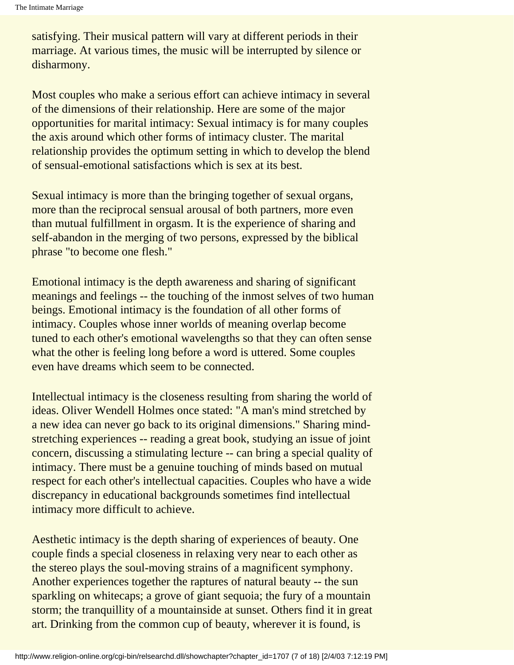satisfying. Their musical pattern will vary at different periods in their marriage. At various times, the music will be interrupted by silence or disharmony.

Most couples who make a serious effort can achieve intimacy in several of the dimensions of their relationship. Here are some of the major opportunities for marital intimacy: Sexual intimacy is for many couples the axis around which other forms of intimacy cluster. The marital relationship provides the optimum setting in which to develop the blend of sensual-emotional satisfactions which is sex at its best.

Sexual intimacy is more than the bringing together of sexual organs, more than the reciprocal sensual arousal of both partners, more even than mutual fulfillment in orgasm. It is the experience of sharing and self-abandon in the merging of two persons, expressed by the biblical phrase "to become one flesh."

Emotional intimacy is the depth awareness and sharing of significant meanings and feelings -- the touching of the inmost selves of two human beings. Emotional intimacy is the foundation of all other forms of intimacy. Couples whose inner worlds of meaning overlap become tuned to each other's emotional wavelengths so that they can often sense what the other is feeling long before a word is uttered. Some couples even have dreams which seem to be connected.

Intellectual intimacy is the closeness resulting from sharing the world of ideas. Oliver Wendell Holmes once stated: "A man's mind stretched by a new idea can never go back to its original dimensions." Sharing mindstretching experiences -- reading a great book, studying an issue of joint concern, discussing a stimulating lecture -- can bring a special quality of intimacy. There must be a genuine touching of minds based on mutual respect for each other's intellectual capacities. Couples who have a wide discrepancy in educational backgrounds sometimes find intellectual intimacy more difficult to achieve.

Aesthetic intimacy is the depth sharing of experiences of beauty. One couple finds a special closeness in relaxing very near to each other as the stereo plays the soul-moving strains of a magnificent symphony. Another experiences together the raptures of natural beauty -- the sun sparkling on whitecaps; a grove of giant sequoia; the fury of a mountain storm; the tranquillity of a mountainside at sunset. Others find it in great art. Drinking from the common cup of beauty, wherever it is found, is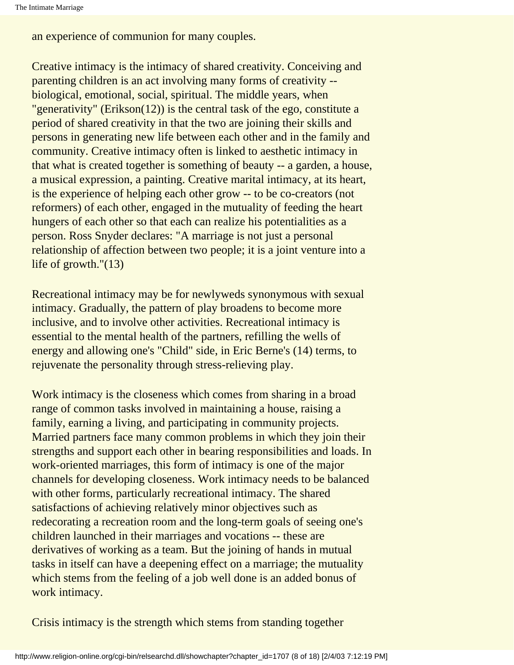an experience of communion for many couples.

Creative intimacy is the intimacy of shared creativity. Conceiving and parenting children is an act involving many forms of creativity - biological, emotional, social, spiritual. The middle years, when "generativity" (Erikson $(12)$ ) is the central task of the ego, constitute a period of shared creativity in that the two are joining their skills and persons in generating new life between each other and in the family and community. Creative intimacy often is linked to aesthetic intimacy in that what is created together is something of beauty -- a garden, a house, a musical expression, a painting. Creative marital intimacy, at its heart, is the experience of helping each other grow -- to be co-creators (not reformers) of each other, engaged in the mutuality of feeding the heart hungers of each other so that each can realize his potentialities as a person. Ross Snyder declares: "A marriage is not just a personal relationship of affection between two people; it is a joint venture into a life of growth."(13)

Recreational intimacy may be for newlyweds synonymous with sexual intimacy. Gradually, the pattern of play broadens to become more inclusive, and to involve other activities. Recreational intimacy is essential to the mental health of the partners, refilling the wells of energy and allowing one's "Child" side, in Eric Berne's (14) terms, to rejuvenate the personality through stress-relieving play.

Work intimacy is the closeness which comes from sharing in a broad range of common tasks involved in maintaining a house, raising a family, earning a living, and participating in community projects. Married partners face many common problems in which they join their strengths and support each other in bearing responsibilities and loads. In work-oriented marriages, this form of intimacy is one of the major channels for developing closeness. Work intimacy needs to be balanced with other forms, particularly recreational intimacy. The shared satisfactions of achieving relatively minor objectives such as redecorating a recreation room and the long-term goals of seeing one's children launched in their marriages and vocations -- these are derivatives of working as a team. But the joining of hands in mutual tasks in itself can have a deepening effect on a marriage; the mutuality which stems from the feeling of a job well done is an added bonus of work intimacy.

Crisis intimacy is the strength which stems from standing together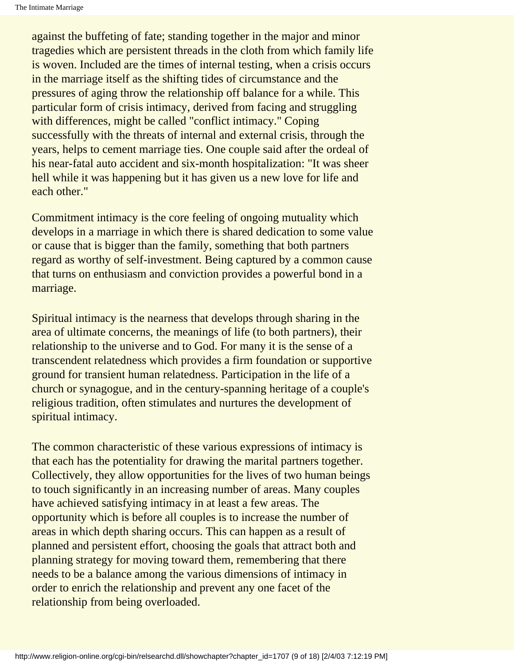against the buffeting of fate; standing together in the major and minor tragedies which are persistent threads in the cloth from which family life is woven. Included are the times of internal testing, when a crisis occurs in the marriage itself as the shifting tides of circumstance and the pressures of aging throw the relationship off balance for a while. This particular form of crisis intimacy, derived from facing and struggling with differences, might be called "conflict intimacy." Coping successfully with the threats of internal and external crisis, through the years, helps to cement marriage ties. One couple said after the ordeal of his near-fatal auto accident and six-month hospitalization: "It was sheer hell while it was happening but it has given us a new love for life and each other."

Commitment intimacy is the core feeling of ongoing mutuality which develops in a marriage in which there is shared dedication to some value or cause that is bigger than the family, something that both partners regard as worthy of self-investment. Being captured by a common cause that turns on enthusiasm and conviction provides a powerful bond in a marriage.

Spiritual intimacy is the nearness that develops through sharing in the area of ultimate concerns, the meanings of life (to both partners), their relationship to the universe and to God. For many it is the sense of a transcendent relatedness which provides a firm foundation or supportive ground for transient human relatedness. Participation in the life of a church or synagogue, and in the century-spanning heritage of a couple's religious tradition, often stimulates and nurtures the development of spiritual intimacy.

The common characteristic of these various expressions of intimacy is that each has the potentiality for drawing the marital partners together. Collectively, they allow opportunities for the lives of two human beings to touch significantly in an increasing number of areas. Many couples have achieved satisfying intimacy in at least a few areas. The opportunity which is before all couples is to increase the number of areas in which depth sharing occurs. This can happen as a result of planned and persistent effort, choosing the goals that attract both and planning strategy for moving toward them, remembering that there needs to be a balance among the various dimensions of intimacy in order to enrich the relationship and prevent any one facet of the relationship from being overloaded.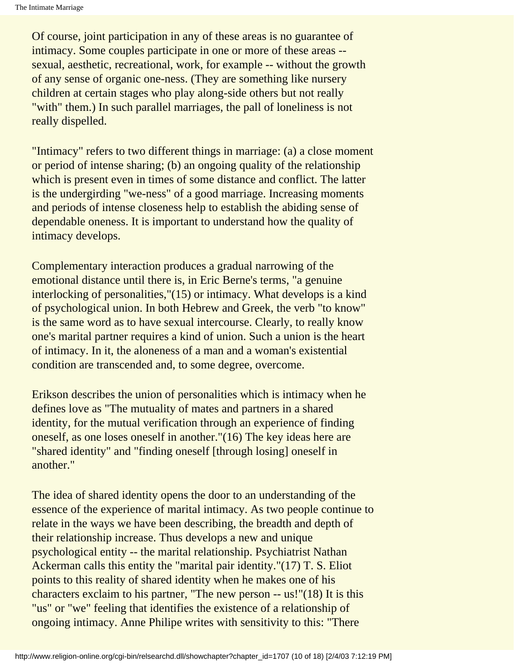Of course, joint participation in any of these areas is no guarantee of intimacy. Some couples participate in one or more of these areas - sexual, aesthetic, recreational, work, for example -- without the growth of any sense of organic one-ness. (They are something like nursery children at certain stages who play along-side others but not really "with" them.) In such parallel marriages, the pall of loneliness is not really dispelled.

"Intimacy" refers to two different things in marriage: (a) a close moment or period of intense sharing; (b) an ongoing quality of the relationship which is present even in times of some distance and conflict. The latter is the undergirding "we-ness" of a good marriage. Increasing moments and periods of intense closeness help to establish the abiding sense of dependable oneness. It is important to understand how the quality of intimacy develops.

Complementary interaction produces a gradual narrowing of the emotional distance until there is, in Eric Berne's terms, "a genuine interlocking of personalities,"(15) or intimacy. What develops is a kind of psychological union. In both Hebrew and Greek, the verb "to know" is the same word as to have sexual intercourse. Clearly, to really know one's marital partner requires a kind of union. Such a union is the heart of intimacy. In it, the aloneness of a man and a woman's existential condition are transcended and, to some degree, overcome.

Erikson describes the union of personalities which is intimacy when he defines love as "The mutuality of mates and partners in a shared identity, for the mutual verification through an experience of finding oneself, as one loses oneself in another."(16) The key ideas here are "shared identity" and "finding oneself [through losing] oneself in another."

The idea of shared identity opens the door to an understanding of the essence of the experience of marital intimacy. As two people continue to relate in the ways we have been describing, the breadth and depth of their relationship increase. Thus develops a new and unique psychological entity -- the marital relationship. Psychiatrist Nathan Ackerman calls this entity the "marital pair identity."(17) T. S. Eliot points to this reality of shared identity when he makes one of his characters exclaim to his partner, "The new person -- us!"(18) It is this "us" or "we" feeling that identifies the existence of a relationship of ongoing intimacy. Anne Philipe writes with sensitivity to this: "There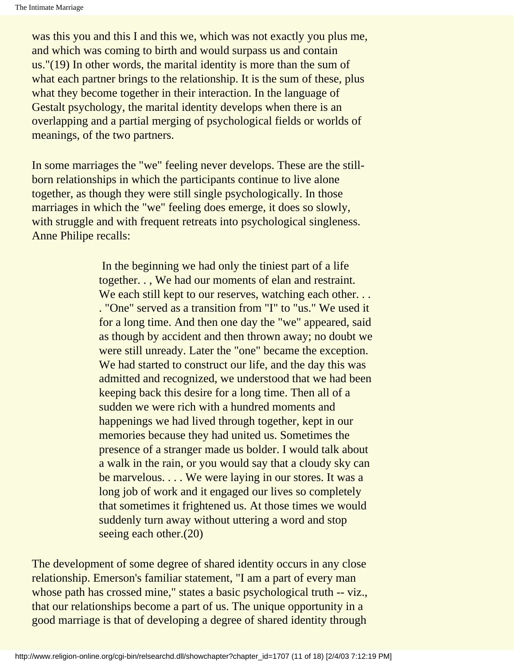was this you and this I and this we, which was not exactly you plus me, and which was coming to birth and would surpass us and contain us."(19) In other words, the marital identity is more than the sum of what each partner brings to the relationship. It is the sum of these, plus what they become together in their interaction. In the language of Gestalt psychology, the marital identity develops when there is an overlapping and a partial merging of psychological fields or worlds of meanings, of the two partners.

In some marriages the "we" feeling never develops. These are the stillborn relationships in which the participants continue to live alone together, as though they were still single psychologically. In those marriages in which the "we" feeling does emerge, it does so slowly, with struggle and with frequent retreats into psychological singleness. Anne Philipe recalls:

> In the beginning we had only the tiniest part of a life together. . , We had our moments of elan and restraint. We each still kept to our reserves, watching each other... . "One" served as a transition from "I" to "us." We used it for a long time. And then one day the "we" appeared, said as though by accident and then thrown away; no doubt we were still unready. Later the "one" became the exception. We had started to construct our life, and the day this was admitted and recognized, we understood that we had been keeping back this desire for a long time. Then all of a sudden we were rich with a hundred moments and happenings we had lived through together, kept in our memories because they had united us. Sometimes the presence of a stranger made us bolder. I would talk about a walk in the rain, or you would say that a cloudy sky can be marvelous. . . . We were laying in our stores. It was a long job of work and it engaged our lives so completely that sometimes it frightened us. At those times we would suddenly turn away without uttering a word and stop seeing each other.<sup>(20)</sup>

The development of some degree of shared identity occurs in any close relationship. Emerson's familiar statement, "I am a part of every man whose path has crossed mine," states a basic psychological truth -- viz., that our relationships become a part of us. The unique opportunity in a good marriage is that of developing a degree of shared identity through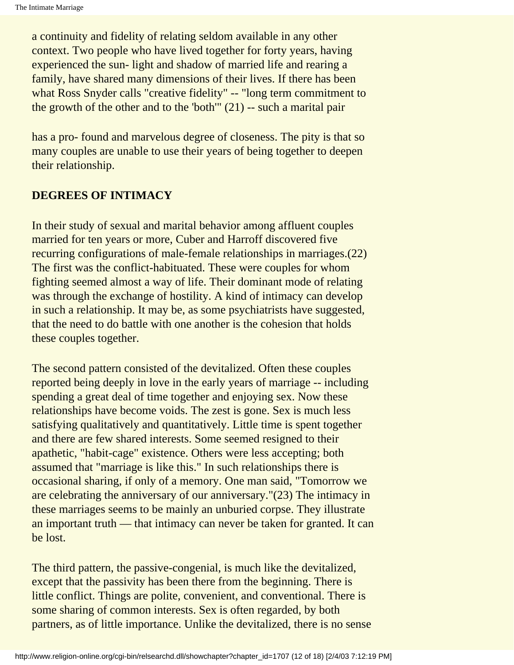a continuity and fidelity of relating seldom available in any other context. Two people who have lived together for forty years, having experienced the sun- light and shadow of married life and rearing a family, have shared many dimensions of their lives. If there has been what Ross Snyder calls "creative fidelity" -- "long term commitment to the growth of the other and to the 'both'" (21) -- such a marital pair

has a pro- found and marvelous degree of closeness. The pity is that so many couples are unable to use their years of being together to deepen their relationship.

## **DEGREES OF INTIMACY**

In their study of sexual and marital behavior among affluent couples married for ten years or more, Cuber and Harroff discovered five recurring configurations of male-female relationships in marriages.(22) The first was the conflict-habituated. These were couples for whom fighting seemed almost a way of life. Their dominant mode of relating was through the exchange of hostility. A kind of intimacy can develop in such a relationship. It may be, as some psychiatrists have suggested, that the need to do battle with one another is the cohesion that holds these couples together.

The second pattern consisted of the devitalized. Often these couples reported being deeply in love in the early years of marriage -- including spending a great deal of time together and enjoying sex. Now these relationships have become voids. The zest is gone. Sex is much less satisfying qualitatively and quantitatively. Little time is spent together and there are few shared interests. Some seemed resigned to their apathetic, "habit-cage" existence. Others were less accepting; both assumed that "marriage is like this." In such relationships there is occasional sharing, if only of a memory. One man said, "Tomorrow we are celebrating the anniversary of our anniversary."(23) The intimacy in these marriages seems to be mainly an unburied corpse. They illustrate an important truth — that intimacy can never be taken for granted. It can be lost.

The third pattern, the passive-congenial, is much like the devitalized, except that the passivity has been there from the beginning. There is little conflict. Things are polite, convenient, and conventional. There is some sharing of common interests. Sex is often regarded, by both partners, as of little importance. Unlike the devitalized, there is no sense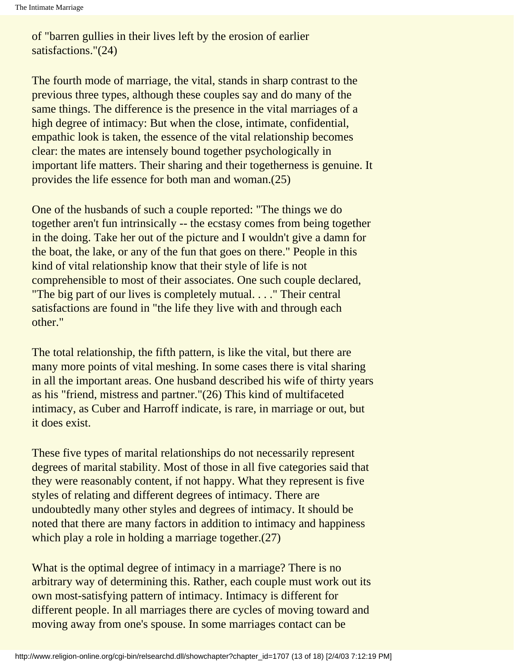of "barren gullies in their lives left by the erosion of earlier satisfactions."(24)

The fourth mode of marriage, the vital, stands in sharp contrast to the previous three types, although these couples say and do many of the same things. The difference is the presence in the vital marriages of a high degree of intimacy: But when the close, intimate, confidential, empathic look is taken, the essence of the vital relationship becomes clear: the mates are intensely bound together psychologically in important life matters. Their sharing and their togetherness is genuine. It provides the life essence for both man and woman.(25)

One of the husbands of such a couple reported: "The things we do together aren't fun intrinsically -- the ecstasy comes from being together in the doing. Take her out of the picture and I wouldn't give a damn for the boat, the lake, or any of the fun that goes on there." People in this kind of vital relationship know that their style of life is not comprehensible to most of their associates. One such couple declared, "The big part of our lives is completely mutual. . . ." Their central satisfactions are found in "the life they live with and through each other."

The total relationship, the fifth pattern, is like the vital, but there are many more points of vital meshing. In some cases there is vital sharing in all the important areas. One husband described his wife of thirty years as his "friend, mistress and partner."(26) This kind of multifaceted intimacy, as Cuber and Harroff indicate, is rare, in marriage or out, but it does exist.

These five types of marital relationships do not necessarily represent degrees of marital stability. Most of those in all five categories said that they were reasonably content, if not happy. What they represent is five styles of relating and different degrees of intimacy. There are undoubtedly many other styles and degrees of intimacy. It should be noted that there are many factors in addition to intimacy and happiness which play a role in holding a marriage together. (27)

What is the optimal degree of intimacy in a marriage? There is no arbitrary way of determining this. Rather, each couple must work out its own most-satisfying pattern of intimacy. Intimacy is different for different people. In all marriages there are cycles of moving toward and moving away from one's spouse. In some marriages contact can be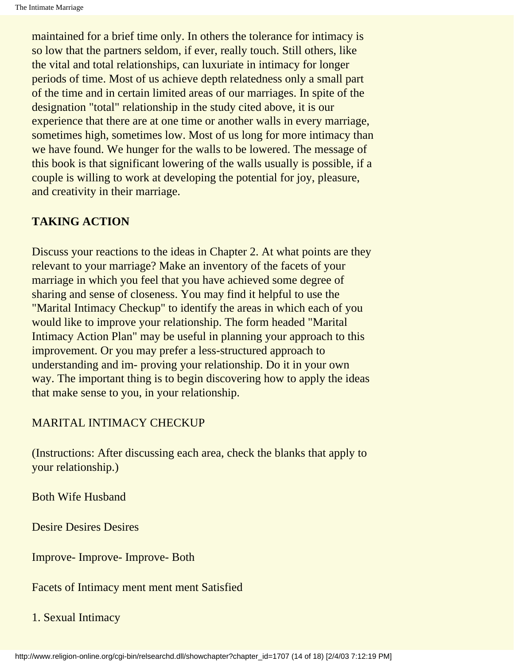maintained for a brief time only. In others the tolerance for intimacy is so low that the partners seldom, if ever, really touch. Still others, like the vital and total relationships, can luxuriate in intimacy for longer periods of time. Most of us achieve depth relatedness only a small part of the time and in certain limited areas of our marriages. In spite of the designation "total" relationship in the study cited above, it is our experience that there are at one time or another walls in every marriage, sometimes high, sometimes low. Most of us long for more intimacy than we have found. We hunger for the walls to be lowered. The message of this book is that significant lowering of the walls usually is possible, if a couple is willing to work at developing the potential for joy, pleasure, and creativity in their marriage.

#### **TAKING ACTION**

Discuss your reactions to the ideas in Chapter 2. At what points are they relevant to your marriage? Make an inventory of the facets of your marriage in which you feel that you have achieved some degree of sharing and sense of closeness. You may find it helpful to use the "Marital Intimacy Checkup" to identify the areas in which each of you would like to improve your relationship. The form headed "Marital Intimacy Action Plan" may be useful in planning your approach to this improvement. Or you may prefer a less-structured approach to understanding and im- proving your relationship. Do it in your own way. The important thing is to begin discovering how to apply the ideas that make sense to you, in your relationship.

#### MARITAL INTIMACY CHECKUP

(Instructions: After discussing each area, check the blanks that apply to your relationship.)

Both Wife Husband

Desire Desires Desires

Improve- Improve- Improve- Both

Facets of Intimacy ment ment ment Satisfied

1. Sexual Intimacy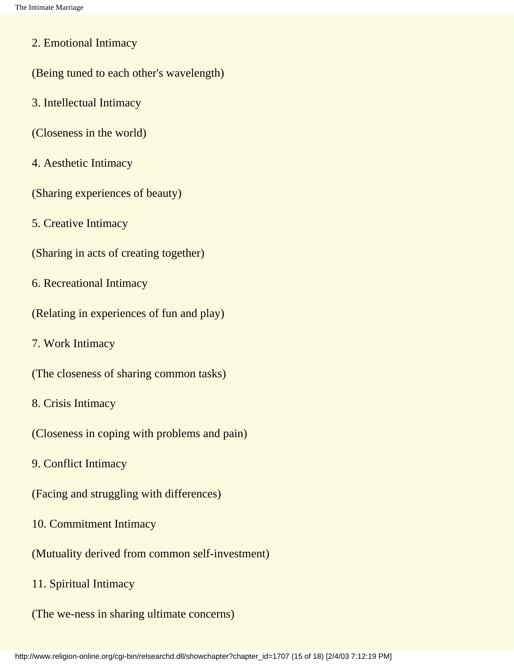2. Emotional Intimacy

#### (Being tuned to each other's wavelength)

- 3. Intellectual Intimacy
- (Closeness in the world)
- 4. Aesthetic Intimacy
- (Sharing experiences of beauty)
- 5. Creative Intimacy
- (Sharing in acts of creating together)
- 6. Recreational Intimacy
- (Relating in experiences of fun and play)
- 7. Work Intimacy
- (The closeness of sharing common tasks)
- 8. Crisis Intimacy
- (Closeness in coping with problems and pain)
- 9. Conflict Intimacy
- (Facing and struggling with differences)
- 10. Commitment Intimacy
- (Mutuality derived from common self-investment)
- 11. Spiritual Intimacy
- (The we-ness in sharing ultimate concerns)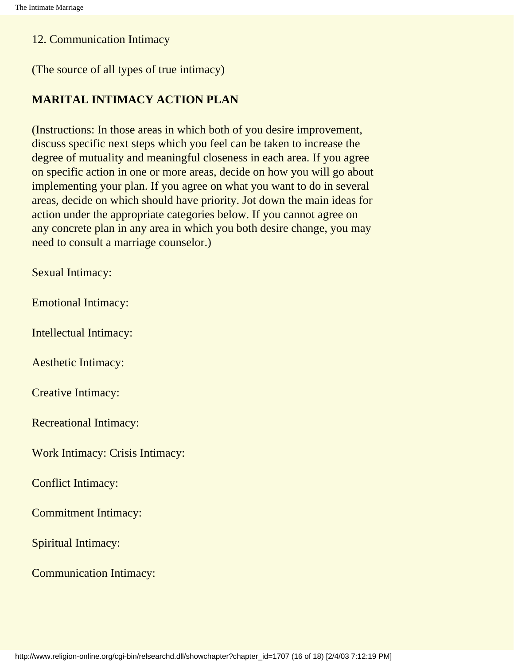### 12. Communication Intimacy

(The source of all types of true intimacy)

## **MARITAL INTIMACY ACTION PLAN**

(Instructions: In those areas in which both of you desire improvement, discuss specific next steps which you feel can be taken to increase the degree of mutuality and meaningful closeness in each area. If you agree on specific action in one or more areas, decide on how you will go about implementing your plan. If you agree on what you want to do in several areas, decide on which should have priority. Jot down the main ideas for action under the appropriate categories below. If you cannot agree on any concrete plan in any area in which you both desire change, you may need to consult a marriage counselor.)

Sexual Intimacy:

Emotional Intimacy:

Intellectual Intimacy:

Aesthetic Intimacy:

Creative Intimacy:

Recreational Intimacy:

Work Intimacy: Crisis Intimacy:

Conflict Intimacy:

Commitment Intimacy:

Spiritual Intimacy:

Communication Intimacy: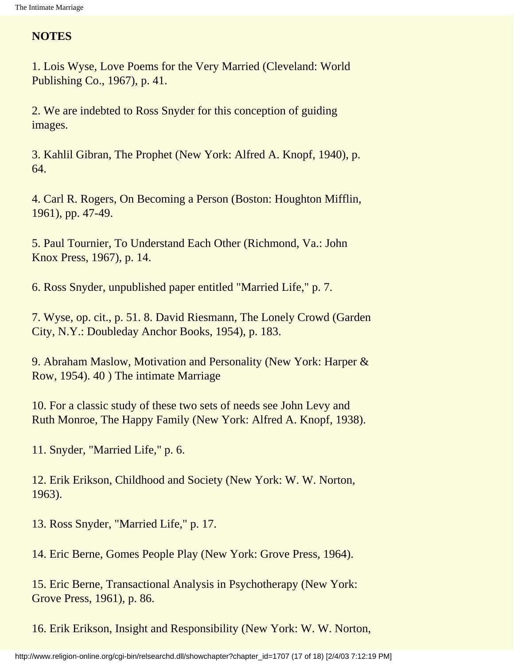# **NOTES**

1. Lois Wyse, Love Poems for the Very Married (Cleveland: World Publishing Co., 1967), p. 41.

2. We are indebted to Ross Snyder for this conception of guiding images.

3. Kahlil Gibran, The Prophet (New York: Alfred A. Knopf, 1940), p. 64.

4. Carl R. Rogers, On Becoming a Person (Boston: Houghton Mifflin, 1961), pp. 47-49.

5. Paul Tournier, To Understand Each Other (Richmond, Va.: John Knox Press, 1967), p. 14.

6. Ross Snyder, unpublished paper entitled "Married Life," p. 7.

7. Wyse, op. cit., p. 51. 8. David Riesmann, The Lonely Crowd (Garden City, N.Y.: Doubleday Anchor Books, 1954), p. 183.

9. Abraham Maslow, Motivation and Personality (New York: Harper & Row, 1954). 40 ) The intimate Marriage

10. For a classic study of these two sets of needs see John Levy and Ruth Monroe, The Happy Family (New York: Alfred A. Knopf, 1938).

11. Snyder, "Married Life," p. 6.

12. Erik Erikson, Childhood and Society (New York: W. W. Norton, 1963).

13. Ross Snyder, "Married Life," p. 17.

14. Eric Berne, Gomes People Play (New York: Grove Press, 1964).

15. Eric Berne, Transactional Analysis in Psychotherapy (New York: Grove Press, 1961), p. 86.

16. Erik Erikson, Insight and Responsibility (New York: W. W. Norton,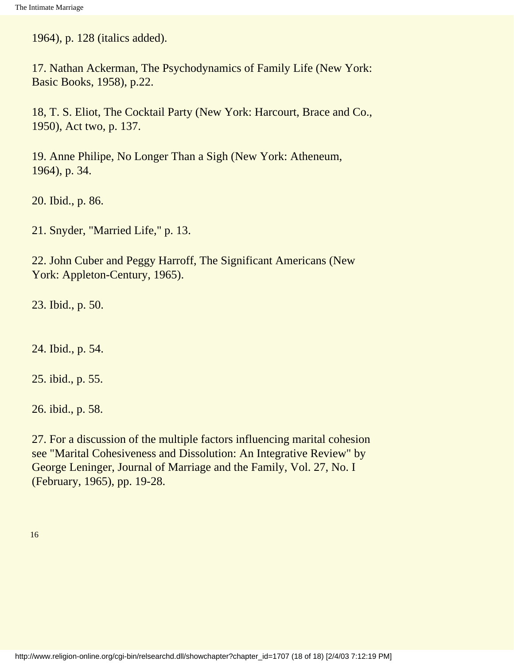1964), p. 128 (italics added).

17. Nathan Ackerman, The Psychodynamics of Family Life (New York: Basic Books, 1958), p.22.

18, T. S. Eliot, The Cocktail Party (New York: Harcourt, Brace and Co., 1950), Act two, p. 137.

19. Anne Philipe, No Longer Than a Sigh (New York: Atheneum, 1964), p. 34.

20. Ibid., p. 86.

21. Snyder, "Married Life," p. 13.

22. John Cuber and Peggy Harroff, The Significant Americans (New York: Appleton-Century, 1965).

23. Ibid., p. 50.

24. Ibid., p. 54.

25. ibid., p. 55.

26. ibid., p. 58.

27. For a discussion of the multiple factors influencing marital cohesion see "Marital Cohesiveness and Dissolution: An Integrative Review" by George Leninger, Journal of Marriage and the Family, Vol. 27, No. I (February, 1965), pp. 19-28.

16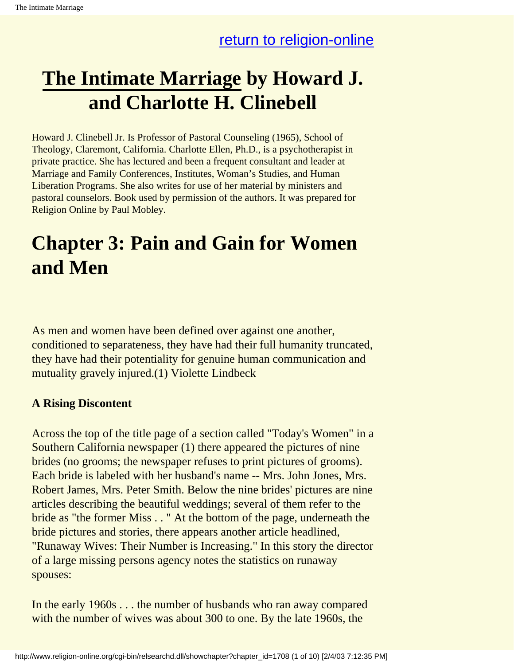# [return to religion-online](http://www.religion-online.org/)

# **The Intimate Marriage by Howard J. and Charlotte H. Clinebell**

Howard J. Clinebell Jr. Is Professor of Pastoral Counseling (1965), School of Theology, Claremont, California. Charlotte Ellen, Ph.D., is a psychotherapist in private practice. She has lectured and been a frequent consultant and leader at Marriage and Family Conferences, Institutes, Woman's Studies, and Human Liberation Programs. She also writes for use of her material by ministers and pastoral counselors. Book used by permission of the authors. It was prepared for Religion Online by Paul Mobley.

# **Chapter 3: Pain and Gain for Women and Men**

As men and women have been defined over against one another, conditioned to separateness, they have had their full humanity truncated, they have had their potentiality for genuine human communication and mutuality gravely injured.(1) Violette Lindbeck

### **A Rising Discontent**

Across the top of the title page of a section called "Today's Women" in a Southern California newspaper (1) there appeared the pictures of nine brides (no grooms; the newspaper refuses to print pictures of grooms). Each bride is labeled with her husband's name -- Mrs. John Jones, Mrs. Robert James, Mrs. Peter Smith. Below the nine brides' pictures are nine articles describing the beautiful weddings; several of them refer to the bride as "the former Miss . . " At the bottom of the page, underneath the bride pictures and stories, there appears another article headlined, "Runaway Wives: Their Number is Increasing." In this story the director of a large missing persons agency notes the statistics on runaway spouses:

In the early 1960s . . . the number of husbands who ran away compared with the number of wives was about 300 to one. By the late 1960s, the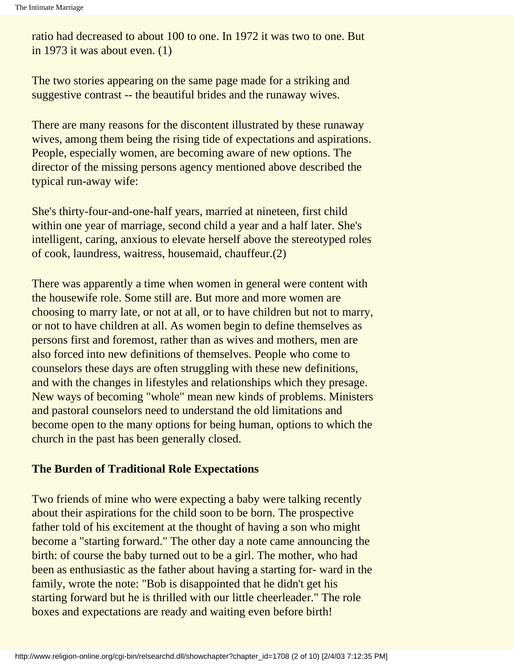ratio had decreased to about 100 to one. In 1972 it was two to one. But in 1973 it was about even. (1)

The two stories appearing on the same page made for a striking and suggestive contrast -- the beautiful brides and the runaway wives.

There are many reasons for the discontent illustrated by these runaway wives, among them being the rising tide of expectations and aspirations. People, especially women, are becoming aware of new options. The director of the missing persons agency mentioned above described the typical run-away wife:

She's thirty-four-and-one-half years, married at nineteen, first child within one year of marriage, second child a year and a half later. She's intelligent, caring, anxious to elevate herself above the stereotyped roles of cook, laundress, waitress, housemaid, chauffeur.(2)

There was apparently a time when women in general were content with the housewife role. Some still are. But more and more women are choosing to marry late, or not at all, or to have children but not to marry, or not to have children at all. As women begin to define themselves as persons first and foremost, rather than as wives and mothers, men are also forced into new definitions of themselves. People who come to counselors these days are often struggling with these new definitions, and with the changes in lifestyles and relationships which they presage. New ways of becoming "whole" mean new kinds of problems. Ministers and pastoral counselors need to understand the old limitations and become open to the many options for being human, options to which the church in the past has been generally closed.

### **The Burden of Traditional Role Expectations**

Two friends of mine who were expecting a baby were talking recently about their aspirations for the child soon to be born. The prospective father told of his excitement at the thought of having a son who might become a "starting forward." The other day a note came announcing the birth: of course the baby turned out to be a girl. The mother, who had been as enthusiastic as the father about having a starting for- ward in the family, wrote the note: "Bob is disappointed that he didn't get his starting forward but he is thrilled with our little cheerleader." The role boxes and expectations are ready and waiting even before birth!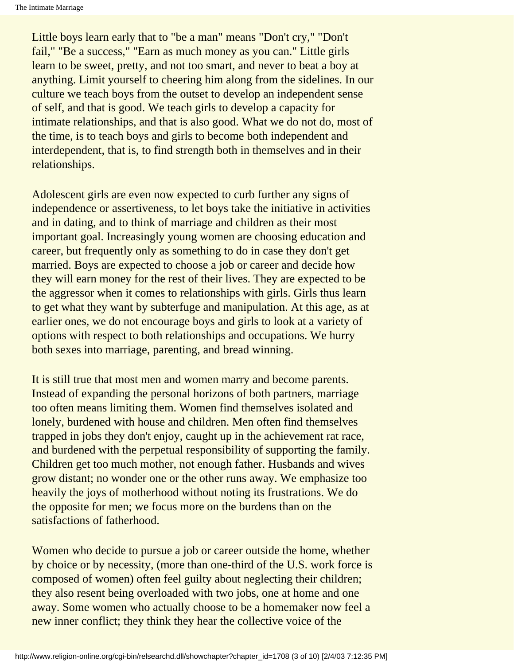Little boys learn early that to "be a man" means "Don't cry," "Don't fail," "Be a success," "Earn as much money as you can." Little girls learn to be sweet, pretty, and not too smart, and never to beat a boy at anything. Limit yourself to cheering him along from the sidelines. In our culture we teach boys from the outset to develop an independent sense of self, and that is good. We teach girls to develop a capacity for intimate relationships, and that is also good. What we do not do, most of the time, is to teach boys and girls to become both independent and interdependent, that is, to find strength both in themselves and in their relationships.

Adolescent girls are even now expected to curb further any signs of independence or assertiveness, to let boys take the initiative in activities and in dating, and to think of marriage and children as their most important goal. Increasingly young women are choosing education and career, but frequently only as something to do in case they don't get married. Boys are expected to choose a job or career and decide how they will earn money for the rest of their lives. They are expected to be the aggressor when it comes to relationships with girls. Girls thus learn to get what they want by subterfuge and manipulation. At this age, as at earlier ones, we do not encourage boys and girls to look at a variety of options with respect to both relationships and occupations. We hurry both sexes into marriage, parenting, and bread winning.

It is still true that most men and women marry and become parents. Instead of expanding the personal horizons of both partners, marriage too often means limiting them. Women find themselves isolated and lonely, burdened with house and children. Men often find themselves trapped in jobs they don't enjoy, caught up in the achievement rat race, and burdened with the perpetual responsibility of supporting the family. Children get too much mother, not enough father. Husbands and wives grow distant; no wonder one or the other runs away. We emphasize too heavily the joys of motherhood without noting its frustrations. We do the opposite for men; we focus more on the burdens than on the satisfactions of fatherhood.

Women who decide to pursue a job or career outside the home, whether by choice or by necessity, (more than one-third of the U.S. work force is composed of women) often feel guilty about neglecting their children; they also resent being overloaded with two jobs, one at home and one away. Some women who actually choose to be a homemaker now feel a new inner conflict; they think they hear the collective voice of the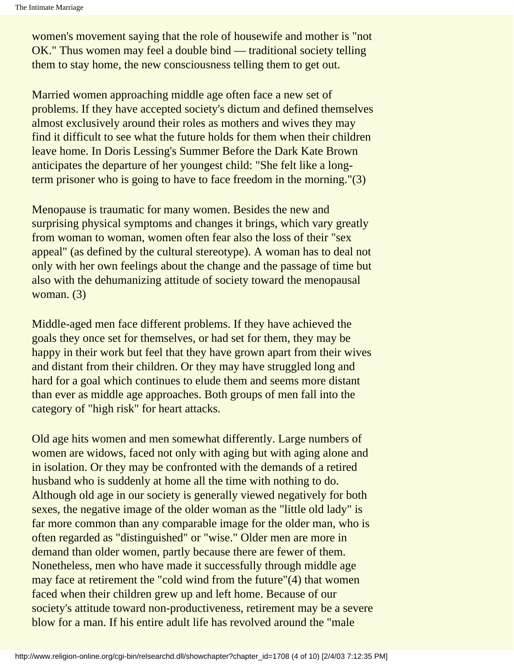women's movement saying that the role of housewife and mother is "not OK." Thus women may feel a double bind — traditional society telling them to stay home, the new consciousness telling them to get out.

Married women approaching middle age often face a new set of problems. If they have accepted society's dictum and defined themselves almost exclusively around their roles as mothers and wives they may find it difficult to see what the future holds for them when their children leave home. In Doris Lessing's Summer Before the Dark Kate Brown anticipates the departure of her youngest child: "She felt like a longterm prisoner who is going to have to face freedom in the morning."(3)

Menopause is traumatic for many women. Besides the new and surprising physical symptoms and changes it brings, which vary greatly from woman to woman, women often fear also the loss of their "sex appeal" (as defined by the cultural stereotype). A woman has to deal not only with her own feelings about the change and the passage of time but also with the dehumanizing attitude of society toward the menopausal woman. (3)

Middle-aged men face different problems. If they have achieved the goals they once set for themselves, or had set for them, they may be happy in their work but feel that they have grown apart from their wives and distant from their children. Or they may have struggled long and hard for a goal which continues to elude them and seems more distant than ever as middle age approaches. Both groups of men fall into the category of "high risk" for heart attacks.

Old age hits women and men somewhat differently. Large numbers of women are widows, faced not only with aging but with aging alone and in isolation. Or they may be confronted with the demands of a retired husband who is suddenly at home all the time with nothing to do. Although old age in our society is generally viewed negatively for both sexes, the negative image of the older woman as the "little old lady" is far more common than any comparable image for the older man, who is often regarded as "distinguished" or "wise." Older men are more in demand than older women, partly because there are fewer of them. Nonetheless, men who have made it successfully through middle age may face at retirement the "cold wind from the future"(4) that women faced when their children grew up and left home. Because of our society's attitude toward non-productiveness, retirement may be a severe blow for a man. If his entire adult life has revolved around the "male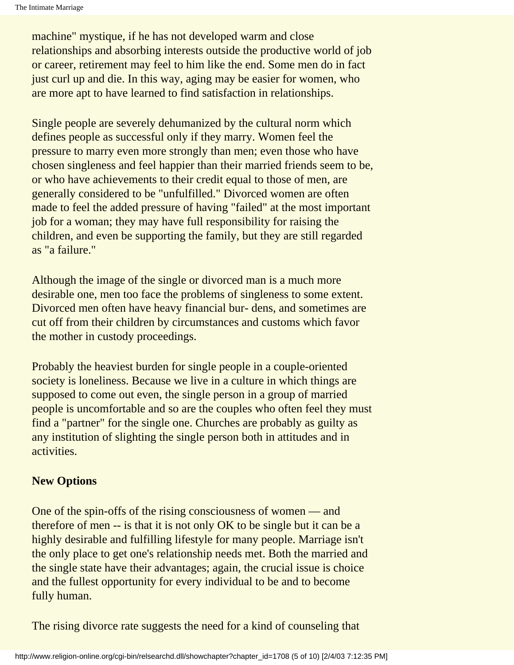machine" mystique, if he has not developed warm and close relationships and absorbing interests outside the productive world of job or career, retirement may feel to him like the end. Some men do in fact just curl up and die. In this way, aging may be easier for women, who are more apt to have learned to find satisfaction in relationships.

Single people are severely dehumanized by the cultural norm which defines people as successful only if they marry. Women feel the pressure to marry even more strongly than men; even those who have chosen singleness and feel happier than their married friends seem to be, or who have achievements to their credit equal to those of men, are generally considered to be "unfulfilled." Divorced women are often made to feel the added pressure of having "failed" at the most important job for a woman; they may have full responsibility for raising the children, and even be supporting the family, but they are still regarded as "a failure."

Although the image of the single or divorced man is a much more desirable one, men too face the problems of singleness to some extent. Divorced men often have heavy financial bur- dens, and sometimes are cut off from their children by circumstances and customs which favor the mother in custody proceedings.

Probably the heaviest burden for single people in a couple-oriented society is loneliness. Because we live in a culture in which things are supposed to come out even, the single person in a group of married people is uncomfortable and so are the couples who often feel they must find a "partner" for the single one. Churches are probably as guilty as any institution of slighting the single person both in attitudes and in activities.

# **New Options**

One of the spin-offs of the rising consciousness of women — and therefore of men -- is that it is not only OK to be single but it can be a highly desirable and fulfilling lifestyle for many people. Marriage isn't the only place to get one's relationship needs met. Both the married and the single state have their advantages; again, the crucial issue is choice and the fullest opportunity for every individual to be and to become fully human.

The rising divorce rate suggests the need for a kind of counseling that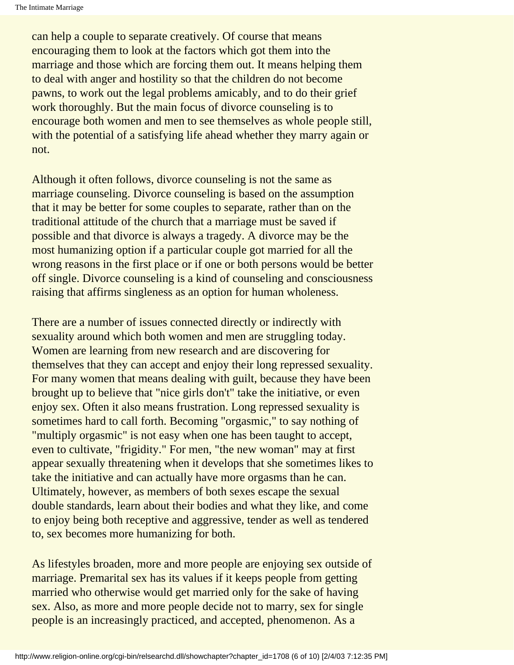can help a couple to separate creatively. Of course that means encouraging them to look at the factors which got them into the marriage and those which are forcing them out. It means helping them to deal with anger and hostility so that the children do not become pawns, to work out the legal problems amicably, and to do their grief work thoroughly. But the main focus of divorce counseling is to encourage both women and men to see themselves as whole people still, with the potential of a satisfying life ahead whether they marry again or not.

Although it often follows, divorce counseling is not the same as marriage counseling. Divorce counseling is based on the assumption that it may be better for some couples to separate, rather than on the traditional attitude of the church that a marriage must be saved if possible and that divorce is always a tragedy. A divorce may be the most humanizing option if a particular couple got married for all the wrong reasons in the first place or if one or both persons would be better off single. Divorce counseling is a kind of counseling and consciousness raising that affirms singleness as an option for human wholeness.

There are a number of issues connected directly or indirectly with sexuality around which both women and men are struggling today. Women are learning from new research and are discovering for themselves that they can accept and enjoy their long repressed sexuality. For many women that means dealing with guilt, because they have been brought up to believe that "nice girls don't" take the initiative, or even enjoy sex. Often it also means frustration. Long repressed sexuality is sometimes hard to call forth. Becoming "orgasmic," to say nothing of "multiply orgasmic" is not easy when one has been taught to accept, even to cultivate, "frigidity." For men, "the new woman" may at first appear sexually threatening when it develops that she sometimes likes to take the initiative and can actually have more orgasms than he can. Ultimately, however, as members of both sexes escape the sexual double standards, learn about their bodies and what they like, and come to enjoy being both receptive and aggressive, tender as well as tendered to, sex becomes more humanizing for both.

As lifestyles broaden, more and more people are enjoying sex outside of marriage. Premarital sex has its values if it keeps people from getting married who otherwise would get married only for the sake of having sex. Also, as more and more people decide not to marry, sex for single people is an increasingly practiced, and accepted, phenomenon. As a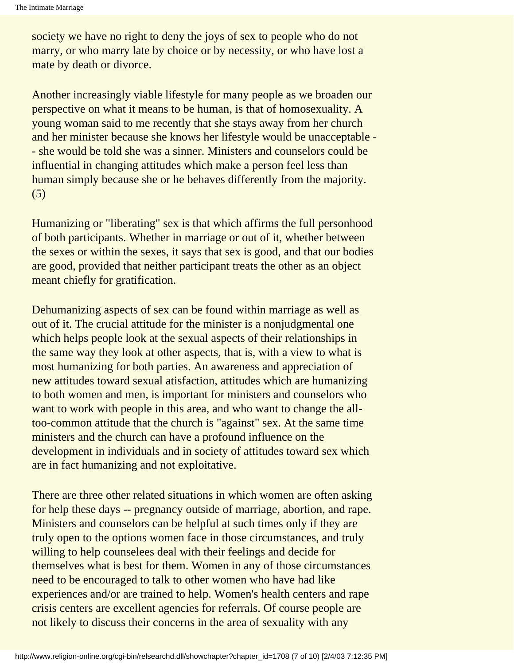society we have no right to deny the joys of sex to people who do not marry, or who marry late by choice or by necessity, or who have lost a mate by death or divorce.

Another increasingly viable lifestyle for many people as we broaden our perspective on what it means to be human, is that of homosexuality. A young woman said to me recently that she stays away from her church and her minister because she knows her lifestyle would be unacceptable - - she would be told she was a sinner. Ministers and counselors could be influential in changing attitudes which make a person feel less than human simply because she or he behaves differently from the majority. (5)

Humanizing or "liberating" sex is that which affirms the full personhood of both participants. Whether in marriage or out of it, whether between the sexes or within the sexes, it says that sex is good, and that our bodies are good, provided that neither participant treats the other as an object meant chiefly for gratification.

Dehumanizing aspects of sex can be found within marriage as well as out of it. The crucial attitude for the minister is a nonjudgmental one which helps people look at the sexual aspects of their relationships in the same way they look at other aspects, that is, with a view to what is most humanizing for both parties. An awareness and appreciation of new attitudes toward sexual atisfaction, attitudes which are humanizing to both women and men, is important for ministers and counselors who want to work with people in this area, and who want to change the alltoo-common attitude that the church is "against" sex. At the same time ministers and the church can have a profound influence on the development in individuals and in society of attitudes toward sex which are in fact humanizing and not exploitative.

There are three other related situations in which women are often asking for help these days -- pregnancy outside of marriage, abortion, and rape. Ministers and counselors can be helpful at such times only if they are truly open to the options women face in those circumstances, and truly willing to help counselees deal with their feelings and decide for themselves what is best for them. Women in any of those circumstances need to be encouraged to talk to other women who have had like experiences and/or are trained to help. Women's health centers and rape crisis centers are excellent agencies for referrals. Of course people are not likely to discuss their concerns in the area of sexuality with any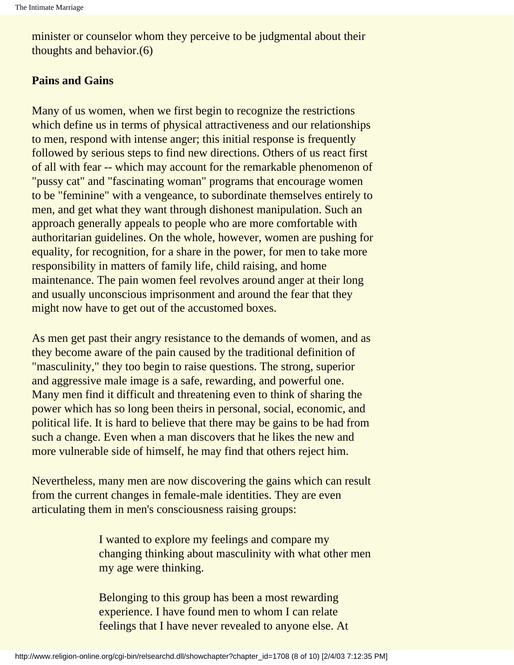minister or counselor whom they perceive to be judgmental about their thoughts and behavior.(6)

#### **Pains and Gains**

Many of us women, when we first begin to recognize the restrictions which define us in terms of physical attractiveness and our relationships to men, respond with intense anger; this initial response is frequently followed by serious steps to find new directions. Others of us react first of all with fear -- which may account for the remarkable phenomenon of "pussy cat" and "fascinating woman" programs that encourage women to be "feminine" with a vengeance, to subordinate themselves entirely to men, and get what they want through dishonest manipulation. Such an approach generally appeals to people who are more comfortable with authoritarian guidelines. On the whole, however, women are pushing for equality, for recognition, for a share in the power, for men to take more responsibility in matters of family life, child raising, and home maintenance. The pain women feel revolves around anger at their long and usually unconscious imprisonment and around the fear that they might now have to get out of the accustomed boxes.

As men get past their angry resistance to the demands of women, and as they become aware of the pain caused by the traditional definition of "masculinity," they too begin to raise questions. The strong, superior and aggressive male image is a safe, rewarding, and powerful one. Many men find it difficult and threatening even to think of sharing the power which has so long been theirs in personal, social, economic, and political life. It is hard to believe that there may be gains to be had from such a change. Even when a man discovers that he likes the new and more vulnerable side of himself, he may find that others reject him.

Nevertheless, many men are now discovering the gains which can result from the current changes in female-male identities. They are even articulating them in men's consciousness raising groups:

> I wanted to explore my feelings and compare my changing thinking about masculinity with what other men my age were thinking.

Belonging to this group has been a most rewarding experience. I have found men to whom I can relate feelings that I have never revealed to anyone else. At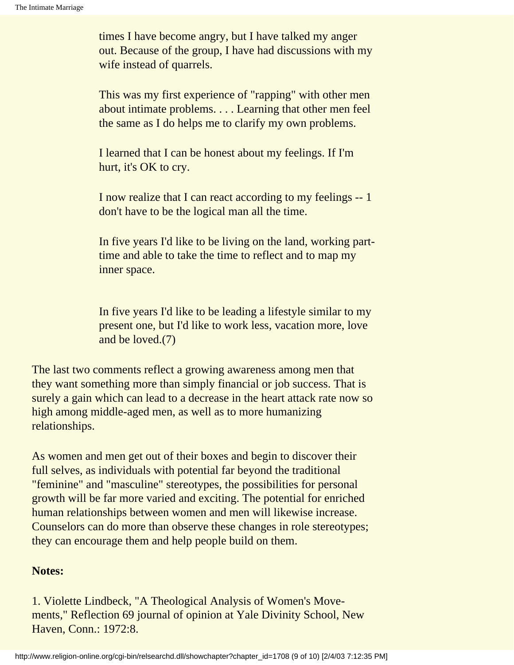times I have become angry, but I have talked my anger out. Because of the group, I have had discussions with my wife instead of quarrels.

This was my first experience of "rapping" with other men about intimate problems. . . . Learning that other men feel the same as I do helps me to clarify my own problems.

I learned that I can be honest about my feelings. If I'm hurt, it's OK to cry.

I now realize that I can react according to my feelings -- 1 don't have to be the logical man all the time.

In five years I'd like to be living on the land, working parttime and able to take the time to reflect and to map my inner space.

In five years I'd like to be leading a lifestyle similar to my present one, but I'd like to work less, vacation more, love and be loved.(7)

The last two comments reflect a growing awareness among men that they want something more than simply financial or job success. That is surely a gain which can lead to a decrease in the heart attack rate now so high among middle-aged men, as well as to more humanizing relationships.

As women and men get out of their boxes and begin to discover their full selves, as individuals with potential far beyond the traditional "feminine" and "masculine" stereotypes, the possibilities for personal growth will be far more varied and exciting. The potential for enriched human relationships between women and men will likewise increase. Counselors can do more than observe these changes in role stereotypes; they can encourage them and help people build on them.

#### **Notes:**

1. Violette Lindbeck, "A Theological Analysis of Women's Movements," Reflection 69 journal of opinion at Yale Divinity School, New Haven, Conn.: 1972:8.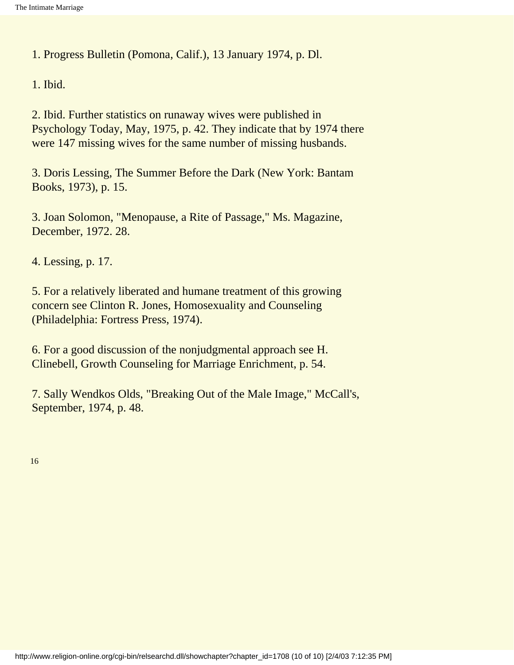1. Progress Bulletin (Pomona, Calif.), 13 January 1974, p. Dl.

1. Ibid.

2. Ibid. Further statistics on runaway wives were published in Psychology Today, May, 1975, p. 42. They indicate that by 1974 there were 147 missing wives for the same number of missing husbands.

3. Doris Lessing, The Summer Before the Dark (New York: Bantam Books, 1973), p. 15.

3. Joan Solomon, "Menopause, a Rite of Passage," Ms. Magazine, December, 1972. 28.

4. Lessing, p. 17.

5. For a relatively liberated and humane treatment of this growing concern see Clinton R. Jones, Homosexuality and Counseling (Philadelphia: Fortress Press, 1974).

6. For a good discussion of the nonjudgmental approach see H. Clinebell, Growth Counseling for Marriage Enrichment, p. 54.

7. Sally Wendkos Olds, "Breaking Out of the Male Image," McCall's, September, 1974, p. 48.

16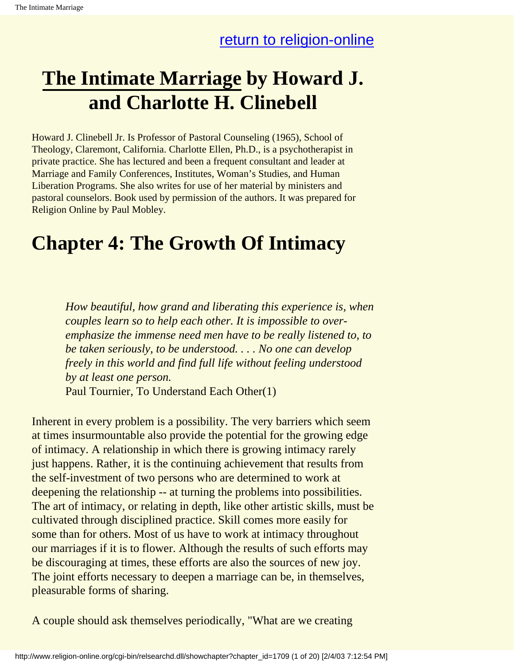# [return to religion-online](http://www.religion-online.org/)

# **The Intimate Marriage by Howard J. and Charlotte H. Clinebell**

Howard J. Clinebell Jr. Is Professor of Pastoral Counseling (1965), School of Theology, Claremont, California. Charlotte Ellen, Ph.D., is a psychotherapist in private practice. She has lectured and been a frequent consultant and leader at Marriage and Family Conferences, Institutes, Woman's Studies, and Human Liberation Programs. She also writes for use of her material by ministers and pastoral counselors. Book used by permission of the authors. It was prepared for Religion Online by Paul Mobley.

# **Chapter 4: The Growth Of Intimacy**

*How beautiful, how grand and liberating this experience is, when couples learn so to help each other. It is impossible to overemphasize the immense need men have to be really listened to, to be taken seriously, to be understood. . . . No one can develop freely in this world and find full life without feeling understood by at least one person.* Paul Tournier, To Understand Each Other(1)

Inherent in every problem is a possibility. The very barriers which seem at times insurmountable also provide the potential for the growing edge of intimacy. A relationship in which there is growing intimacy rarely just happens. Rather, it is the continuing achievement that results from the self-investment of two persons who are determined to work at deepening the relationship -- at turning the problems into possibilities. The art of intimacy, or relating in depth, like other artistic skills, must be cultivated through disciplined practice. Skill comes more easily for some than for others. Most of us have to work at intimacy throughout our marriages if it is to flower. Although the results of such efforts may be discouraging at times, these efforts are also the sources of new joy. The joint efforts necessary to deepen a marriage can be, in themselves, pleasurable forms of sharing.

A couple should ask themselves periodically, "What are we creating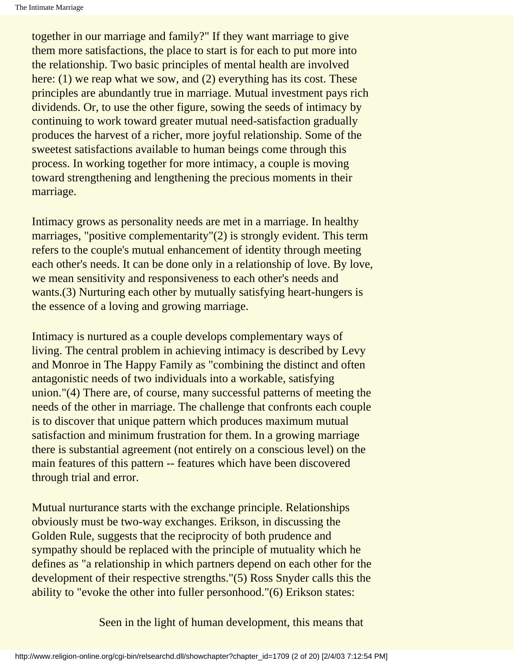together in our marriage and family?" If they want marriage to give them more satisfactions, the place to start is for each to put more into the relationship. Two basic principles of mental health are involved here: (1) we reap what we sow, and (2) everything has its cost. These principles are abundantly true in marriage. Mutual investment pays rich dividends. Or, to use the other figure, sowing the seeds of intimacy by continuing to work toward greater mutual need-satisfaction gradually produces the harvest of a richer, more joyful relationship. Some of the sweetest satisfactions available to human beings come through this process. In working together for more intimacy, a couple is moving toward strengthening and lengthening the precious moments in their marriage.

Intimacy grows as personality needs are met in a marriage. In healthy marriages, "positive complementarity"(2) is strongly evident. This term refers to the couple's mutual enhancement of identity through meeting each other's needs. It can be done only in a relationship of love. By love, we mean sensitivity and responsiveness to each other's needs and wants.(3) Nurturing each other by mutually satisfying heart-hungers is the essence of a loving and growing marriage.

Intimacy is nurtured as a couple develops complementary ways of living. The central problem in achieving intimacy is described by Levy and Monroe in The Happy Family as "combining the distinct and often antagonistic needs of two individuals into a workable, satisfying union."(4) There are, of course, many successful patterns of meeting the needs of the other in marriage. The challenge that confronts each couple is to discover that unique pattern which produces maximum mutual satisfaction and minimum frustration for them. In a growing marriage there is substantial agreement (not entirely on a conscious level) on the main features of this pattern -- features which have been discovered through trial and error.

Mutual nurturance starts with the exchange principle. Relationships obviously must be two-way exchanges. Erikson, in discussing the Golden Rule, suggests that the reciprocity of both prudence and sympathy should be replaced with the principle of mutuality which he defines as "a relationship in which partners depend on each other for the development of their respective strengths."(5) Ross Snyder calls this the ability to "evoke the other into fuller personhood."(6) Erikson states:

Seen in the light of human development, this means that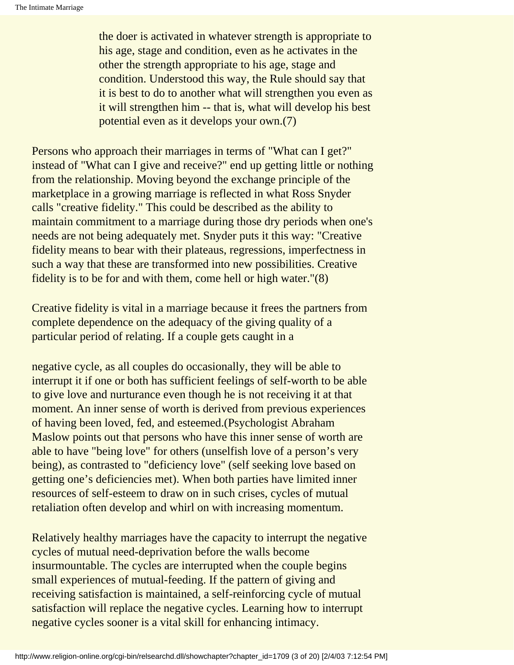the doer is activated in whatever strength is appropriate to his age, stage and condition, even as he activates in the other the strength appropriate to his age, stage and condition. Understood this way, the Rule should say that it is best to do to another what will strengthen you even as it will strengthen him -- that is, what will develop his best potential even as it develops your own.(7)

Persons who approach their marriages in terms of "What can I get?" instead of "What can I give and receive?" end up getting little or nothing from the relationship. Moving beyond the exchange principle of the marketplace in a growing marriage is reflected in what Ross Snyder calls "creative fidelity." This could be described as the ability to maintain commitment to a marriage during those dry periods when one's needs are not being adequately met. Snyder puts it this way: "Creative fidelity means to bear with their plateaus, regressions, imperfectness in such a way that these are transformed into new possibilities. Creative fidelity is to be for and with them, come hell or high water."(8)

Creative fidelity is vital in a marriage because it frees the partners from complete dependence on the adequacy of the giving quality of a particular period of relating. If a couple gets caught in a

negative cycle, as all couples do occasionally, they will be able to interrupt it if one or both has sufficient feelings of self-worth to be able to give love and nurturance even though he is not receiving it at that moment. An inner sense of worth is derived from previous experiences of having been loved, fed, and esteemed.(Psychologist Abraham Maslow points out that persons who have this inner sense of worth are able to have "being love" for others (unselfish love of a person's very being), as contrasted to "deficiency love" (self seeking love based on getting one's deficiencies met). When both parties have limited inner resources of self-esteem to draw on in such crises, cycles of mutual retaliation often develop and whirl on with increasing momentum.

Relatively healthy marriages have the capacity to interrupt the negative cycles of mutual need-deprivation before the walls become insurmountable. The cycles are interrupted when the couple begins small experiences of mutual-feeding. If the pattern of giving and receiving satisfaction is maintained, a self-reinforcing cycle of mutual satisfaction will replace the negative cycles. Learning how to interrupt negative cycles sooner is a vital skill for enhancing intimacy.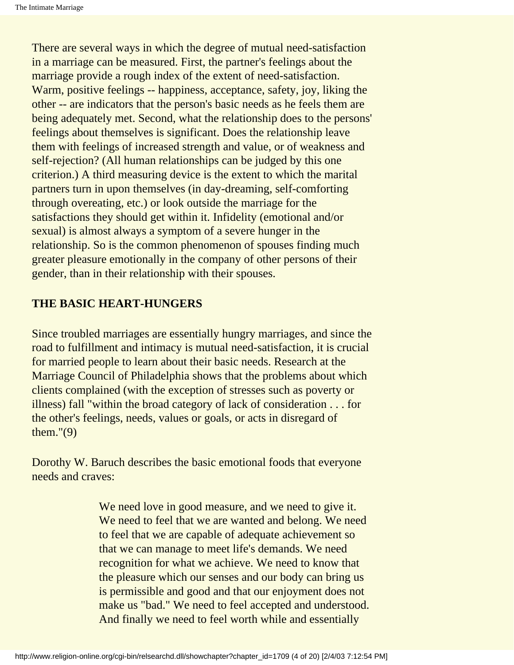There are several ways in which the degree of mutual need-satisfaction in a marriage can be measured. First, the partner's feelings about the marriage provide a rough index of the extent of need-satisfaction. Warm, positive feelings -- happiness, acceptance, safety, joy, liking the other -- are indicators that the person's basic needs as he feels them are being adequately met. Second, what the relationship does to the persons' feelings about themselves is significant. Does the relationship leave them with feelings of increased strength and value, or of weakness and self-rejection? (All human relationships can be judged by this one criterion.) A third measuring device is the extent to which the marital partners turn in upon themselves (in day-dreaming, self-comforting through overeating, etc.) or look outside the marriage for the satisfactions they should get within it. Infidelity (emotional and/or sexual) is almost always a symptom of a severe hunger in the relationship. So is the common phenomenon of spouses finding much greater pleasure emotionally in the company of other persons of their gender, than in their relationship with their spouses.

#### **THE BASIC HEART-HUNGERS**

Since troubled marriages are essentially hungry marriages, and since the road to fulfillment and intimacy is mutual need-satisfaction, it is crucial for married people to learn about their basic needs. Research at the Marriage Council of Philadelphia shows that the problems about which clients complained (with the exception of stresses such as poverty or illness) fall "within the broad category of lack of consideration . . . for the other's feelings, needs, values or goals, or acts in disregard of them."(9)

Dorothy W. Baruch describes the basic emotional foods that everyone needs and craves:

> We need love in good measure, and we need to give it. We need to feel that we are wanted and belong. We need to feel that we are capable of adequate achievement so that we can manage to meet life's demands. We need recognition for what we achieve. We need to know that the pleasure which our senses and our body can bring us is permissible and good and that our enjoyment does not make us "bad." We need to feel accepted and understood. And finally we need to feel worth while and essentially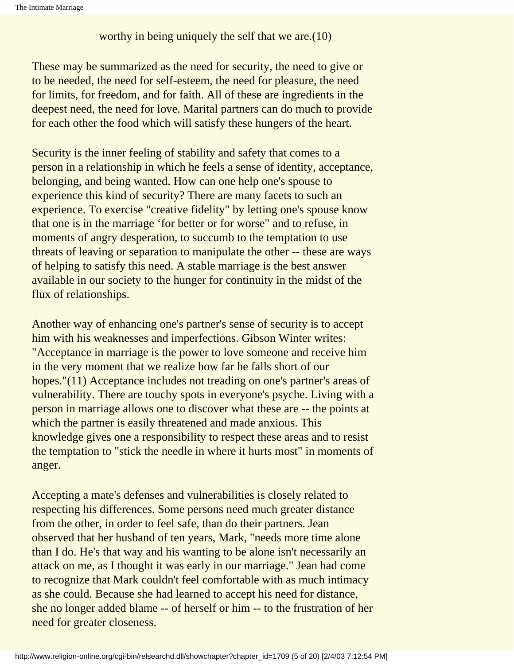worthy in being uniquely the self that we are. (10)

These may be summarized as the need for security, the need to give or to be needed, the need for self-esteem, the need for pleasure, the need for limits, for freedom, and for faith. All of these are ingredients in the deepest need, the need for love. Marital partners can do much to provide for each other the food which will satisfy these hungers of the heart.

Security is the inner feeling of stability and safety that comes to a person in a relationship in which he feels a sense of identity, acceptance, belonging, and being wanted. How can one help one's spouse to experience this kind of security? There are many facets to such an experience. To exercise "creative fidelity" by letting one's spouse know that one is in the marriage 'for better or for worse" and to refuse, in moments of angry desperation, to succumb to the temptation to use threats of leaving or separation to manipulate the other -- these are ways of helping to satisfy this need. A stable marriage is the best answer available in our society to the hunger for continuity in the midst of the flux of relationships.

Another way of enhancing one's partner's sense of security is to accept him with his weaknesses and imperfections. Gibson Winter writes: "Acceptance in marriage is the power to love someone and receive him in the very moment that we realize how far he falls short of our hopes."(11) Acceptance includes not treading on one's partner's areas of vulnerability. There are touchy spots in everyone's psyche. Living with a person in marriage allows one to discover what these are -- the points at which the partner is easily threatened and made anxious. This knowledge gives one a responsibility to respect these areas and to resist the temptation to "stick the needle in where it hurts most" in moments of anger.

Accepting a mate's defenses and vulnerabilities is closely related to respecting his differences. Some persons need much greater distance from the other, in order to feel safe, than do their partners. Jean observed that her husband of ten years, Mark, "needs more time alone than I do. He's that way and his wanting to be alone isn't necessarily an attack on me, as I thought it was early in our marriage." Jean had come to recognize that Mark couldn't feel comfortable with as much intimacy as she could. Because she had learned to accept his need for distance, she no longer added blame -- of herself or him -- to the frustration of her need for greater closeness.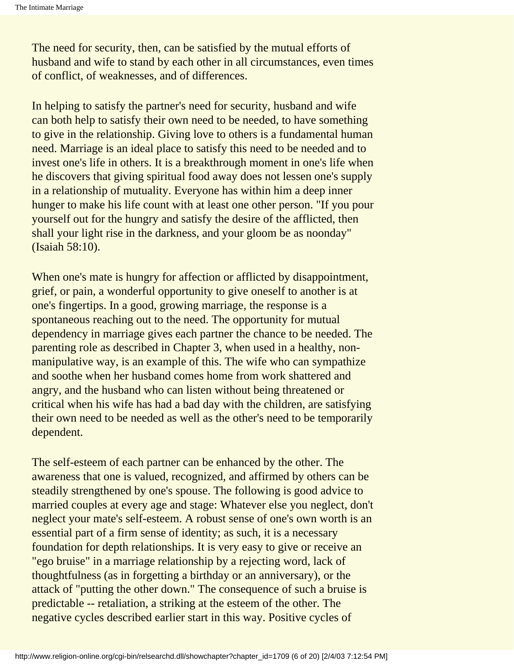The need for security, then, can be satisfied by the mutual efforts of husband and wife to stand by each other in all circumstances, even times of conflict, of weaknesses, and of differences.

In helping to satisfy the partner's need for security, husband and wife can both help to satisfy their own need to be needed, to have something to give in the relationship. Giving love to others is a fundamental human need. Marriage is an ideal place to satisfy this need to be needed and to invest one's life in others. It is a breakthrough moment in one's life when he discovers that giving spiritual food away does not lessen one's supply in a relationship of mutuality. Everyone has within him a deep inner hunger to make his life count with at least one other person. "If you pour yourself out for the hungry and satisfy the desire of the afflicted, then shall your light rise in the darkness, and your gloom be as noonday" (Isaiah 58:10).

When one's mate is hungry for affection or afflicted by disappointment, grief, or pain, a wonderful opportunity to give oneself to another is at one's fingertips. In a good, growing marriage, the response is a spontaneous reaching out to the need. The opportunity for mutual dependency in marriage gives each partner the chance to be needed. The parenting role as described in Chapter 3, when used in a healthy, nonmanipulative way, is an example of this. The wife who can sympathize and soothe when her husband comes home from work shattered and angry, and the husband who can listen without being threatened or critical when his wife has had a bad day with the children, are satisfying their own need to be needed as well as the other's need to be temporarily dependent.

The self-esteem of each partner can be enhanced by the other. The awareness that one is valued, recognized, and affirmed by others can be steadily strengthened by one's spouse. The following is good advice to married couples at every age and stage: Whatever else you neglect, don't neglect your mate's self-esteem. A robust sense of one's own worth is an essential part of a firm sense of identity; as such, it is a necessary foundation for depth relationships. It is very easy to give or receive an "ego bruise" in a marriage relationship by a rejecting word, lack of thoughtfulness (as in forgetting a birthday or an anniversary), or the attack of "putting the other down." The consequence of such a bruise is predictable -- retaliation, a striking at the esteem of the other. The negative cycles described earlier start in this way. Positive cycles of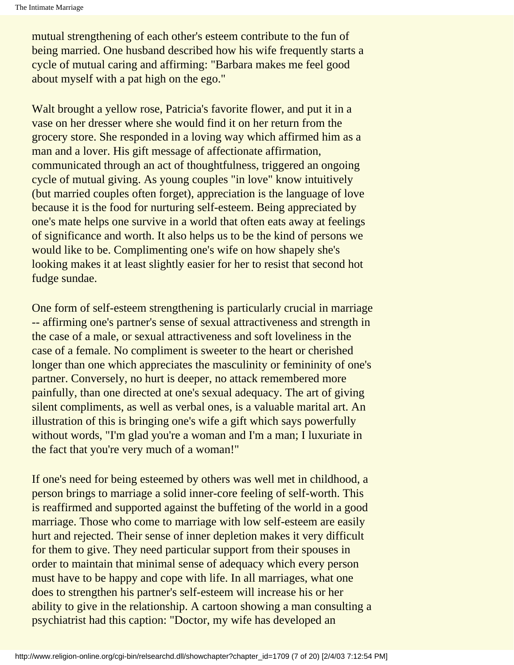mutual strengthening of each other's esteem contribute to the fun of being married. One husband described how his wife frequently starts a cycle of mutual caring and affirming: "Barbara makes me feel good about myself with a pat high on the ego."

Walt brought a yellow rose, Patricia's favorite flower, and put it in a vase on her dresser where she would find it on her return from the grocery store. She responded in a loving way which affirmed him as a man and a lover. His gift message of affectionate affirmation, communicated through an act of thoughtfulness, triggered an ongoing cycle of mutual giving. As young couples "in love" know intuitively (but married couples often forget), appreciation is the language of love because it is the food for nurturing self-esteem. Being appreciated by one's mate helps one survive in a world that often eats away at feelings of significance and worth. It also helps us to be the kind of persons we would like to be. Complimenting one's wife on how shapely she's looking makes it at least slightly easier for her to resist that second hot fudge sundae.

One form of self-esteem strengthening is particularly crucial in marriage -- affirming one's partner's sense of sexual attractiveness and strength in the case of a male, or sexual attractiveness and soft loveliness in the case of a female. No compliment is sweeter to the heart or cherished longer than one which appreciates the masculinity or femininity of one's partner. Conversely, no hurt is deeper, no attack remembered more painfully, than one directed at one's sexual adequacy. The art of giving silent compliments, as well as verbal ones, is a valuable marital art. An illustration of this is bringing one's wife a gift which says powerfully without words, "I'm glad you're a woman and I'm a man; I luxuriate in the fact that you're very much of a woman!"

If one's need for being esteemed by others was well met in childhood, a person brings to marriage a solid inner-core feeling of self-worth. This is reaffirmed and supported against the buffeting of the world in a good marriage. Those who come to marriage with low self-esteem are easily hurt and rejected. Their sense of inner depletion makes it very difficult for them to give. They need particular support from their spouses in order to maintain that minimal sense of adequacy which every person must have to be happy and cope with life. In all marriages, what one does to strengthen his partner's self-esteem will increase his or her ability to give in the relationship. A cartoon showing a man consulting a psychiatrist had this caption: "Doctor, my wife has developed an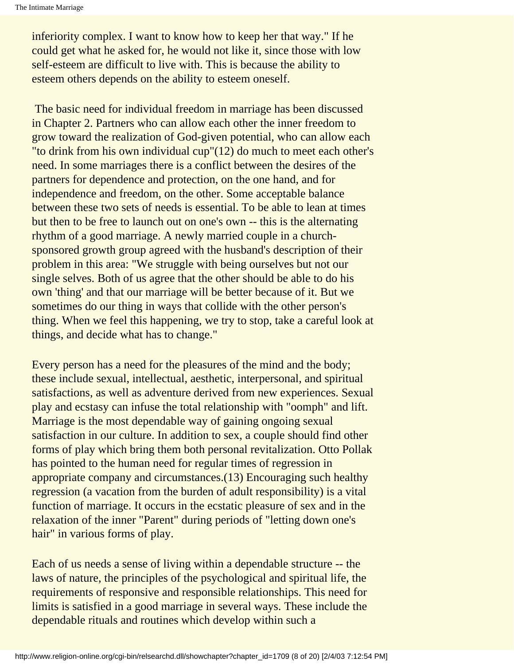inferiority complex. I want to know how to keep her that way." If he could get what he asked for, he would not like it, since those with low self-esteem are difficult to live with. This is because the ability to esteem others depends on the ability to esteem oneself.

 The basic need for individual freedom in marriage has been discussed in Chapter 2. Partners who can allow each other the inner freedom to grow toward the realization of God-given potential, who can allow each "to drink from his own individual cup"(12) do much to meet each other's need. In some marriages there is a conflict between the desires of the partners for dependence and protection, on the one hand, and for independence and freedom, on the other. Some acceptable balance between these two sets of needs is essential. To be able to lean at times but then to be free to launch out on one's own -- this is the alternating rhythm of a good marriage. A newly married couple in a churchsponsored growth group agreed with the husband's description of their problem in this area: "We struggle with being ourselves but not our single selves. Both of us agree that the other should be able to do his own 'thing' and that our marriage will be better because of it. But we sometimes do our thing in ways that collide with the other person's thing. When we feel this happening, we try to stop, take a careful look at things, and decide what has to change."

Every person has a need for the pleasures of the mind and the body; these include sexual, intellectual, aesthetic, interpersonal, and spiritual satisfactions, as well as adventure derived from new experiences. Sexual play and ecstasy can infuse the total relationship with "oomph" and lift. Marriage is the most dependable way of gaining ongoing sexual satisfaction in our culture. In addition to sex, a couple should find other forms of play which bring them both personal revitalization. Otto Pollak has pointed to the human need for regular times of regression in appropriate company and circumstances.(13) Encouraging such healthy regression (a vacation from the burden of adult responsibility) is a vital function of marriage. It occurs in the ecstatic pleasure of sex and in the relaxation of the inner "Parent" during periods of "letting down one's hair" in various forms of play.

Each of us needs a sense of living within a dependable structure -- the laws of nature, the principles of the psychological and spiritual life, the requirements of responsive and responsible relationships. This need for limits is satisfied in a good marriage in several ways. These include the dependable rituals and routines which develop within such a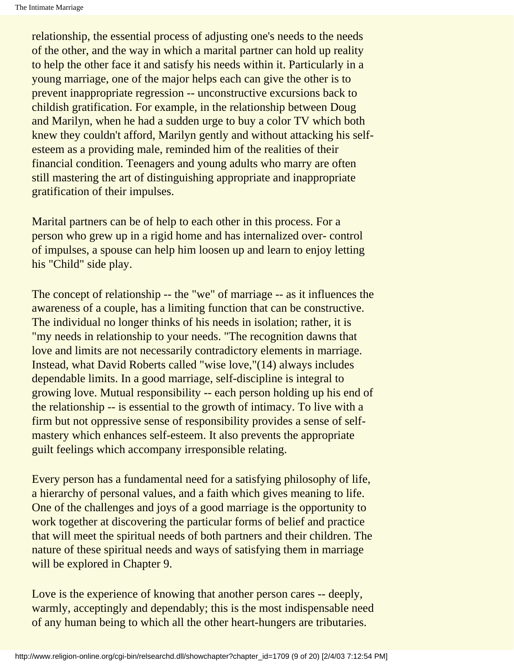relationship, the essential process of adjusting one's needs to the needs of the other, and the way in which a marital partner can hold up reality to help the other face it and satisfy his needs within it. Particularly in a young marriage, one of the major helps each can give the other is to prevent inappropriate regression -- unconstructive excursions back to childish gratification. For example, in the relationship between Doug and Marilyn, when he had a sudden urge to buy a color TV which both knew they couldn't afford, Marilyn gently and without attacking his selfesteem as a providing male, reminded him of the realities of their financial condition. Teenagers and young adults who marry are often still mastering the art of distinguishing appropriate and inappropriate gratification of their impulses.

Marital partners can be of help to each other in this process. For a person who grew up in a rigid home and has internalized over- control of impulses, a spouse can help him loosen up and learn to enjoy letting his "Child" side play.

The concept of relationship -- the "we" of marriage -- as it influences the awareness of a couple, has a limiting function that can be constructive. The individual no longer thinks of his needs in isolation; rather, it is "my needs in relationship to your needs. "The recognition dawns that love and limits are not necessarily contradictory elements in marriage. Instead, what David Roberts called "wise love,"(14) always includes dependable limits. In a good marriage, self-discipline is integral to growing love. Mutual responsibility -- each person holding up his end of the relationship -- is essential to the growth of intimacy. To live with a firm but not oppressive sense of responsibility provides a sense of selfmastery which enhances self-esteem. It also prevents the appropriate guilt feelings which accompany irresponsible relating.

Every person has a fundamental need for a satisfying philosophy of life, a hierarchy of personal values, and a faith which gives meaning to life. One of the challenges and joys of a good marriage is the opportunity to work together at discovering the particular forms of belief and practice that will meet the spiritual needs of both partners and their children. The nature of these spiritual needs and ways of satisfying them in marriage will be explored in Chapter 9.

Love is the experience of knowing that another person cares -- deeply, warmly, acceptingly and dependably; this is the most indispensable need of any human being to which all the other heart-hungers are tributaries.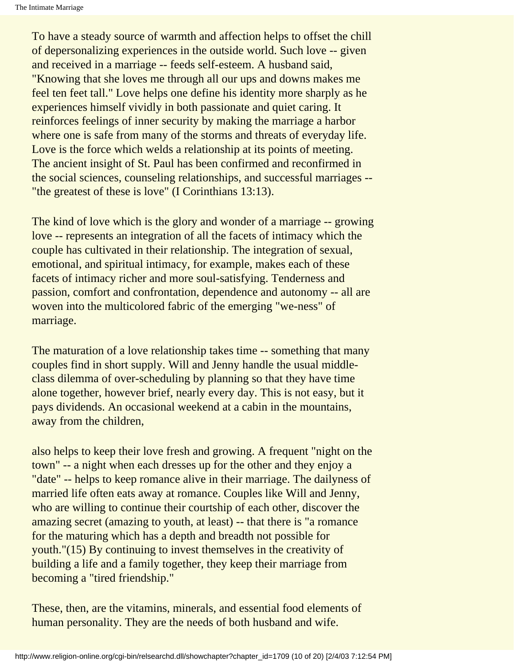To have a steady source of warmth and affection helps to offset the chill of depersonalizing experiences in the outside world. Such love -- given and received in a marriage -- feeds self-esteem. A husband said, "Knowing that she loves me through all our ups and downs makes me feel ten feet tall." Love helps one define his identity more sharply as he experiences himself vividly in both passionate and quiet caring. It reinforces feelings of inner security by making the marriage a harbor where one is safe from many of the storms and threats of everyday life. Love is the force which welds a relationship at its points of meeting. The ancient insight of St. Paul has been confirmed and reconfirmed in the social sciences, counseling relationships, and successful marriages -- "the greatest of these is love" (I Corinthians 13:13).

The kind of love which is the glory and wonder of a marriage -- growing love -- represents an integration of all the facets of intimacy which the couple has cultivated in their relationship. The integration of sexual, emotional, and spiritual intimacy, for example, makes each of these facets of intimacy richer and more soul-satisfying. Tenderness and passion, comfort and confrontation, dependence and autonomy -- all are woven into the multicolored fabric of the emerging "we-ness" of marriage.

The maturation of a love relationship takes time -- something that many couples find in short supply. Will and Jenny handle the usual middleclass dilemma of over-scheduling by planning so that they have time alone together, however brief, nearly every day. This is not easy, but it pays dividends. An occasional weekend at a cabin in the mountains, away from the children,

also helps to keep their love fresh and growing. A frequent "night on the town" -- a night when each dresses up for the other and they enjoy a "date" -- helps to keep romance alive in their marriage. The dailyness of married life often eats away at romance. Couples like Will and Jenny, who are willing to continue their courtship of each other, discover the amazing secret (amazing to youth, at least) -- that there is "a romance for the maturing which has a depth and breadth not possible for youth."(15) By continuing to invest themselves in the creativity of building a life and a family together, they keep their marriage from becoming a "tired friendship."

These, then, are the vitamins, minerals, and essential food elements of human personality. They are the needs of both husband and wife.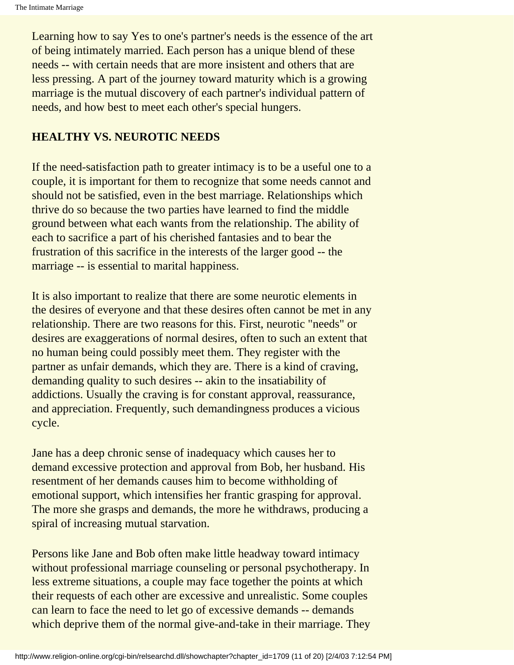Learning how to say Yes to one's partner's needs is the essence of the art of being intimately married. Each person has a unique blend of these needs -- with certain needs that are more insistent and others that are less pressing. A part of the journey toward maturity which is a growing marriage is the mutual discovery of each partner's individual pattern of needs, and how best to meet each other's special hungers.

#### **HEALTHY VS. NEUROTIC NEEDS**

If the need-satisfaction path to greater intimacy is to be a useful one to a couple, it is important for them to recognize that some needs cannot and should not be satisfied, even in the best marriage. Relationships which thrive do so because the two parties have learned to find the middle ground between what each wants from the relationship. The ability of each to sacrifice a part of his cherished fantasies and to bear the frustration of this sacrifice in the interests of the larger good -- the marriage -- is essential to marital happiness.

It is also important to realize that there are some neurotic elements in the desires of everyone and that these desires often cannot be met in any relationship. There are two reasons for this. First, neurotic "needs" or desires are exaggerations of normal desires, often to such an extent that no human being could possibly meet them. They register with the partner as unfair demands, which they are. There is a kind of craving, demanding quality to such desires -- akin to the insatiability of addictions. Usually the craving is for constant approval, reassurance, and appreciation. Frequently, such demandingness produces a vicious cycle.

Jane has a deep chronic sense of inadequacy which causes her to demand excessive protection and approval from Bob, her husband. His resentment of her demands causes him to become withholding of emotional support, which intensifies her frantic grasping for approval. The more she grasps and demands, the more he withdraws, producing a spiral of increasing mutual starvation.

Persons like Jane and Bob often make little headway toward intimacy without professional marriage counseling or personal psychotherapy. In less extreme situations, a couple may face together the points at which their requests of each other are excessive and unrealistic. Some couples can learn to face the need to let go of excessive demands -- demands which deprive them of the normal give-and-take in their marriage. They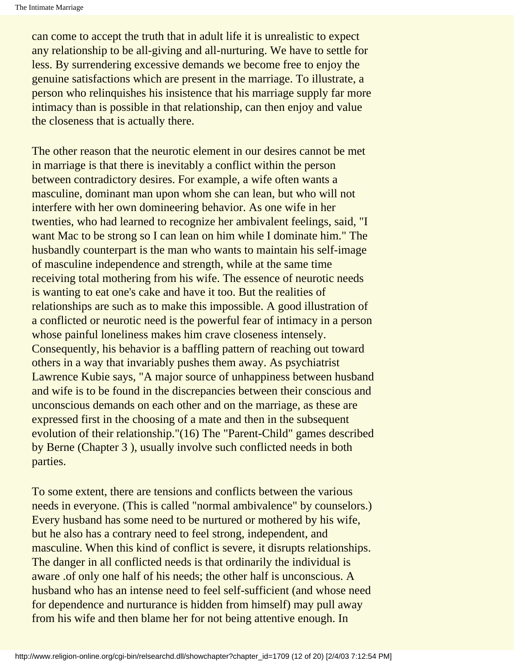can come to accept the truth that in adult life it is unrealistic to expect any relationship to be all-giving and all-nurturing. We have to settle for less. By surrendering excessive demands we become free to enjoy the genuine satisfactions which are present in the marriage. To illustrate, a person who relinquishes his insistence that his marriage supply far more intimacy than is possible in that relationship, can then enjoy and value the closeness that is actually there.

The other reason that the neurotic element in our desires cannot be met in marriage is that there is inevitably a conflict within the person between contradictory desires. For example, a wife often wants a masculine, dominant man upon whom she can lean, but who will not interfere with her own domineering behavior. As one wife in her twenties, who had learned to recognize her ambivalent feelings, said, "I want Mac to be strong so I can lean on him while I dominate him." The husbandly counterpart is the man who wants to maintain his self-image of masculine independence and strength, while at the same time receiving total mothering from his wife. The essence of neurotic needs is wanting to eat one's cake and have it too. But the realities of relationships are such as to make this impossible. A good illustration of a conflicted or neurotic need is the powerful fear of intimacy in a person whose painful loneliness makes him crave closeness intensely. Consequently, his behavior is a baffling pattern of reaching out toward others in a way that invariably pushes them away. As psychiatrist Lawrence Kubie says, "A major source of unhappiness between husband and wife is to be found in the discrepancies between their conscious and unconscious demands on each other and on the marriage, as these are expressed first in the choosing of a mate and then in the subsequent evolution of their relationship."(16) The "Parent-Child" games described by Berne (Chapter 3 ), usually involve such conflicted needs in both parties.

To some extent, there are tensions and conflicts between the various needs in everyone. (This is called "normal ambivalence" by counselors.) Every husband has some need to be nurtured or mothered by his wife, but he also has a contrary need to feel strong, independent, and masculine. When this kind of conflict is severe, it disrupts relationships. The danger in all conflicted needs is that ordinarily the individual is aware .of only one half of his needs; the other half is unconscious. A husband who has an intense need to feel self-sufficient (and whose need for dependence and nurturance is hidden from himself) may pull away from his wife and then blame her for not being attentive enough. In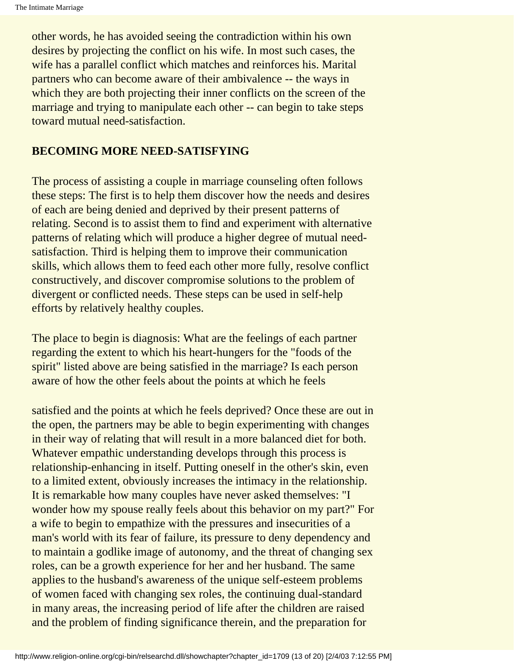other words, he has avoided seeing the contradiction within his own desires by projecting the conflict on his wife. In most such cases, the wife has a parallel conflict which matches and reinforces his. Marital partners who can become aware of their ambivalence -- the ways in which they are both projecting their inner conflicts on the screen of the marriage and trying to manipulate each other -- can begin to take steps toward mutual need-satisfaction.

#### **BECOMING MORE NEED-SATISFYING**

The process of assisting a couple in marriage counseling often follows these steps: The first is to help them discover how the needs and desires of each are being denied and deprived by their present patterns of relating. Second is to assist them to find and experiment with alternative patterns of relating which will produce a higher degree of mutual needsatisfaction. Third is helping them to improve their communication skills, which allows them to feed each other more fully, resolve conflict constructively, and discover compromise solutions to the problem of divergent or conflicted needs. These steps can be used in self-help efforts by relatively healthy couples.

The place to begin is diagnosis: What are the feelings of each partner regarding the extent to which his heart-hungers for the "foods of the spirit" listed above are being satisfied in the marriage? Is each person aware of how the other feels about the points at which he feels

satisfied and the points at which he feels deprived? Once these are out in the open, the partners may be able to begin experimenting with changes in their way of relating that will result in a more balanced diet for both. Whatever empathic understanding develops through this process is relationship-enhancing in itself. Putting oneself in the other's skin, even to a limited extent, obviously increases the intimacy in the relationship. It is remarkable how many couples have never asked themselves: "I wonder how my spouse really feels about this behavior on my part?" For a wife to begin to empathize with the pressures and insecurities of a man's world with its fear of failure, its pressure to deny dependency and to maintain a godlike image of autonomy, and the threat of changing sex roles, can be a growth experience for her and her husband. The same applies to the husband's awareness of the unique self-esteem problems of women faced with changing sex roles, the continuing dual-standard in many areas, the increasing period of life after the children are raised and the problem of finding significance therein, and the preparation for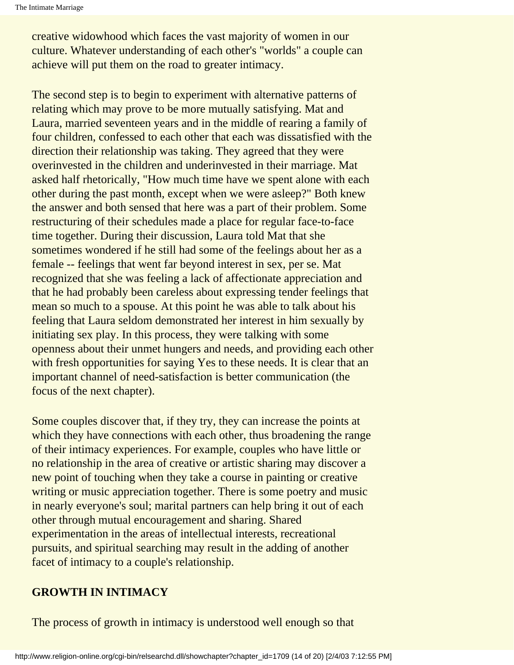creative widowhood which faces the vast majority of women in our culture. Whatever understanding of each other's "worlds" a couple can achieve will put them on the road to greater intimacy.

The second step is to begin to experiment with alternative patterns of relating which may prove to be more mutually satisfying. Mat and Laura, married seventeen years and in the middle of rearing a family of four children, confessed to each other that each was dissatisfied with the direction their relationship was taking. They agreed that they were overinvested in the children and underinvested in their marriage. Mat asked half rhetorically, "How much time have we spent alone with each other during the past month, except when we were asleep?" Both knew the answer and both sensed that here was a part of their problem. Some restructuring of their schedules made a place for regular face-to-face time together. During their discussion, Laura told Mat that she sometimes wondered if he still had some of the feelings about her as a female -- feelings that went far beyond interest in sex, per se. Mat recognized that she was feeling a lack of affectionate appreciation and that he had probably been careless about expressing tender feelings that mean so much to a spouse. At this point he was able to talk about his feeling that Laura seldom demonstrated her interest in him sexually by initiating sex play. In this process, they were talking with some openness about their unmet hungers and needs, and providing each other with fresh opportunities for saying Yes to these needs. It is clear that an important channel of need-satisfaction is better communication (the focus of the next chapter).

Some couples discover that, if they try, they can increase the points at which they have connections with each other, thus broadening the range of their intimacy experiences. For example, couples who have little or no relationship in the area of creative or artistic sharing may discover a new point of touching when they take a course in painting or creative writing or music appreciation together. There is some poetry and music in nearly everyone's soul; marital partners can help bring it out of each other through mutual encouragement and sharing. Shared experimentation in the areas of intellectual interests, recreational pursuits, and spiritual searching may result in the adding of another facet of intimacy to a couple's relationship.

### **GROWTH IN INTIMACY**

The process of growth in intimacy is understood well enough so that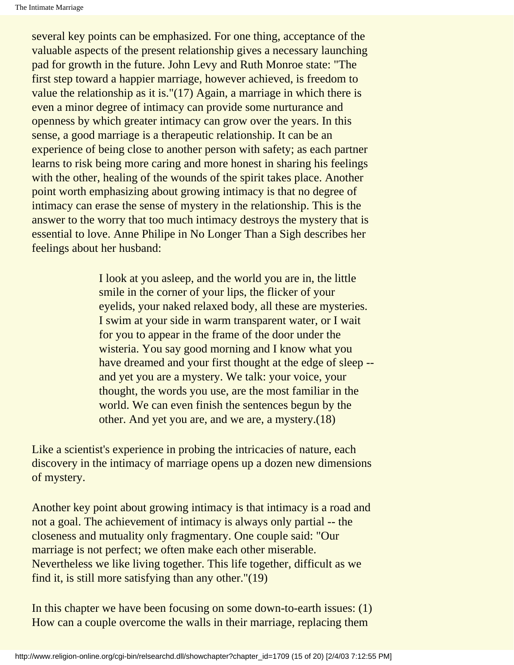several key points can be emphasized. For one thing, acceptance of the valuable aspects of the present relationship gives a necessary launching pad for growth in the future. John Levy and Ruth Monroe state: "The first step toward a happier marriage, however achieved, is freedom to value the relationship as it is."(17) Again, a marriage in which there is even a minor degree of intimacy can provide some nurturance and openness by which greater intimacy can grow over the years. In this sense, a good marriage is a therapeutic relationship. It can be an experience of being close to another person with safety; as each partner learns to risk being more caring and more honest in sharing his feelings with the other, healing of the wounds of the spirit takes place. Another point worth emphasizing about growing intimacy is that no degree of intimacy can erase the sense of mystery in the relationship. This is the answer to the worry that too much intimacy destroys the mystery that is essential to love. Anne Philipe in No Longer Than a Sigh describes her feelings about her husband:

> I look at you asleep, and the world you are in, the little smile in the corner of your lips, the flicker of your eyelids, your naked relaxed body, all these are mysteries. I swim at your side in warm transparent water, or I wait for you to appear in the frame of the door under the wisteria. You say good morning and I know what you have dreamed and your first thought at the edge of sleep - and yet you are a mystery. We talk: your voice, your thought, the words you use, are the most familiar in the world. We can even finish the sentences begun by the other. And yet you are, and we are, a mystery.(18)

Like a scientist's experience in probing the intricacies of nature, each discovery in the intimacy of marriage opens up a dozen new dimensions of mystery.

Another key point about growing intimacy is that intimacy is a road and not a goal. The achievement of intimacy is always only partial -- the closeness and mutuality only fragmentary. One couple said: "Our marriage is not perfect; we often make each other miserable. Nevertheless we like living together. This life together, difficult as we find it, is still more satisfying than any other."(19)

In this chapter we have been focusing on some down-to-earth issues: (1) How can a couple overcome the walls in their marriage, replacing them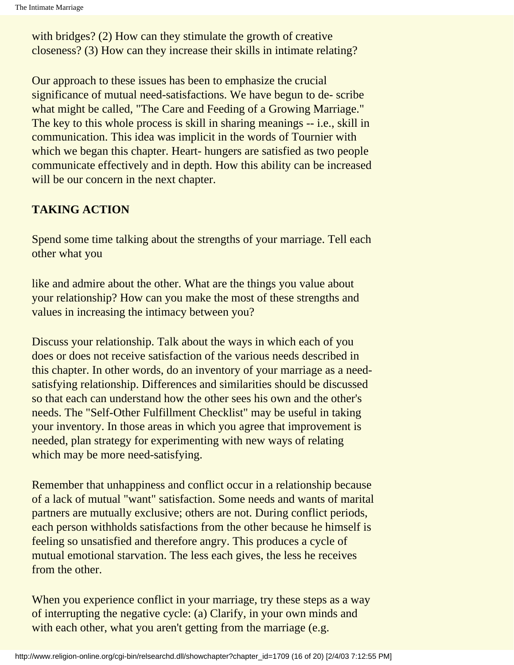with bridges? (2) How can they stimulate the growth of creative closeness? (3) How can they increase their skills in intimate relating?

Our approach to these issues has been to emphasize the crucial significance of mutual need-satisfactions. We have begun to de- scribe what might be called, "The Care and Feeding of a Growing Marriage." The key to this whole process is skill in sharing meanings -- i.e., skill in communication. This idea was implicit in the words of Tournier with which we began this chapter. Heart- hungers are satisfied as two people communicate effectively and in depth. How this ability can be increased will be our concern in the next chapter.

### **TAKING ACTION**

Spend some time talking about the strengths of your marriage. Tell each other what you

like and admire about the other. What are the things you value about your relationship? How can you make the most of these strengths and values in increasing the intimacy between you?

Discuss your relationship. Talk about the ways in which each of you does or does not receive satisfaction of the various needs described in this chapter. In other words, do an inventory of your marriage as a needsatisfying relationship. Differences and similarities should be discussed so that each can understand how the other sees his own and the other's needs. The "Self-Other Fulfillment Checklist" may be useful in taking your inventory. In those areas in which you agree that improvement is needed, plan strategy for experimenting with new ways of relating which may be more need-satisfying.

Remember that unhappiness and conflict occur in a relationship because of a lack of mutual "want" satisfaction. Some needs and wants of marital partners are mutually exclusive; others are not. During conflict periods, each person withholds satisfactions from the other because he himself is feeling so unsatisfied and therefore angry. This produces a cycle of mutual emotional starvation. The less each gives, the less he receives from the other.

When you experience conflict in your marriage, try these steps as a way of interrupting the negative cycle: (a) Clarify, in your own minds and with each other, what you aren't getting from the marriage (e.g.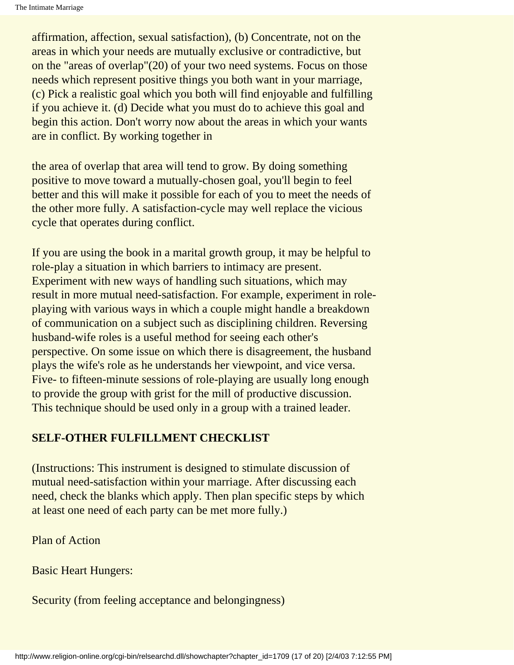affirmation, affection, sexual satisfaction), (b) Concentrate, not on the areas in which your needs are mutually exclusive or contradictive, but on the "areas of overlap"(20) of your two need systems. Focus on those needs which represent positive things you both want in your marriage, (c) Pick a realistic goal which you both will find enjoyable and fulfilling if you achieve it. (d) Decide what you must do to achieve this goal and begin this action. Don't worry now about the areas in which your wants are in conflict. By working together in

the area of overlap that area will tend to grow. By doing something positive to move toward a mutually-chosen goal, you'll begin to feel better and this will make it possible for each of you to meet the needs of the other more fully. A satisfaction-cycle may well replace the vicious cycle that operates during conflict.

If you are using the book in a marital growth group, it may be helpful to role-play a situation in which barriers to intimacy are present. Experiment with new ways of handling such situations, which may result in more mutual need-satisfaction. For example, experiment in roleplaying with various ways in which a couple might handle a breakdown of communication on a subject such as disciplining children. Reversing husband-wife roles is a useful method for seeing each other's perspective. On some issue on which there is disagreement, the husband plays the wife's role as he understands her viewpoint, and vice versa. Five- to fifteen-minute sessions of role-playing are usually long enough to provide the group with grist for the mill of productive discussion. This technique should be used only in a group with a trained leader.

### **SELF-OTHER FULFILLMENT CHECKLIST**

(Instructions: This instrument is designed to stimulate discussion of mutual need-satisfaction within your marriage. After discussing each need, check the blanks which apply. Then plan specific steps by which at least one need of each party can be met more fully.)

Plan of Action

Basic Heart Hungers:

Security (from feeling acceptance and belongingness)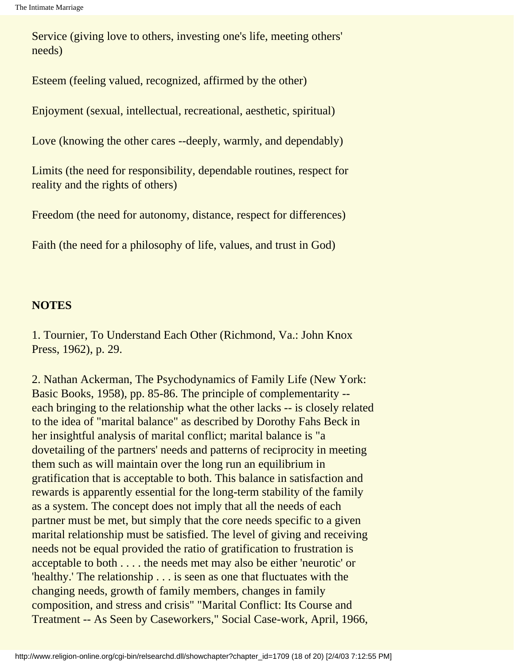Service (giving love to others, investing one's life, meeting others' needs)

Esteem (feeling valued, recognized, affirmed by the other)

Enjoyment (sexual, intellectual, recreational, aesthetic, spiritual)

Love (knowing the other cares --deeply, warmly, and dependably)

Limits (the need for responsibility, dependable routines, respect for reality and the rights of others)

Freedom (the need for autonomy, distance, respect for differences)

Faith (the need for a philosophy of life, values, and trust in God)

#### **NOTES**

1. Tournier, To Understand Each Other (Richmond, Va.: John Knox Press, 1962), p. 29.

2. Nathan Ackerman, The Psychodynamics of Family Life (New York: Basic Books, 1958), pp. 85-86. The principle of complementarity - each bringing to the relationship what the other lacks -- is closely related to the idea of "marital balance" as described by Dorothy Fahs Beck in her insightful analysis of marital conflict; marital balance is "a dovetailing of the partners' needs and patterns of reciprocity in meeting them such as will maintain over the long run an equilibrium in gratification that is acceptable to both. This balance in satisfaction and rewards is apparently essential for the long-term stability of the family as a system. The concept does not imply that all the needs of each partner must be met, but simply that the core needs specific to a given marital relationship must be satisfied. The level of giving and receiving needs not be equal provided the ratio of gratification to frustration is acceptable to both . . . . the needs met may also be either 'neurotic' or 'healthy.' The relationship . . . is seen as one that fluctuates with the changing needs, growth of family members, changes in family composition, and stress and crisis" "Marital Conflict: Its Course and Treatment -- As Seen by Caseworkers," Social Case-work, April, 1966,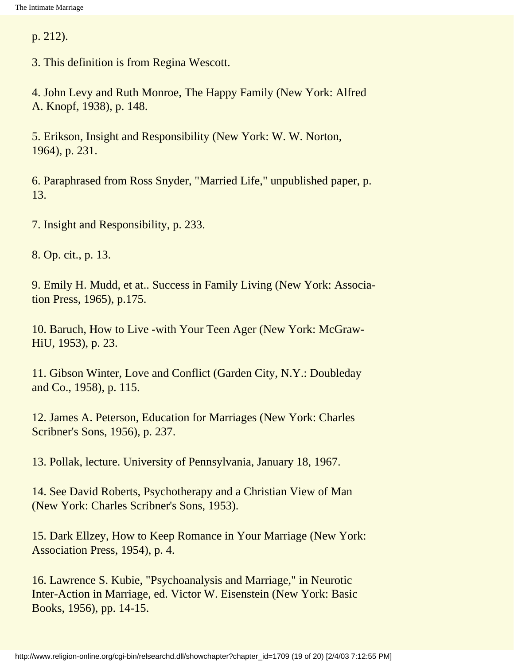p. 212).

3. This definition is from Regina Wescott.

4. John Levy and Ruth Monroe, The Happy Family (New York: Alfred A. Knopf, 1938), p. 148.

5. Erikson, Insight and Responsibility (New York: W. W. Norton, 1964), p. 231.

6. Paraphrased from Ross Snyder, "Married Life," unpublished paper, p. 13.

7. Insight and Responsibility, p. 233.

8. Op. cit., p. 13.

9. Emily H. Mudd, et at.. Success in Family Living (New York: Association Press, 1965), p.175.

10. Baruch, How to Live -with Your Teen Ager (New York: McGraw-HiU, 1953), p. 23.

11. Gibson Winter, Love and Conflict (Garden City, N.Y.: Doubleday and Co., 1958), p. 115.

12. James A. Peterson, Education for Marriages (New York: Charles Scribner's Sons, 1956), p. 237.

13. Pollak, lecture. University of Pennsylvania, January 18, 1967.

14. See David Roberts, Psychotherapy and a Christian View of Man (New York: Charles Scribner's Sons, 1953).

15. Dark Ellzey, How to Keep Romance in Your Marriage (New York: Association Press, 1954), p. 4.

16. Lawrence S. Kubie, "Psychoanalysis and Marriage," in Neurotic Inter-Action in Marriage, ed. Victor W. Eisenstein (New York: Basic Books, 1956), pp. 14-15.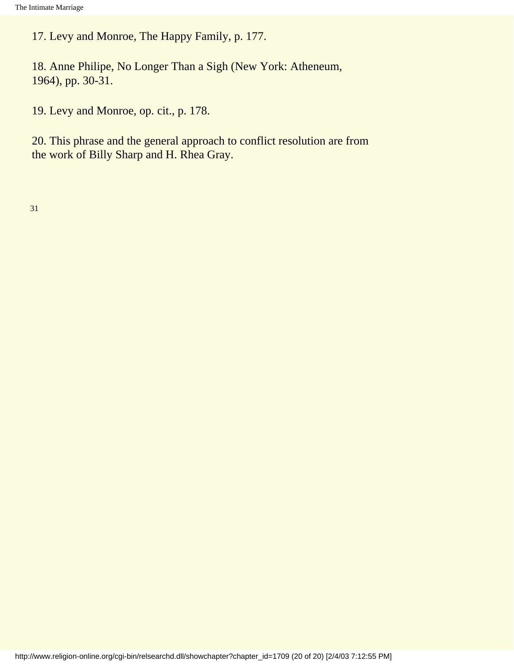17. Levy and Monroe, The Happy Family, p. 177.

18. Anne Philipe, No Longer Than a Sigh (New York: Atheneum, 1964), pp. 30-31.

19. Levy and Monroe, op. cit., p. 178.

20. This phrase and the general approach to conflict resolution are from the work of Billy Sharp and H. Rhea Gray.

31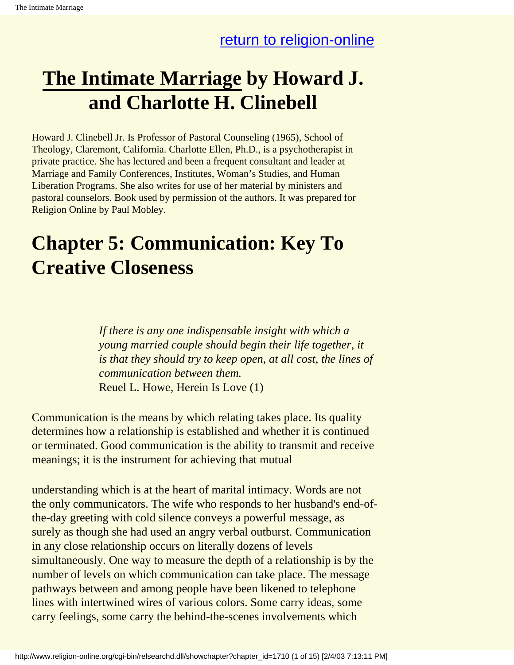# **The Intimate Marriage by Howard J. and Charlotte H. Clinebell**

Howard J. Clinebell Jr. Is Professor of Pastoral Counseling (1965), School of Theology, Claremont, California. Charlotte Ellen, Ph.D., is a psychotherapist in private practice. She has lectured and been a frequent consultant and leader at Marriage and Family Conferences, Institutes, Woman's Studies, and Human Liberation Programs. She also writes for use of her material by ministers and pastoral counselors. Book used by permission of the authors. It was prepared for Religion Online by Paul Mobley.

## **Chapter 5: Communication: Key To Creative Closeness**

*If there is any one indispensable insight with which a young married couple should begin their life together, it is that they should try to keep open, at all cost, the lines of communication between them.* Reuel L. Howe, Herein Is Love (1)

Communication is the means by which relating takes place. Its quality determines how a relationship is established and whether it is continued or terminated. Good communication is the ability to transmit and receive meanings; it is the instrument for achieving that mutual

understanding which is at the heart of marital intimacy. Words are not the only communicators. The wife who responds to her husband's end-ofthe-day greeting with cold silence conveys a powerful message, as surely as though she had used an angry verbal outburst. Communication in any close relationship occurs on literally dozens of levels simultaneously. One way to measure the depth of a relationship is by the number of levels on which communication can take place. The message pathways between and among people have been likened to telephone lines with intertwined wires of various colors. Some carry ideas, some carry feelings, some carry the behind-the-scenes involvements which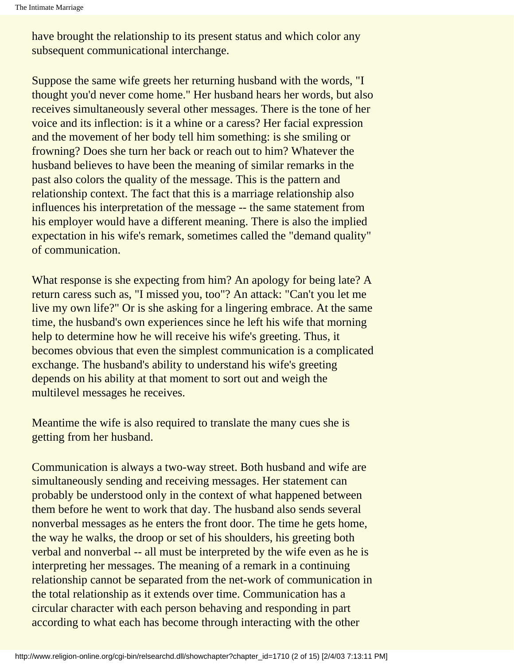have brought the relationship to its present status and which color any subsequent communicational interchange.

Suppose the same wife greets her returning husband with the words, "I thought you'd never come home." Her husband hears her words, but also receives simultaneously several other messages. There is the tone of her voice and its inflection: is it a whine or a caress? Her facial expression and the movement of her body tell him something: is she smiling or frowning? Does she turn her back or reach out to him? Whatever the husband believes to have been the meaning of similar remarks in the past also colors the quality of the message. This is the pattern and relationship context. The fact that this is a marriage relationship also influences his interpretation of the message -- the same statement from his employer would have a different meaning. There is also the implied expectation in his wife's remark, sometimes called the "demand quality" of communication.

What response is she expecting from him? An apology for being late? A return caress such as, "I missed you, too"? An attack: "Can't you let me live my own life?" Or is she asking for a lingering embrace. At the same time, the husband's own experiences since he left his wife that morning help to determine how he will receive his wife's greeting. Thus, it becomes obvious that even the simplest communication is a complicated exchange. The husband's ability to understand his wife's greeting depends on his ability at that moment to sort out and weigh the multilevel messages he receives.

Meantime the wife is also required to translate the many cues she is getting from her husband.

Communication is always a two-way street. Both husband and wife are simultaneously sending and receiving messages. Her statement can probably be understood only in the context of what happened between them before he went to work that day. The husband also sends several nonverbal messages as he enters the front door. The time he gets home, the way he walks, the droop or set of his shoulders, his greeting both verbal and nonverbal -- all must be interpreted by the wife even as he is interpreting her messages. The meaning of a remark in a continuing relationship cannot be separated from the net-work of communication in the total relationship as it extends over time. Communication has a circular character with each person behaving and responding in part according to what each has become through interacting with the other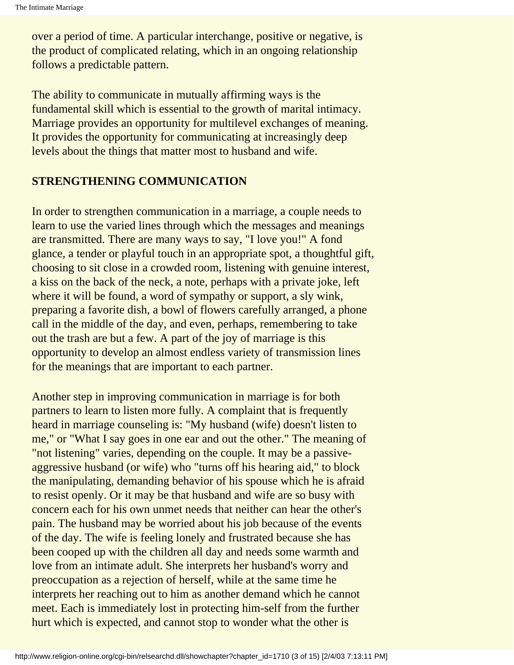over a period of time. A particular interchange, positive or negative, is the product of complicated relating, which in an ongoing relationship follows a predictable pattern.

The ability to communicate in mutually affirming ways is the fundamental skill which is essential to the growth of marital intimacy. Marriage provides an opportunity for multilevel exchanges of meaning. It provides the opportunity for communicating at increasingly deep levels about the things that matter most to husband and wife.

#### **STRENGTHENING COMMUNICATION**

In order to strengthen communication in a marriage, a couple needs to learn to use the varied lines through which the messages and meanings are transmitted. There are many ways to say, "I love you!" A fond glance, a tender or playful touch in an appropriate spot, a thoughtful gift, choosing to sit close in a crowded room, listening with genuine interest, a kiss on the back of the neck, a note, perhaps with a private joke, left where it will be found, a word of sympathy or support, a sly wink, preparing a favorite dish, a bowl of flowers carefully arranged, a phone call in the middle of the day, and even, perhaps, remembering to take out the trash are but a few. A part of the joy of marriage is this opportunity to develop an almost endless variety of transmission lines for the meanings that are important to each partner.

Another step in improving communication in marriage is for both partners to learn to listen more fully. A complaint that is frequently heard in marriage counseling is: "My husband (wife) doesn't listen to me," or "What I say goes in one ear and out the other." The meaning of "not listening" varies, depending on the couple. It may be a passiveaggressive husband (or wife) who "turns off his hearing aid," to block the manipulating, demanding behavior of his spouse which he is afraid to resist openly. Or it may be that husband and wife are so busy with concern each for his own unmet needs that neither can hear the other's pain. The husband may be worried about his job because of the events of the day. The wife is feeling lonely and frustrated because she has been cooped up with the children all day and needs some warmth and love from an intimate adult. She interprets her husband's worry and preoccupation as a rejection of herself, while at the same time he interprets her reaching out to him as another demand which he cannot meet. Each is immediately lost in protecting him-self from the further hurt which is expected, and cannot stop to wonder what the other is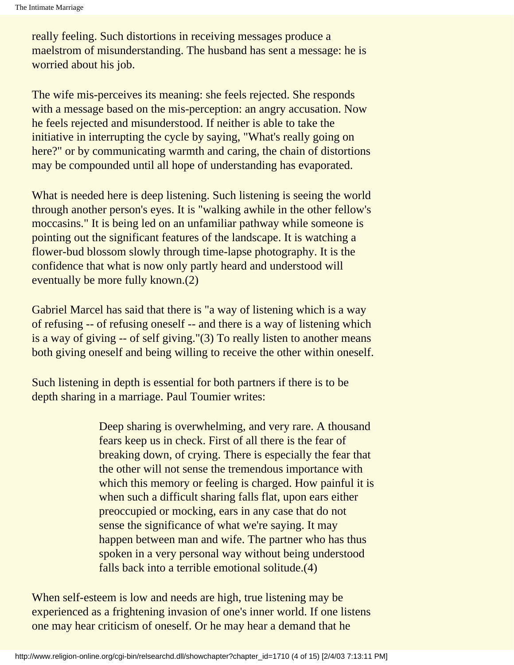really feeling. Such distortions in receiving messages produce a maelstrom of misunderstanding. The husband has sent a message: he is worried about his job.

The wife mis-perceives its meaning: she feels rejected. She responds with a message based on the mis-perception: an angry accusation. Now he feels rejected and misunderstood. If neither is able to take the initiative in interrupting the cycle by saying, "What's really going on here?" or by communicating warmth and caring, the chain of distortions may be compounded until all hope of understanding has evaporated.

What is needed here is deep listening. Such listening is seeing the world through another person's eyes. It is "walking awhile in the other fellow's moccasins." It is being led on an unfamiliar pathway while someone is pointing out the significant features of the landscape. It is watching a flower-bud blossom slowly through time-lapse photography. It is the confidence that what is now only partly heard and understood will eventually be more fully known.(2)

Gabriel Marcel has said that there is "a way of listening which is a way of refusing -- of refusing oneself -- and there is a way of listening which is a way of giving -- of self giving."(3) To really listen to another means both giving oneself and being willing to receive the other within oneself.

Such listening in depth is essential for both partners if there is to be depth sharing in a marriage. Paul Toumier writes:

> Deep sharing is overwhelming, and very rare. A thousand fears keep us in check. First of all there is the fear of breaking down, of crying. There is especially the fear that the other will not sense the tremendous importance with which this memory or feeling is charged. How painful it is when such a difficult sharing falls flat, upon ears either preoccupied or mocking, ears in any case that do not sense the significance of what we're saying. It may happen between man and wife. The partner who has thus spoken in a very personal way without being understood falls back into a terrible emotional solitude.(4)

When self-esteem is low and needs are high, true listening may be experienced as a frightening invasion of one's inner world. If one listens one may hear criticism of oneself. Or he may hear a demand that he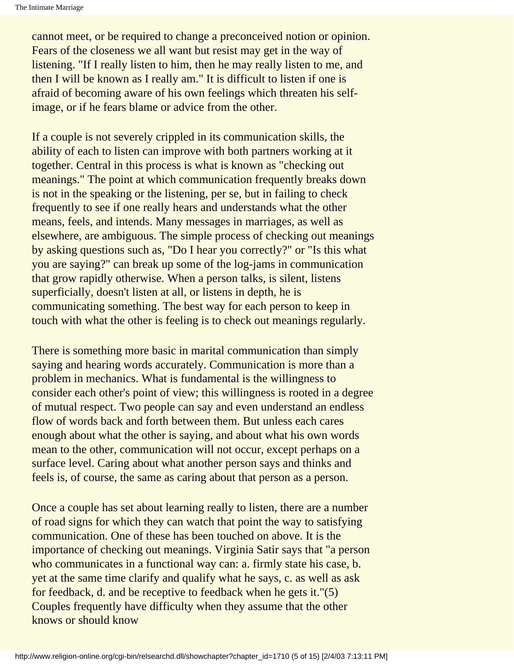cannot meet, or be required to change a preconceived notion or opinion. Fears of the closeness we all want but resist may get in the way of listening. "If I really listen to him, then he may really listen to me, and then I will be known as I really am." It is difficult to listen if one is afraid of becoming aware of his own feelings which threaten his selfimage, or if he fears blame or advice from the other.

If a couple is not severely crippled in its communication skills, the ability of each to listen can improve with both partners working at it together. Central in this process is what is known as "checking out meanings." The point at which communication frequently breaks down is not in the speaking or the listening, per se, but in failing to check frequently to see if one really hears and understands what the other means, feels, and intends. Many messages in marriages, as well as elsewhere, are ambiguous. The simple process of checking out meanings by asking questions such as, "Do I hear you correctly?" or "Is this what you are saying?" can break up some of the log-jams in communication that grow rapidly otherwise. When a person talks, is silent, listens superficially, doesn't listen at all, or listens in depth, he is communicating something. The best way for each person to keep in touch with what the other is feeling is to check out meanings regularly.

There is something more basic in marital communication than simply saying and hearing words accurately. Communication is more than a problem in mechanics. What is fundamental is the willingness to consider each other's point of view; this willingness is rooted in a degree of mutual respect. Two people can say and even understand an endless flow of words back and forth between them. But unless each cares enough about what the other is saying, and about what his own words mean to the other, communication will not occur, except perhaps on a surface level. Caring about what another person says and thinks and feels is, of course, the same as caring about that person as a person.

Once a couple has set about learning really to listen, there are a number of road signs for which they can watch that point the way to satisfying communication. One of these has been touched on above. It is the importance of checking out meanings. Virginia Satir says that "a person who communicates in a functional way can: a. firmly state his case, b. yet at the same time clarify and qualify what he says, c. as well as ask for feedback, d. and be receptive to feedback when he gets it."(5) Couples frequently have difficulty when they assume that the other knows or should know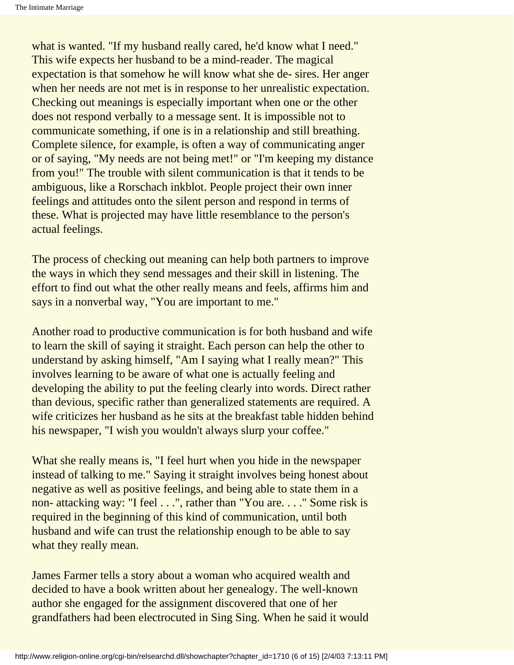what is wanted. "If my husband really cared, he'd know what I need." This wife expects her husband to be a mind-reader. The magical expectation is that somehow he will know what she de- sires. Her anger when her needs are not met is in response to her unrealistic expectation. Checking out meanings is especially important when one or the other does not respond verbally to a message sent. It is impossible not to communicate something, if one is in a relationship and still breathing. Complete silence, for example, is often a way of communicating anger or of saying, "My needs are not being met!" or "I'm keeping my distance from you!" The trouble with silent communication is that it tends to be ambiguous, like a Rorschach inkblot. People project their own inner feelings and attitudes onto the silent person and respond in terms of these. What is projected may have little resemblance to the person's actual feelings.

The process of checking out meaning can help both partners to improve the ways in which they send messages and their skill in listening. The effort to find out what the other really means and feels, affirms him and says in a nonverbal way, "You are important to me."

Another road to productive communication is for both husband and wife to learn the skill of saying it straight. Each person can help the other to understand by asking himself, "Am I saying what I really mean?" This involves learning to be aware of what one is actually feeling and developing the ability to put the feeling clearly into words. Direct rather than devious, specific rather than generalized statements are required. A wife criticizes her husband as he sits at the breakfast table hidden behind his newspaper, "I wish you wouldn't always slurp your coffee."

What she really means is, "I feel hurt when you hide in the newspaper instead of talking to me." Saying it straight involves being honest about negative as well as positive feelings, and being able to state them in a non- attacking way: "I feel . . .", rather than "You are. . . ." Some risk is required in the beginning of this kind of communication, until both husband and wife can trust the relationship enough to be able to say what they really mean.

James Farmer tells a story about a woman who acquired wealth and decided to have a book written about her genealogy. The well-known author she engaged for the assignment discovered that one of her grandfathers had been electrocuted in Sing Sing. When he said it would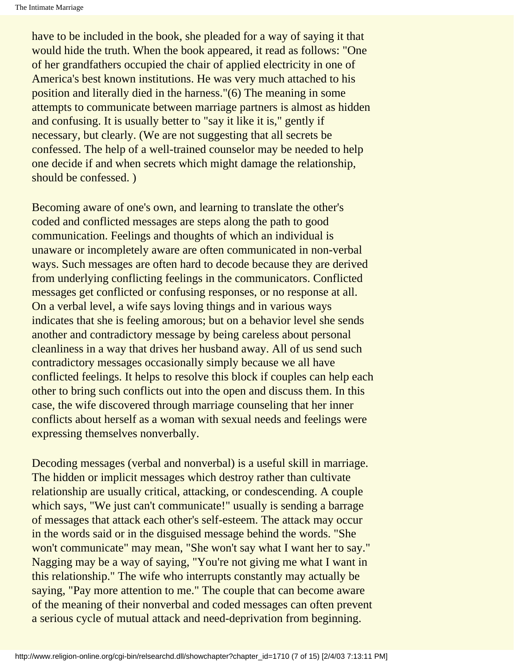have to be included in the book, she pleaded for a way of saying it that would hide the truth. When the book appeared, it read as follows: "One of her grandfathers occupied the chair of applied electricity in one of America's best known institutions. He was very much attached to his position and literally died in the harness."(6) The meaning in some attempts to communicate between marriage partners is almost as hidden and confusing. It is usually better to "say it like it is," gently if necessary, but clearly. (We are not suggesting that all secrets be confessed. The help of a well-trained counselor may be needed to help one decide if and when secrets which might damage the relationship, should be confessed. )

Becoming aware of one's own, and learning to translate the other's coded and conflicted messages are steps along the path to good communication. Feelings and thoughts of which an individual is unaware or incompletely aware are often communicated in non-verbal ways. Such messages are often hard to decode because they are derived from underlying conflicting feelings in the communicators. Conflicted messages get conflicted or confusing responses, or no response at all. On a verbal level, a wife says loving things and in various ways indicates that she is feeling amorous; but on a behavior level she sends another and contradictory message by being careless about personal cleanliness in a way that drives her husband away. All of us send such contradictory messages occasionally simply because we all have conflicted feelings. It helps to resolve this block if couples can help each other to bring such conflicts out into the open and discuss them. In this case, the wife discovered through marriage counseling that her inner conflicts about herself as a woman with sexual needs and feelings were expressing themselves nonverbally.

Decoding messages (verbal and nonverbal) is a useful skill in marriage. The hidden or implicit messages which destroy rather than cultivate relationship are usually critical, attacking, or condescending. A couple which says, "We just can't communicate!" usually is sending a barrage of messages that attack each other's self-esteem. The attack may occur in the words said or in the disguised message behind the words. "She won't communicate" may mean, "She won't say what I want her to say." Nagging may be a way of saying, "You're not giving me what I want in this relationship." The wife who interrupts constantly may actually be saying, "Pay more attention to me." The couple that can become aware of the meaning of their nonverbal and coded messages can often prevent a serious cycle of mutual attack and need-deprivation from beginning.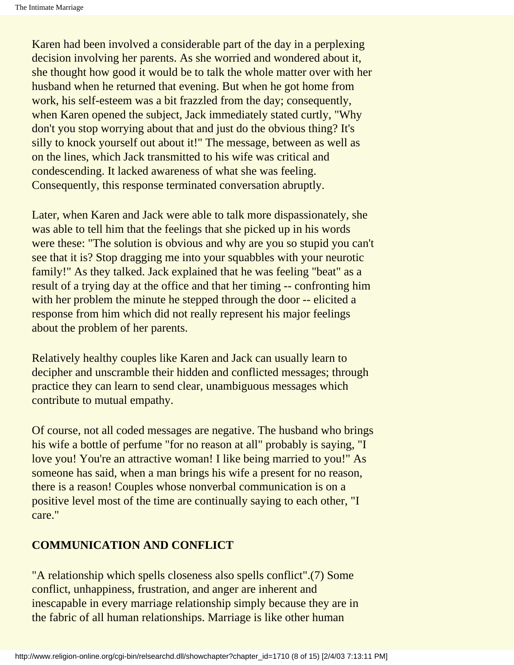Karen had been involved a considerable part of the day in a perplexing decision involving her parents. As she worried and wondered about it, she thought how good it would be to talk the whole matter over with her husband when he returned that evening. But when he got home from work, his self-esteem was a bit frazzled from the day; consequently, when Karen opened the subject, Jack immediately stated curtly, "Why don't you stop worrying about that and just do the obvious thing? It's silly to knock yourself out about it!" The message, between as well as on the lines, which Jack transmitted to his wife was critical and condescending. It lacked awareness of what she was feeling. Consequently, this response terminated conversation abruptly.

Later, when Karen and Jack were able to talk more dispassionately, she was able to tell him that the feelings that she picked up in his words were these: "The solution is obvious and why are you so stupid you can't see that it is? Stop dragging me into your squabbles with your neurotic family!" As they talked. Jack explained that he was feeling "beat" as a result of a trying day at the office and that her timing -- confronting him with her problem the minute he stepped through the door -- elicited a response from him which did not really represent his major feelings about the problem of her parents.

Relatively healthy couples like Karen and Jack can usually learn to decipher and unscramble their hidden and conflicted messages; through practice they can learn to send clear, unambiguous messages which contribute to mutual empathy.

Of course, not all coded messages are negative. The husband who brings his wife a bottle of perfume "for no reason at all" probably is saying, "I love you! You're an attractive woman! I like being married to you!" As someone has said, when a man brings his wife a present for no reason, there is a reason! Couples whose nonverbal communication is on a positive level most of the time are continually saying to each other, "I care."

#### **COMMUNICATION AND CONFLICT**

"A relationship which spells closeness also spells conflict".(7) Some conflict, unhappiness, frustration, and anger are inherent and inescapable in every marriage relationship simply because they are in the fabric of all human relationships. Marriage is like other human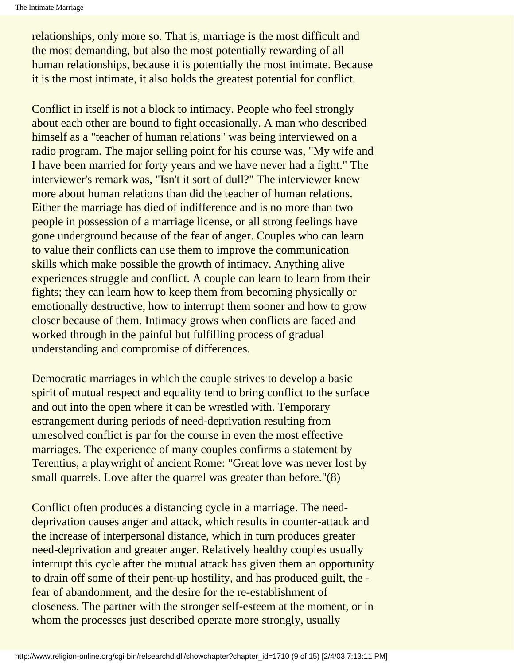relationships, only more so. That is, marriage is the most difficult and the most demanding, but also the most potentially rewarding of all human relationships, because it is potentially the most intimate. Because it is the most intimate, it also holds the greatest potential for conflict.

Conflict in itself is not a block to intimacy. People who feel strongly about each other are bound to fight occasionally. A man who described himself as a "teacher of human relations" was being interviewed on a radio program. The major selling point for his course was, "My wife and I have been married for forty years and we have never had a fight." The interviewer's remark was, "Isn't it sort of dull?" The interviewer knew more about human relations than did the teacher of human relations. Either the marriage has died of indifference and is no more than two people in possession of a marriage license, or all strong feelings have gone underground because of the fear of anger. Couples who can learn to value their conflicts can use them to improve the communication skills which make possible the growth of intimacy. Anything alive experiences struggle and conflict. A couple can learn to learn from their fights; they can learn how to keep them from becoming physically or emotionally destructive, how to interrupt them sooner and how to grow closer because of them. Intimacy grows when conflicts are faced and worked through in the painful but fulfilling process of gradual understanding and compromise of differences.

Democratic marriages in which the couple strives to develop a basic spirit of mutual respect and equality tend to bring conflict to the surface and out into the open where it can be wrestled with. Temporary estrangement during periods of need-deprivation resulting from unresolved conflict is par for the course in even the most effective marriages. The experience of many couples confirms a statement by Terentius, a playwright of ancient Rome: "Great love was never lost by small quarrels. Love after the quarrel was greater than before."(8)

Conflict often produces a distancing cycle in a marriage. The needdeprivation causes anger and attack, which results in counter-attack and the increase of interpersonal distance, which in turn produces greater need-deprivation and greater anger. Relatively healthy couples usually interrupt this cycle after the mutual attack has given them an opportunity to drain off some of their pent-up hostility, and has produced guilt, the fear of abandonment, and the desire for the re-establishment of closeness. The partner with the stronger self-esteem at the moment, or in whom the processes just described operate more strongly, usually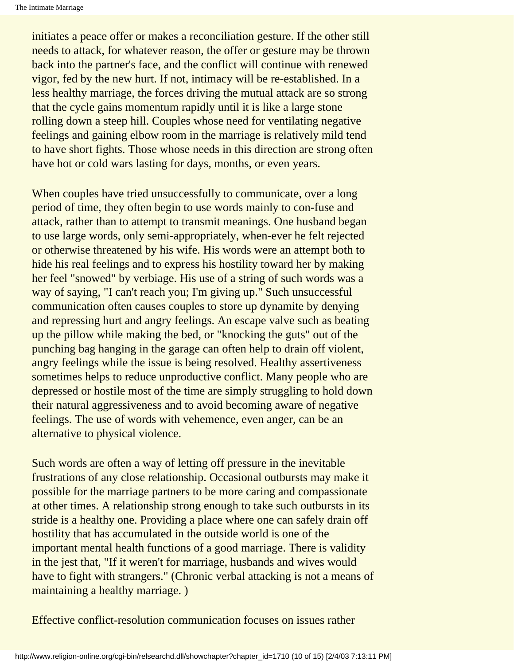initiates a peace offer or makes a reconciliation gesture. If the other still needs to attack, for whatever reason, the offer or gesture may be thrown back into the partner's face, and the conflict will continue with renewed vigor, fed by the new hurt. If not, intimacy will be re-established. In a less healthy marriage, the forces driving the mutual attack are so strong that the cycle gains momentum rapidly until it is like a large stone rolling down a steep hill. Couples whose need for ventilating negative feelings and gaining elbow room in the marriage is relatively mild tend to have short fights. Those whose needs in this direction are strong often have hot or cold wars lasting for days, months, or even years.

When couples have tried unsuccessfully to communicate, over a long period of time, they often begin to use words mainly to con-fuse and attack, rather than to attempt to transmit meanings. One husband began to use large words, only semi-appropriately, when-ever he felt rejected or otherwise threatened by his wife. His words were an attempt both to hide his real feelings and to express his hostility toward her by making her feel "snowed" by verbiage. His use of a string of such words was a way of saying, "I can't reach you; I'm giving up." Such unsuccessful communication often causes couples to store up dynamite by denying and repressing hurt and angry feelings. An escape valve such as beating up the pillow while making the bed, or "knocking the guts" out of the punching bag hanging in the garage can often help to drain off violent, angry feelings while the issue is being resolved. Healthy assertiveness sometimes helps to reduce unproductive conflict. Many people who are depressed or hostile most of the time are simply struggling to hold down their natural aggressiveness and to avoid becoming aware of negative feelings. The use of words with vehemence, even anger, can be an alternative to physical violence.

Such words are often a way of letting off pressure in the inevitable frustrations of any close relationship. Occasional outbursts may make it possible for the marriage partners to be more caring and compassionate at other times. A relationship strong enough to take such outbursts in its stride is a healthy one. Providing a place where one can safely drain off hostility that has accumulated in the outside world is one of the important mental health functions of a good marriage. There is validity in the jest that, "If it weren't for marriage, husbands and wives would have to fight with strangers." (Chronic verbal attacking is not a means of maintaining a healthy marriage. )

Effective conflict-resolution communication focuses on issues rather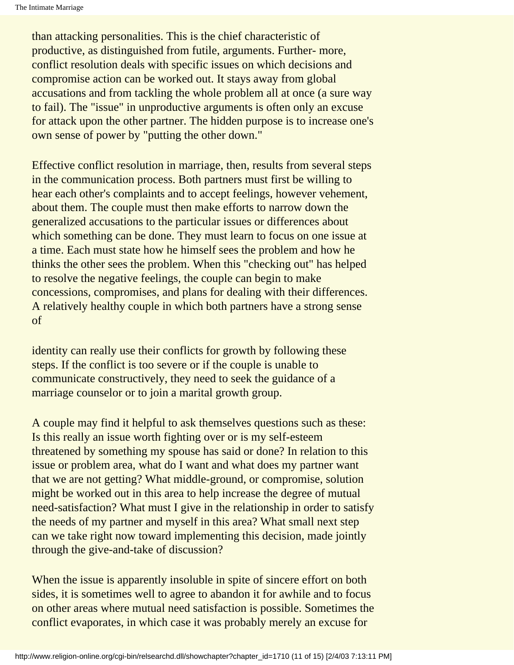than attacking personalities. This is the chief characteristic of productive, as distinguished from futile, arguments. Further- more, conflict resolution deals with specific issues on which decisions and compromise action can be worked out. It stays away from global accusations and from tackling the whole problem all at once (a sure way to fail). The "issue" in unproductive arguments is often only an excuse for attack upon the other partner. The hidden purpose is to increase one's own sense of power by "putting the other down."

Effective conflict resolution in marriage, then, results from several steps in the communication process. Both partners must first be willing to hear each other's complaints and to accept feelings, however vehement, about them. The couple must then make efforts to narrow down the generalized accusations to the particular issues or differences about which something can be done. They must learn to focus on one issue at a time. Each must state how he himself sees the problem and how he thinks the other sees the problem. When this "checking out" has helped to resolve the negative feelings, the couple can begin to make concessions, compromises, and plans for dealing with their differences. A relatively healthy couple in which both partners have a strong sense of

identity can really use their conflicts for growth by following these steps. If the conflict is too severe or if the couple is unable to communicate constructively, they need to seek the guidance of a marriage counselor or to join a marital growth group.

A couple may find it helpful to ask themselves questions such as these: Is this really an issue worth fighting over or is my self-esteem threatened by something my spouse has said or done? In relation to this issue or problem area, what do I want and what does my partner want that we are not getting? What middle-ground, or compromise, solution might be worked out in this area to help increase the degree of mutual need-satisfaction? What must I give in the relationship in order to satisfy the needs of my partner and myself in this area? What small next step can we take right now toward implementing this decision, made jointly through the give-and-take of discussion?

When the issue is apparently insoluble in spite of sincere effort on both sides, it is sometimes well to agree to abandon it for awhile and to focus on other areas where mutual need satisfaction is possible. Sometimes the conflict evaporates, in which case it was probably merely an excuse for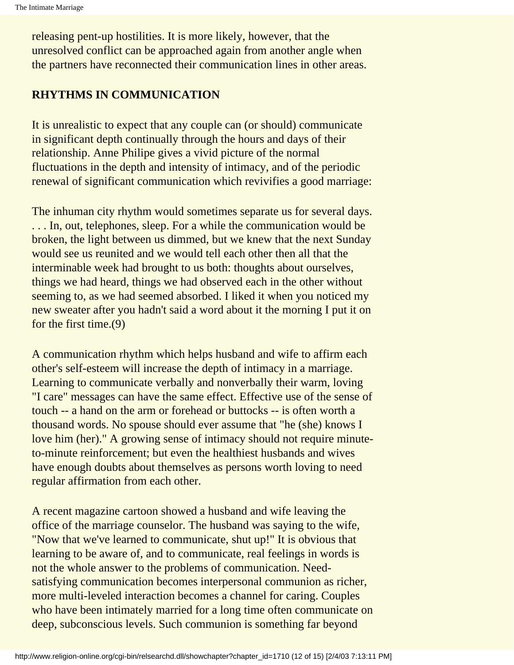releasing pent-up hostilities. It is more likely, however, that the unresolved conflict can be approached again from another angle when the partners have reconnected their communication lines in other areas.

### **RHYTHMS IN COMMUNICATION**

It is unrealistic to expect that any couple can (or should) communicate in significant depth continually through the hours and days of their relationship. Anne Philipe gives a vivid picture of the normal fluctuations in the depth and intensity of intimacy, and of the periodic renewal of significant communication which revivifies a good marriage:

The inhuman city rhythm would sometimes separate us for several days. . . . In, out, telephones, sleep. For a while the communication would be broken, the light between us dimmed, but we knew that the next Sunday would see us reunited and we would tell each other then all that the interminable week had brought to us both: thoughts about ourselves, things we had heard, things we had observed each in the other without seeming to, as we had seemed absorbed. I liked it when you noticed my new sweater after you hadn't said a word about it the morning I put it on for the first time.(9)

A communication rhythm which helps husband and wife to affirm each other's self-esteem will increase the depth of intimacy in a marriage. Learning to communicate verbally and nonverbally their warm, loving "I care" messages can have the same effect. Effective use of the sense of touch -- a hand on the arm or forehead or buttocks -- is often worth a thousand words. No spouse should ever assume that "he (she) knows I love him (her)." A growing sense of intimacy should not require minuteto-minute reinforcement; but even the healthiest husbands and wives have enough doubts about themselves as persons worth loving to need regular affirmation from each other.

A recent magazine cartoon showed a husband and wife leaving the office of the marriage counselor. The husband was saying to the wife, "Now that we've learned to communicate, shut up!" It is obvious that learning to be aware of, and to communicate, real feelings in words is not the whole answer to the problems of communication. Needsatisfying communication becomes interpersonal communion as richer, more multi-leveled interaction becomes a channel for caring. Couples who have been intimately married for a long time often communicate on deep, subconscious levels. Such communion is something far beyond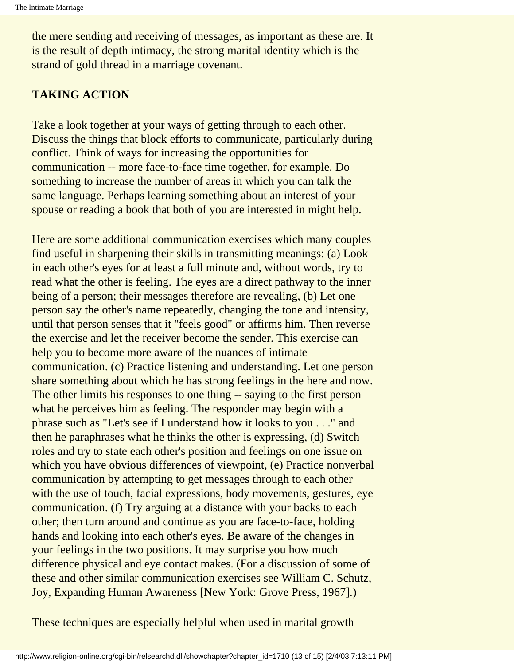the mere sending and receiving of messages, as important as these are. It is the result of depth intimacy, the strong marital identity which is the strand of gold thread in a marriage covenant.

### **TAKING ACTION**

Take a look together at your ways of getting through to each other. Discuss the things that block efforts to communicate, particularly during conflict. Think of ways for increasing the opportunities for communication -- more face-to-face time together, for example. Do something to increase the number of areas in which you can talk the same language. Perhaps learning something about an interest of your spouse or reading a book that both of you are interested in might help.

Here are some additional communication exercises which many couples find useful in sharpening their skills in transmitting meanings: (a) Look in each other's eyes for at least a full minute and, without words, try to read what the other is feeling. The eyes are a direct pathway to the inner being of a person; their messages therefore are revealing, (b) Let one person say the other's name repeatedly, changing the tone and intensity, until that person senses that it "feels good" or affirms him. Then reverse the exercise and let the receiver become the sender. This exercise can help you to become more aware of the nuances of intimate communication. (c) Practice listening and understanding. Let one person share something about which he has strong feelings in the here and now. The other limits his responses to one thing -- saying to the first person what he perceives him as feeling. The responder may begin with a phrase such as "Let's see if I understand how it looks to you . . ." and then he paraphrases what he thinks the other is expressing, (d) Switch roles and try to state each other's position and feelings on one issue on which you have obvious differences of viewpoint, (e) Practice nonverbal communication by attempting to get messages through to each other with the use of touch, facial expressions, body movements, gestures, eye communication. (f) Try arguing at a distance with your backs to each other; then turn around and continue as you are face-to-face, holding hands and looking into each other's eyes. Be aware of the changes in your feelings in the two positions. It may surprise you how much difference physical and eye contact makes. (For a discussion of some of these and other similar communication exercises see William C. Schutz, Joy, Expanding Human Awareness [New York: Grove Press, 1967].)

These techniques are especially helpful when used in marital growth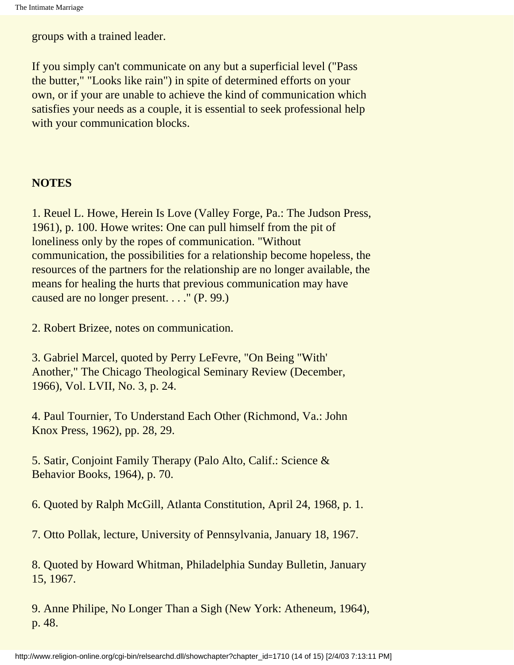groups with a trained leader.

If you simply can't communicate on any but a superficial level ("Pass the butter," "Looks like rain") in spite of determined efforts on your own, or if your are unable to achieve the kind of communication which satisfies your needs as a couple, it is essential to seek professional help with your communication blocks.

#### **NOTES**

1. Reuel L. Howe, Herein Is Love (Valley Forge, Pa.: The Judson Press, 1961), p. 100. Howe writes: One can pull himself from the pit of loneliness only by the ropes of communication. "Without communication, the possibilities for a relationship become hopeless, the resources of the partners for the relationship are no longer available, the means for healing the hurts that previous communication may have caused are no longer present. . . ." (P. 99.)

2. Robert Brizee, notes on communication.

3. Gabriel Marcel, quoted by Perry LeFevre, "On Being "With' Another," The Chicago Theological Seminary Review (December, 1966), Vol. LVII, No. 3, p. 24.

4. Paul Tournier, To Understand Each Other (Richmond, Va.: John Knox Press, 1962), pp. 28, 29.

5. Satir, Conjoint Family Therapy (Palo Alto, Calif.: Science & Behavior Books, 1964), p. 70.

6. Quoted by Ralph McGill, Atlanta Constitution, April 24, 1968, p. 1.

7. Otto Pollak, lecture, University of Pennsylvania, January 18, 1967.

8. Quoted by Howard Whitman, Philadelphia Sunday Bulletin, January 15, 1967.

9. Anne Philipe, No Longer Than a Sigh (New York: Atheneum, 1964), p. 48.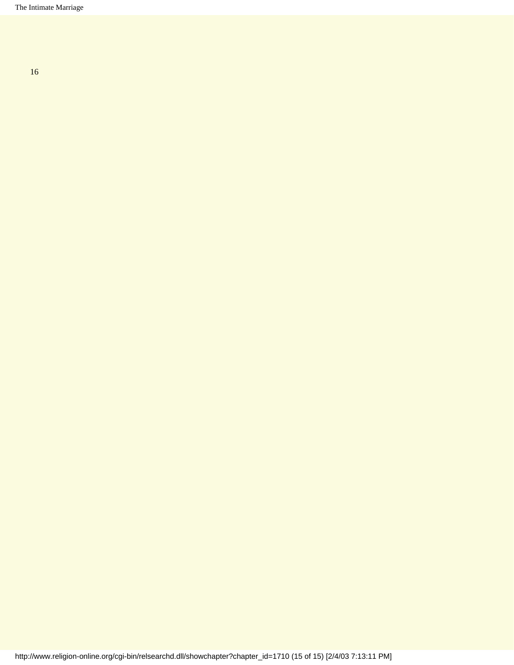The Intimate Marriage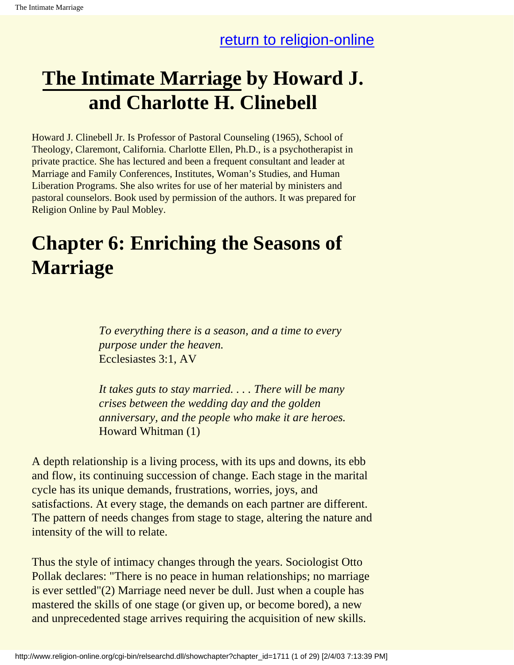### [return to religion-online](http://www.religion-online.org/)

# **The Intimate Marriage by Howard J. and Charlotte H. Clinebell**

Howard J. Clinebell Jr. Is Professor of Pastoral Counseling (1965), School of Theology, Claremont, California. Charlotte Ellen, Ph.D., is a psychotherapist in private practice. She has lectured and been a frequent consultant and leader at Marriage and Family Conferences, Institutes, Woman's Studies, and Human Liberation Programs. She also writes for use of her material by ministers and pastoral counselors. Book used by permission of the authors. It was prepared for Religion Online by Paul Mobley.

# **Chapter 6: Enriching the Seasons of Marriage**

*To everything there is a season, and a time to every purpose under the heaven.* Ecclesiastes 3:1, AV

*It takes guts to stay married. . . . There will be many crises between the wedding day and the golden anniversary, and the people who make it are heroes.* Howard Whitman (1)

A depth relationship is a living process, with its ups and downs, its ebb and flow, its continuing succession of change. Each stage in the marital cycle has its unique demands, frustrations, worries, joys, and satisfactions. At every stage, the demands on each partner are different. The pattern of needs changes from stage to stage, altering the nature and intensity of the will to relate.

Thus the style of intimacy changes through the years. Sociologist Otto Pollak declares: "There is no peace in human relationships; no marriage is ever settled"(2) Marriage need never be dull. Just when a couple has mastered the skills of one stage (or given up, or become bored), a new and unprecedented stage arrives requiring the acquisition of new skills.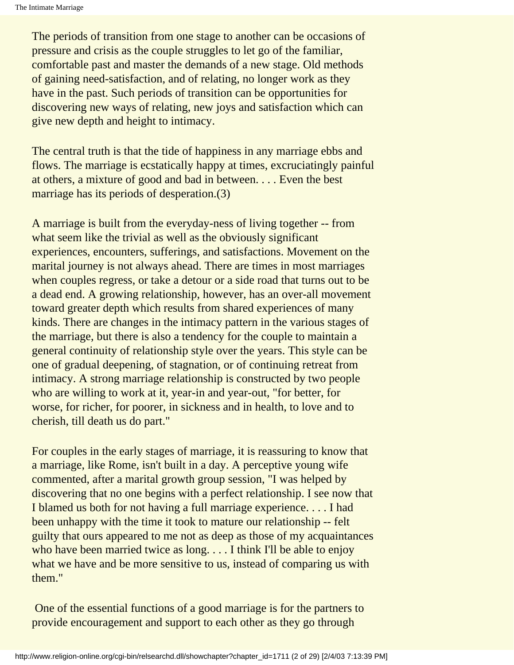The periods of transition from one stage to another can be occasions of pressure and crisis as the couple struggles to let go of the familiar, comfortable past and master the demands of a new stage. Old methods of gaining need-satisfaction, and of relating, no longer work as they have in the past. Such periods of transition can be opportunities for discovering new ways of relating, new joys and satisfaction which can give new depth and height to intimacy.

The central truth is that the tide of happiness in any marriage ebbs and flows. The marriage is ecstatically happy at times, excruciatingly painful at others, a mixture of good and bad in between. . . . Even the best marriage has its periods of desperation.(3)

A marriage is built from the everyday-ness of living together -- from what seem like the trivial as well as the obviously significant experiences, encounters, sufferings, and satisfactions. Movement on the marital journey is not always ahead. There are times in most marriages when couples regress, or take a detour or a side road that turns out to be a dead end. A growing relationship, however, has an over-all movement toward greater depth which results from shared experiences of many kinds. There are changes in the intimacy pattern in the various stages of the marriage, but there is also a tendency for the couple to maintain a general continuity of relationship style over the years. This style can be one of gradual deepening, of stagnation, or of continuing retreat from intimacy. A strong marriage relationship is constructed by two people who are willing to work at it, year-in and year-out, "for better, for worse, for richer, for poorer, in sickness and in health, to love and to cherish, till death us do part."

For couples in the early stages of marriage, it is reassuring to know that a marriage, like Rome, isn't built in a day. A perceptive young wife commented, after a marital growth group session, "I was helped by discovering that no one begins with a perfect relationship. I see now that I blamed us both for not having a full marriage experience. . . . I had been unhappy with the time it took to mature our relationship -- felt guilty that ours appeared to me not as deep as those of my acquaintances who have been married twice as long. . . . I think I'll be able to enjoy what we have and be more sensitive to us, instead of comparing us with them."

 One of the essential functions of a good marriage is for the partners to provide encouragement and support to each other as they go through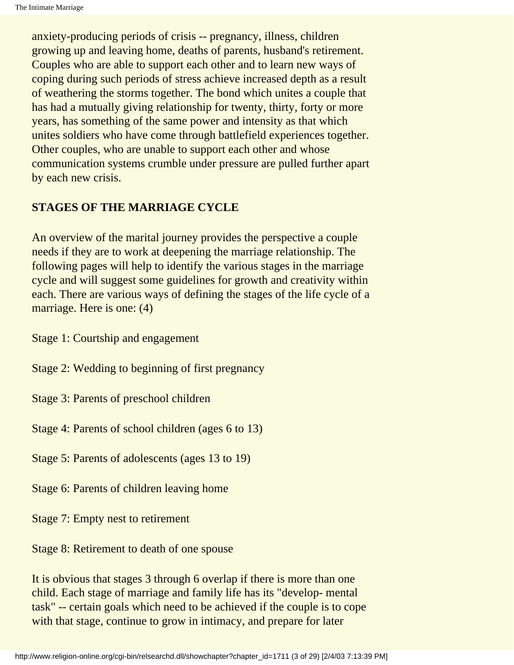anxiety-producing periods of crisis -- pregnancy, illness, children growing up and leaving home, deaths of parents, husband's retirement. Couples who are able to support each other and to learn new ways of coping during such periods of stress achieve increased depth as a result of weathering the storms together. The bond which unites a couple that has had a mutually giving relationship for twenty, thirty, forty or more years, has something of the same power and intensity as that which unites soldiers who have come through battlefield experiences together. Other couples, who are unable to support each other and whose communication systems crumble under pressure are pulled further apart by each new crisis.

#### **STAGES OF THE MARRIAGE CYCLE**

An overview of the marital journey provides the perspective a couple needs if they are to work at deepening the marriage relationship. The following pages will help to identify the various stages in the marriage cycle and will suggest some guidelines for growth and creativity within each. There are various ways of defining the stages of the life cycle of a marriage. Here is one: (4)

Stage 1: Courtship and engagement

Stage 2: Wedding to beginning of first pregnancy

Stage 3: Parents of preschool children

Stage 4: Parents of school children (ages 6 to 13)

Stage 5: Parents of adolescents (ages 13 to 19)

Stage 6: Parents of children leaving home

Stage 7: Empty nest to retirement

Stage 8: Retirement to death of one spouse

It is obvious that stages 3 through 6 overlap if there is more than one child. Each stage of marriage and family life has its "develop- mental task" -- certain goals which need to be achieved if the couple is to cope with that stage, continue to grow in intimacy, and prepare for later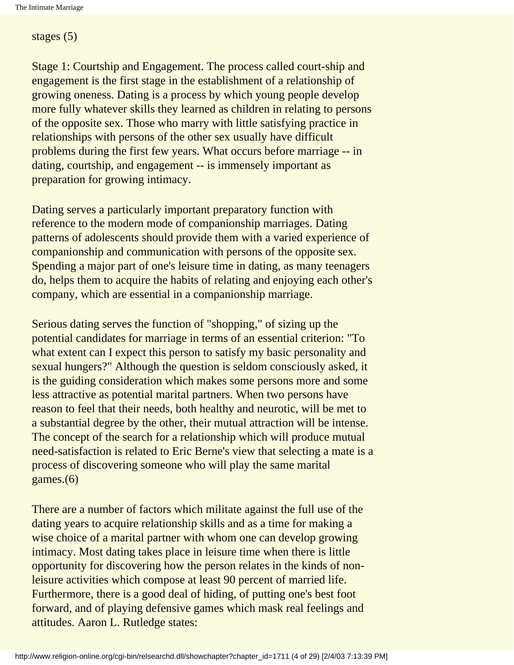The Intimate Marriage

#### stages (5)

Stage 1: Courtship and Engagement. The process called court-ship and engagement is the first stage in the establishment of a relationship of growing oneness. Dating is a process by which young people develop more fully whatever skills they learned as children in relating to persons of the opposite sex. Those who marry with little satisfying practice in relationships with persons of the other sex usually have difficult problems during the first few years. What occurs before marriage -- in dating, courtship, and engagement -- is immensely important as preparation for growing intimacy.

Dating serves a particularly important preparatory function with reference to the modern mode of companionship marriages. Dating patterns of adolescents should provide them with a varied experience of companionship and communication with persons of the opposite sex. Spending a major part of one's leisure time in dating, as many teenagers do, helps them to acquire the habits of relating and enjoying each other's company, which are essential in a companionship marriage.

Serious dating serves the function of "shopping," of sizing up the potential candidates for marriage in terms of an essential criterion: "To what extent can I expect this person to satisfy my basic personality and sexual hungers?" Although the question is seldom consciously asked, it is the guiding consideration which makes some persons more and some less attractive as potential marital partners. When two persons have reason to feel that their needs, both healthy and neurotic, will be met to a substantial degree by the other, their mutual attraction will be intense. The concept of the search for a relationship which will produce mutual need-satisfaction is related to Eric Berne's view that selecting a mate is a process of discovering someone who will play the same marital games.(6)

There are a number of factors which militate against the full use of the dating years to acquire relationship skills and as a time for making a wise choice of a marital partner with whom one can develop growing intimacy. Most dating takes place in leisure time when there is little opportunity for discovering how the person relates in the kinds of nonleisure activities which compose at least 90 percent of married life. Furthermore, there is a good deal of hiding, of putting one's best foot forward, and of playing defensive games which mask real feelings and attitudes. Aaron L. Rutledge states: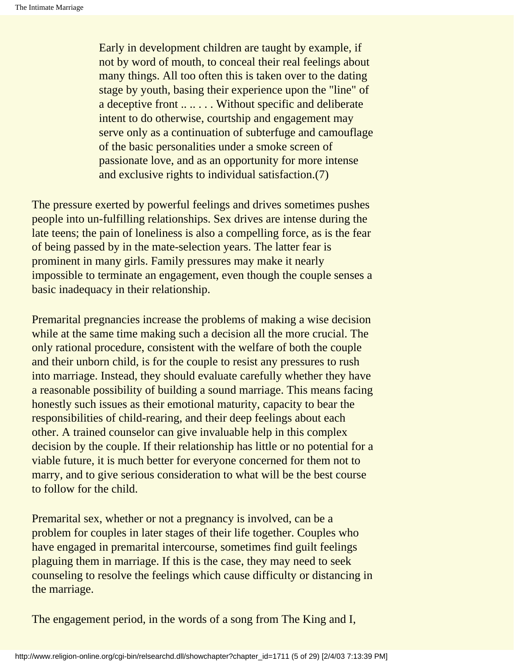Early in development children are taught by example, if not by word of mouth, to conceal their real feelings about many things. All too often this is taken over to the dating stage by youth, basing their experience upon the "line" of a deceptive front ..... Without specific and deliberate intent to do otherwise, courtship and engagement may serve only as a continuation of subterfuge and camouflage of the basic personalities under a smoke screen of passionate love, and as an opportunity for more intense and exclusive rights to individual satisfaction.(7)

The pressure exerted by powerful feelings and drives sometimes pushes people into un-fulfilling relationships. Sex drives are intense during the late teens; the pain of loneliness is also a compelling force, as is the fear of being passed by in the mate-selection years. The latter fear is prominent in many girls. Family pressures may make it nearly impossible to terminate an engagement, even though the couple senses a basic inadequacy in their relationship.

Premarital pregnancies increase the problems of making a wise decision while at the same time making such a decision all the more crucial. The only rational procedure, consistent with the welfare of both the couple and their unborn child, is for the couple to resist any pressures to rush into marriage. Instead, they should evaluate carefully whether they have a reasonable possibility of building a sound marriage. This means facing honestly such issues as their emotional maturity, capacity to bear the responsibilities of child-rearing, and their deep feelings about each other. A trained counselor can give invaluable help in this complex decision by the couple. If their relationship has little or no potential for a viable future, it is much better for everyone concerned for them not to marry, and to give serious consideration to what will be the best course to follow for the child.

Premarital sex, whether or not a pregnancy is involved, can be a problem for couples in later stages of their life together. Couples who have engaged in premarital intercourse, sometimes find guilt feelings plaguing them in marriage. If this is the case, they may need to seek counseling to resolve the feelings which cause difficulty or distancing in the marriage.

The engagement period, in the words of a song from The King and I,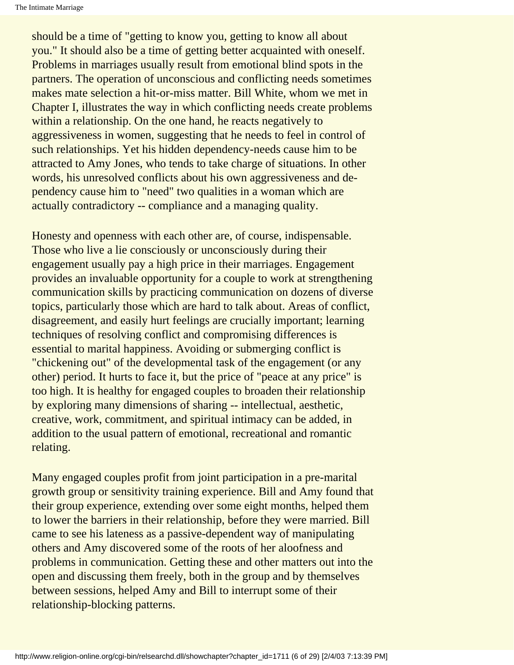should be a time of "getting to know you, getting to know all about you." It should also be a time of getting better acquainted with oneself. Problems in marriages usually result from emotional blind spots in the partners. The operation of unconscious and conflicting needs sometimes makes mate selection a hit-or-miss matter. Bill White, whom we met in Chapter I, illustrates the way in which conflicting needs create problems within a relationship. On the one hand, he reacts negatively to aggressiveness in women, suggesting that he needs to feel in control of such relationships. Yet his hidden dependency-needs cause him to be attracted to Amy Jones, who tends to take charge of situations. In other words, his unresolved conflicts about his own aggressiveness and dependency cause him to "need" two qualities in a woman which are actually contradictory -- compliance and a managing quality.

Honesty and openness with each other are, of course, indispensable. Those who live a lie consciously or unconsciously during their engagement usually pay a high price in their marriages. Engagement provides an invaluable opportunity for a couple to work at strengthening communication skills by practicing communication on dozens of diverse topics, particularly those which are hard to talk about. Areas of conflict, disagreement, and easily hurt feelings are crucially important; learning techniques of resolving conflict and compromising differences is essential to marital happiness. Avoiding or submerging conflict is "chickening out" of the developmental task of the engagement (or any other) period. It hurts to face it, but the price of "peace at any price" is too high. It is healthy for engaged couples to broaden their relationship by exploring many dimensions of sharing -- intellectual, aesthetic, creative, work, commitment, and spiritual intimacy can be added, in addition to the usual pattern of emotional, recreational and romantic relating.

Many engaged couples profit from joint participation in a pre-marital growth group or sensitivity training experience. Bill and Amy found that their group experience, extending over some eight months, helped them to lower the barriers in their relationship, before they were married. Bill came to see his lateness as a passive-dependent way of manipulating others and Amy discovered some of the roots of her aloofness and problems in communication. Getting these and other matters out into the open and discussing them freely, both in the group and by themselves between sessions, helped Amy and Bill to interrupt some of their relationship-blocking patterns.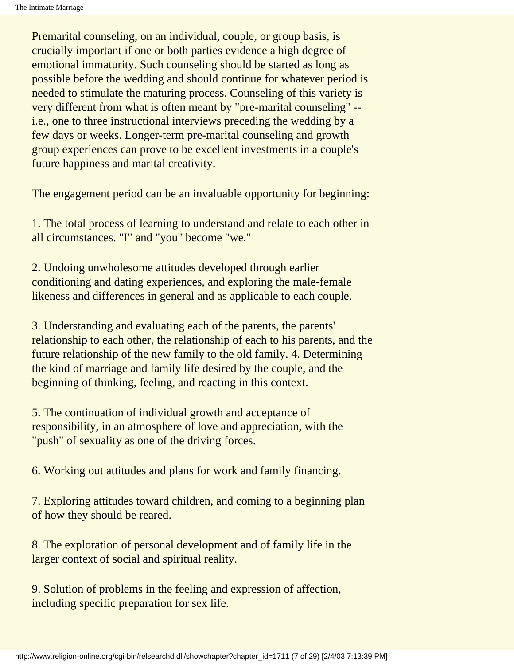Premarital counseling, on an individual, couple, or group basis, is crucially important if one or both parties evidence a high degree of emotional immaturity. Such counseling should be started as long as possible before the wedding and should continue for whatever period is needed to stimulate the maturing process. Counseling of this variety is very different from what is often meant by "pre-marital counseling" - i.e., one to three instructional interviews preceding the wedding by a few days or weeks. Longer-term pre-marital counseling and growth group experiences can prove to be excellent investments in a couple's future happiness and marital creativity.

The engagement period can be an invaluable opportunity for beginning:

1. The total process of learning to understand and relate to each other in all circumstances. "I" and "you" become "we."

2. Undoing unwholesome attitudes developed through earlier conditioning and dating experiences, and exploring the male-female likeness and differences in general and as applicable to each couple.

3. Understanding and evaluating each of the parents, the parents' relationship to each other, the relationship of each to his parents, and the future relationship of the new family to the old family. 4. Determining the kind of marriage and family life desired by the couple, and the beginning of thinking, feeling, and reacting in this context.

5. The continuation of individual growth and acceptance of responsibility, in an atmosphere of love and appreciation, with the "push" of sexuality as one of the driving forces.

6. Working out attitudes and plans for work and family financing.

7. Exploring attitudes toward children, and coming to a beginning plan of how they should be reared.

8. The exploration of personal development and of family life in the larger context of social and spiritual reality.

9. Solution of problems in the feeling and expression of affection, including specific preparation for sex life.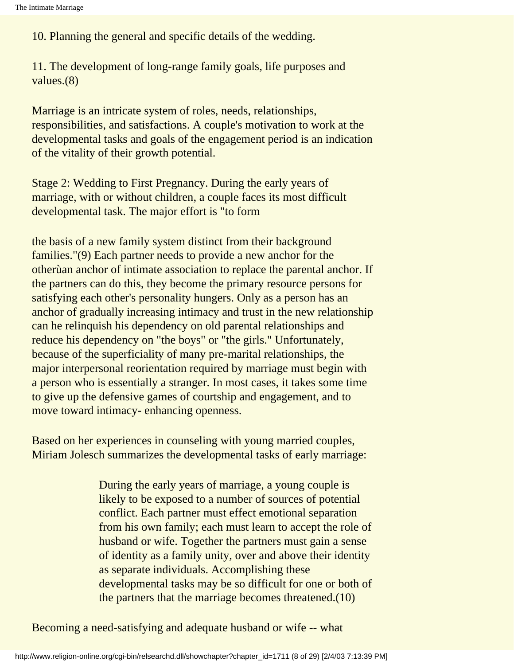10. Planning the general and specific details of the wedding.

11. The development of long-range family goals, life purposes and values.(8)

Marriage is an intricate system of roles, needs, relationships, responsibilities, and satisfactions. A couple's motivation to work at the developmental tasks and goals of the engagement period is an indication of the vitality of their growth potential.

Stage 2: Wedding to First Pregnancy. During the early years of marriage, with or without children, a couple faces its most difficult developmental task. The major effort is "to form

the basis of a new family system distinct from their background families."(9) Each partner needs to provide a new anchor for the otherùan anchor of intimate association to replace the parental anchor. If the partners can do this, they become the primary resource persons for satisfying each other's personality hungers. Only as a person has an anchor of gradually increasing intimacy and trust in the new relationship can he relinquish his dependency on old parental relationships and reduce his dependency on "the boys" or "the girls." Unfortunately, because of the superficiality of many pre-marital relationships, the major interpersonal reorientation required by marriage must begin with a person who is essentially a stranger. In most cases, it takes some time to give up the defensive games of courtship and engagement, and to move toward intimacy- enhancing openness.

Based on her experiences in counseling with young married couples, Miriam Jolesch summarizes the developmental tasks of early marriage:

> During the early years of marriage, a young couple is likely to be exposed to a number of sources of potential conflict. Each partner must effect emotional separation from his own family; each must learn to accept the role of husband or wife. Together the partners must gain a sense of identity as a family unity, over and above their identity as separate individuals. Accomplishing these developmental tasks may be so difficult for one or both of the partners that the marriage becomes threatened.(10)

Becoming a need-satisfying and adequate husband or wife -- what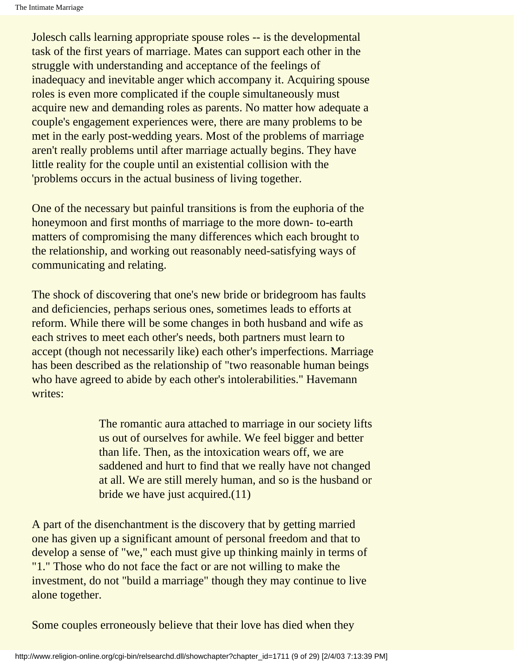Jolesch calls learning appropriate spouse roles -- is the developmental task of the first years of marriage. Mates can support each other in the struggle with understanding and acceptance of the feelings of inadequacy and inevitable anger which accompany it. Acquiring spouse roles is even more complicated if the couple simultaneously must acquire new and demanding roles as parents. No matter how adequate a couple's engagement experiences were, there are many problems to be met in the early post-wedding years. Most of the problems of marriage aren't really problems until after marriage actually begins. They have little reality for the couple until an existential collision with the 'problems occurs in the actual business of living together.

One of the necessary but painful transitions is from the euphoria of the honeymoon and first months of marriage to the more down- to-earth matters of compromising the many differences which each brought to the relationship, and working out reasonably need-satisfying ways of communicating and relating.

The shock of discovering that one's new bride or bridegroom has faults and deficiencies, perhaps serious ones, sometimes leads to efforts at reform. While there will be some changes in both husband and wife as each strives to meet each other's needs, both partners must learn to accept (though not necessarily like) each other's imperfections. Marriage has been described as the relationship of "two reasonable human beings who have agreed to abide by each other's intolerabilities." Havemann writes:

> The romantic aura attached to marriage in our society lifts us out of ourselves for awhile. We feel bigger and better than life. Then, as the intoxication wears off, we are saddened and hurt to find that we really have not changed at all. We are still merely human, and so is the husband or bride we have just acquired.(11)

A part of the disenchantment is the discovery that by getting married one has given up a significant amount of personal freedom and that to develop a sense of "we," each must give up thinking mainly in terms of "1." Those who do not face the fact or are not willing to make the investment, do not "build a marriage" though they may continue to live alone together.

Some couples erroneously believe that their love has died when they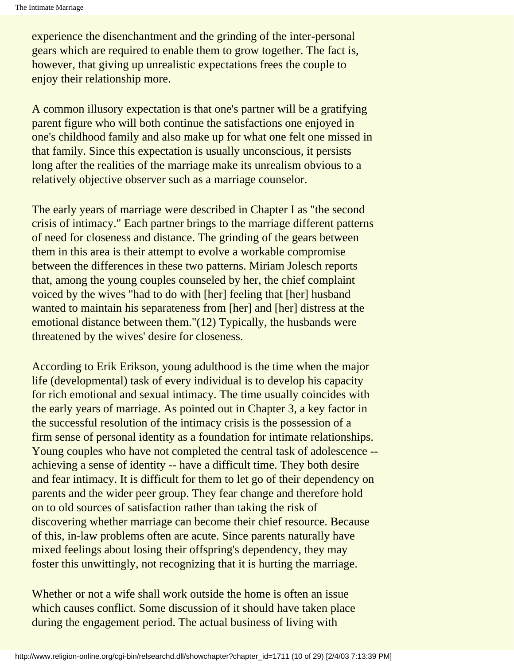experience the disenchantment and the grinding of the inter-personal gears which are required to enable them to grow together. The fact is, however, that giving up unrealistic expectations frees the couple to enjoy their relationship more.

A common illusory expectation is that one's partner will be a gratifying parent figure who will both continue the satisfactions one enjoyed in one's childhood family and also make up for what one felt one missed in that family. Since this expectation is usually unconscious, it persists long after the realities of the marriage make its unrealism obvious to a relatively objective observer such as a marriage counselor.

The early years of marriage were described in Chapter I as "the second crisis of intimacy." Each partner brings to the marriage different patterns of need for closeness and distance. The grinding of the gears between them in this area is their attempt to evolve a workable compromise between the differences in these two patterns. Miriam Jolesch reports that, among the young couples counseled by her, the chief complaint voiced by the wives "had to do with [her] feeling that [her] husband wanted to maintain his separateness from [her] and [her] distress at the emotional distance between them."(12) Typically, the husbands were threatened by the wives' desire for closeness.

According to Erik Erikson, young adulthood is the time when the major life (developmental) task of every individual is to develop his capacity for rich emotional and sexual intimacy. The time usually coincides with the early years of marriage. As pointed out in Chapter 3, a key factor in the successful resolution of the intimacy crisis is the possession of a firm sense of personal identity as a foundation for intimate relationships. Young couples who have not completed the central task of adolescence - achieving a sense of identity -- have a difficult time. They both desire and fear intimacy. It is difficult for them to let go of their dependency on parents and the wider peer group. They fear change and therefore hold on to old sources of satisfaction rather than taking the risk of discovering whether marriage can become their chief resource. Because of this, in-law problems often are acute. Since parents naturally have mixed feelings about losing their offspring's dependency, they may foster this unwittingly, not recognizing that it is hurting the marriage.

Whether or not a wife shall work outside the home is often an issue which causes conflict. Some discussion of it should have taken place during the engagement period. The actual business of living with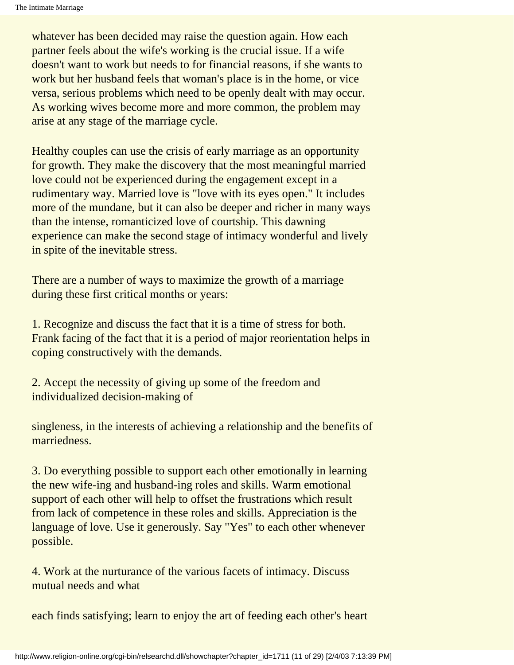whatever has been decided may raise the question again. How each partner feels about the wife's working is the crucial issue. If a wife doesn't want to work but needs to for financial reasons, if she wants to work but her husband feels that woman's place is in the home, or vice versa, serious problems which need to be openly dealt with may occur. As working wives become more and more common, the problem may arise at any stage of the marriage cycle.

Healthy couples can use the crisis of early marriage as an opportunity for growth. They make the discovery that the most meaningful married love could not be experienced during the engagement except in a rudimentary way. Married love is "love with its eyes open." It includes more of the mundane, but it can also be deeper and richer in many ways than the intense, romanticized love of courtship. This dawning experience can make the second stage of intimacy wonderful and lively in spite of the inevitable stress.

There are a number of ways to maximize the growth of a marriage during these first critical months or years:

1. Recognize and discuss the fact that it is a time of stress for both. Frank facing of the fact that it is a period of major reorientation helps in coping constructively with the demands.

2. Accept the necessity of giving up some of the freedom and individualized decision-making of

singleness, in the interests of achieving a relationship and the benefits of marriedness.

3. Do everything possible to support each other emotionally in learning the new wife-ing and husband-ing roles and skills. Warm emotional support of each other will help to offset the frustrations which result from lack of competence in these roles and skills. Appreciation is the language of love. Use it generously. Say "Yes" to each other whenever possible.

4. Work at the nurturance of the various facets of intimacy. Discuss mutual needs and what

each finds satisfying; learn to enjoy the art of feeding each other's heart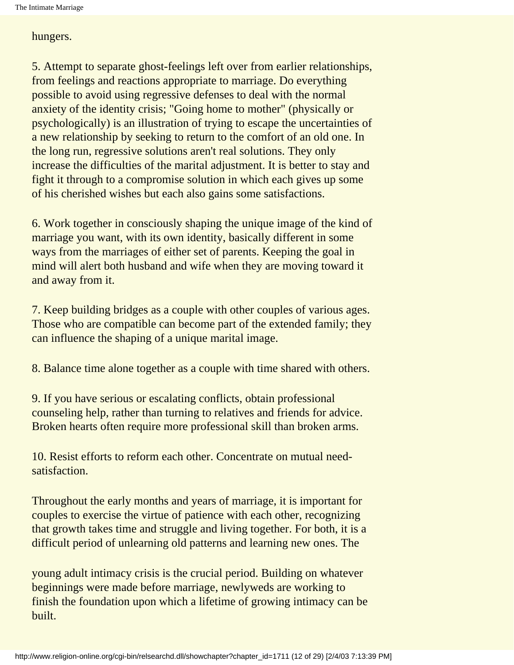#### hungers.

5. Attempt to separate ghost-feelings left over from earlier relationships, from feelings and reactions appropriate to marriage. Do everything possible to avoid using regressive defenses to deal with the normal anxiety of the identity crisis; "Going home to mother" (physically or psychologically) is an illustration of trying to escape the uncertainties of a new relationship by seeking to return to the comfort of an old one. In the long run, regressive solutions aren't real solutions. They only increase the difficulties of the marital adjustment. It is better to stay and fight it through to a compromise solution in which each gives up some of his cherished wishes but each also gains some satisfactions.

6. Work together in consciously shaping the unique image of the kind of marriage you want, with its own identity, basically different in some ways from the marriages of either set of parents. Keeping the goal in mind will alert both husband and wife when they are moving toward it and away from it.

7. Keep building bridges as a couple with other couples of various ages. Those who are compatible can become part of the extended family; they can influence the shaping of a unique marital image.

8. Balance time alone together as a couple with time shared with others.

9. If you have serious or escalating conflicts, obtain professional counseling help, rather than turning to relatives and friends for advice. Broken hearts often require more professional skill than broken arms.

10. Resist efforts to reform each other. Concentrate on mutual needsatisfaction.

Throughout the early months and years of marriage, it is important for couples to exercise the virtue of patience with each other, recognizing that growth takes time and struggle and living together. For both, it is a difficult period of unlearning old patterns and learning new ones. The

young adult intimacy crisis is the crucial period. Building on whatever beginnings were made before marriage, newlyweds are working to finish the foundation upon which a lifetime of growing intimacy can be built.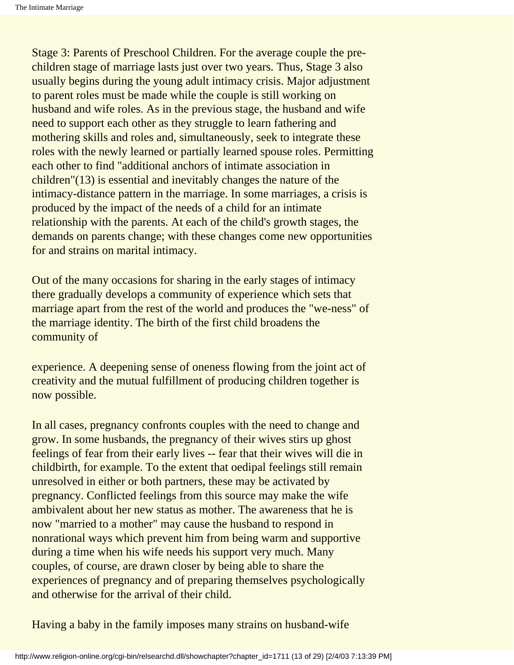Stage 3: Parents of Preschool Children. For the average couple the prechildren stage of marriage lasts just over two years. Thus, Stage 3 also usually begins during the young adult intimacy crisis. Major adjustment to parent roles must be made while the couple is still working on husband and wife roles. As in the previous stage, the husband and wife need to support each other as they struggle to learn fathering and mothering skills and roles and, simultaneously, seek to integrate these roles with the newly learned or partially learned spouse roles. Permitting each other to find "additional anchors of intimate association in children"(13) is essential and inevitably changes the nature of the intimacy-distance pattern in the marriage. In some marriages, a crisis is produced by the impact of the needs of a child for an intimate relationship with the parents. At each of the child's growth stages, the demands on parents change; with these changes come new opportunities for and strains on marital intimacy.

Out of the many occasions for sharing in the early stages of intimacy there gradually develops a community of experience which sets that marriage apart from the rest of the world and produces the "we-ness" of the marriage identity. The birth of the first child broadens the community of

experience. A deepening sense of oneness flowing from the joint act of creativity and the mutual fulfillment of producing children together is now possible.

In all cases, pregnancy confronts couples with the need to change and grow. In some husbands, the pregnancy of their wives stirs up ghost feelings of fear from their early lives -- fear that their wives will die in childbirth, for example. To the extent that oedipal feelings still remain unresolved in either or both partners, these may be activated by pregnancy. Conflicted feelings from this source may make the wife ambivalent about her new status as mother. The awareness that he is now "married to a mother" may cause the husband to respond in nonrational ways which prevent him from being warm and supportive during a time when his wife needs his support very much. Many couples, of course, are drawn closer by being able to share the experiences of pregnancy and of preparing themselves psychologically and otherwise for the arrival of their child.

Having a baby in the family imposes many strains on husband-wife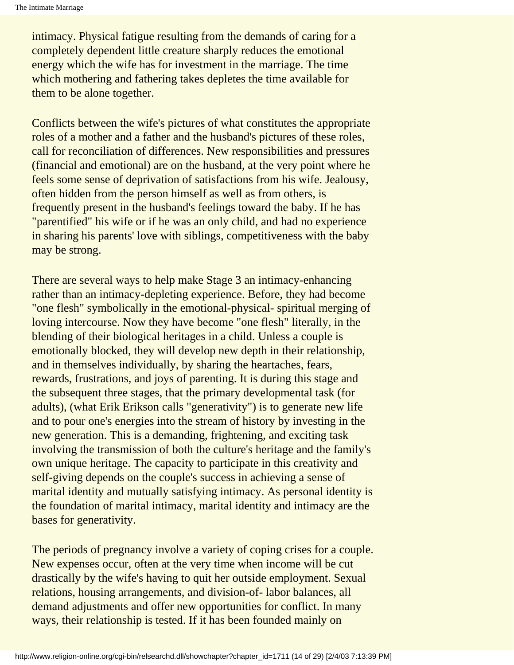intimacy. Physical fatigue resulting from the demands of caring for a completely dependent little creature sharply reduces the emotional energy which the wife has for investment in the marriage. The time which mothering and fathering takes depletes the time available for them to be alone together.

Conflicts between the wife's pictures of what constitutes the appropriate roles of a mother and a father and the husband's pictures of these roles, call for reconciliation of differences. New responsibilities and pressures (financial and emotional) are on the husband, at the very point where he feels some sense of deprivation of satisfactions from his wife. Jealousy, often hidden from the person himself as well as from others, is frequently present in the husband's feelings toward the baby. If he has "parentified" his wife or if he was an only child, and had no experience in sharing his parents' love with siblings, competitiveness with the baby may be strong.

There are several ways to help make Stage 3 an intimacy-enhancing rather than an intimacy-depleting experience. Before, they had become "one flesh" symbolically in the emotional-physical- spiritual merging of loving intercourse. Now they have become "one flesh" literally, in the blending of their biological heritages in a child. Unless a couple is emotionally blocked, they will develop new depth in their relationship, and in themselves individually, by sharing the heartaches, fears, rewards, frustrations, and joys of parenting. It is during this stage and the subsequent three stages, that the primary developmental task (for adults), (what Erik Erikson calls "generativity") is to generate new life and to pour one's energies into the stream of history by investing in the new generation. This is a demanding, frightening, and exciting task involving the transmission of both the culture's heritage and the family's own unique heritage. The capacity to participate in this creativity and self-giving depends on the couple's success in achieving a sense of marital identity and mutually satisfying intimacy. As personal identity is the foundation of marital intimacy, marital identity and intimacy are the bases for generativity.

The periods of pregnancy involve a variety of coping crises for a couple. New expenses occur, often at the very time when income will be cut drastically by the wife's having to quit her outside employment. Sexual relations, housing arrangements, and division-of- labor balances, all demand adjustments and offer new opportunities for conflict. In many ways, their relationship is tested. If it has been founded mainly on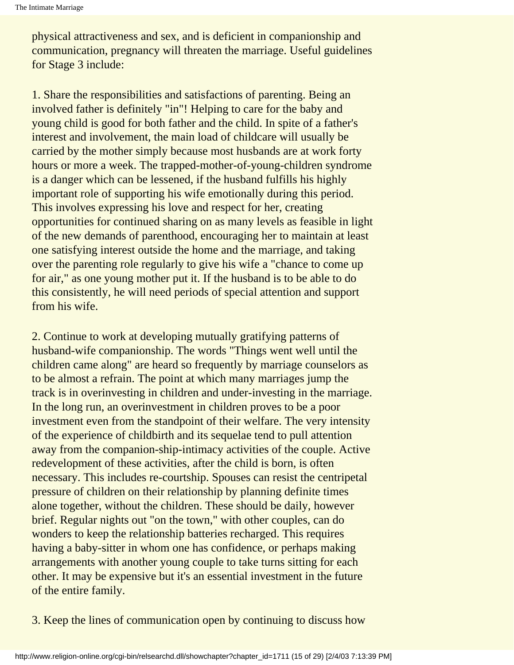physical attractiveness and sex, and is deficient in companionship and communication, pregnancy will threaten the marriage. Useful guidelines for Stage 3 include:

1. Share the responsibilities and satisfactions of parenting. Being an involved father is definitely "in"! Helping to care for the baby and young child is good for both father and the child. In spite of a father's interest and involvement, the main load of childcare will usually be carried by the mother simply because most husbands are at work forty hours or more a week. The trapped-mother-of-young-children syndrome is a danger which can be lessened, if the husband fulfills his highly important role of supporting his wife emotionally during this period. This involves expressing his love and respect for her, creating opportunities for continued sharing on as many levels as feasible in light of the new demands of parenthood, encouraging her to maintain at least one satisfying interest outside the home and the marriage, and taking over the parenting role regularly to give his wife a "chance to come up for air," as one young mother put it. If the husband is to be able to do this consistently, he will need periods of special attention and support from his wife.

2. Continue to work at developing mutually gratifying patterns of husband-wife companionship. The words "Things went well until the children came along" are heard so frequently by marriage counselors as to be almost a refrain. The point at which many marriages jump the track is in overinvesting in children and under-investing in the marriage. In the long run, an overinvestment in children proves to be a poor investment even from the standpoint of their welfare. The very intensity of the experience of childbirth and its sequelae tend to pull attention away from the companion-ship-intimacy activities of the couple. Active redevelopment of these activities, after the child is born, is often necessary. This includes re-courtship. Spouses can resist the centripetal pressure of children on their relationship by planning definite times alone together, without the children. These should be daily, however brief. Regular nights out "on the town," with other couples, can do wonders to keep the relationship batteries recharged. This requires having a baby-sitter in whom one has confidence, or perhaps making arrangements with another young couple to take turns sitting for each other. It may be expensive but it's an essential investment in the future of the entire family.

3. Keep the lines of communication open by continuing to discuss how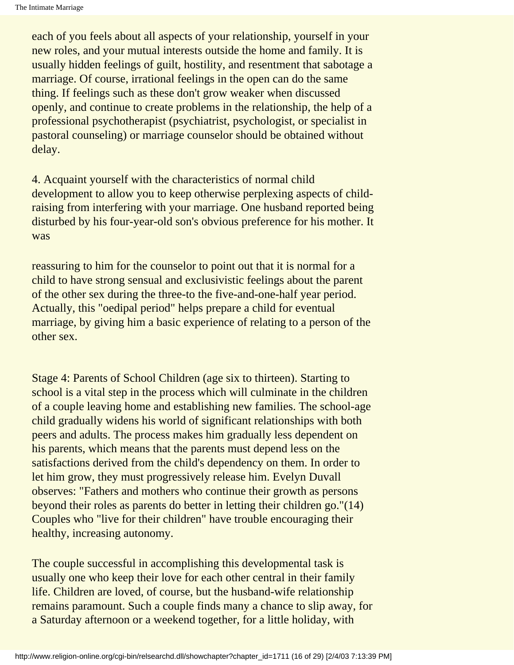each of you feels about all aspects of your relationship, yourself in your new roles, and your mutual interests outside the home and family. It is usually hidden feelings of guilt, hostility, and resentment that sabotage a marriage. Of course, irrational feelings in the open can do the same thing. If feelings such as these don't grow weaker when discussed openly, and continue to create problems in the relationship, the help of a professional psychotherapist (psychiatrist, psychologist, or specialist in pastoral counseling) or marriage counselor should be obtained without delay.

4. Acquaint yourself with the characteristics of normal child development to allow you to keep otherwise perplexing aspects of childraising from interfering with your marriage. One husband reported being disturbed by his four-year-old son's obvious preference for his mother. It was

reassuring to him for the counselor to point out that it is normal for a child to have strong sensual and exclusivistic feelings about the parent of the other sex during the three-to the five-and-one-half year period. Actually, this "oedipal period" helps prepare a child for eventual marriage, by giving him a basic experience of relating to a person of the other sex.

Stage 4: Parents of School Children (age six to thirteen). Starting to school is a vital step in the process which will culminate in the children of a couple leaving home and establishing new families. The school-age child gradually widens his world of significant relationships with both peers and adults. The process makes him gradually less dependent on his parents, which means that the parents must depend less on the satisfactions derived from the child's dependency on them. In order to let him grow, they must progressively release him. Evelyn Duvall observes: "Fathers and mothers who continue their growth as persons beyond their roles as parents do better in letting their children go."(14) Couples who "live for their children" have trouble encouraging their healthy, increasing autonomy.

The couple successful in accomplishing this developmental task is usually one who keep their love for each other central in their family life. Children are loved, of course, but the husband-wife relationship remains paramount. Such a couple finds many a chance to slip away, for a Saturday afternoon or a weekend together, for a little holiday, with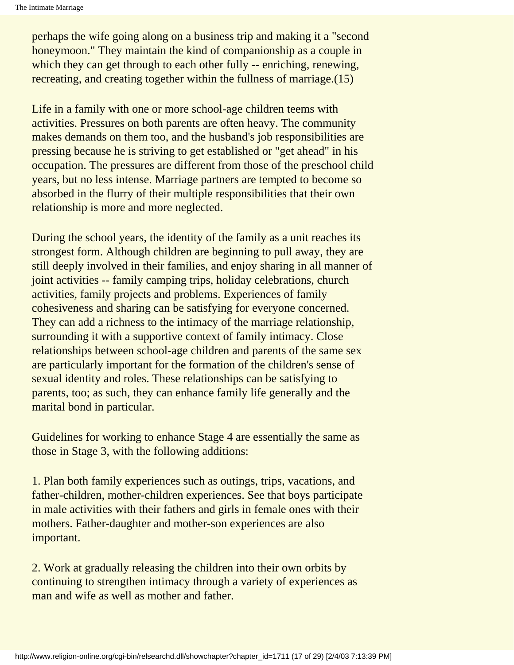perhaps the wife going along on a business trip and making it a "second honeymoon." They maintain the kind of companionship as a couple in which they can get through to each other fully -- enriching, renewing, recreating, and creating together within the fullness of marriage.(15)

Life in a family with one or more school-age children teems with activities. Pressures on both parents are often heavy. The community makes demands on them too, and the husband's job responsibilities are pressing because he is striving to get established or "get ahead" in his occupation. The pressures are different from those of the preschool child years, but no less intense. Marriage partners are tempted to become so absorbed in the flurry of their multiple responsibilities that their own relationship is more and more neglected.

During the school years, the identity of the family as a unit reaches its strongest form. Although children are beginning to pull away, they are still deeply involved in their families, and enjoy sharing in all manner of joint activities -- family camping trips, holiday celebrations, church activities, family projects and problems. Experiences of family cohesiveness and sharing can be satisfying for everyone concerned. They can add a richness to the intimacy of the marriage relationship, surrounding it with a supportive context of family intimacy. Close relationships between school-age children and parents of the same sex are particularly important for the formation of the children's sense of sexual identity and roles. These relationships can be satisfying to parents, too; as such, they can enhance family life generally and the marital bond in particular.

Guidelines for working to enhance Stage 4 are essentially the same as those in Stage 3, with the following additions:

1. Plan both family experiences such as outings, trips, vacations, and father-children, mother-children experiences. See that boys participate in male activities with their fathers and girls in female ones with their mothers. Father-daughter and mother-son experiences are also important.

2. Work at gradually releasing the children into their own orbits by continuing to strengthen intimacy through a variety of experiences as man and wife as well as mother and father.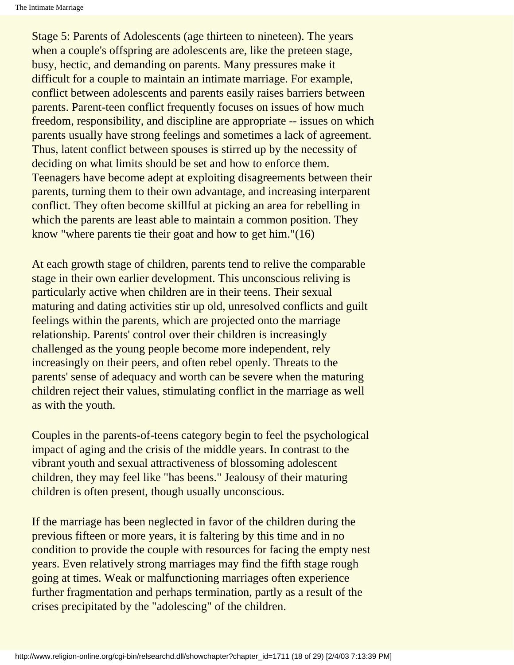Stage 5: Parents of Adolescents (age thirteen to nineteen). The years when a couple's offspring are adolescents are, like the preteen stage, busy, hectic, and demanding on parents. Many pressures make it difficult for a couple to maintain an intimate marriage. For example, conflict between adolescents and parents easily raises barriers between parents. Parent-teen conflict frequently focuses on issues of how much freedom, responsibility, and discipline are appropriate -- issues on which parents usually have strong feelings and sometimes a lack of agreement. Thus, latent conflict between spouses is stirred up by the necessity of deciding on what limits should be set and how to enforce them. Teenagers have become adept at exploiting disagreements between their parents, turning them to their own advantage, and increasing interparent conflict. They often become skillful at picking an area for rebelling in which the parents are least able to maintain a common position. They know "where parents tie their goat and how to get him."(16)

At each growth stage of children, parents tend to relive the comparable stage in their own earlier development. This unconscious reliving is particularly active when children are in their teens. Their sexual maturing and dating activities stir up old, unresolved conflicts and guilt feelings within the parents, which are projected onto the marriage relationship. Parents' control over their children is increasingly challenged as the young people become more independent, rely increasingly on their peers, and often rebel openly. Threats to the parents' sense of adequacy and worth can be severe when the maturing children reject their values, stimulating conflict in the marriage as well as with the youth.

Couples in the parents-of-teens category begin to feel the psychological impact of aging and the crisis of the middle years. In contrast to the vibrant youth and sexual attractiveness of blossoming adolescent children, they may feel like "has beens." Jealousy of their maturing children is often present, though usually unconscious.

If the marriage has been neglected in favor of the children during the previous fifteen or more years, it is faltering by this time and in no condition to provide the couple with resources for facing the empty nest years. Even relatively strong marriages may find the fifth stage rough going at times. Weak or malfunctioning marriages often experience further fragmentation and perhaps termination, partly as a result of the crises precipitated by the "adolescing" of the children.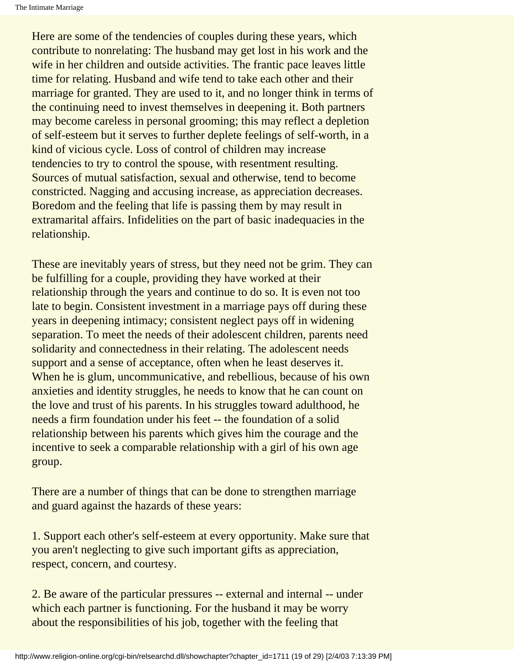Here are some of the tendencies of couples during these years, which contribute to nonrelating: The husband may get lost in his work and the wife in her children and outside activities. The frantic pace leaves little time for relating. Husband and wife tend to take each other and their marriage for granted. They are used to it, and no longer think in terms of the continuing need to invest themselves in deepening it. Both partners may become careless in personal grooming; this may reflect a depletion of self-esteem but it serves to further deplete feelings of self-worth, in a kind of vicious cycle. Loss of control of children may increase tendencies to try to control the spouse, with resentment resulting. Sources of mutual satisfaction, sexual and otherwise, tend to become constricted. Nagging and accusing increase, as appreciation decreases. Boredom and the feeling that life is passing them by may result in extramarital affairs. Infidelities on the part of basic inadequacies in the relationship.

These are inevitably years of stress, but they need not be grim. They can be fulfilling for a couple, providing they have worked at their relationship through the years and continue to do so. It is even not too late to begin. Consistent investment in a marriage pays off during these years in deepening intimacy; consistent neglect pays off in widening separation. To meet the needs of their adolescent children, parents need solidarity and connectedness in their relating. The adolescent needs support and a sense of acceptance, often when he least deserves it. When he is glum, uncommunicative, and rebellious, because of his own anxieties and identity struggles, he needs to know that he can count on the love and trust of his parents. In his struggles toward adulthood, he needs a firm foundation under his feet -- the foundation of a solid relationship between his parents which gives him the courage and the incentive to seek a comparable relationship with a girl of his own age group.

There are a number of things that can be done to strengthen marriage and guard against the hazards of these years:

1. Support each other's self-esteem at every opportunity. Make sure that you aren't neglecting to give such important gifts as appreciation, respect, concern, and courtesy.

2. Be aware of the particular pressures -- external and internal -- under which each partner is functioning. For the husband it may be worry about the responsibilities of his job, together with the feeling that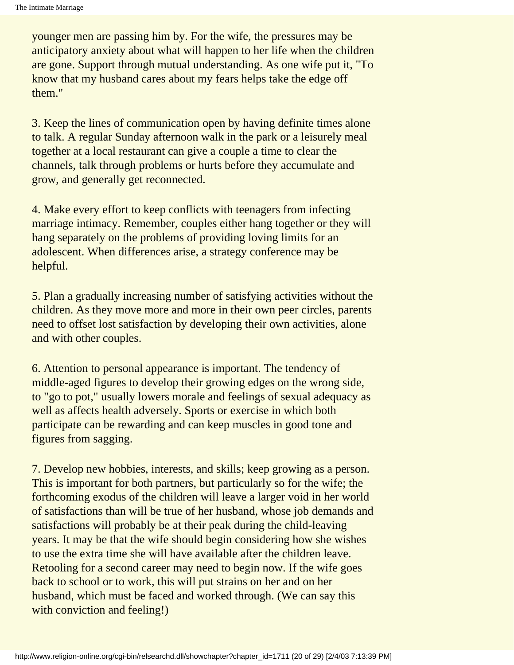younger men are passing him by. For the wife, the pressures may be anticipatory anxiety about what will happen to her life when the children are gone. Support through mutual understanding. As one wife put it, "To know that my husband cares about my fears helps take the edge off them."

3. Keep the lines of communication open by having definite times alone to talk. A regular Sunday afternoon walk in the park or a leisurely meal together at a local restaurant can give a couple a time to clear the channels, talk through problems or hurts before they accumulate and grow, and generally get reconnected.

4. Make every effort to keep conflicts with teenagers from infecting marriage intimacy. Remember, couples either hang together or they will hang separately on the problems of providing loving limits for an adolescent. When differences arise, a strategy conference may be helpful.

5. Plan a gradually increasing number of satisfying activities without the children. As they move more and more in their own peer circles, parents need to offset lost satisfaction by developing their own activities, alone and with other couples.

6. Attention to personal appearance is important. The tendency of middle-aged figures to develop their growing edges on the wrong side, to "go to pot," usually lowers morale and feelings of sexual adequacy as well as affects health adversely. Sports or exercise in which both participate can be rewarding and can keep muscles in good tone and figures from sagging.

7. Develop new hobbies, interests, and skills; keep growing as a person. This is important for both partners, but particularly so for the wife; the forthcoming exodus of the children will leave a larger void in her world of satisfactions than will be true of her husband, whose job demands and satisfactions will probably be at their peak during the child-leaving years. It may be that the wife should begin considering how she wishes to use the extra time she will have available after the children leave. Retooling for a second career may need to begin now. If the wife goes back to school or to work, this will put strains on her and on her husband, which must be faced and worked through. (We can say this with conviction and feeling!)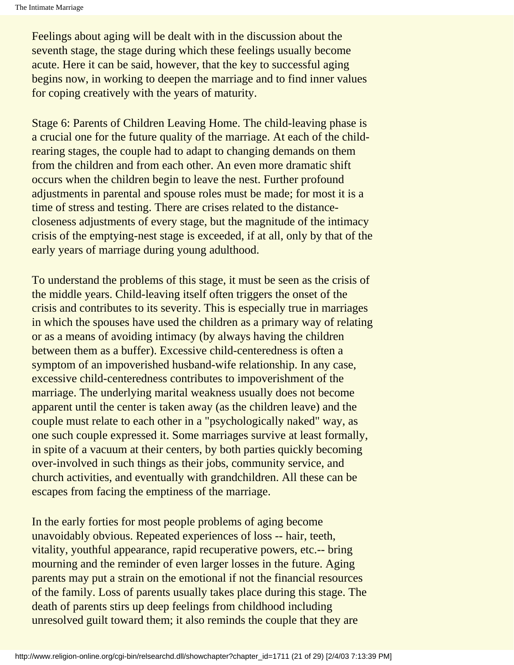Feelings about aging will be dealt with in the discussion about the seventh stage, the stage during which these feelings usually become acute. Here it can be said, however, that the key to successful aging begins now, in working to deepen the marriage and to find inner values for coping creatively with the years of maturity.

Stage 6: Parents of Children Leaving Home. The child-leaving phase is a crucial one for the future quality of the marriage. At each of the childrearing stages, the couple had to adapt to changing demands on them from the children and from each other. An even more dramatic shift occurs when the children begin to leave the nest. Further profound adjustments in parental and spouse roles must be made; for most it is a time of stress and testing. There are crises related to the distancecloseness adjustments of every stage, but the magnitude of the intimacy crisis of the emptying-nest stage is exceeded, if at all, only by that of the early years of marriage during young adulthood.

To understand the problems of this stage, it must be seen as the crisis of the middle years. Child-leaving itself often triggers the onset of the crisis and contributes to its severity. This is especially true in marriages in which the spouses have used the children as a primary way of relating or as a means of avoiding intimacy (by always having the children between them as a buffer). Excessive child-centeredness is often a symptom of an impoverished husband-wife relationship. In any case, excessive child-centeredness contributes to impoverishment of the marriage. The underlying marital weakness usually does not become apparent until the center is taken away (as the children leave) and the couple must relate to each other in a "psychologically naked" way, as one such couple expressed it. Some marriages survive at least formally, in spite of a vacuum at their centers, by both parties quickly becoming over-involved in such things as their jobs, community service, and church activities, and eventually with grandchildren. All these can be escapes from facing the emptiness of the marriage.

In the early forties for most people problems of aging become unavoidably obvious. Repeated experiences of loss -- hair, teeth, vitality, youthful appearance, rapid recuperative powers, etc.-- bring mourning and the reminder of even larger losses in the future. Aging parents may put a strain on the emotional if not the financial resources of the family. Loss of parents usually takes place during this stage. The death of parents stirs up deep feelings from childhood including unresolved guilt toward them; it also reminds the couple that they are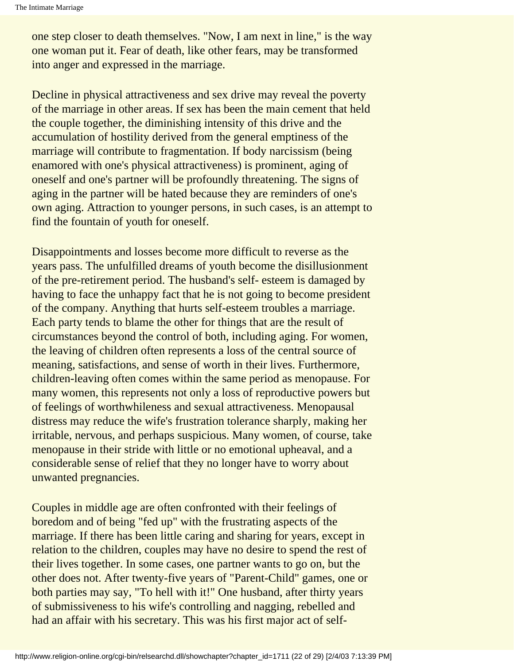one step closer to death themselves. "Now, I am next in line," is the way one woman put it. Fear of death, like other fears, may be transformed into anger and expressed in the marriage.

Decline in physical attractiveness and sex drive may reveal the poverty of the marriage in other areas. If sex has been the main cement that held the couple together, the diminishing intensity of this drive and the accumulation of hostility derived from the general emptiness of the marriage will contribute to fragmentation. If body narcissism (being enamored with one's physical attractiveness) is prominent, aging of oneself and one's partner will be profoundly threatening. The signs of aging in the partner will be hated because they are reminders of one's own aging. Attraction to younger persons, in such cases, is an attempt to find the fountain of youth for oneself.

Disappointments and losses become more difficult to reverse as the years pass. The unfulfilled dreams of youth become the disillusionment of the pre-retirement period. The husband's self- esteem is damaged by having to face the unhappy fact that he is not going to become president of the company. Anything that hurts self-esteem troubles a marriage. Each party tends to blame the other for things that are the result of circumstances beyond the control of both, including aging. For women, the leaving of children often represents a loss of the central source of meaning, satisfactions, and sense of worth in their lives. Furthermore, children-leaving often comes within the same period as menopause. For many women, this represents not only a loss of reproductive powers but of feelings of worthwhileness and sexual attractiveness. Menopausal distress may reduce the wife's frustration tolerance sharply, making her irritable, nervous, and perhaps suspicious. Many women, of course, take menopause in their stride with little or no emotional upheaval, and a considerable sense of relief that they no longer have to worry about unwanted pregnancies.

Couples in middle age are often confronted with their feelings of boredom and of being "fed up" with the frustrating aspects of the marriage. If there has been little caring and sharing for years, except in relation to the children, couples may have no desire to spend the rest of their lives together. In some cases, one partner wants to go on, but the other does not. After twenty-five years of "Parent-Child" games, one or both parties may say, "To hell with it!" One husband, after thirty years of submissiveness to his wife's controlling and nagging, rebelled and had an affair with his secretary. This was his first major act of self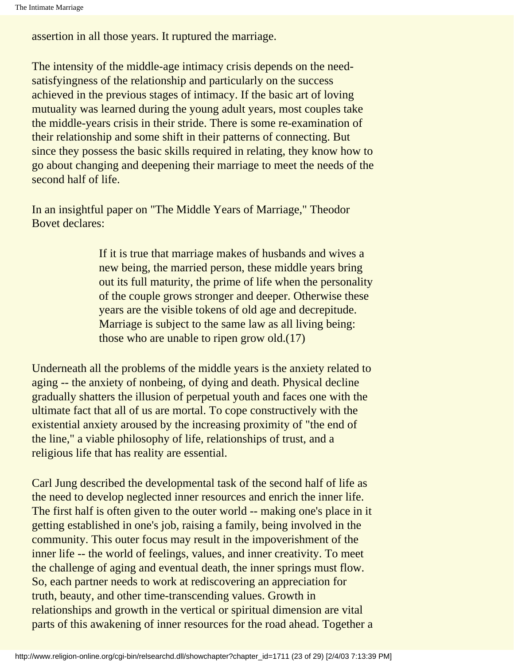assertion in all those years. It ruptured the marriage.

The intensity of the middle-age intimacy crisis depends on the needsatisfyingness of the relationship and particularly on the success achieved in the previous stages of intimacy. If the basic art of loving mutuality was learned during the young adult years, most couples take the middle-years crisis in their stride. There is some re-examination of their relationship and some shift in their patterns of connecting. But since they possess the basic skills required in relating, they know how to go about changing and deepening their marriage to meet the needs of the second half of life.

In an insightful paper on "The Middle Years of Marriage," Theodor Bovet declares:

> If it is true that marriage makes of husbands and wives a new being, the married person, these middle years bring out its full maturity, the prime of life when the personality of the couple grows stronger and deeper. Otherwise these years are the visible tokens of old age and decrepitude. Marriage is subject to the same law as all living being: those who are unable to ripen grow old.(17)

Underneath all the problems of the middle years is the anxiety related to aging -- the anxiety of nonbeing, of dying and death. Physical decline gradually shatters the illusion of perpetual youth and faces one with the ultimate fact that all of us are mortal. To cope constructively with the existential anxiety aroused by the increasing proximity of "the end of the line," a viable philosophy of life, relationships of trust, and a religious life that has reality are essential.

Carl Jung described the developmental task of the second half of life as the need to develop neglected inner resources and enrich the inner life. The first half is often given to the outer world -- making one's place in it getting established in one's job, raising a family, being involved in the community. This outer focus may result in the impoverishment of the inner life -- the world of feelings, values, and inner creativity. To meet the challenge of aging and eventual death, the inner springs must flow. So, each partner needs to work at rediscovering an appreciation for truth, beauty, and other time-transcending values. Growth in relationships and growth in the vertical or spiritual dimension are vital parts of this awakening of inner resources for the road ahead. Together a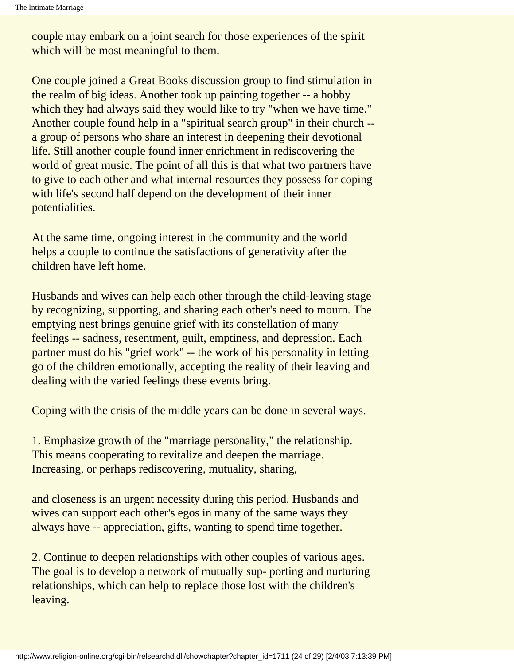couple may embark on a joint search for those experiences of the spirit which will be most meaningful to them.

One couple joined a Great Books discussion group to find stimulation in the realm of big ideas. Another took up painting together -- a hobby which they had always said they would like to try "when we have time." Another couple found help in a "spiritual search group" in their church - a group of persons who share an interest in deepening their devotional life. Still another couple found inner enrichment in rediscovering the world of great music. The point of all this is that what two partners have to give to each other and what internal resources they possess for coping with life's second half depend on the development of their inner potentialities.

At the same time, ongoing interest in the community and the world helps a couple to continue the satisfactions of generativity after the children have left home.

Husbands and wives can help each other through the child-leaving stage by recognizing, supporting, and sharing each other's need to mourn. The emptying nest brings genuine grief with its constellation of many feelings -- sadness, resentment, guilt, emptiness, and depression. Each partner must do his "grief work" -- the work of his personality in letting go of the children emotionally, accepting the reality of their leaving and dealing with the varied feelings these events bring.

Coping with the crisis of the middle years can be done in several ways.

1. Emphasize growth of the "marriage personality," the relationship. This means cooperating to revitalize and deepen the marriage. Increasing, or perhaps rediscovering, mutuality, sharing,

and closeness is an urgent necessity during this period. Husbands and wives can support each other's egos in many of the same ways they always have -- appreciation, gifts, wanting to spend time together.

2. Continue to deepen relationships with other couples of various ages. The goal is to develop a network of mutually sup- porting and nurturing relationships, which can help to replace those lost with the children's leaving.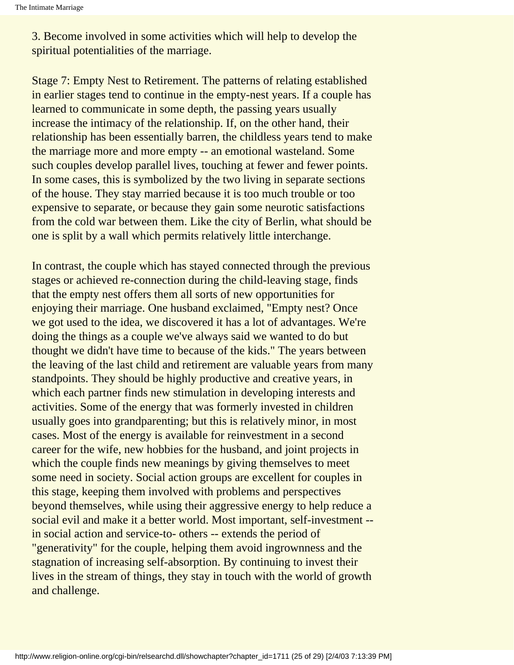3. Become involved in some activities which will help to develop the spiritual potentialities of the marriage.

Stage 7: Empty Nest to Retirement. The patterns of relating established in earlier stages tend to continue in the empty-nest years. If a couple has learned to communicate in some depth, the passing years usually increase the intimacy of the relationship. If, on the other hand, their relationship has been essentially barren, the childless years tend to make the marriage more and more empty -- an emotional wasteland. Some such couples develop parallel lives, touching at fewer and fewer points. In some cases, this is symbolized by the two living in separate sections of the house. They stay married because it is too much trouble or too expensive to separate, or because they gain some neurotic satisfactions from the cold war between them. Like the city of Berlin, what should be one is split by a wall which permits relatively little interchange.

In contrast, the couple which has stayed connected through the previous stages or achieved re-connection during the child-leaving stage, finds that the empty nest offers them all sorts of new opportunities for enjoying their marriage. One husband exclaimed, "Empty nest? Once we got used to the idea, we discovered it has a lot of advantages. We're doing the things as a couple we've always said we wanted to do but thought we didn't have time to because of the kids." The years between the leaving of the last child and retirement are valuable years from many standpoints. They should be highly productive and creative years, in which each partner finds new stimulation in developing interests and activities. Some of the energy that was formerly invested in children usually goes into grandparenting; but this is relatively minor, in most cases. Most of the energy is available for reinvestment in a second career for the wife, new hobbies for the husband, and joint projects in which the couple finds new meanings by giving themselves to meet some need in society. Social action groups are excellent for couples in this stage, keeping them involved with problems and perspectives beyond themselves, while using their aggressive energy to help reduce a social evil and make it a better world. Most important, self-investment - in social action and service-to- others -- extends the period of "generativity" for the couple, helping them avoid ingrownness and the stagnation of increasing self-absorption. By continuing to invest their lives in the stream of things, they stay in touch with the world of growth and challenge.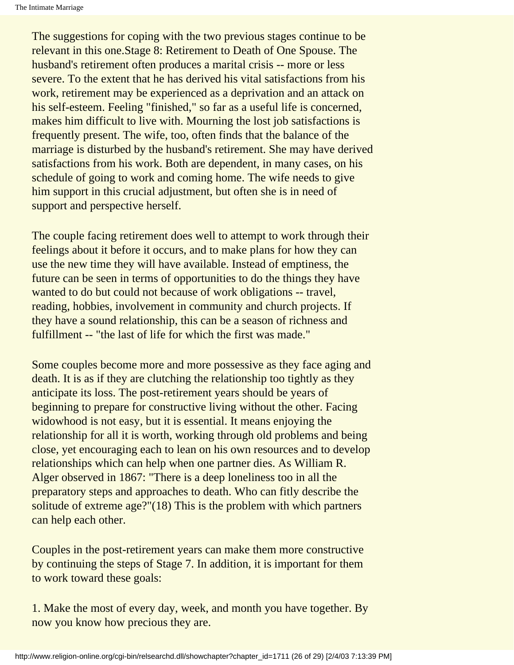The suggestions for coping with the two previous stages continue to be relevant in this one.Stage 8: Retirement to Death of One Spouse. The husband's retirement often produces a marital crisis -- more or less severe. To the extent that he has derived his vital satisfactions from his work, retirement may be experienced as a deprivation and an attack on his self-esteem. Feeling "finished," so far as a useful life is concerned, makes him difficult to live with. Mourning the lost job satisfactions is frequently present. The wife, too, often finds that the balance of the marriage is disturbed by the husband's retirement. She may have derived satisfactions from his work. Both are dependent, in many cases, on his schedule of going to work and coming home. The wife needs to give him support in this crucial adjustment, but often she is in need of support and perspective herself.

The couple facing retirement does well to attempt to work through their feelings about it before it occurs, and to make plans for how they can use the new time they will have available. Instead of emptiness, the future can be seen in terms of opportunities to do the things they have wanted to do but could not because of work obligations -- travel, reading, hobbies, involvement in community and church projects. If they have a sound relationship, this can be a season of richness and fulfillment -- "the last of life for which the first was made."

Some couples become more and more possessive as they face aging and death. It is as if they are clutching the relationship too tightly as they anticipate its loss. The post-retirement years should be years of beginning to prepare for constructive living without the other. Facing widowhood is not easy, but it is essential. It means enjoying the relationship for all it is worth, working through old problems and being close, yet encouraging each to lean on his own resources and to develop relationships which can help when one partner dies. As William R. Alger observed in 1867: "There is a deep loneliness too in all the preparatory steps and approaches to death. Who can fitly describe the solitude of extreme age?"(18) This is the problem with which partners can help each other.

Couples in the post-retirement years can make them more constructive by continuing the steps of Stage 7. In addition, it is important for them to work toward these goals:

1. Make the most of every day, week, and month you have together. By now you know how precious they are.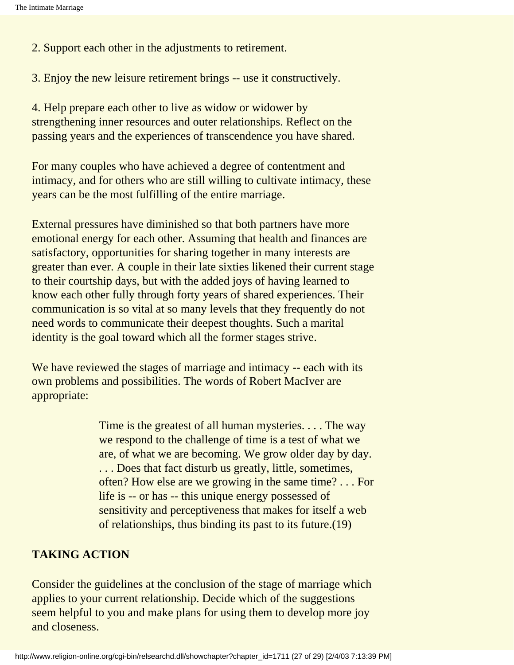2. Support each other in the adjustments to retirement.

3. Enjoy the new leisure retirement brings -- use it constructively.

4. Help prepare each other to live as widow or widower by strengthening inner resources and outer relationships. Reflect on the passing years and the experiences of transcendence you have shared.

For many couples who have achieved a degree of contentment and intimacy, and for others who are still willing to cultivate intimacy, these years can be the most fulfilling of the entire marriage.

External pressures have diminished so that both partners have more emotional energy for each other. Assuming that health and finances are satisfactory, opportunities for sharing together in many interests are greater than ever. A couple in their late sixties likened their current stage to their courtship days, but with the added joys of having learned to know each other fully through forty years of shared experiences. Their communication is so vital at so many levels that they frequently do not need words to communicate their deepest thoughts. Such a marital identity is the goal toward which all the former stages strive.

We have reviewed the stages of marriage and intimacy -- each with its own problems and possibilities. The words of Robert MacIver are appropriate:

> Time is the greatest of all human mysteries. . . . The way we respond to the challenge of time is a test of what we are, of what we are becoming. We grow older day by day. . . . Does that fact disturb us greatly, little, sometimes, often? How else are we growing in the same time? . . . For life is -- or has -- this unique energy possessed of sensitivity and perceptiveness that makes for itself a web of relationships, thus binding its past to its future.(19)

#### **TAKING ACTION**

Consider the guidelines at the conclusion of the stage of marriage which applies to your current relationship. Decide which of the suggestions seem helpful to you and make plans for using them to develop more joy and closeness.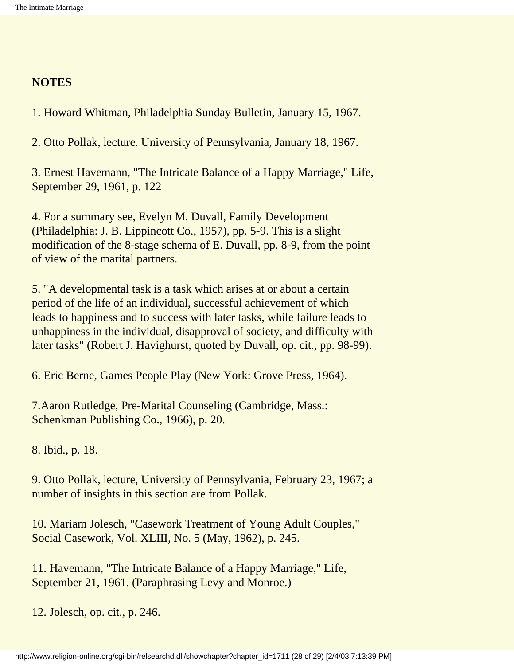#### **NOTES**

1. Howard Whitman, Philadelphia Sunday Bulletin, January 15, 1967.

2. Otto Pollak, lecture. University of Pennsylvania, January 18, 1967.

3. Ernest Havemann, "The Intricate Balance of a Happy Marriage," Life, September 29, 1961, p. 122

4. For a summary see, Evelyn M. Duvall, Family Development (Philadelphia: J. B. Lippincott Co., 1957), pp. 5-9. This is a slight modification of the 8-stage schema of E. Duvall, pp. 8-9, from the point of view of the marital partners.

5. "A developmental task is a task which arises at or about a certain period of the life of an individual, successful achievement of which leads to happiness and to success with later tasks, while failure leads to unhappiness in the individual, disapproval of society, and difficulty with later tasks" (Robert J. Havighurst, quoted by Duvall, op. cit., pp. 98-99).

6. Eric Berne, Games People Play (New York: Grove Press, 1964).

7.Aaron Rutledge, Pre-Marital Counseling (Cambridge, Mass.: Schenkman Publishing Co., 1966), p. 20.

8. Ibid., p. 18.

9. Otto Pollak, lecture, University of Pennsylvania, February 23, 1967; a number of insights in this section are from Pollak.

10. Mariam Jolesch, "Casework Treatment of Young Adult Couples," Social Casework, Vol. XLIII, No. 5 (May, 1962), p. 245.

11. Havemann, "The Intricate Balance of a Happy Marriage," Life, September 21, 1961. (Paraphrasing Levy and Monroe.)

12. Jolesch, op. cit., p. 246.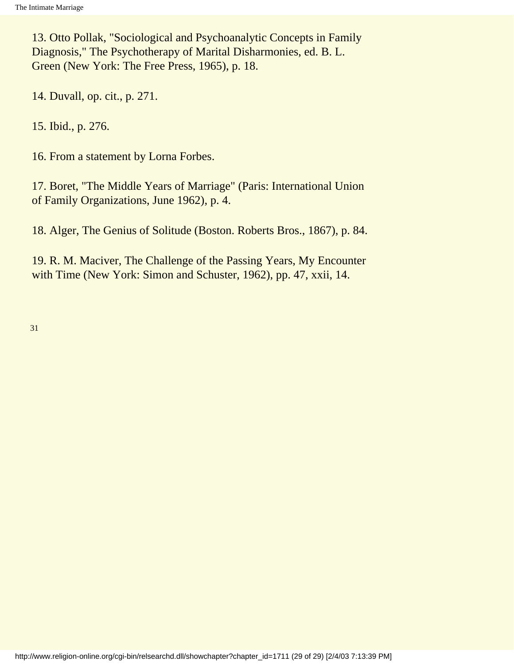13. Otto Pollak, "Sociological and Psychoanalytic Concepts in Family Diagnosis," The Psychotherapy of Marital Disharmonies, ed. B. L. Green (New York: The Free Press, 1965), p. 18.

14. Duvall, op. cit., p. 271.

15. Ibid., p. 276.

16. From a statement by Lorna Forbes.

17. Boret, "The Middle Years of Marriage" (Paris: International Union of Family Organizations, June 1962), p. 4.

18. Alger, The Genius of Solitude (Boston. Roberts Bros., 1867), p. 84.

19. R. M. Maciver, The Challenge of the Passing Years, My Encounter with Time (New York: Simon and Schuster, 1962), pp. 47, xxii, 14.

31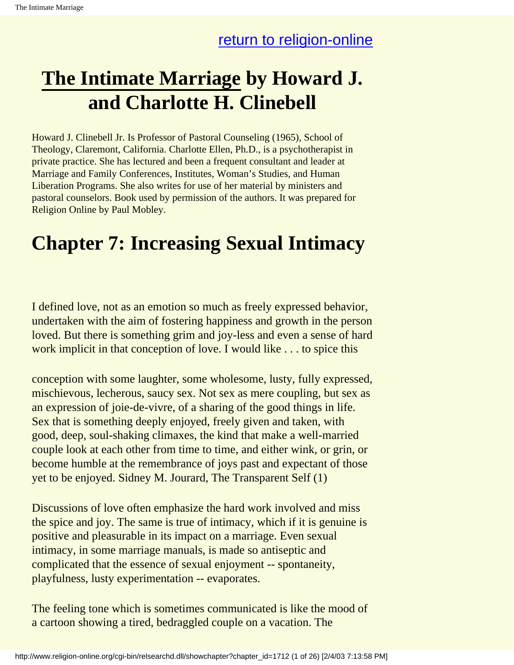### [return to religion-online](http://www.religion-online.org/)

# **The Intimate Marriage by Howard J. and Charlotte H. Clinebell**

Howard J. Clinebell Jr. Is Professor of Pastoral Counseling (1965), School of Theology, Claremont, California. Charlotte Ellen, Ph.D., is a psychotherapist in private practice. She has lectured and been a frequent consultant and leader at Marriage and Family Conferences, Institutes, Woman's Studies, and Human Liberation Programs. She also writes for use of her material by ministers and pastoral counselors. Book used by permission of the authors. It was prepared for Religion Online by Paul Mobley.

## **Chapter 7: Increasing Sexual Intimacy**

I defined love, not as an emotion so much as freely expressed behavior, undertaken with the aim of fostering happiness and growth in the person loved. But there is something grim and joy-less and even a sense of hard work implicit in that conception of love. I would like . . . to spice this

conception with some laughter, some wholesome, lusty, fully expressed, mischievous, lecherous, saucy sex. Not sex as mere coupling, but sex as an expression of joie-de-vivre, of a sharing of the good things in life. Sex that is something deeply enjoyed, freely given and taken, with good, deep, soul-shaking climaxes, the kind that make a well-married couple look at each other from time to time, and either wink, or grin, or become humble at the remembrance of joys past and expectant of those yet to be enjoyed. Sidney M. Jourard, The Transparent Self (1)

Discussions of love often emphasize the hard work involved and miss the spice and joy. The same is true of intimacy, which if it is genuine is positive and pleasurable in its impact on a marriage. Even sexual intimacy, in some marriage manuals, is made so antiseptic and complicated that the essence of sexual enjoyment -- spontaneity, playfulness, lusty experimentation -- evaporates.

The feeling tone which is sometimes communicated is like the mood of a cartoon showing a tired, bedraggled couple on a vacation. The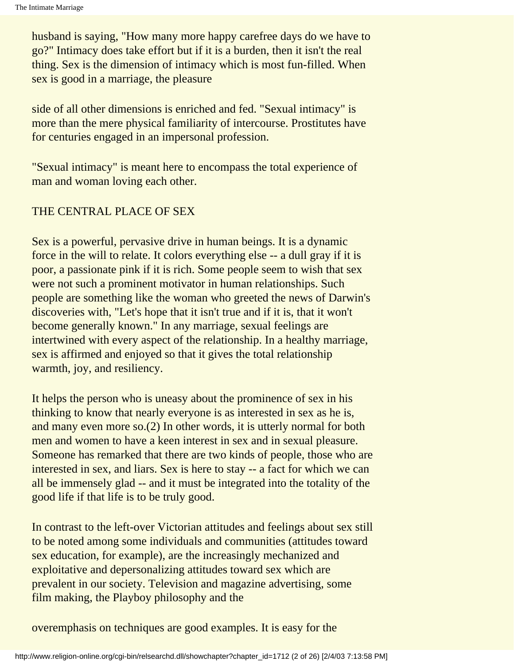husband is saying, "How many more happy carefree days do we have to go?" Intimacy does take effort but if it is a burden, then it isn't the real thing. Sex is the dimension of intimacy which is most fun-filled. When sex is good in a marriage, the pleasure

side of all other dimensions is enriched and fed. "Sexual intimacy" is more than the mere physical familiarity of intercourse. Prostitutes have for centuries engaged in an impersonal profession.

"Sexual intimacy" is meant here to encompass the total experience of man and woman loving each other.

#### THE CENTRAL PLACE OF SEX

Sex is a powerful, pervasive drive in human beings. It is a dynamic force in the will to relate. It colors everything else -- a dull gray if it is poor, a passionate pink if it is rich. Some people seem to wish that sex were not such a prominent motivator in human relationships. Such people are something like the woman who greeted the news of Darwin's discoveries with, "Let's hope that it isn't true and if it is, that it won't become generally known." In any marriage, sexual feelings are intertwined with every aspect of the relationship. In a healthy marriage, sex is affirmed and enjoyed so that it gives the total relationship warmth, joy, and resiliency.

It helps the person who is uneasy about the prominence of sex in his thinking to know that nearly everyone is as interested in sex as he is, and many even more so.(2) In other words, it is utterly normal for both men and women to have a keen interest in sex and in sexual pleasure. Someone has remarked that there are two kinds of people, those who are interested in sex, and liars. Sex is here to stay -- a fact for which we can all be immensely glad -- and it must be integrated into the totality of the good life if that life is to be truly good.

In contrast to the left-over Victorian attitudes and feelings about sex still to be noted among some individuals and communities (attitudes toward sex education, for example), are the increasingly mechanized and exploitative and depersonalizing attitudes toward sex which are prevalent in our society. Television and magazine advertising, some film making, the Playboy philosophy and the

overemphasis on techniques are good examples. It is easy for the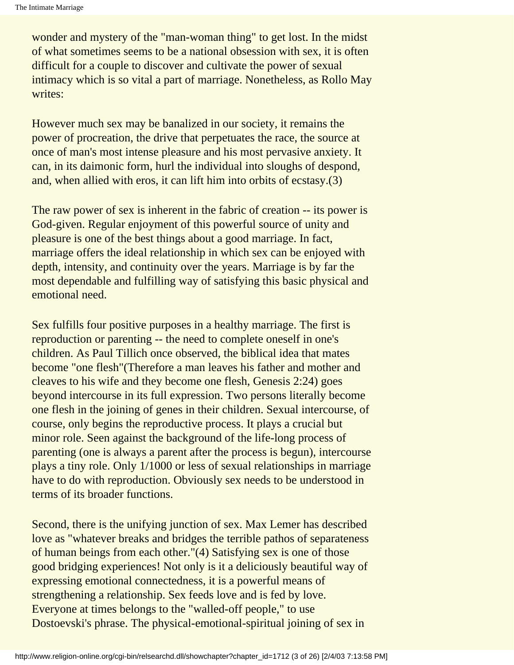wonder and mystery of the "man-woman thing" to get lost. In the midst of what sometimes seems to be a national obsession with sex, it is often difficult for a couple to discover and cultivate the power of sexual intimacy which is so vital a part of marriage. Nonetheless, as Rollo May writes:

However much sex may be banalized in our society, it remains the power of procreation, the drive that perpetuates the race, the source at once of man's most intense pleasure and his most pervasive anxiety. It can, in its daimonic form, hurl the individual into sloughs of despond, and, when allied with eros, it can lift him into orbits of ecstasy.(3)

The raw power of sex is inherent in the fabric of creation -- its power is God-given. Regular enjoyment of this powerful source of unity and pleasure is one of the best things about a good marriage. In fact, marriage offers the ideal relationship in which sex can be enjoyed with depth, intensity, and continuity over the years. Marriage is by far the most dependable and fulfilling way of satisfying this basic physical and emotional need.

Sex fulfills four positive purposes in a healthy marriage. The first is reproduction or parenting -- the need to complete oneself in one's children. As Paul Tillich once observed, the biblical idea that mates become "one flesh"(Therefore a man leaves his father and mother and cleaves to his wife and they become one flesh, Genesis 2:24) goes beyond intercourse in its full expression. Two persons literally become one flesh in the joining of genes in their children. Sexual intercourse, of course, only begins the reproductive process. It plays a crucial but minor role. Seen against the background of the life-long process of parenting (one is always a parent after the process is begun), intercourse plays a tiny role. Only 1/1000 or less of sexual relationships in marriage have to do with reproduction. Obviously sex needs to be understood in terms of its broader functions.

Second, there is the unifying junction of sex. Max Lemer has described love as "whatever breaks and bridges the terrible pathos of separateness of human beings from each other."(4) Satisfying sex is one of those good bridging experiences! Not only is it a deliciously beautiful way of expressing emotional connectedness, it is a powerful means of strengthening a relationship. Sex feeds love and is fed by love. Everyone at times belongs to the "walled-off people," to use Dostoevski's phrase. The physical-emotional-spiritual joining of sex in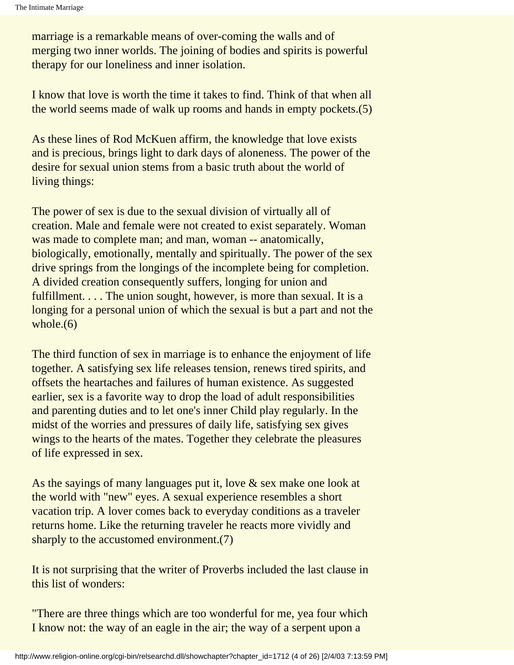marriage is a remarkable means of over-coming the walls and of merging two inner worlds. The joining of bodies and spirits is powerful therapy for our loneliness and inner isolation.

I know that love is worth the time it takes to find. Think of that when all the world seems made of walk up rooms and hands in empty pockets.(5)

As these lines of Rod McKuen affirm, the knowledge that love exists and is precious, brings light to dark days of aloneness. The power of the desire for sexual union stems from a basic truth about the world of living things:

The power of sex is due to the sexual division of virtually all of creation. Male and female were not created to exist separately. Woman was made to complete man; and man, woman -- anatomically, biologically, emotionally, mentally and spiritually. The power of the sex drive springs from the longings of the incomplete being for completion. A divided creation consequently suffers, longing for union and fulfillment. . . . The union sought, however, is more than sexual. It is a longing for a personal union of which the sexual is but a part and not the whole. $(6)$ 

The third function of sex in marriage is to enhance the enjoyment of life together. A satisfying sex life releases tension, renews tired spirits, and offsets the heartaches and failures of human existence. As suggested earlier, sex is a favorite way to drop the load of adult responsibilities and parenting duties and to let one's inner Child play regularly. In the midst of the worries and pressures of daily life, satisfying sex gives wings to the hearts of the mates. Together they celebrate the pleasures of life expressed in sex.

As the sayings of many languages put it, love & sex make one look at the world with "new" eyes. A sexual experience resembles a short vacation trip. A lover comes back to everyday conditions as a traveler returns home. Like the returning traveler he reacts more vividly and sharply to the accustomed environment.<sup>(7)</sup>

It is not surprising that the writer of Proverbs included the last clause in this list of wonders:

"There are three things which are too wonderful for me, yea four which I know not: the way of an eagle in the air; the way of a serpent upon a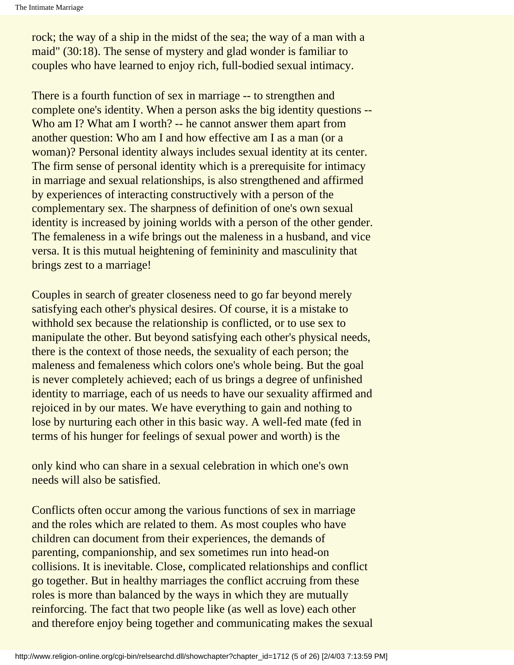rock; the way of a ship in the midst of the sea; the way of a man with a maid" (30:18). The sense of mystery and glad wonder is familiar to couples who have learned to enjoy rich, full-bodied sexual intimacy.

There is a fourth function of sex in marriage -- to strengthen and complete one's identity. When a person asks the big identity questions -- Who am I? What am I worth? -- he cannot answer them apart from another question: Who am I and how effective am I as a man (or a woman)? Personal identity always includes sexual identity at its center. The firm sense of personal identity which is a prerequisite for intimacy in marriage and sexual relationships, is also strengthened and affirmed by experiences of interacting constructively with a person of the complementary sex. The sharpness of definition of one's own sexual identity is increased by joining worlds with a person of the other gender. The femaleness in a wife brings out the maleness in a husband, and vice versa. It is this mutual heightening of femininity and masculinity that brings zest to a marriage!

Couples in search of greater closeness need to go far beyond merely satisfying each other's physical desires. Of course, it is a mistake to withhold sex because the relationship is conflicted, or to use sex to manipulate the other. But beyond satisfying each other's physical needs, there is the context of those needs, the sexuality of each person; the maleness and femaleness which colors one's whole being. But the goal is never completely achieved; each of us brings a degree of unfinished identity to marriage, each of us needs to have our sexuality affirmed and rejoiced in by our mates. We have everything to gain and nothing to lose by nurturing each other in this basic way. A well-fed mate (fed in terms of his hunger for feelings of sexual power and worth) is the

only kind who can share in a sexual celebration in which one's own needs will also be satisfied.

Conflicts often occur among the various functions of sex in marriage and the roles which are related to them. As most couples who have children can document from their experiences, the demands of parenting, companionship, and sex sometimes run into head-on collisions. It is inevitable. Close, complicated relationships and conflict go together. But in healthy marriages the conflict accruing from these roles is more than balanced by the ways in which they are mutually reinforcing. The fact that two people like (as well as love) each other and therefore enjoy being together and communicating makes the sexual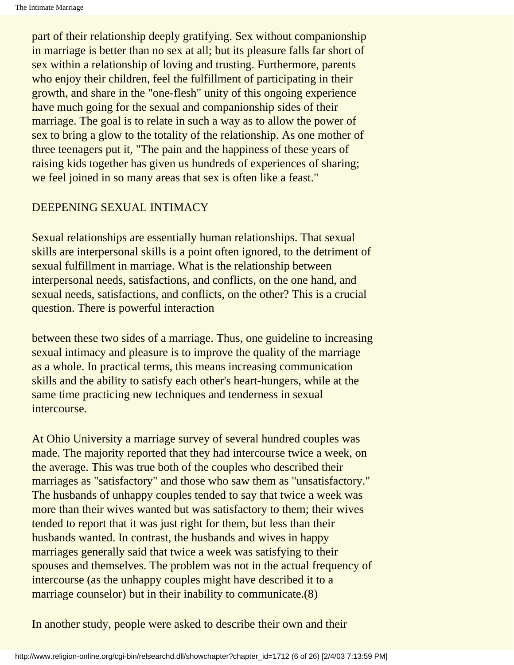part of their relationship deeply gratifying. Sex without companionship in marriage is better than no sex at all; but its pleasure falls far short of sex within a relationship of loving and trusting. Furthermore, parents who enjoy their children, feel the fulfillment of participating in their growth, and share in the "one-flesh" unity of this ongoing experience have much going for the sexual and companionship sides of their marriage. The goal is to relate in such a way as to allow the power of sex to bring a glow to the totality of the relationship. As one mother of three teenagers put it, "The pain and the happiness of these years of raising kids together has given us hundreds of experiences of sharing; we feel joined in so many areas that sex is often like a feast."

#### DEEPENING SEXUAL INTIMACY

Sexual relationships are essentially human relationships. That sexual skills are interpersonal skills is a point often ignored, to the detriment of sexual fulfillment in marriage. What is the relationship between interpersonal needs, satisfactions, and conflicts, on the one hand, and sexual needs, satisfactions, and conflicts, on the other? This is a crucial question. There is powerful interaction

between these two sides of a marriage. Thus, one guideline to increasing sexual intimacy and pleasure is to improve the quality of the marriage as a whole. In practical terms, this means increasing communication skills and the ability to satisfy each other's heart-hungers, while at the same time practicing new techniques and tenderness in sexual intercourse.

At Ohio University a marriage survey of several hundred couples was made. The majority reported that they had intercourse twice a week, on the average. This was true both of the couples who described their marriages as "satisfactory" and those who saw them as "unsatisfactory." The husbands of unhappy couples tended to say that twice a week was more than their wives wanted but was satisfactory to them; their wives tended to report that it was just right for them, but less than their husbands wanted. In contrast, the husbands and wives in happy marriages generally said that twice a week was satisfying to their spouses and themselves. The problem was not in the actual frequency of intercourse (as the unhappy couples might have described it to a marriage counselor) but in their inability to communicate.(8)

In another study, people were asked to describe their own and their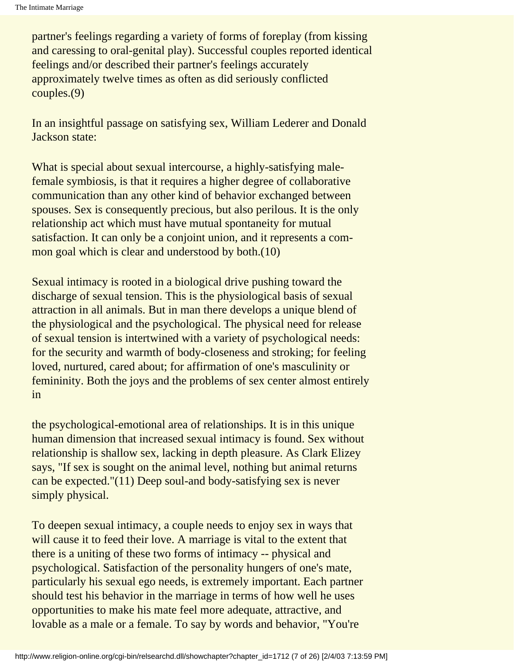partner's feelings regarding a variety of forms of foreplay (from kissing and caressing to oral-genital play). Successful couples reported identical feelings and/or described their partner's feelings accurately approximately twelve times as often as did seriously conflicted couples.(9)

In an insightful passage on satisfying sex, William Lederer and Donald Jackson state:

What is special about sexual intercourse, a highly-satisfying malefemale symbiosis, is that it requires a higher degree of collaborative communication than any other kind of behavior exchanged between spouses. Sex is consequently precious, but also perilous. It is the only relationship act which must have mutual spontaneity for mutual satisfaction. It can only be a conjoint union, and it represents a common goal which is clear and understood by both.(10)

Sexual intimacy is rooted in a biological drive pushing toward the discharge of sexual tension. This is the physiological basis of sexual attraction in all animals. But in man there develops a unique blend of the physiological and the psychological. The physical need for release of sexual tension is intertwined with a variety of psychological needs: for the security and warmth of body-closeness and stroking; for feeling loved, nurtured, cared about; for affirmation of one's masculinity or femininity. Both the joys and the problems of sex center almost entirely in

the psychological-emotional area of relationships. It is in this unique human dimension that increased sexual intimacy is found. Sex without relationship is shallow sex, lacking in depth pleasure. As Clark Elizey says, "If sex is sought on the animal level, nothing but animal returns can be expected."(11) Deep soul-and body-satisfying sex is never simply physical.

To deepen sexual intimacy, a couple needs to enjoy sex in ways that will cause it to feed their love. A marriage is vital to the extent that there is a uniting of these two forms of intimacy -- physical and psychological. Satisfaction of the personality hungers of one's mate, particularly his sexual ego needs, is extremely important. Each partner should test his behavior in the marriage in terms of how well he uses opportunities to make his mate feel more adequate, attractive, and lovable as a male or a female. To say by words and behavior, "You're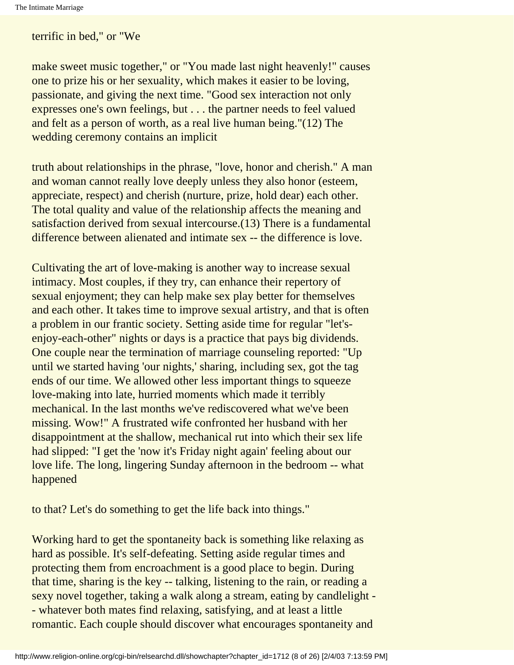#### terrific in bed," or "We

make sweet music together," or "You made last night heavenly!" causes one to prize his or her sexuality, which makes it easier to be loving, passionate, and giving the next time. "Good sex interaction not only expresses one's own feelings, but . . . the partner needs to feel valued and felt as a person of worth, as a real live human being."(12) The wedding ceremony contains an implicit

truth about relationships in the phrase, "love, honor and cherish." A man and woman cannot really love deeply unless they also honor (esteem, appreciate, respect) and cherish (nurture, prize, hold dear) each other. The total quality and value of the relationship affects the meaning and satisfaction derived from sexual intercourse.(13) There is a fundamental difference between alienated and intimate sex -- the difference is love.

Cultivating the art of love-making is another way to increase sexual intimacy. Most couples, if they try, can enhance their repertory of sexual enjoyment; they can help make sex play better for themselves and each other. It takes time to improve sexual artistry, and that is often a problem in our frantic society. Setting aside time for regular "let'senjoy-each-other" nights or days is a practice that pays big dividends. One couple near the termination of marriage counseling reported: "Up until we started having 'our nights,' sharing, including sex, got the tag ends of our time. We allowed other less important things to squeeze love-making into late, hurried moments which made it terribly mechanical. In the last months we've rediscovered what we've been missing. Wow!" A frustrated wife confronted her husband with her disappointment at the shallow, mechanical rut into which their sex life had slipped: "I get the 'now it's Friday night again' feeling about our love life. The long, lingering Sunday afternoon in the bedroom -- what happened

to that? Let's do something to get the life back into things."

Working hard to get the spontaneity back is something like relaxing as hard as possible. It's self-defeating. Setting aside regular times and protecting them from encroachment is a good place to begin. During that time, sharing is the key -- talking, listening to the rain, or reading a sexy novel together, taking a walk along a stream, eating by candlelight - - whatever both mates find relaxing, satisfying, and at least a little romantic. Each couple should discover what encourages spontaneity and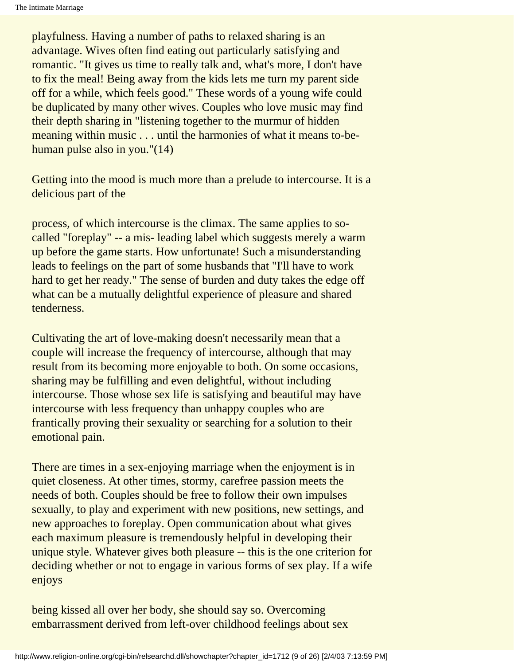playfulness. Having a number of paths to relaxed sharing is an advantage. Wives often find eating out particularly satisfying and romantic. "It gives us time to really talk and, what's more, I don't have to fix the meal! Being away from the kids lets me turn my parent side off for a while, which feels good." These words of a young wife could be duplicated by many other wives. Couples who love music may find their depth sharing in "listening together to the murmur of hidden meaning within music . . . until the harmonies of what it means to-behuman pulse also in you."(14)

Getting into the mood is much more than a prelude to intercourse. It is a delicious part of the

process, of which intercourse is the climax. The same applies to socalled "foreplay" -- a mis- leading label which suggests merely a warm up before the game starts. How unfortunate! Such a misunderstanding leads to feelings on the part of some husbands that "I'll have to work hard to get her ready." The sense of burden and duty takes the edge off what can be a mutually delightful experience of pleasure and shared tenderness.

Cultivating the art of love-making doesn't necessarily mean that a couple will increase the frequency of intercourse, although that may result from its becoming more enjoyable to both. On some occasions, sharing may be fulfilling and even delightful, without including intercourse. Those whose sex life is satisfying and beautiful may have intercourse with less frequency than unhappy couples who are frantically proving their sexuality or searching for a solution to their emotional pain.

There are times in a sex-enjoying marriage when the enjoyment is in quiet closeness. At other times, stormy, carefree passion meets the needs of both. Couples should be free to follow their own impulses sexually, to play and experiment with new positions, new settings, and new approaches to foreplay. Open communication about what gives each maximum pleasure is tremendously helpful in developing their unique style. Whatever gives both pleasure -- this is the one criterion for deciding whether or not to engage in various forms of sex play. If a wife enjoys

being kissed all over her body, she should say so. Overcoming embarrassment derived from left-over childhood feelings about sex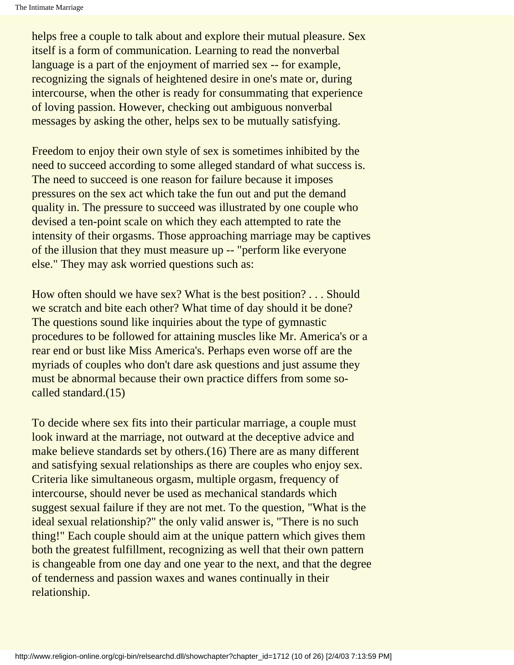helps free a couple to talk about and explore their mutual pleasure. Sex itself is a form of communication. Learning to read the nonverbal language is a part of the enjoyment of married sex -- for example, recognizing the signals of heightened desire in one's mate or, during intercourse, when the other is ready for consummating that experience of loving passion. However, checking out ambiguous nonverbal messages by asking the other, helps sex to be mutually satisfying.

Freedom to enjoy their own style of sex is sometimes inhibited by the need to succeed according to some alleged standard of what success is. The need to succeed is one reason for failure because it imposes pressures on the sex act which take the fun out and put the demand quality in. The pressure to succeed was illustrated by one couple who devised a ten-point scale on which they each attempted to rate the intensity of their orgasms. Those approaching marriage may be captives of the illusion that they must measure up -- "perform like everyone else." They may ask worried questions such as:

How often should we have sex? What is the best position? . . . Should we scratch and bite each other? What time of day should it be done? The questions sound like inquiries about the type of gymnastic procedures to be followed for attaining muscles like Mr. America's or a rear end or bust like Miss America's. Perhaps even worse off are the myriads of couples who don't dare ask questions and just assume they must be abnormal because their own practice differs from some socalled standard.(15)

To decide where sex fits into their particular marriage, a couple must look inward at the marriage, not outward at the deceptive advice and make believe standards set by others.(16) There are as many different and satisfying sexual relationships as there are couples who enjoy sex. Criteria like simultaneous orgasm, multiple orgasm, frequency of intercourse, should never be used as mechanical standards which suggest sexual failure if they are not met. To the question, "What is the ideal sexual relationship?" the only valid answer is, "There is no such thing!" Each couple should aim at the unique pattern which gives them both the greatest fulfillment, recognizing as well that their own pattern is changeable from one day and one year to the next, and that the degree of tenderness and passion waxes and wanes continually in their relationship.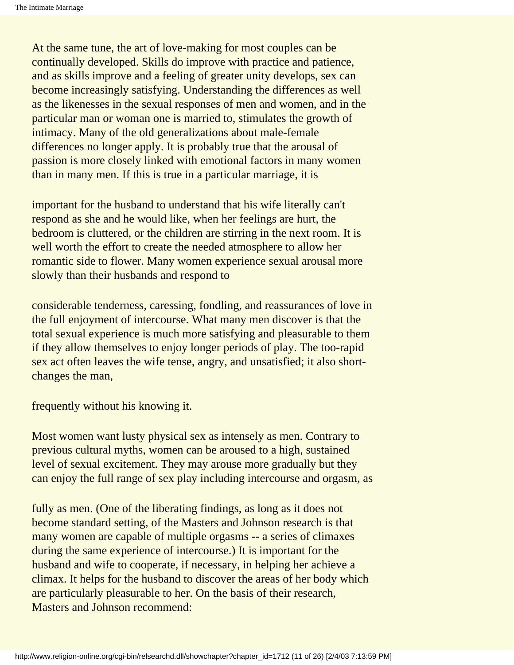At the same tune, the art of love-making for most couples can be continually developed. Skills do improve with practice and patience, and as skills improve and a feeling of greater unity develops, sex can become increasingly satisfying. Understanding the differences as well as the likenesses in the sexual responses of men and women, and in the particular man or woman one is married to, stimulates the growth of intimacy. Many of the old generalizations about male-female differences no longer apply. It is probably true that the arousal of passion is more closely linked with emotional factors in many women than in many men. If this is true in a particular marriage, it is

important for the husband to understand that his wife literally can't respond as she and he would like, when her feelings are hurt, the bedroom is cluttered, or the children are stirring in the next room. It is well worth the effort to create the needed atmosphere to allow her romantic side to flower. Many women experience sexual arousal more slowly than their husbands and respond to

considerable tenderness, caressing, fondling, and reassurances of love in the full enjoyment of intercourse. What many men discover is that the total sexual experience is much more satisfying and pleasurable to them if they allow themselves to enjoy longer periods of play. The too-rapid sex act often leaves the wife tense, angry, and unsatisfied; it also shortchanges the man,

frequently without his knowing it.

Most women want lusty physical sex as intensely as men. Contrary to previous cultural myths, women can be aroused to a high, sustained level of sexual excitement. They may arouse more gradually but they can enjoy the full range of sex play including intercourse and orgasm, as

fully as men. (One of the liberating findings, as long as it does not become standard setting, of the Masters and Johnson research is that many women are capable of multiple orgasms -- a series of climaxes during the same experience of intercourse.) It is important for the husband and wife to cooperate, if necessary, in helping her achieve a climax. It helps for the husband to discover the areas of her body which are particularly pleasurable to her. On the basis of their research, Masters and Johnson recommend: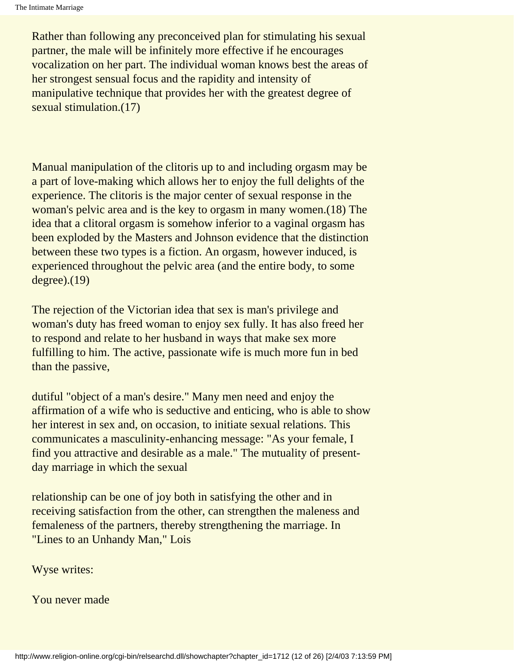Rather than following any preconceived plan for stimulating his sexual partner, the male will be infinitely more effective if he encourages vocalization on her part. The individual woman knows best the areas of her strongest sensual focus and the rapidity and intensity of manipulative technique that provides her with the greatest degree of sexual stimulation.(17)

Manual manipulation of the clitoris up to and including orgasm may be a part of love-making which allows her to enjoy the full delights of the experience. The clitoris is the major center of sexual response in the woman's pelvic area and is the key to orgasm in many women.(18) The idea that a clitoral orgasm is somehow inferior to a vaginal orgasm has been exploded by the Masters and Johnson evidence that the distinction between these two types is a fiction. An orgasm, however induced, is experienced throughout the pelvic area (and the entire body, to some degree).(19)

The rejection of the Victorian idea that sex is man's privilege and woman's duty has freed woman to enjoy sex fully. It has also freed her to respond and relate to her husband in ways that make sex more fulfilling to him. The active, passionate wife is much more fun in bed than the passive,

dutiful "object of a man's desire." Many men need and enjoy the affirmation of a wife who is seductive and enticing, who is able to show her interest in sex and, on occasion, to initiate sexual relations. This communicates a masculinity-enhancing message: "As your female, I find you attractive and desirable as a male." The mutuality of presentday marriage in which the sexual

relationship can be one of joy both in satisfying the other and in receiving satisfaction from the other, can strengthen the maleness and femaleness of the partners, thereby strengthening the marriage. In "Lines to an Unhandy Man," Lois

Wyse writes:

You never made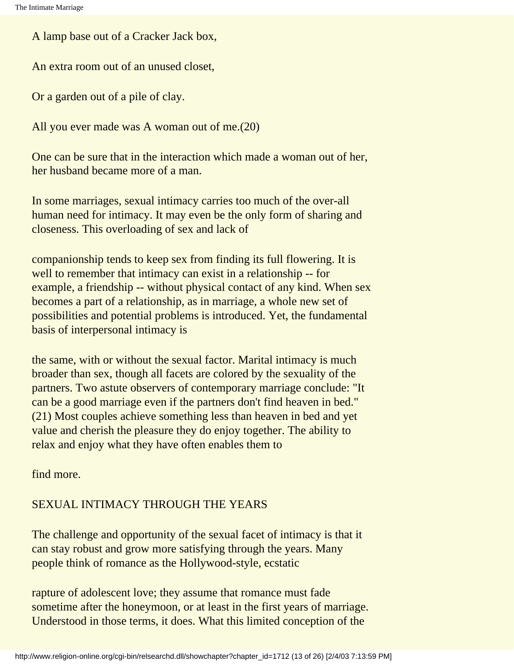A lamp base out of a Cracker Jack box,

An extra room out of an unused closet,

Or a garden out of a pile of clay.

All you ever made was A woman out of me.(20)

One can be sure that in the interaction which made a woman out of her, her husband became more of a man.

In some marriages, sexual intimacy carries too much of the over-all human need for intimacy. It may even be the only form of sharing and closeness. This overloading of sex and lack of

companionship tends to keep sex from finding its full flowering. It is well to remember that intimacy can exist in a relationship -- for example, a friendship -- without physical contact of any kind. When sex becomes a part of a relationship, as in marriage, a whole new set of possibilities and potential problems is introduced. Yet, the fundamental basis of interpersonal intimacy is

the same, with or without the sexual factor. Marital intimacy is much broader than sex, though all facets are colored by the sexuality of the partners. Two astute observers of contemporary marriage conclude: "It can be a good marriage even if the partners don't find heaven in bed." (21) Most couples achieve something less than heaven in bed and yet value and cherish the pleasure they do enjoy together. The ability to relax and enjoy what they have often enables them to

find more.

#### SEXUAL INTIMACY THROUGH THE YEARS

The challenge and opportunity of the sexual facet of intimacy is that it can stay robust and grow more satisfying through the years. Many people think of romance as the Hollywood-style, ecstatic

rapture of adolescent love; they assume that romance must fade sometime after the honeymoon, or at least in the first years of marriage. Understood in those terms, it does. What this limited conception of the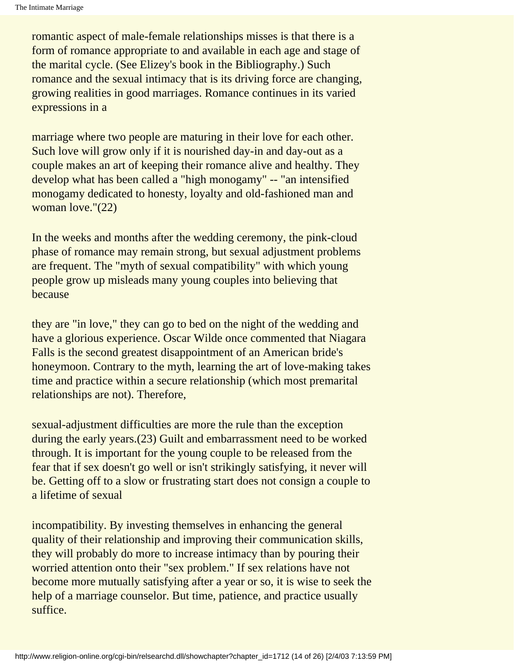romantic aspect of male-female relationships misses is that there is a form of romance appropriate to and available in each age and stage of the marital cycle. (See Elizey's book in the Bibliography.) Such romance and the sexual intimacy that is its driving force are changing, growing realities in good marriages. Romance continues in its varied expressions in a

marriage where two people are maturing in their love for each other. Such love will grow only if it is nourished day-in and day-out as a couple makes an art of keeping their romance alive and healthy. They develop what has been called a "high monogamy" -- "an intensified monogamy dedicated to honesty, loyalty and old-fashioned man and woman love."(22)

In the weeks and months after the wedding ceremony, the pink-cloud phase of romance may remain strong, but sexual adjustment problems are frequent. The "myth of sexual compatibility" with which young people grow up misleads many young couples into believing that because

they are "in love," they can go to bed on the night of the wedding and have a glorious experience. Oscar Wilde once commented that Niagara Falls is the second greatest disappointment of an American bride's honeymoon. Contrary to the myth, learning the art of love-making takes time and practice within a secure relationship (which most premarital relationships are not). Therefore,

sexual-adjustment difficulties are more the rule than the exception during the early years.(23) Guilt and embarrassment need to be worked through. It is important for the young couple to be released from the fear that if sex doesn't go well or isn't strikingly satisfying, it never will be. Getting off to a slow or frustrating start does not consign a couple to a lifetime of sexual

incompatibility. By investing themselves in enhancing the general quality of their relationship and improving their communication skills, they will probably do more to increase intimacy than by pouring their worried attention onto their "sex problem." If sex relations have not become more mutually satisfying after a year or so, it is wise to seek the help of a marriage counselor. But time, patience, and practice usually suffice.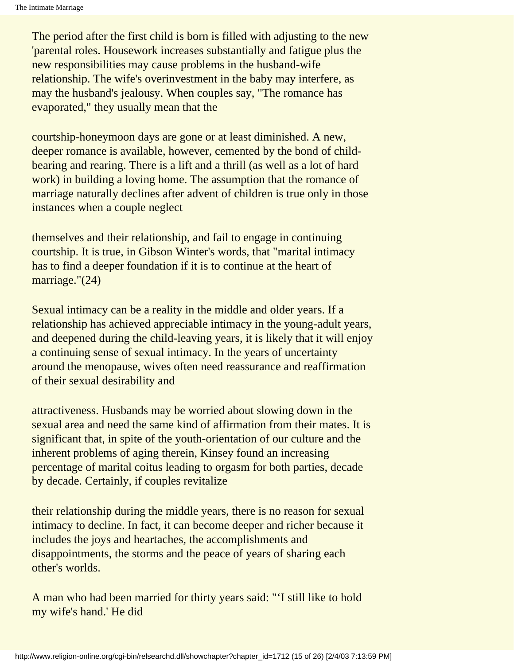The period after the first child is born is filled with adjusting to the new 'parental roles. Housework increases substantially and fatigue plus the new responsibilities may cause problems in the husband-wife relationship. The wife's overinvestment in the baby may interfere, as may the husband's jealousy. When couples say, "The romance has evaporated," they usually mean that the

courtship-honeymoon days are gone or at least diminished. A new, deeper romance is available, however, cemented by the bond of childbearing and rearing. There is a lift and a thrill (as well as a lot of hard work) in building a loving home. The assumption that the romance of marriage naturally declines after advent of children is true only in those instances when a couple neglect

themselves and their relationship, and fail to engage in continuing courtship. It is true, in Gibson Winter's words, that "marital intimacy has to find a deeper foundation if it is to continue at the heart of marriage."(24)

Sexual intimacy can be a reality in the middle and older years. If a relationship has achieved appreciable intimacy in the young-adult years, and deepened during the child-leaving years, it is likely that it will enjoy a continuing sense of sexual intimacy. In the years of uncertainty around the menopause, wives often need reassurance and reaffirmation of their sexual desirability and

attractiveness. Husbands may be worried about slowing down in the sexual area and need the same kind of affirmation from their mates. It is significant that, in spite of the youth-orientation of our culture and the inherent problems of aging therein, Kinsey found an increasing percentage of marital coitus leading to orgasm for both parties, decade by decade. Certainly, if couples revitalize

their relationship during the middle years, there is no reason for sexual intimacy to decline. In fact, it can become deeper and richer because it includes the joys and heartaches, the accomplishments and disappointments, the storms and the peace of years of sharing each other's worlds.

A man who had been married for thirty years said: "'I still like to hold my wife's hand.' He did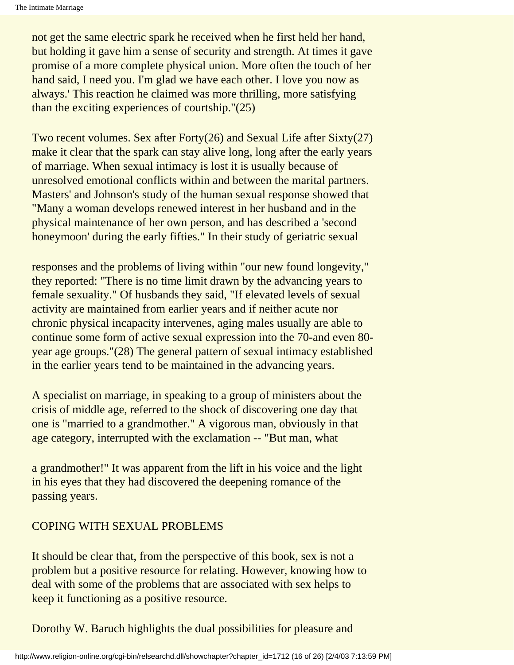not get the same electric spark he received when he first held her hand, but holding it gave him a sense of security and strength. At times it gave promise of a more complete physical union. More often the touch of her hand said, I need you. I'm glad we have each other. I love you now as always.' This reaction he claimed was more thrilling, more satisfying than the exciting experiences of courtship."(25)

Two recent volumes. Sex after Forty(26) and Sexual Life after Sixty(27) make it clear that the spark can stay alive long, long after the early years of marriage. When sexual intimacy is lost it is usually because of unresolved emotional conflicts within and between the marital partners. Masters' and Johnson's study of the human sexual response showed that "Many a woman develops renewed interest in her husband and in the physical maintenance of her own person, and has described a 'second honeymoon' during the early fifties." In their study of geriatric sexual

responses and the problems of living within "our new found longevity," they reported: "There is no time limit drawn by the advancing years to female sexuality." Of husbands they said, "If elevated levels of sexual activity are maintained from earlier years and if neither acute nor chronic physical incapacity intervenes, aging males usually are able to continue some form of active sexual expression into the 70-and even 80 year age groups."(28) The general pattern of sexual intimacy established in the earlier years tend to be maintained in the advancing years.

A specialist on marriage, in speaking to a group of ministers about the crisis of middle age, referred to the shock of discovering one day that one is "married to a grandmother." A vigorous man, obviously in that age category, interrupted with the exclamation -- "But man, what

a grandmother!" It was apparent from the lift in his voice and the light in his eyes that they had discovered the deepening romance of the passing years.

#### COPING WITH SEXUAL PROBLEMS

It should be clear that, from the perspective of this book, sex is not a problem but a positive resource for relating. However, knowing how to deal with some of the problems that are associated with sex helps to keep it functioning as a positive resource.

Dorothy W. Baruch highlights the dual possibilities for pleasure and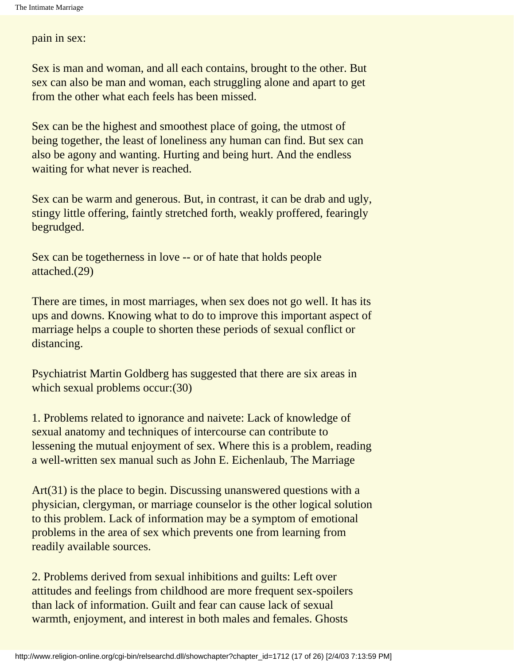#### pain in sex:

Sex is man and woman, and all each contains, brought to the other. But sex can also be man and woman, each struggling alone and apart to get from the other what each feels has been missed.

Sex can be the highest and smoothest place of going, the utmost of being together, the least of loneliness any human can find. But sex can also be agony and wanting. Hurting and being hurt. And the endless waiting for what never is reached.

Sex can be warm and generous. But, in contrast, it can be drab and ugly, stingy little offering, faintly stretched forth, weakly proffered, fearingly begrudged.

Sex can be togetherness in love -- or of hate that holds people attached.(29)

There are times, in most marriages, when sex does not go well. It has its ups and downs. Knowing what to do to improve this important aspect of marriage helps a couple to shorten these periods of sexual conflict or distancing.

Psychiatrist Martin Goldberg has suggested that there are six areas in which sexual problems occur: (30)

1. Problems related to ignorance and naivete: Lack of knowledge of sexual anatomy and techniques of intercourse can contribute to lessening the mutual enjoyment of sex. Where this is a problem, reading a well-written sex manual such as John E. Eichenlaub, The Marriage

Art(31) is the place to begin. Discussing unanswered questions with a physician, clergyman, or marriage counselor is the other logical solution to this problem. Lack of information may be a symptom of emotional problems in the area of sex which prevents one from learning from readily available sources.

2. Problems derived from sexual inhibitions and guilts: Left over attitudes and feelings from childhood are more frequent sex-spoilers than lack of information. Guilt and fear can cause lack of sexual warmth, enjoyment, and interest in both males and females. Ghosts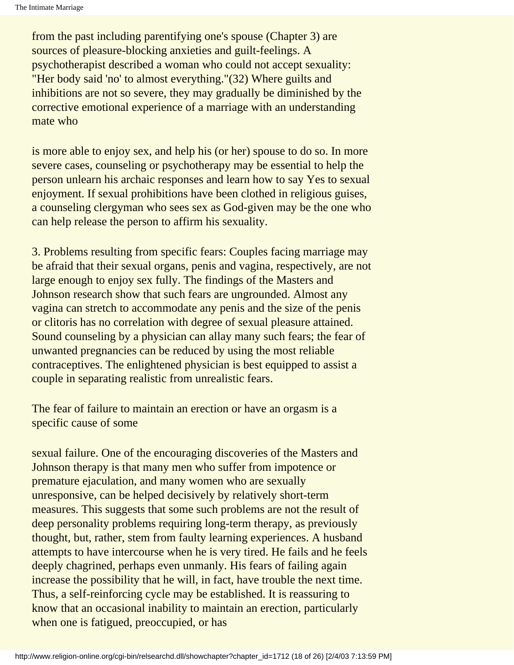from the past including parentifying one's spouse (Chapter 3) are sources of pleasure-blocking anxieties and guilt-feelings. A psychotherapist described a woman who could not accept sexuality: "Her body said 'no' to almost everything."(32) Where guilts and inhibitions are not so severe, they may gradually be diminished by the corrective emotional experience of a marriage with an understanding mate who

is more able to enjoy sex, and help his (or her) spouse to do so. In more severe cases, counseling or psychotherapy may be essential to help the person unlearn his archaic responses and learn how to say Yes to sexual enjoyment. If sexual prohibitions have been clothed in religious guises, a counseling clergyman who sees sex as God-given may be the one who can help release the person to affirm his sexuality.

3. Problems resulting from specific fears: Couples facing marriage may be afraid that their sexual organs, penis and vagina, respectively, are not large enough to enjoy sex fully. The findings of the Masters and Johnson research show that such fears are ungrounded. Almost any vagina can stretch to accommodate any penis and the size of the penis or clitoris has no correlation with degree of sexual pleasure attained. Sound counseling by a physician can allay many such fears; the fear of unwanted pregnancies can be reduced by using the most reliable contraceptives. The enlightened physician is best equipped to assist a couple in separating realistic from unrealistic fears.

The fear of failure to maintain an erection or have an orgasm is a specific cause of some

sexual failure. One of the encouraging discoveries of the Masters and Johnson therapy is that many men who suffer from impotence or premature ejaculation, and many women who are sexually unresponsive, can be helped decisively by relatively short-term measures. This suggests that some such problems are not the result of deep personality problems requiring long-term therapy, as previously thought, but, rather, stem from faulty learning experiences. A husband attempts to have intercourse when he is very tired. He fails and he feels deeply chagrined, perhaps even unmanly. His fears of failing again increase the possibility that he will, in fact, have trouble the next time. Thus, a self-reinforcing cycle may be established. It is reassuring to know that an occasional inability to maintain an erection, particularly when one is fatigued, preoccupied, or has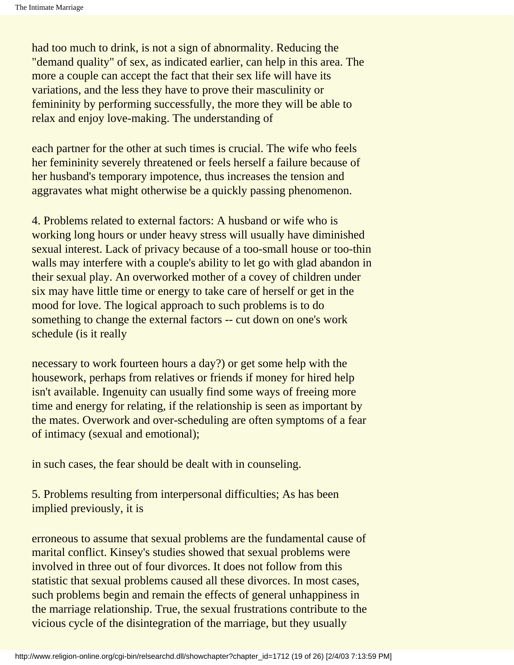had too much to drink, is not a sign of abnormality. Reducing the "demand quality" of sex, as indicated earlier, can help in this area. The more a couple can accept the fact that their sex life will have its variations, and the less they have to prove their masculinity or femininity by performing successfully, the more they will be able to relax and enjoy love-making. The understanding of

each partner for the other at such times is crucial. The wife who feels her femininity severely threatened or feels herself a failure because of her husband's temporary impotence, thus increases the tension and aggravates what might otherwise be a quickly passing phenomenon.

4. Problems related to external factors: A husband or wife who is working long hours or under heavy stress will usually have diminished sexual interest. Lack of privacy because of a too-small house or too-thin walls may interfere with a couple's ability to let go with glad abandon in their sexual play. An overworked mother of a covey of children under six may have little time or energy to take care of herself or get in the mood for love. The logical approach to such problems is to do something to change the external factors -- cut down on one's work schedule (is it really

necessary to work fourteen hours a day?) or get some help with the housework, perhaps from relatives or friends if money for hired help isn't available. Ingenuity can usually find some ways of freeing more time and energy for relating, if the relationship is seen as important by the mates. Overwork and over-scheduling are often symptoms of a fear of intimacy (sexual and emotional);

in such cases, the fear should be dealt with in counseling.

5. Problems resulting from interpersonal difficulties; As has been implied previously, it is

erroneous to assume that sexual problems are the fundamental cause of marital conflict. Kinsey's studies showed that sexual problems were involved in three out of four divorces. It does not follow from this statistic that sexual problems caused all these divorces. In most cases, such problems begin and remain the effects of general unhappiness in the marriage relationship. True, the sexual frustrations contribute to the vicious cycle of the disintegration of the marriage, but they usually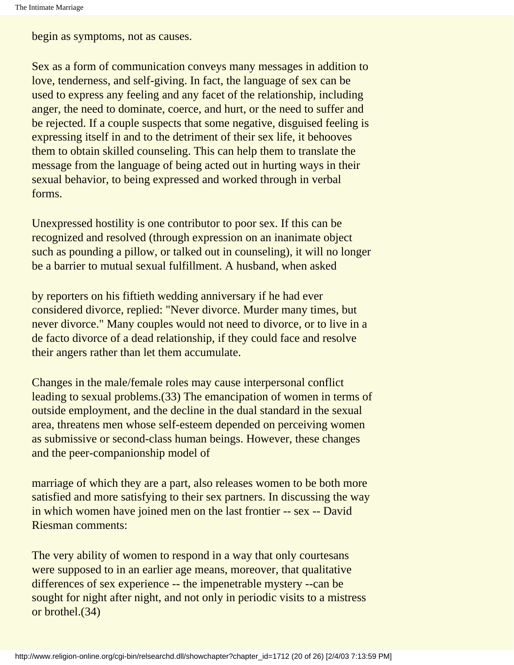begin as symptoms, not as causes.

Sex as a form of communication conveys many messages in addition to love, tenderness, and self-giving. In fact, the language of sex can be used to express any feeling and any facet of the relationship, including anger, the need to dominate, coerce, and hurt, or the need to suffer and be rejected. If a couple suspects that some negative, disguised feeling is expressing itself in and to the detriment of their sex life, it behooves them to obtain skilled counseling. This can help them to translate the message from the language of being acted out in hurting ways in their sexual behavior, to being expressed and worked through in verbal forms.

Unexpressed hostility is one contributor to poor sex. If this can be recognized and resolved (through expression on an inanimate object such as pounding a pillow, or talked out in counseling), it will no longer be a barrier to mutual sexual fulfillment. A husband, when asked

by reporters on his fiftieth wedding anniversary if he had ever considered divorce, replied: "Never divorce. Murder many times, but never divorce." Many couples would not need to divorce, or to live in a de facto divorce of a dead relationship, if they could face and resolve their angers rather than let them accumulate.

Changes in the male/female roles may cause interpersonal conflict leading to sexual problems.(33) The emancipation of women in terms of outside employment, and the decline in the dual standard in the sexual area, threatens men whose self-esteem depended on perceiving women as submissive or second-class human beings. However, these changes and the peer-companionship model of

marriage of which they are a part, also releases women to be both more satisfied and more satisfying to their sex partners. In discussing the way in which women have joined men on the last frontier -- sex -- David Riesman comments:

The very ability of women to respond in a way that only courtesans were supposed to in an earlier age means, moreover, that qualitative differences of sex experience -- the impenetrable mystery --can be sought for night after night, and not only in periodic visits to a mistress or brothel.(34)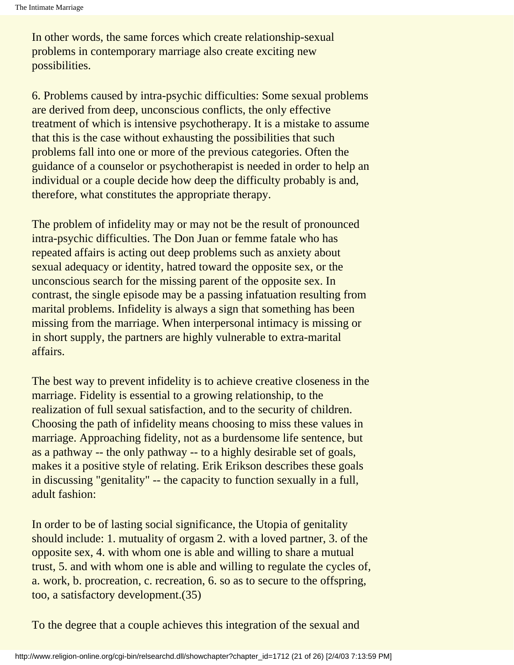In other words, the same forces which create relationship-sexual problems in contemporary marriage also create exciting new possibilities.

6. Problems caused by intra-psychic difficulties: Some sexual problems are derived from deep, unconscious conflicts, the only effective treatment of which is intensive psychotherapy. It is a mistake to assume that this is the case without exhausting the possibilities that such problems fall into one or more of the previous categories. Often the guidance of a counselor or psychotherapist is needed in order to help an individual or a couple decide how deep the difficulty probably is and, therefore, what constitutes the appropriate therapy.

The problem of infidelity may or may not be the result of pronounced intra-psychic difficulties. The Don Juan or femme fatale who has repeated affairs is acting out deep problems such as anxiety about sexual adequacy or identity, hatred toward the opposite sex, or the unconscious search for the missing parent of the opposite sex. In contrast, the single episode may be a passing infatuation resulting from marital problems. Infidelity is always a sign that something has been missing from the marriage. When interpersonal intimacy is missing or in short supply, the partners are highly vulnerable to extra-marital affairs.

The best way to prevent infidelity is to achieve creative closeness in the marriage. Fidelity is essential to a growing relationship, to the realization of full sexual satisfaction, and to the security of children. Choosing the path of infidelity means choosing to miss these values in marriage. Approaching fidelity, not as a burdensome life sentence, but as a pathway -- the only pathway -- to a highly desirable set of goals, makes it a positive style of relating. Erik Erikson describes these goals in discussing "genitality" -- the capacity to function sexually in a full, adult fashion:

In order to be of lasting social significance, the Utopia of genitality should include: 1. mutuality of orgasm 2. with a loved partner, 3. of the opposite sex, 4. with whom one is able and willing to share a mutual trust, 5. and with whom one is able and willing to regulate the cycles of, a. work, b. procreation, c. recreation, 6. so as to secure to the offspring, too, a satisfactory development.(35)

To the degree that a couple achieves this integration of the sexual and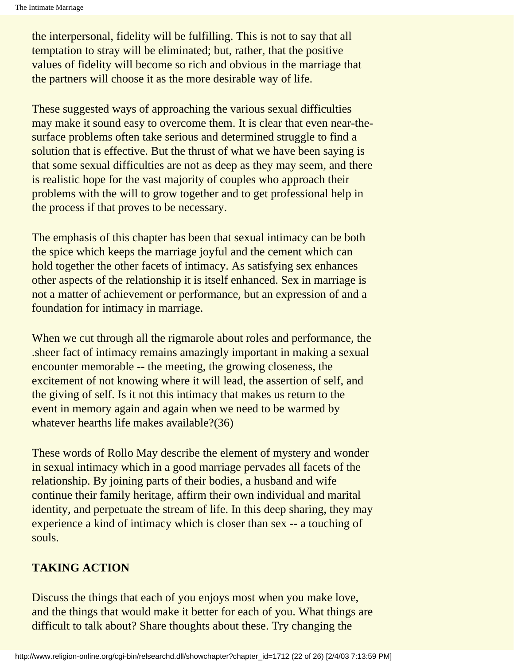the interpersonal, fidelity will be fulfilling. This is not to say that all temptation to stray will be eliminated; but, rather, that the positive values of fidelity will become so rich and obvious in the marriage that the partners will choose it as the more desirable way of life.

These suggested ways of approaching the various sexual difficulties may make it sound easy to overcome them. It is clear that even near-thesurface problems often take serious and determined struggle to find a solution that is effective. But the thrust of what we have been saying is that some sexual difficulties are not as deep as they may seem, and there is realistic hope for the vast majority of couples who approach their problems with the will to grow together and to get professional help in the process if that proves to be necessary.

The emphasis of this chapter has been that sexual intimacy can be both the spice which keeps the marriage joyful and the cement which can hold together the other facets of intimacy. As satisfying sex enhances other aspects of the relationship it is itself enhanced. Sex in marriage is not a matter of achievement or performance, but an expression of and a foundation for intimacy in marriage.

When we cut through all the rigmarole about roles and performance, the .sheer fact of intimacy remains amazingly important in making a sexual encounter memorable -- the meeting, the growing closeness, the excitement of not knowing where it will lead, the assertion of self, and the giving of self. Is it not this intimacy that makes us return to the event in memory again and again when we need to be warmed by whatever hearths life makes available?(36)

These words of Rollo May describe the element of mystery and wonder in sexual intimacy which in a good marriage pervades all facets of the relationship. By joining parts of their bodies, a husband and wife continue their family heritage, affirm their own individual and marital identity, and perpetuate the stream of life. In this deep sharing, they may experience a kind of intimacy which is closer than sex -- a touching of souls.

#### **TAKING ACTION**

Discuss the things that each of you enjoys most when you make love, and the things that would make it better for each of you. What things are difficult to talk about? Share thoughts about these. Try changing the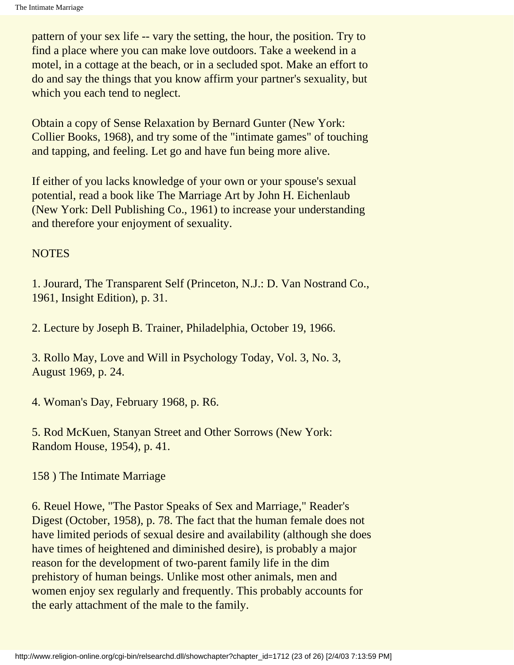pattern of your sex life -- vary the setting, the hour, the position. Try to find a place where you can make love outdoors. Take a weekend in a motel, in a cottage at the beach, or in a secluded spot. Make an effort to do and say the things that you know affirm your partner's sexuality, but which you each tend to neglect.

Obtain a copy of Sense Relaxation by Bernard Gunter (New York: Collier Books, 1968), and try some of the "intimate games" of touching and tapping, and feeling. Let go and have fun being more alive.

If either of you lacks knowledge of your own or your spouse's sexual potential, read a book like The Marriage Art by John H. Eichenlaub (New York: Dell Publishing Co., 1961) to increase your understanding and therefore your enjoyment of sexuality.

### **NOTES**

1. Jourard, The Transparent Self (Princeton, N.J.: D. Van Nostrand Co., 1961, Insight Edition), p. 31.

2. Lecture by Joseph B. Trainer, Philadelphia, October 19, 1966.

3. Rollo May, Love and Will in Psychology Today, Vol. 3, No. 3, August 1969, p. 24.

4. Woman's Day, February 1968, p. R6.

5. Rod McKuen, Stanyan Street and Other Sorrows (New York: Random House, 1954), p. 41.

158 ) The Intimate Marriage

6. Reuel Howe, "The Pastor Speaks of Sex and Marriage," Reader's Digest (October, 1958), p. 78. The fact that the human female does not have limited periods of sexual desire and availability (although she does have times of heightened and diminished desire), is probably a major reason for the development of two-parent family life in the dim prehistory of human beings. Unlike most other animals, men and women enjoy sex regularly and frequently. This probably accounts for the early attachment of the male to the family.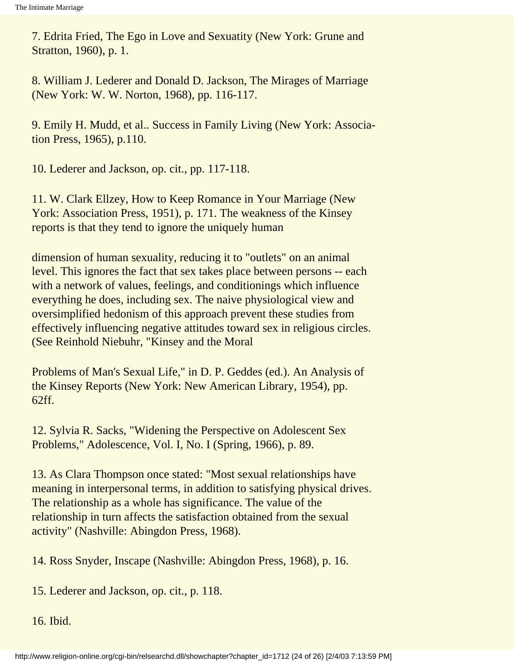7. Edrita Fried, The Ego in Love and Sexuatity (New York: Grune and Stratton, 1960), p. 1.

8. William J. Lederer and Donald D. Jackson, The Mirages of Marriage (New York: W. W. Norton, 1968), pp. 116-117.

9. Emily H. Mudd, et al.. Success in Family Living (New York: Association Press, 1965), p.110.

10. Lederer and Jackson, op. cit., pp. 117-118.

11. W. Clark Ellzey, How to Keep Romance in Your Marriage (New York: Association Press, 1951), p. 171. The weakness of the Kinsey reports is that they tend to ignore the uniquely human

dimension of human sexuality, reducing it to "outlets" on an animal level. This ignores the fact that sex takes place between persons -- each with a network of values, feelings, and conditionings which influence everything he does, including sex. The naive physiological view and oversimplified hedonism of this approach prevent these studies from effectively influencing negative attitudes toward sex in religious circles. (See Reinhold Niebuhr, "Kinsey and the Moral

Problems of Man's Sexual Life," in D. P. Geddes (ed.). An Analysis of the Kinsey Reports (New York: New American Library, 1954), pp. 62ff.

12. Sylvia R. Sacks, "Widening the Perspective on Adolescent Sex Problems," Adolescence, Vol. I, No. I (Spring, 1966), p. 89.

13. As Clara Thompson once stated: "Most sexual relationships have meaning in interpersonal terms, in addition to satisfying physical drives. The relationship as a whole has significance. The value of the relationship in turn affects the satisfaction obtained from the sexual activity" (Nashville: Abingdon Press, 1968).

14. Ross Snyder, Inscape (Nashville: Abingdon Press, 1968), p. 16.

15. Lederer and Jackson, op. cit., p. 118.

16. Ibid.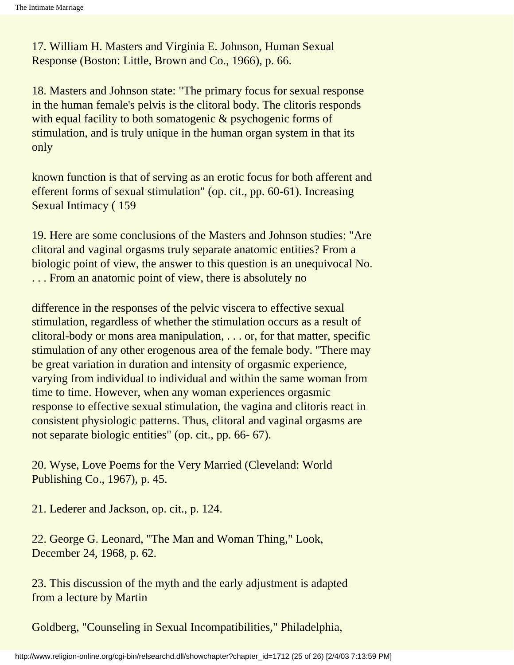17. William H. Masters and Virginia E. Johnson, Human Sexual Response (Boston: Little, Brown and Co., 1966), p. 66.

18. Masters and Johnson state: "The primary focus for sexual response in the human female's pelvis is the clitoral body. The clitoris responds with equal facility to both somatogenic & psychogenic forms of stimulation, and is truly unique in the human organ system in that its only

known function is that of serving as an erotic focus for both afferent and efferent forms of sexual stimulation" (op. cit., pp. 60-61). Increasing Sexual Intimacy ( 159

19. Here are some conclusions of the Masters and Johnson studies: "Are clitoral and vaginal orgasms truly separate anatomic entities? From a biologic point of view, the answer to this question is an unequivocal No. ... From an anatomic point of view, there is absolutely no

difference in the responses of the pelvic viscera to effective sexual stimulation, regardless of whether the stimulation occurs as a result of clitoral-body or mons area manipulation, . . . or, for that matter, specific stimulation of any other erogenous area of the female body. "There may be great variation in duration and intensity of orgasmic experience, varying from individual to individual and within the same woman from time to time. However, when any woman experiences orgasmic response to effective sexual stimulation, the vagina and clitoris react in consistent physiologic patterns. Thus, clitoral and vaginal orgasms are not separate biologic entities" (op. cit., pp. 66- 67).

20. Wyse, Love Poems for the Very Married (Cleveland: World Publishing Co., 1967), p. 45.

21. Lederer and Jackson, op. cit., p. 124.

22. George G. Leonard, "The Man and Woman Thing," Look, December 24, 1968, p. 62.

23. This discussion of the myth and the early adjustment is adapted from a lecture by Martin

Goldberg, "Counseling in Sexual Incompatibilities," Philadelphia,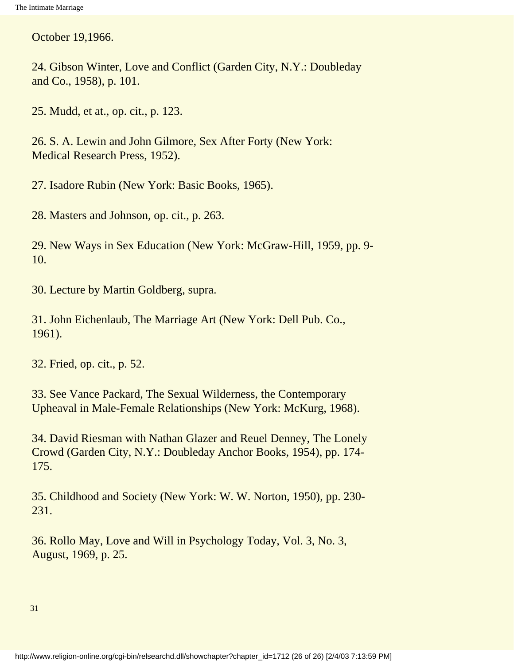October 19,1966.

24. Gibson Winter, Love and Conflict (Garden City, N.Y.: Doubleday and Co., 1958), p. 101.

25. Mudd, et at., op. cit., p. 123.

26. S. A. Lewin and John Gilmore, Sex After Forty (New York: Medical Research Press, 1952).

27. Isadore Rubin (New York: Basic Books, 1965).

28. Masters and Johnson, op. cit., p. 263.

29. New Ways in Sex Education (New York: McGraw-Hill, 1959, pp. 9- 10.

30. Lecture by Martin Goldberg, supra.

31. John Eichenlaub, The Marriage Art (New York: Dell Pub. Co., 1961).

32. Fried, op. cit., p. 52.

33. See Vance Packard, The Sexual Wilderness, the Contemporary Upheaval in Male-Female Relationships (New York: McKurg, 1968).

34. David Riesman with Nathan Glazer and Reuel Denney, The Lonely Crowd (Garden City, N.Y.: Doubleday Anchor Books, 1954), pp. 174- 175.

35. Childhood and Society (New York: W. W. Norton, 1950), pp. 230- 231.

36. Rollo May, Love and Will in Psychology Today, Vol. 3, No. 3, August, 1969, p. 25.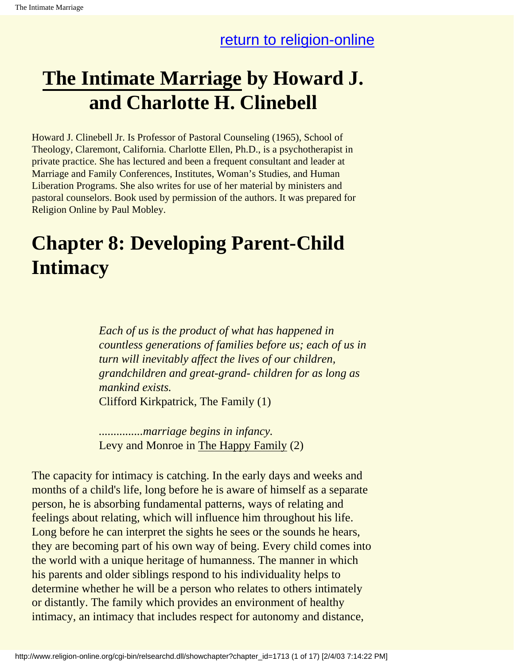# [return to religion-online](http://www.religion-online.org/)

# **The Intimate Marriage by Howard J. and Charlotte H. Clinebell**

Howard J. Clinebell Jr. Is Professor of Pastoral Counseling (1965), School of Theology, Claremont, California. Charlotte Ellen, Ph.D., is a psychotherapist in private practice. She has lectured and been a frequent consultant and leader at Marriage and Family Conferences, Institutes, Woman's Studies, and Human Liberation Programs. She also writes for use of her material by ministers and pastoral counselors. Book used by permission of the authors. It was prepared for Religion Online by Paul Mobley.

# **Chapter 8: Developing Parent-Child Intimacy**

*Each of us is the product of what has happened in countless generations of families before us; each of us in turn will inevitably affect the lives of our children, grandchildren and great-grand- children for as long as mankind exists.* Clifford Kirkpatrick, The Family (1)

*...............marriage begins in infancy.* Levy and Monroe in The Happy Family (2)

The capacity for intimacy is catching. In the early days and weeks and months of a child's life, long before he is aware of himself as a separate person, he is absorbing fundamental patterns, ways of relating and feelings about relating, which will influence him throughout his life. Long before he can interpret the sights he sees or the sounds he hears, they are becoming part of his own way of being. Every child comes into the world with a unique heritage of humanness. The manner in which his parents and older siblings respond to his individuality helps to determine whether he will be a person who relates to others intimately or distantly. The family which provides an environment of healthy intimacy, an intimacy that includes respect for autonomy and distance,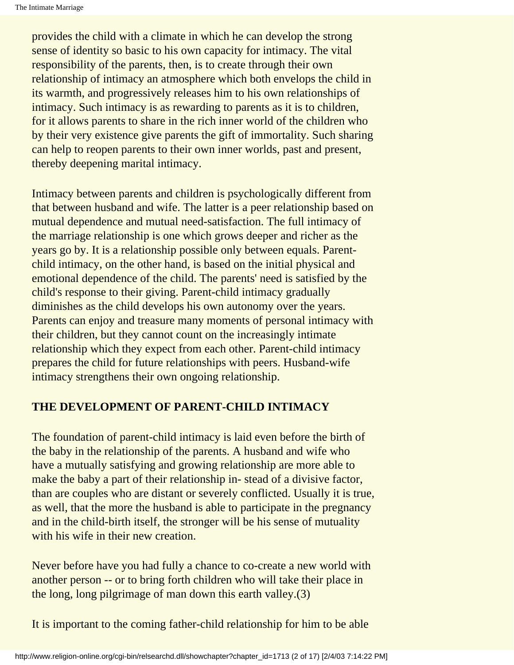provides the child with a climate in which he can develop the strong sense of identity so basic to his own capacity for intimacy. The vital responsibility of the parents, then, is to create through their own relationship of intimacy an atmosphere which both envelops the child in its warmth, and progressively releases him to his own relationships of intimacy. Such intimacy is as rewarding to parents as it is to children, for it allows parents to share in the rich inner world of the children who by their very existence give parents the gift of immortality. Such sharing can help to reopen parents to their own inner worlds, past and present, thereby deepening marital intimacy.

Intimacy between parents and children is psychologically different from that between husband and wife. The latter is a peer relationship based on mutual dependence and mutual need-satisfaction. The full intimacy of the marriage relationship is one which grows deeper and richer as the years go by. It is a relationship possible only between equals. Parentchild intimacy, on the other hand, is based on the initial physical and emotional dependence of the child. The parents' need is satisfied by the child's response to their giving. Parent-child intimacy gradually diminishes as the child develops his own autonomy over the years. Parents can enjoy and treasure many moments of personal intimacy with their children, but they cannot count on the increasingly intimate relationship which they expect from each other. Parent-child intimacy prepares the child for future relationships with peers. Husband-wife intimacy strengthens their own ongoing relationship.

#### **THE DEVELOPMENT OF PARENT-CHILD INTIMACY**

The foundation of parent-child intimacy is laid even before the birth of the baby in the relationship of the parents. A husband and wife who have a mutually satisfying and growing relationship are more able to make the baby a part of their relationship in- stead of a divisive factor, than are couples who are distant or severely conflicted. Usually it is true, as well, that the more the husband is able to participate in the pregnancy and in the child-birth itself, the stronger will be his sense of mutuality with his wife in their new creation.

Never before have you had fully a chance to co-create a new world with another person -- or to bring forth children who will take their place in the long, long pilgrimage of man down this earth valley.(3)

It is important to the coming father-child relationship for him to be able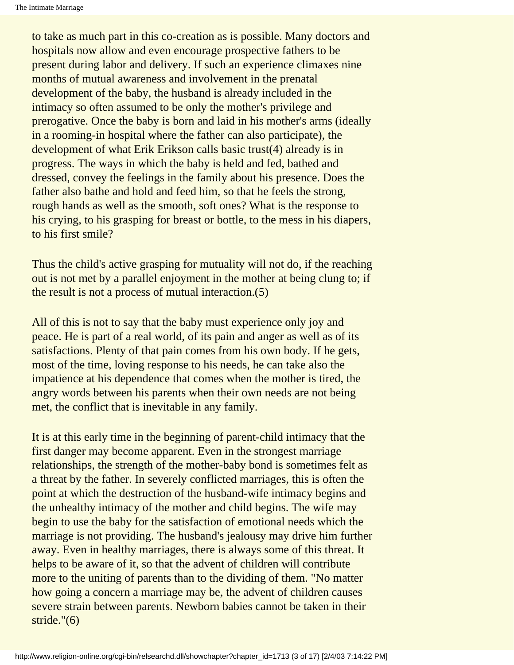to take as much part in this co-creation as is possible. Many doctors and hospitals now allow and even encourage prospective fathers to be present during labor and delivery. If such an experience climaxes nine months of mutual awareness and involvement in the prenatal development of the baby, the husband is already included in the intimacy so often assumed to be only the mother's privilege and prerogative. Once the baby is born and laid in his mother's arms (ideally in a rooming-in hospital where the father can also participate), the development of what Erik Erikson calls basic trust(4) already is in progress. The ways in which the baby is held and fed, bathed and dressed, convey the feelings in the family about his presence. Does the father also bathe and hold and feed him, so that he feels the strong, rough hands as well as the smooth, soft ones? What is the response to his crying, to his grasping for breast or bottle, to the mess in his diapers, to his first smile?

Thus the child's active grasping for mutuality will not do, if the reaching out is not met by a parallel enjoyment in the mother at being clung to; if the result is not a process of mutual interaction.(5)

All of this is not to say that the baby must experience only joy and peace. He is part of a real world, of its pain and anger as well as of its satisfactions. Plenty of that pain comes from his own body. If he gets, most of the time, loving response to his needs, he can take also the impatience at his dependence that comes when the mother is tired, the angry words between his parents when their own needs are not being met, the conflict that is inevitable in any family.

It is at this early time in the beginning of parent-child intimacy that the first danger may become apparent. Even in the strongest marriage relationships, the strength of the mother-baby bond is sometimes felt as a threat by the father. In severely conflicted marriages, this is often the point at which the destruction of the husband-wife intimacy begins and the unhealthy intimacy of the mother and child begins. The wife may begin to use the baby for the satisfaction of emotional needs which the marriage is not providing. The husband's jealousy may drive him further away. Even in healthy marriages, there is always some of this threat. It helps to be aware of it, so that the advent of children will contribute more to the uniting of parents than to the dividing of them. "No matter how going a concern a marriage may be, the advent of children causes severe strain between parents. Newborn babies cannot be taken in their stride."(6)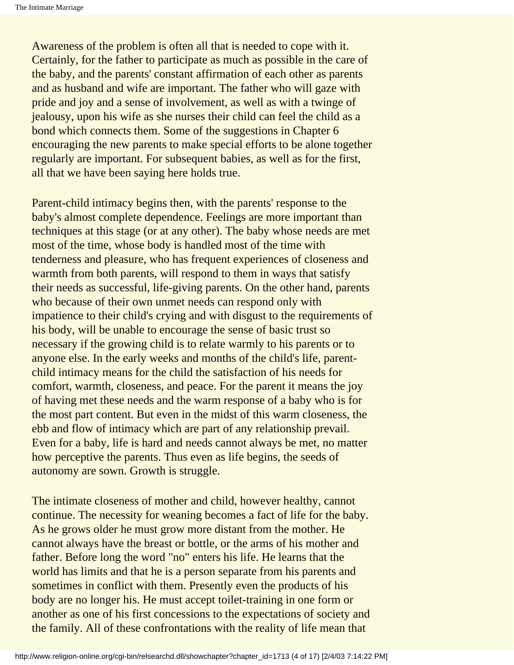Awareness of the problem is often all that is needed to cope with it. Certainly, for the father to participate as much as possible in the care of the baby, and the parents' constant affirmation of each other as parents and as husband and wife are important. The father who will gaze with pride and joy and a sense of involvement, as well as with a twinge of jealousy, upon his wife as she nurses their child can feel the child as a bond which connects them. Some of the suggestions in Chapter 6 encouraging the new parents to make special efforts to be alone together regularly are important. For subsequent babies, as well as for the first, all that we have been saying here holds true.

Parent-child intimacy begins then, with the parents' response to the baby's almost complete dependence. Feelings are more important than techniques at this stage (or at any other). The baby whose needs are met most of the time, whose body is handled most of the time with tenderness and pleasure, who has frequent experiences of closeness and warmth from both parents, will respond to them in ways that satisfy their needs as successful, life-giving parents. On the other hand, parents who because of their own unmet needs can respond only with impatience to their child's crying and with disgust to the requirements of his body, will be unable to encourage the sense of basic trust so necessary if the growing child is to relate warmly to his parents or to anyone else. In the early weeks and months of the child's life, parentchild intimacy means for the child the satisfaction of his needs for comfort, warmth, closeness, and peace. For the parent it means the joy of having met these needs and the warm response of a baby who is for the most part content. But even in the midst of this warm closeness, the ebb and flow of intimacy which are part of any relationship prevail. Even for a baby, life is hard and needs cannot always be met, no matter how perceptive the parents. Thus even as life begins, the seeds of autonomy are sown. Growth is struggle.

The intimate closeness of mother and child, however healthy, cannot continue. The necessity for weaning becomes a fact of life for the baby. As he grows older he must grow more distant from the mother. He cannot always have the breast or bottle, or the arms of his mother and father. Before long the word "no" enters his life. He learns that the world has limits and that he is a person separate from his parents and sometimes in conflict with them. Presently even the products of his body are no longer his. He must accept toilet-training in one form or another as one of his first concessions to the expectations of society and the family. All of these confrontations with the reality of life mean that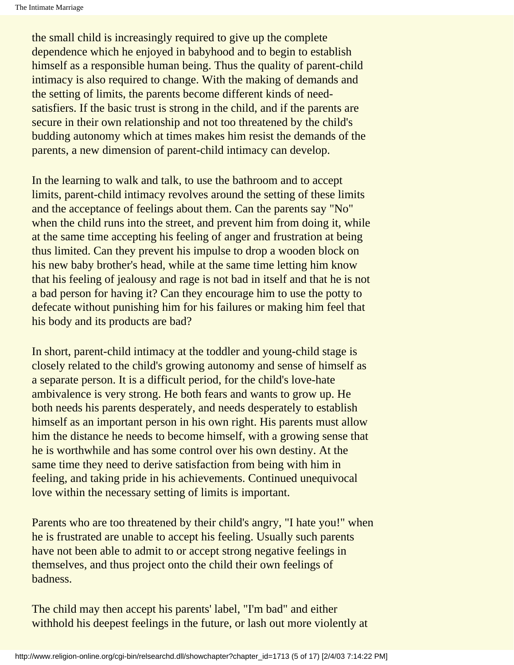the small child is increasingly required to give up the complete dependence which he enjoyed in babyhood and to begin to establish himself as a responsible human being. Thus the quality of parent-child intimacy is also required to change. With the making of demands and the setting of limits, the parents become different kinds of needsatisfiers. If the basic trust is strong in the child, and if the parents are secure in their own relationship and not too threatened by the child's budding autonomy which at times makes him resist the demands of the parents, a new dimension of parent-child intimacy can develop.

In the learning to walk and talk, to use the bathroom and to accept limits, parent-child intimacy revolves around the setting of these limits and the acceptance of feelings about them. Can the parents say "No" when the child runs into the street, and prevent him from doing it, while at the same time accepting his feeling of anger and frustration at being thus limited. Can they prevent his impulse to drop a wooden block on his new baby brother's head, while at the same time letting him know that his feeling of jealousy and rage is not bad in itself and that he is not a bad person for having it? Can they encourage him to use the potty to defecate without punishing him for his failures or making him feel that his body and its products are bad?

In short, parent-child intimacy at the toddler and young-child stage is closely related to the child's growing autonomy and sense of himself as a separate person. It is a difficult period, for the child's love-hate ambivalence is very strong. He both fears and wants to grow up. He both needs his parents desperately, and needs desperately to establish himself as an important person in his own right. His parents must allow him the distance he needs to become himself, with a growing sense that he is worthwhile and has some control over his own destiny. At the same time they need to derive satisfaction from being with him in feeling, and taking pride in his achievements. Continued unequivocal love within the necessary setting of limits is important.

Parents who are too threatened by their child's angry, "I hate you!" when he is frustrated are unable to accept his feeling. Usually such parents have not been able to admit to or accept strong negative feelings in themselves, and thus project onto the child their own feelings of badness.

The child may then accept his parents' label, "I'm bad" and either withhold his deepest feelings in the future, or lash out more violently at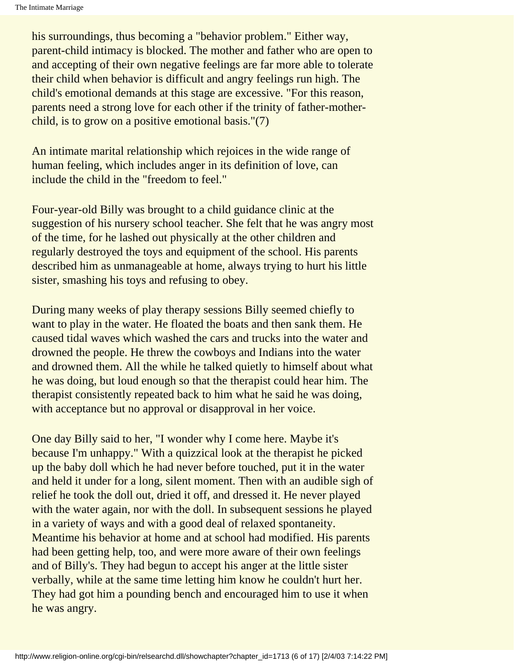his surroundings, thus becoming a "behavior problem." Either way, parent-child intimacy is blocked. The mother and father who are open to and accepting of their own negative feelings are far more able to tolerate their child when behavior is difficult and angry feelings run high. The child's emotional demands at this stage are excessive. "For this reason, parents need a strong love for each other if the trinity of father-motherchild, is to grow on a positive emotional basis."(7)

An intimate marital relationship which rejoices in the wide range of human feeling, which includes anger in its definition of love, can include the child in the "freedom to feel."

Four-year-old Billy was brought to a child guidance clinic at the suggestion of his nursery school teacher. She felt that he was angry most of the time, for he lashed out physically at the other children and regularly destroyed the toys and equipment of the school. His parents described him as unmanageable at home, always trying to hurt his little sister, smashing his toys and refusing to obey.

During many weeks of play therapy sessions Billy seemed chiefly to want to play in the water. He floated the boats and then sank them. He caused tidal waves which washed the cars and trucks into the water and drowned the people. He threw the cowboys and Indians into the water and drowned them. All the while he talked quietly to himself about what he was doing, but loud enough so that the therapist could hear him. The therapist consistently repeated back to him what he said he was doing, with acceptance but no approval or disapproval in her voice.

One day Billy said to her, "I wonder why I come here. Maybe it's because I'm unhappy." With a quizzical look at the therapist he picked up the baby doll which he had never before touched, put it in the water and held it under for a long, silent moment. Then with an audible sigh of relief he took the doll out, dried it off, and dressed it. He never played with the water again, nor with the doll. In subsequent sessions he played in a variety of ways and with a good deal of relaxed spontaneity. Meantime his behavior at home and at school had modified. His parents had been getting help, too, and were more aware of their own feelings and of Billy's. They had begun to accept his anger at the little sister verbally, while at the same time letting him know he couldn't hurt her. They had got him a pounding bench and encouraged him to use it when he was angry.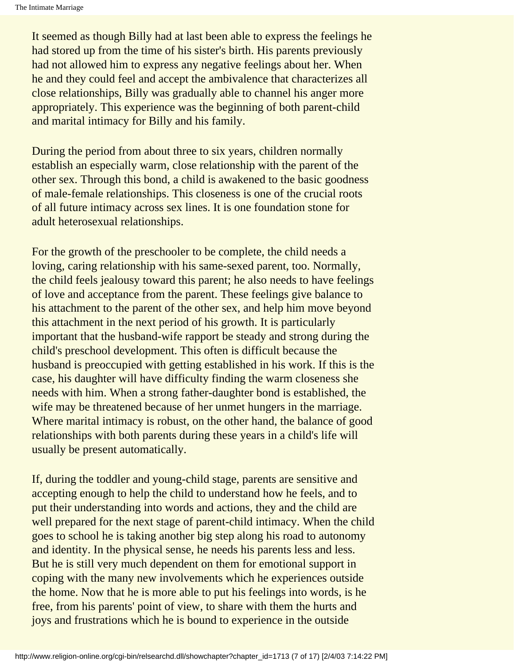It seemed as though Billy had at last been able to express the feelings he had stored up from the time of his sister's birth. His parents previously had not allowed him to express any negative feelings about her. When he and they could feel and accept the ambivalence that characterizes all close relationships, Billy was gradually able to channel his anger more appropriately. This experience was the beginning of both parent-child and marital intimacy for Billy and his family.

During the period from about three to six years, children normally establish an especially warm, close relationship with the parent of the other sex. Through this bond, a child is awakened to the basic goodness of male-female relationships. This closeness is one of the crucial roots of all future intimacy across sex lines. It is one foundation stone for adult heterosexual relationships.

For the growth of the preschooler to be complete, the child needs a loving, caring relationship with his same-sexed parent, too. Normally, the child feels jealousy toward this parent; he also needs to have feelings of love and acceptance from the parent. These feelings give balance to his attachment to the parent of the other sex, and help him move beyond this attachment in the next period of his growth. It is particularly important that the husband-wife rapport be steady and strong during the child's preschool development. This often is difficult because the husband is preoccupied with getting established in his work. If this is the case, his daughter will have difficulty finding the warm closeness she needs with him. When a strong father-daughter bond is established, the wife may be threatened because of her unmet hungers in the marriage. Where marital intimacy is robust, on the other hand, the balance of good relationships with both parents during these years in a child's life will usually be present automatically.

If, during the toddler and young-child stage, parents are sensitive and accepting enough to help the child to understand how he feels, and to put their understanding into words and actions, they and the child are well prepared for the next stage of parent-child intimacy. When the child goes to school he is taking another big step along his road to autonomy and identity. In the physical sense, he needs his parents less and less. But he is still very much dependent on them for emotional support in coping with the many new involvements which he experiences outside the home. Now that he is more able to put his feelings into words, is he free, from his parents' point of view, to share with them the hurts and joys and frustrations which he is bound to experience in the outside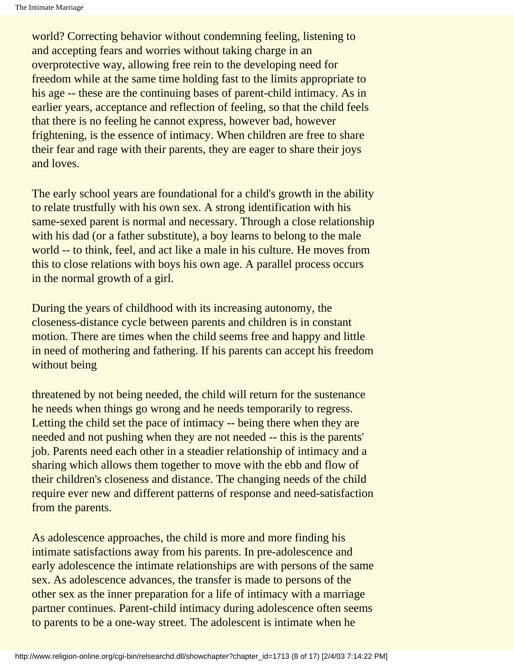world? Correcting behavior without condemning feeling, listening to and accepting fears and worries without taking charge in an overprotective way, allowing free rein to the developing need for freedom while at the same time holding fast to the limits appropriate to his age -- these are the continuing bases of parent-child intimacy. As in earlier years, acceptance and reflection of feeling, so that the child feels that there is no feeling he cannot express, however bad, however frightening, is the essence of intimacy. When children are free to share their fear and rage with their parents, they are eager to share their joys and loves.

The early school years are foundational for a child's growth in the ability to relate trustfully with his own sex. A strong identification with his same-sexed parent is normal and necessary. Through a close relationship with his dad (or a father substitute), a boy learns to belong to the male world -- to think, feel, and act like a male in his culture. He moves from this to close relations with boys his own age. A parallel process occurs in the normal growth of a girl.

During the years of childhood with its increasing autonomy, the closeness-distance cycle between parents and children is in constant motion. There are times when the child seems free and happy and little in need of mothering and fathering. If his parents can accept his freedom without being

threatened by not being needed, the child will return for the sustenance he needs when things go wrong and he needs temporarily to regress. Letting the child set the pace of intimacy -- being there when they are needed and not pushing when they are not needed -- this is the parents' job. Parents need each other in a steadier relationship of intimacy and a sharing which allows them together to move with the ebb and flow of their children's closeness and distance. The changing needs of the child require ever new and different patterns of response and need-satisfaction from the parents.

As adolescence approaches, the child is more and more finding his intimate satisfactions away from his parents. In pre-adolescence and early adolescence the intimate relationships are with persons of the same sex. As adolescence advances, the transfer is made to persons of the other sex as the inner preparation for a life of intimacy with a marriage partner continues. Parent-child intimacy during adolescence often seems to parents to be a one-way street. The adolescent is intimate when he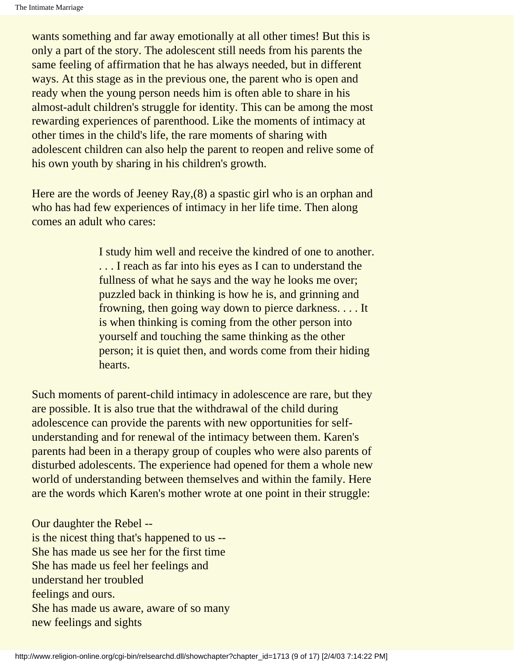wants something and far away emotionally at all other times! But this is only a part of the story. The adolescent still needs from his parents the same feeling of affirmation that he has always needed, but in different ways. At this stage as in the previous one, the parent who is open and ready when the young person needs him is often able to share in his almost-adult children's struggle for identity. This can be among the most rewarding experiences of parenthood. Like the moments of intimacy at other times in the child's life, the rare moments of sharing with adolescent children can also help the parent to reopen and relive some of his own youth by sharing in his children's growth.

Here are the words of Jeeney Ray, (8) a spastic girl who is an orphan and who has had few experiences of intimacy in her life time. Then along comes an adult who cares:

> I study him well and receive the kindred of one to another. . . . I reach as far into his eyes as I can to understand the fullness of what he says and the way he looks me over; puzzled back in thinking is how he is, and grinning and frowning, then going way down to pierce darkness. . . . It is when thinking is coming from the other person into yourself and touching the same thinking as the other person; it is quiet then, and words come from their hiding hearts.

Such moments of parent-child intimacy in adolescence are rare, but they are possible. It is also true that the withdrawal of the child during adolescence can provide the parents with new opportunities for selfunderstanding and for renewal of the intimacy between them. Karen's parents had been in a therapy group of couples who were also parents of disturbed adolescents. The experience had opened for them a whole new world of understanding between themselves and within the family. Here are the words which Karen's mother wrote at one point in their struggle:

Our daughter the Rebel - is the nicest thing that's happened to us -- She has made us see her for the first time She has made us feel her feelings and understand her troubled feelings and ours. She has made us aware, aware of so many new feelings and sights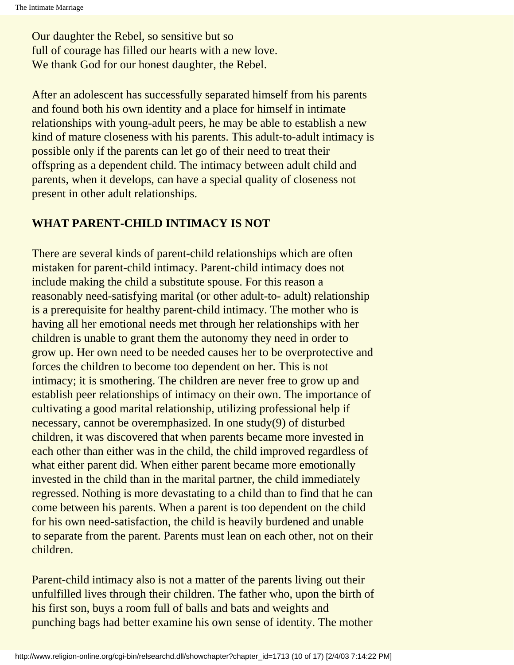Our daughter the Rebel, so sensitive but so full of courage has filled our hearts with a new love. We thank God for our honest daughter, the Rebel.

After an adolescent has successfully separated himself from his parents and found both his own identity and a place for himself in intimate relationships with young-adult peers, he may be able to establish a new kind of mature closeness with his parents. This adult-to-adult intimacy is possible only if the parents can let go of their need to treat their offspring as a dependent child. The intimacy between adult child and parents, when it develops, can have a special quality of closeness not present in other adult relationships.

### **WHAT PARENT-CHILD INTIMACY IS NOT**

There are several kinds of parent-child relationships which are often mistaken for parent-child intimacy. Parent-child intimacy does not include making the child a substitute spouse. For this reason a reasonably need-satisfying marital (or other adult-to- adult) relationship is a prerequisite for healthy parent-child intimacy. The mother who is having all her emotional needs met through her relationships with her children is unable to grant them the autonomy they need in order to grow up. Her own need to be needed causes her to be overprotective and forces the children to become too dependent on her. This is not intimacy; it is smothering. The children are never free to grow up and establish peer relationships of intimacy on their own. The importance of cultivating a good marital relationship, utilizing professional help if necessary, cannot be overemphasized. In one study(9) of disturbed children, it was discovered that when parents became more invested in each other than either was in the child, the child improved regardless of what either parent did. When either parent became more emotionally invested in the child than in the marital partner, the child immediately regressed. Nothing is more devastating to a child than to find that he can come between his parents. When a parent is too dependent on the child for his own need-satisfaction, the child is heavily burdened and unable to separate from the parent. Parents must lean on each other, not on their children.

Parent-child intimacy also is not a matter of the parents living out their unfulfilled lives through their children. The father who, upon the birth of his first son, buys a room full of balls and bats and weights and punching bags had better examine his own sense of identity. The mother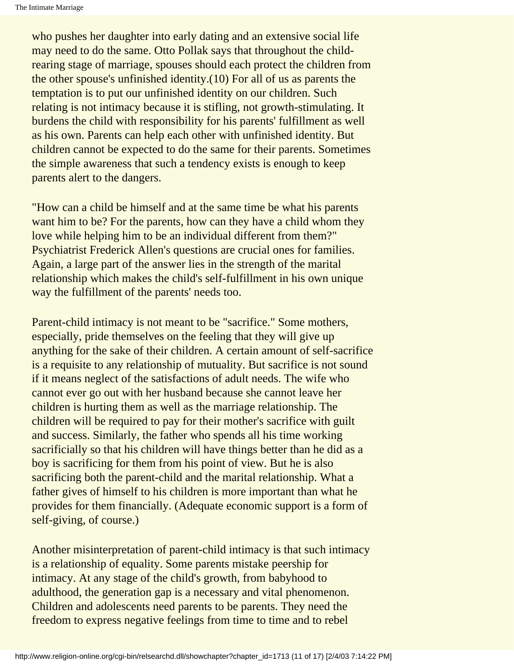who pushes her daughter into early dating and an extensive social life may need to do the same. Otto Pollak says that throughout the childrearing stage of marriage, spouses should each protect the children from the other spouse's unfinished identity.(10) For all of us as parents the temptation is to put our unfinished identity on our children. Such relating is not intimacy because it is stifling, not growth-stimulating. It burdens the child with responsibility for his parents' fulfillment as well as his own. Parents can help each other with unfinished identity. But children cannot be expected to do the same for their parents. Sometimes the simple awareness that such a tendency exists is enough to keep parents alert to the dangers.

"How can a child be himself and at the same time be what his parents want him to be? For the parents, how can they have a child whom they love while helping him to be an individual different from them?" Psychiatrist Frederick Allen's questions are crucial ones for families. Again, a large part of the answer lies in the strength of the marital relationship which makes the child's self-fulfillment in his own unique way the fulfillment of the parents' needs too.

Parent-child intimacy is not meant to be "sacrifice." Some mothers, especially, pride themselves on the feeling that they will give up anything for the sake of their children. A certain amount of self-sacrifice is a requisite to any relationship of mutuality. But sacrifice is not sound if it means neglect of the satisfactions of adult needs. The wife who cannot ever go out with her husband because she cannot leave her children is hurting them as well as the marriage relationship. The children will be required to pay for their mother's sacrifice with guilt and success. Similarly, the father who spends all his time working sacrificially so that his children will have things better than he did as a boy is sacrificing for them from his point of view. But he is also sacrificing both the parent-child and the marital relationship. What a father gives of himself to his children is more important than what he provides for them financially. (Adequate economic support is a form of self-giving, of course.)

Another misinterpretation of parent-child intimacy is that such intimacy is a relationship of equality. Some parents mistake peership for intimacy. At any stage of the child's growth, from babyhood to adulthood, the generation gap is a necessary and vital phenomenon. Children and adolescents need parents to be parents. They need the freedom to express negative feelings from time to time and to rebel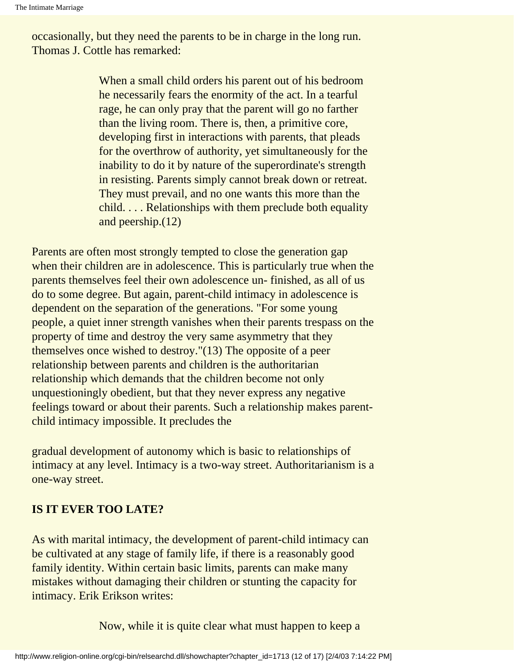occasionally, but they need the parents to be in charge in the long run. Thomas J. Cottle has remarked:

> When a small child orders his parent out of his bedroom he necessarily fears the enormity of the act. In a tearful rage, he can only pray that the parent will go no farther than the living room. There is, then, a primitive core, developing first in interactions with parents, that pleads for the overthrow of authority, yet simultaneously for the inability to do it by nature of the superordinate's strength in resisting. Parents simply cannot break down or retreat. They must prevail, and no one wants this more than the child. . . . Relationships with them preclude both equality and peership.(12)

Parents are often most strongly tempted to close the generation gap when their children are in adolescence. This is particularly true when the parents themselves feel their own adolescence un- finished, as all of us do to some degree. But again, parent-child intimacy in adolescence is dependent on the separation of the generations. "For some young people, a quiet inner strength vanishes when their parents trespass on the property of time and destroy the very same asymmetry that they themselves once wished to destroy."(13) The opposite of a peer relationship between parents and children is the authoritarian relationship which demands that the children become not only unquestioningly obedient, but that they never express any negative feelings toward or about their parents. Such a relationship makes parentchild intimacy impossible. It precludes the

gradual development of autonomy which is basic to relationships of intimacy at any level. Intimacy is a two-way street. Authoritarianism is a one-way street.

# **IS IT EVER TOO LATE?**

As with marital intimacy, the development of parent-child intimacy can be cultivated at any stage of family life, if there is a reasonably good family identity. Within certain basic limits, parents can make many mistakes without damaging their children or stunting the capacity for intimacy. Erik Erikson writes:

Now, while it is quite clear what must happen to keep a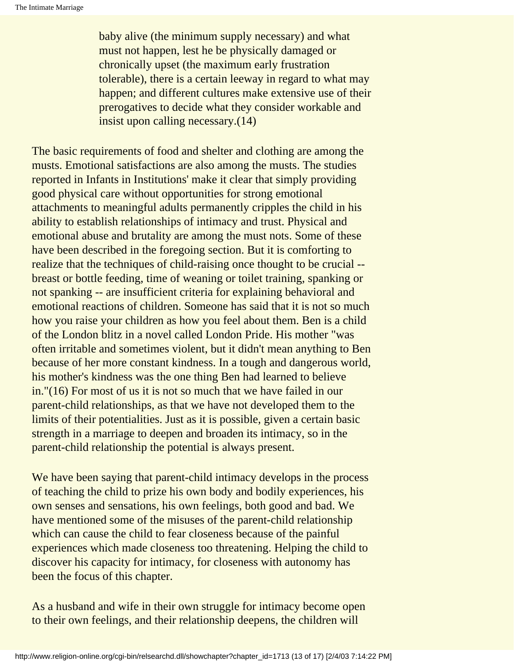baby alive (the minimum supply necessary) and what must not happen, lest he be physically damaged or chronically upset (the maximum early frustration tolerable), there is a certain leeway in regard to what may happen; and different cultures make extensive use of their prerogatives to decide what they consider workable and insist upon calling necessary.(14)

The basic requirements of food and shelter and clothing are among the musts. Emotional satisfactions are also among the musts. The studies reported in Infants in Institutions' make it clear that simply providing good physical care without opportunities for strong emotional attachments to meaningful adults permanently cripples the child in his ability to establish relationships of intimacy and trust. Physical and emotional abuse and brutality are among the must nots. Some of these have been described in the foregoing section. But it is comforting to realize that the techniques of child-raising once thought to be crucial - breast or bottle feeding, time of weaning or toilet training, spanking or not spanking -- are insufficient criteria for explaining behavioral and emotional reactions of children. Someone has said that it is not so much how you raise your children as how you feel about them. Ben is a child of the London blitz in a novel called London Pride. His mother "was often irritable and sometimes violent, but it didn't mean anything to Ben because of her more constant kindness. In a tough and dangerous world, his mother's kindness was the one thing Ben had learned to believe in."(16) For most of us it is not so much that we have failed in our parent-child relationships, as that we have not developed them to the limits of their potentialities. Just as it is possible, given a certain basic strength in a marriage to deepen and broaden its intimacy, so in the parent-child relationship the potential is always present.

We have been saying that parent-child intimacy develops in the process of teaching the child to prize his own body and bodily experiences, his own senses and sensations, his own feelings, both good and bad. We have mentioned some of the misuses of the parent-child relationship which can cause the child to fear closeness because of the painful experiences which made closeness too threatening. Helping the child to discover his capacity for intimacy, for closeness with autonomy has been the focus of this chapter.

As a husband and wife in their own struggle for intimacy become open to their own feelings, and their relationship deepens, the children will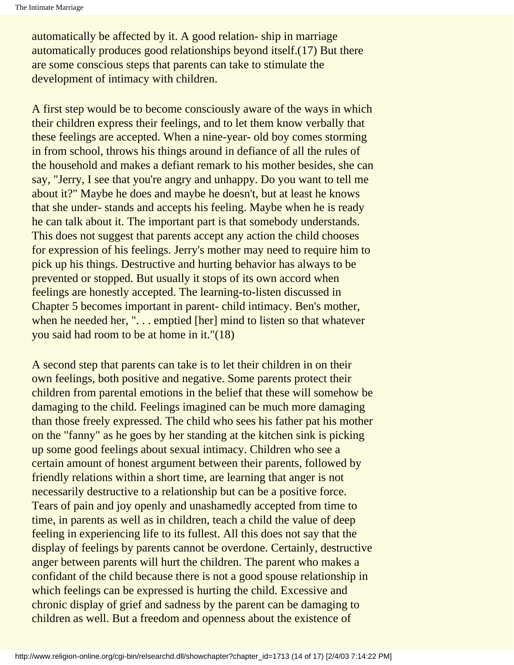automatically be affected by it. A good relation- ship in marriage automatically produces good relationships beyond itself.(17) But there are some conscious steps that parents can take to stimulate the development of intimacy with children.

A first step would be to become consciously aware of the ways in which their children express their feelings, and to let them know verbally that these feelings are accepted. When a nine-year- old boy comes storming in from school, throws his things around in defiance of all the rules of the household and makes a defiant remark to his mother besides, she can say, "Jerry, I see that you're angry and unhappy. Do you want to tell me about it?" Maybe he does and maybe he doesn't, but at least he knows that she under- stands and accepts his feeling. Maybe when he is ready he can talk about it. The important part is that somebody understands. This does not suggest that parents accept any action the child chooses for expression of his feelings. Jerry's mother may need to require him to pick up his things. Destructive and hurting behavior has always to be prevented or stopped. But usually it stops of its own accord when feelings are honestly accepted. The learning-to-listen discussed in Chapter 5 becomes important in parent- child intimacy. Ben's mother, when he needed her, ". . . emptied [her] mind to listen so that whatever you said had room to be at home in it."(18)

A second step that parents can take is to let their children in on their own feelings, both positive and negative. Some parents protect their children from parental emotions in the belief that these will somehow be damaging to the child. Feelings imagined can be much more damaging than those freely expressed. The child who sees his father pat his mother on the "fanny" as he goes by her standing at the kitchen sink is picking up some good feelings about sexual intimacy. Children who see a certain amount of honest argument between their parents, followed by friendly relations within a short time, are learning that anger is not necessarily destructive to a relationship but can be a positive force. Tears of pain and joy openly and unashamedly accepted from time to time, in parents as well as in children, teach a child the value of deep feeling in experiencing life to its fullest. All this does not say that the display of feelings by parents cannot be overdone. Certainly, destructive anger between parents will hurt the children. The parent who makes a confidant of the child because there is not a good spouse relationship in which feelings can be expressed is hurting the child. Excessive and chronic display of grief and sadness by the parent can be damaging to children as well. But a freedom and openness about the existence of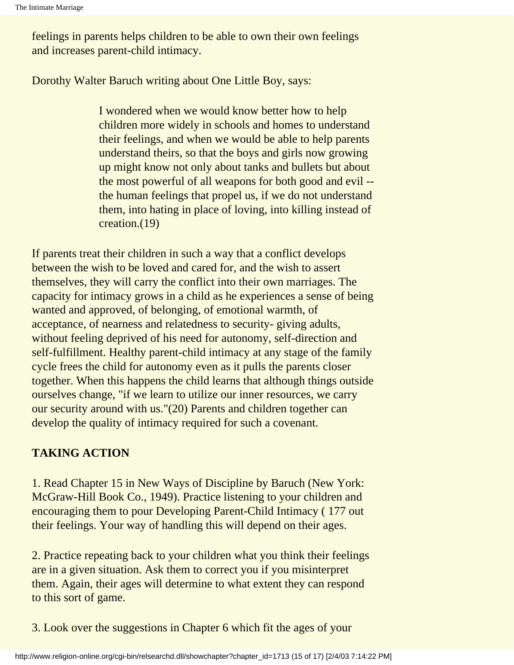feelings in parents helps children to be able to own their own feelings and increases parent-child intimacy.

Dorothy Walter Baruch writing about One Little Boy, says:

I wondered when we would know better how to help children more widely in schools and homes to understand their feelings, and when we would be able to help parents understand theirs, so that the boys and girls now growing up might know not only about tanks and bullets but about the most powerful of all weapons for both good and evil - the human feelings that propel us, if we do not understand them, into hating in place of loving, into killing instead of creation.(19)

If parents treat their children in such a way that a conflict develops between the wish to be loved and cared for, and the wish to assert themselves, they will carry the conflict into their own marriages. The capacity for intimacy grows in a child as he experiences a sense of being wanted and approved, of belonging, of emotional warmth, of acceptance, of nearness and relatedness to security- giving adults, without feeling deprived of his need for autonomy, self-direction and self-fulfillment. Healthy parent-child intimacy at any stage of the family cycle frees the child for autonomy even as it pulls the parents closer together. When this happens the child learns that although things outside ourselves change, "if we learn to utilize our inner resources, we carry our security around with us."(20) Parents and children together can develop the quality of intimacy required for such a covenant.

# **TAKING ACTION**

1. Read Chapter 15 in New Ways of Discipline by Baruch (New York: McGraw-Hill Book Co., 1949). Practice listening to your children and encouraging them to pour Developing Parent-Child Intimacy ( 177 out their feelings. Your way of handling this will depend on their ages.

2. Practice repeating back to your children what you think their feelings are in a given situation. Ask them to correct you if you misinterpret them. Again, their ages will determine to what extent they can respond to this sort of game.

3. Look over the suggestions in Chapter 6 which fit the ages of your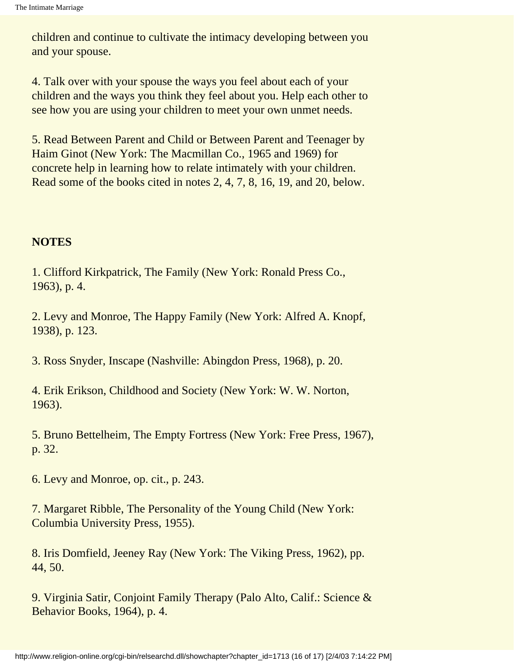children and continue to cultivate the intimacy developing between you and your spouse.

4. Talk over with your spouse the ways you feel about each of your children and the ways you think they feel about you. Help each other to see how you are using your children to meet your own unmet needs.

5. Read Between Parent and Child or Between Parent and Teenager by Haim Ginot (New York: The Macmillan Co., 1965 and 1969) for concrete help in learning how to relate intimately with your children. Read some of the books cited in notes 2, 4, 7, 8, 16, 19, and 20, below.

### **NOTES**

1. Clifford Kirkpatrick, The Family (New York: Ronald Press Co., 1963), p. 4.

2. Levy and Monroe, The Happy Family (New York: Alfred A. Knopf, 1938), p. 123.

3. Ross Snyder, Inscape (Nashville: Abingdon Press, 1968), p. 20.

4. Erik Erikson, Childhood and Society (New York: W. W. Norton, 1963).

5. Bruno Bettelheim, The Empty Fortress (New York: Free Press, 1967), p. 32.

6. Levy and Monroe, op. cit., p. 243.

7. Margaret Ribble, The Personality of the Young Child (New York: Columbia University Press, 1955).

8. Iris Domfield, Jeeney Ray (New York: The Viking Press, 1962), pp. 44, 50.

9. Virginia Satir, Conjoint Family Therapy (Palo Alto, Calif.: Science & Behavior Books, 1964), p. 4.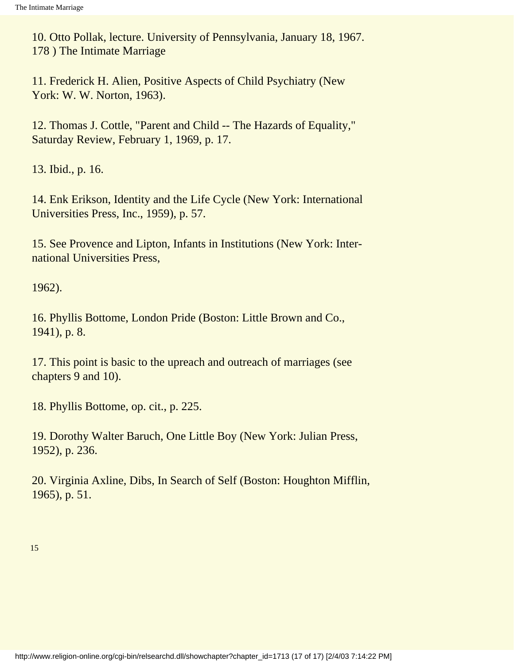10. Otto Pollak, lecture. University of Pennsylvania, January 18, 1967. 178 ) The Intimate Marriage

11. Frederick H. Alien, Positive Aspects of Child Psychiatry (New York: W. W. Norton, 1963).

12. Thomas J. Cottle, "Parent and Child -- The Hazards of Equality," Saturday Review, February 1, 1969, p. 17.

13. Ibid., p. 16.

14. Enk Erikson, Identity and the Life Cycle (New York: International Universities Press, Inc., 1959), p. 57.

15. See Provence and Lipton, Infants in Institutions (New York: International Universities Press,

1962).

16. Phyllis Bottome, London Pride (Boston: Little Brown and Co., 1941), p. 8.

17. This point is basic to the upreach and outreach of marriages (see chapters 9 and 10).

18. Phyllis Bottome, op. cit., p. 225.

19. Dorothy Walter Baruch, One Little Boy (New York: Julian Press, 1952), p. 236.

20. Virginia Axline, Dibs, In Search of Self (Boston: Houghton Mifflin, 1965), p. 51.

15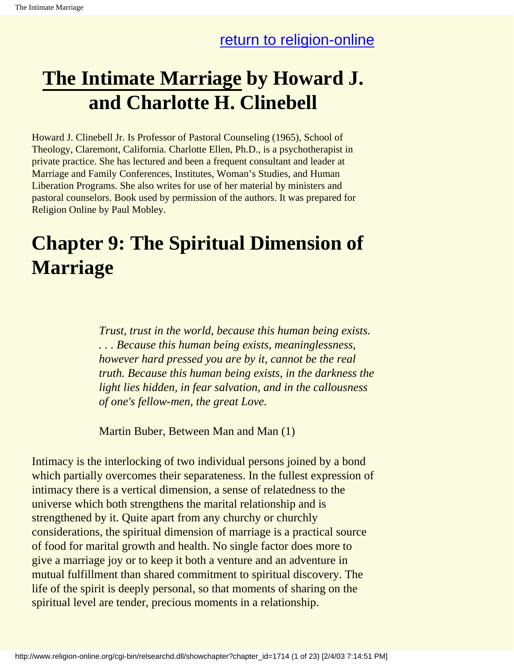# [return to religion-online](http://www.religion-online.org/)

# **The Intimate Marriage by Howard J. and Charlotte H. Clinebell**

Howard J. Clinebell Jr. Is Professor of Pastoral Counseling (1965), School of Theology, Claremont, California. Charlotte Ellen, Ph.D., is a psychotherapist in private practice. She has lectured and been a frequent consultant and leader at Marriage and Family Conferences, Institutes, Woman's Studies, and Human Liberation Programs. She also writes for use of her material by ministers and pastoral counselors. Book used by permission of the authors. It was prepared for Religion Online by Paul Mobley.

# **Chapter 9: The Spiritual Dimension of Marriage**

*Trust, trust in the world, because this human being exists. . . . Because this human being exists, meaninglessness, however hard pressed you are by it, cannot be the real truth. Because this human being exists, in the darkness the light lies hidden, in fear salvation, and in the callousness of one's fellow-men, the great Love.* 

Martin Buber, Between Man and Man (1)

Intimacy is the interlocking of two individual persons joined by a bond which partially overcomes their separateness. In the fullest expression of intimacy there is a vertical dimension, a sense of relatedness to the universe which both strengthens the marital relationship and is strengthened by it. Quite apart from any churchy or churchly considerations, the spiritual dimension of marriage is a practical source of food for marital growth and health. No single factor does more to give a marriage joy or to keep it both a venture and an adventure in mutual fulfillment than shared commitment to spiritual discovery. The life of the spirit is deeply personal, so that moments of sharing on the spiritual level are tender, precious moments in a relationship.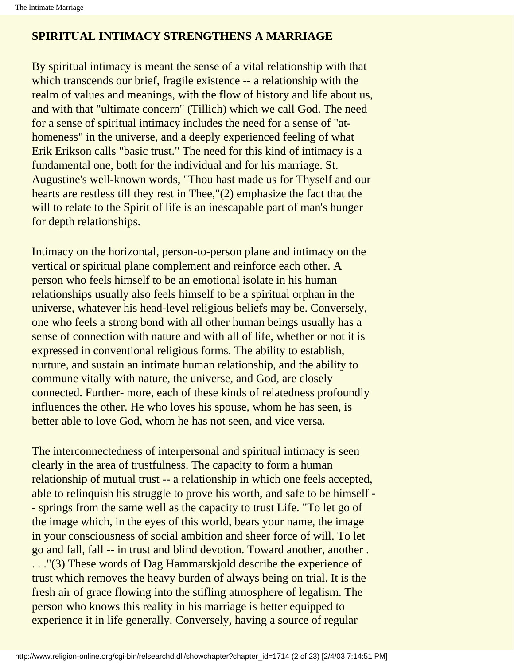### **SPIRITUAL INTIMACY STRENGTHENS A MARRIAGE**

By spiritual intimacy is meant the sense of a vital relationship with that which transcends our brief, fragile existence -- a relationship with the realm of values and meanings, with the flow of history and life about us, and with that "ultimate concern" (Tillich) which we call God. The need for a sense of spiritual intimacy includes the need for a sense of "athomeness" in the universe, and a deeply experienced feeling of what Erik Erikson calls "basic trust." The need for this kind of intimacy is a fundamental one, both for the individual and for his marriage. St. Augustine's well-known words, "Thou hast made us for Thyself and our hearts are restless till they rest in Thee,"(2) emphasize the fact that the will to relate to the Spirit of life is an inescapable part of man's hunger for depth relationships.

Intimacy on the horizontal, person-to-person plane and intimacy on the vertical or spiritual plane complement and reinforce each other. A person who feels himself to be an emotional isolate in his human relationships usually also feels himself to be a spiritual orphan in the universe, whatever his head-level religious beliefs may be. Conversely, one who feels a strong bond with all other human beings usually has a sense of connection with nature and with all of life, whether or not it is expressed in conventional religious forms. The ability to establish, nurture, and sustain an intimate human relationship, and the ability to commune vitally with nature, the universe, and God, are closely connected. Further- more, each of these kinds of relatedness profoundly influences the other. He who loves his spouse, whom he has seen, is better able to love God, whom he has not seen, and vice versa.

The interconnectedness of interpersonal and spiritual intimacy is seen clearly in the area of trustfulness. The capacity to form a human relationship of mutual trust -- a relationship in which one feels accepted, able to relinquish his struggle to prove his worth, and safe to be himself - - springs from the same well as the capacity to trust Life. "To let go of the image which, in the eyes of this world, bears your name, the image in your consciousness of social ambition and sheer force of will. To let go and fall, fall -- in trust and blind devotion. Toward another, another . . . ."(3) These words of Dag Hammarskjold describe the experience of trust which removes the heavy burden of always being on trial. It is the fresh air of grace flowing into the stifling atmosphere of legalism. The person who knows this reality in his marriage is better equipped to experience it in life generally. Conversely, having a source of regular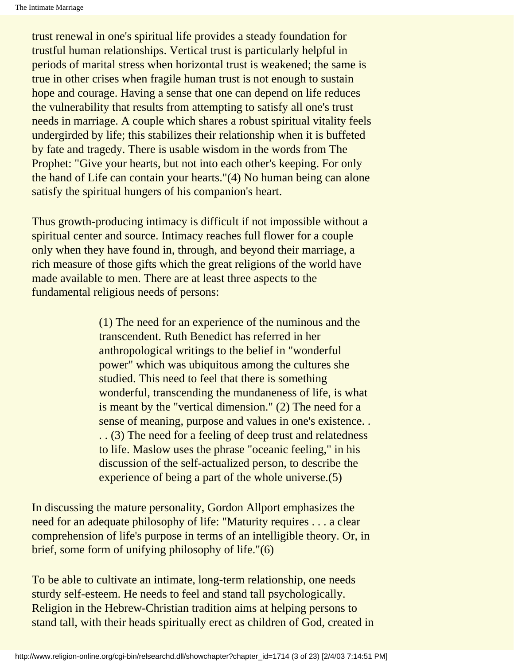trust renewal in one's spiritual life provides a steady foundation for trustful human relationships. Vertical trust is particularly helpful in periods of marital stress when horizontal trust is weakened; the same is true in other crises when fragile human trust is not enough to sustain hope and courage. Having a sense that one can depend on life reduces the vulnerability that results from attempting to satisfy all one's trust needs in marriage. A couple which shares a robust spiritual vitality feels undergirded by life; this stabilizes their relationship when it is buffeted by fate and tragedy. There is usable wisdom in the words from The Prophet: "Give your hearts, but not into each other's keeping. For only the hand of Life can contain your hearts."(4) No human being can alone satisfy the spiritual hungers of his companion's heart.

Thus growth-producing intimacy is difficult if not impossible without a spiritual center and source. Intimacy reaches full flower for a couple only when they have found in, through, and beyond their marriage, a rich measure of those gifts which the great religions of the world have made available to men. There are at least three aspects to the fundamental religious needs of persons:

> (1) The need for an experience of the numinous and the transcendent. Ruth Benedict has referred in her anthropological writings to the belief in "wonderful power" which was ubiquitous among the cultures she studied. This need to feel that there is something wonderful, transcending the mundaneness of life, is what is meant by the "vertical dimension." (2) The need for a sense of meaning, purpose and values in one's existence. . . . (3) The need for a feeling of deep trust and relatedness to life. Maslow uses the phrase "oceanic feeling," in his discussion of the self-actualized person, to describe the experience of being a part of the whole universe.(5)

In discussing the mature personality, Gordon Allport emphasizes the need for an adequate philosophy of life: "Maturity requires . . . a clear comprehension of life's purpose in terms of an intelligible theory. Or, in brief, some form of unifying philosophy of life."(6)

To be able to cultivate an intimate, long-term relationship, one needs sturdy self-esteem. He needs to feel and stand tall psychologically. Religion in the Hebrew-Christian tradition aims at helping persons to stand tall, with their heads spiritually erect as children of God, created in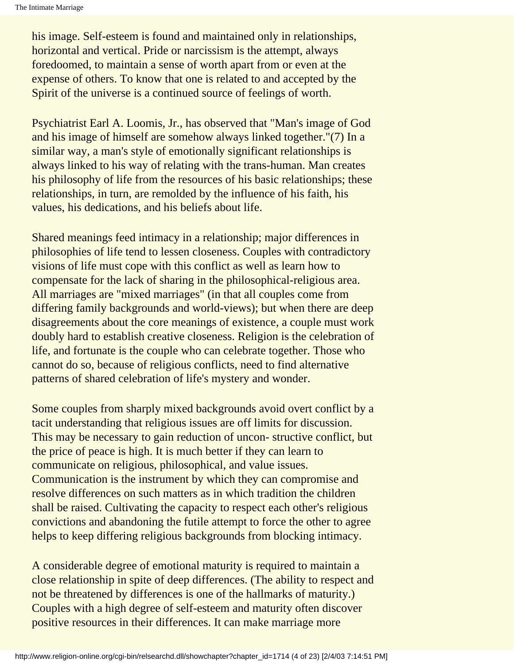his image. Self-esteem is found and maintained only in relationships, horizontal and vertical. Pride or narcissism is the attempt, always foredoomed, to maintain a sense of worth apart from or even at the expense of others. To know that one is related to and accepted by the Spirit of the universe is a continued source of feelings of worth.

Psychiatrist Earl A. Loomis, Jr., has observed that "Man's image of God and his image of himself are somehow always linked together."(7) In a similar way, a man's style of emotionally significant relationships is always linked to his way of relating with the trans-human. Man creates his philosophy of life from the resources of his basic relationships; these relationships, in turn, are remolded by the influence of his faith, his values, his dedications, and his beliefs about life.

Shared meanings feed intimacy in a relationship; major differences in philosophies of life tend to lessen closeness. Couples with contradictory visions of life must cope with this conflict as well as learn how to compensate for the lack of sharing in the philosophical-religious area. All marriages are "mixed marriages" (in that all couples come from differing family backgrounds and world-views); but when there are deep disagreements about the core meanings of existence, a couple must work doubly hard to establish creative closeness. Religion is the celebration of life, and fortunate is the couple who can celebrate together. Those who cannot do so, because of religious conflicts, need to find alternative patterns of shared celebration of life's mystery and wonder.

Some couples from sharply mixed backgrounds avoid overt conflict by a tacit understanding that religious issues are off limits for discussion. This may be necessary to gain reduction of uncon- structive conflict, but the price of peace is high. It is much better if they can learn to communicate on religious, philosophical, and value issues. Communication is the instrument by which they can compromise and resolve differences on such matters as in which tradition the children shall be raised. Cultivating the capacity to respect each other's religious convictions and abandoning the futile attempt to force the other to agree helps to keep differing religious backgrounds from blocking intimacy.

A considerable degree of emotional maturity is required to maintain a close relationship in spite of deep differences. (The ability to respect and not be threatened by differences is one of the hallmarks of maturity.) Couples with a high degree of self-esteem and maturity often discover positive resources in their differences. It can make marriage more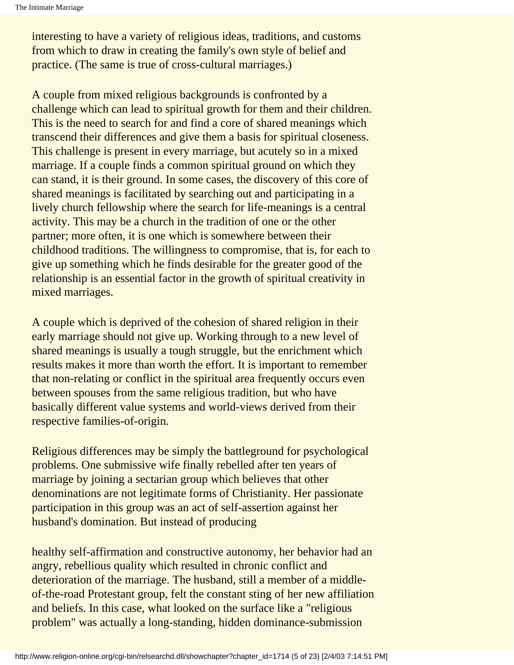interesting to have a variety of religious ideas, traditions, and customs from which to draw in creating the family's own style of belief and practice. (The same is true of cross-cultural marriages.)

A couple from mixed religious backgrounds is confronted by a challenge which can lead to spiritual growth for them and their children. This is the need to search for and find a core of shared meanings which transcend their differences and give them a basis for spiritual closeness. This challenge is present in every marriage, but acutely so in a mixed marriage. If a couple finds a common spiritual ground on which they can stand, it is their ground. In some cases, the discovery of this core of shared meanings is facilitated by searching out and participating in a lively church fellowship where the search for life-meanings is a central activity. This may be a church in the tradition of one or the other partner; more often, it is one which is somewhere between their childhood traditions. The willingness to compromise, that is, for each to give up something which he finds desirable for the greater good of the relationship is an essential factor in the growth of spiritual creativity in mixed marriages.

A couple which is deprived of the cohesion of shared religion in their early marriage should not give up. Working through to a new level of shared meanings is usually a tough struggle, but the enrichment which results makes it more than worth the effort. It is important to remember that non-relating or conflict in the spiritual area frequently occurs even between spouses from the same religious tradition, but who have basically different value systems and world-views derived from their respective families-of-origin.

Religious differences may be simply the battleground for psychological problems. One submissive wife finally rebelled after ten years of marriage by joining a sectarian group which believes that other denominations are not legitimate forms of Christianity. Her passionate participation in this group was an act of self-assertion against her husband's domination. But instead of producing

healthy self-affirmation and constructive autonomy, her behavior had an angry, rebellious quality which resulted in chronic conflict and deterioration of the marriage. The husband, still a member of a middleof-the-road Protestant group, felt the constant sting of her new affiliation and beliefs. In this case, what looked on the surface like a "religious problem" was actually a long-standing, hidden dominance-submission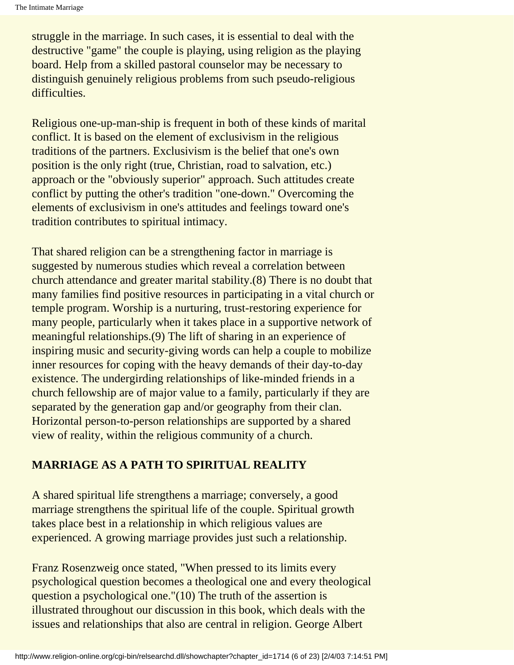struggle in the marriage. In such cases, it is essential to deal with the destructive "game" the couple is playing, using religion as the playing board. Help from a skilled pastoral counselor may be necessary to distinguish genuinely religious problems from such pseudo-religious difficulties.

Religious one-up-man-ship is frequent in both of these kinds of marital conflict. It is based on the element of exclusivism in the religious traditions of the partners. Exclusivism is the belief that one's own position is the only right (true, Christian, road to salvation, etc.) approach or the "obviously superior" approach. Such attitudes create conflict by putting the other's tradition "one-down." Overcoming the elements of exclusivism in one's attitudes and feelings toward one's tradition contributes to spiritual intimacy.

That shared religion can be a strengthening factor in marriage is suggested by numerous studies which reveal a correlation between church attendance and greater marital stability.(8) There is no doubt that many families find positive resources in participating in a vital church or temple program. Worship is a nurturing, trust-restoring experience for many people, particularly when it takes place in a supportive network of meaningful relationships.(9) The lift of sharing in an experience of inspiring music and security-giving words can help a couple to mobilize inner resources for coping with the heavy demands of their day-to-day existence. The undergirding relationships of like-minded friends in a church fellowship are of major value to a family, particularly if they are separated by the generation gap and/or geography from their clan. Horizontal person-to-person relationships are supported by a shared view of reality, within the religious community of a church.

#### **MARRIAGE AS A PATH TO SPIRITUAL REALITY**

A shared spiritual life strengthens a marriage; conversely, a good marriage strengthens the spiritual life of the couple. Spiritual growth takes place best in a relationship in which religious values are experienced. A growing marriage provides just such a relationship.

Franz Rosenzweig once stated, "When pressed to its limits every psychological question becomes a theological one and every theological question a psychological one."(10) The truth of the assertion is illustrated throughout our discussion in this book, which deals with the issues and relationships that also are central in religion. George Albert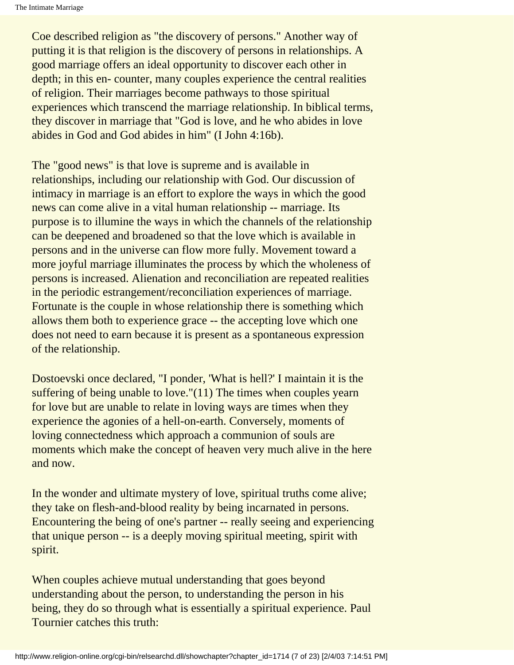Coe described religion as "the discovery of persons." Another way of putting it is that religion is the discovery of persons in relationships. A good marriage offers an ideal opportunity to discover each other in depth; in this en- counter, many couples experience the central realities of religion. Their marriages become pathways to those spiritual experiences which transcend the marriage relationship. In biblical terms, they discover in marriage that "God is love, and he who abides in love abides in God and God abides in him" (I John 4:16b).

The "good news" is that love is supreme and is available in relationships, including our relationship with God. Our discussion of intimacy in marriage is an effort to explore the ways in which the good news can come alive in a vital human relationship -- marriage. Its purpose is to illumine the ways in which the channels of the relationship can be deepened and broadened so that the love which is available in persons and in the universe can flow more fully. Movement toward a more joyful marriage illuminates the process by which the wholeness of persons is increased. Alienation and reconciliation are repeated realities in the periodic estrangement/reconciliation experiences of marriage. Fortunate is the couple in whose relationship there is something which allows them both to experience grace -- the accepting love which one does not need to earn because it is present as a spontaneous expression of the relationship.

Dostoevski once declared, "I ponder, 'What is hell?' I maintain it is the suffering of being unable to love."(11) The times when couples yearn for love but are unable to relate in loving ways are times when they experience the agonies of a hell-on-earth. Conversely, moments of loving connectedness which approach a communion of souls are moments which make the concept of heaven very much alive in the here and now.

In the wonder and ultimate mystery of love, spiritual truths come alive; they take on flesh-and-blood reality by being incarnated in persons. Encountering the being of one's partner -- really seeing and experiencing that unique person -- is a deeply moving spiritual meeting, spirit with spirit.

When couples achieve mutual understanding that goes beyond understanding about the person, to understanding the person in his being, they do so through what is essentially a spiritual experience. Paul Tournier catches this truth: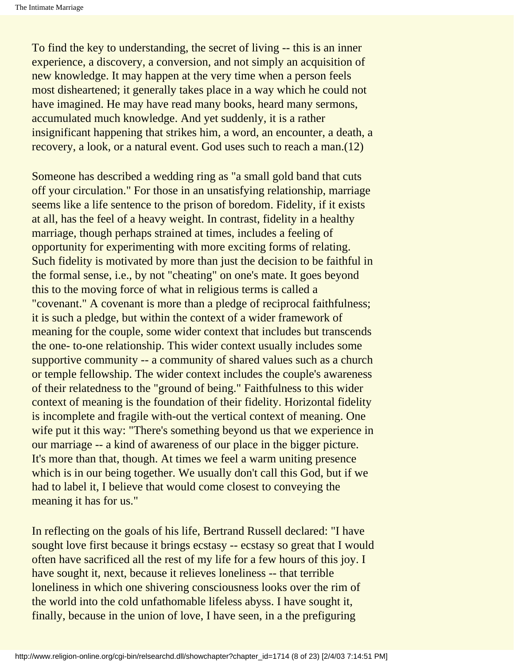To find the key to understanding, the secret of living -- this is an inner experience, a discovery, a conversion, and not simply an acquisition of new knowledge. It may happen at the very time when a person feels most disheartened; it generally takes place in a way which he could not have imagined. He may have read many books, heard many sermons, accumulated much knowledge. And yet suddenly, it is a rather insignificant happening that strikes him, a word, an encounter, a death, a recovery, a look, or a natural event. God uses such to reach a man.(12)

Someone has described a wedding ring as "a small gold band that cuts off your circulation." For those in an unsatisfying relationship, marriage seems like a life sentence to the prison of boredom. Fidelity, if it exists at all, has the feel of a heavy weight. In contrast, fidelity in a healthy marriage, though perhaps strained at times, includes a feeling of opportunity for experimenting with more exciting forms of relating. Such fidelity is motivated by more than just the decision to be faithful in the formal sense, i.e., by not "cheating" on one's mate. It goes beyond this to the moving force of what in religious terms is called a "covenant." A covenant is more than a pledge of reciprocal faithfulness; it is such a pledge, but within the context of a wider framework of meaning for the couple, some wider context that includes but transcends the one- to-one relationship. This wider context usually includes some supportive community -- a community of shared values such as a church or temple fellowship. The wider context includes the couple's awareness of their relatedness to the "ground of being." Faithfulness to this wider context of meaning is the foundation of their fidelity. Horizontal fidelity is incomplete and fragile with-out the vertical context of meaning. One wife put it this way: "There's something beyond us that we experience in our marriage -- a kind of awareness of our place in the bigger picture. It's more than that, though. At times we feel a warm uniting presence which is in our being together. We usually don't call this God, but if we had to label it, I believe that would come closest to conveying the meaning it has for us."

In reflecting on the goals of his life, Bertrand Russell declared: "I have sought love first because it brings ecstasy -- ecstasy so great that I would often have sacrificed all the rest of my life for a few hours of this joy. I have sought it, next, because it relieves loneliness -- that terrible loneliness in which one shivering consciousness looks over the rim of the world into the cold unfathomable lifeless abyss. I have sought it, finally, because in the union of love, I have seen, in a the prefiguring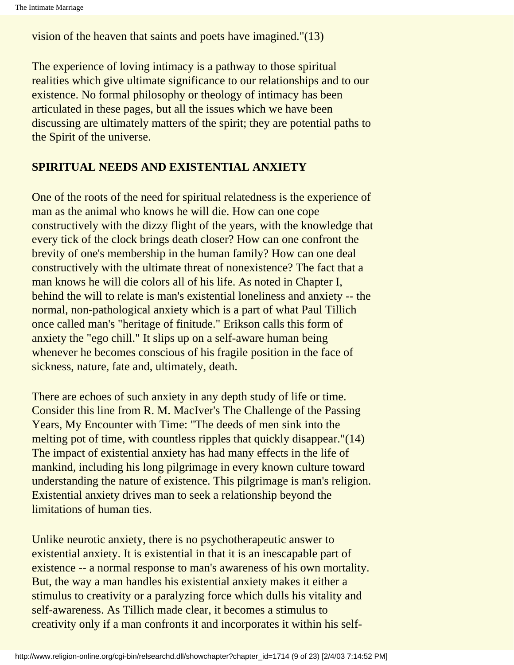vision of the heaven that saints and poets have imagined."(13)

The experience of loving intimacy is a pathway to those spiritual realities which give ultimate significance to our relationships and to our existence. No formal philosophy or theology of intimacy has been articulated in these pages, but all the issues which we have been discussing are ultimately matters of the spirit; they are potential paths to the Spirit of the universe.

### **SPIRITUAL NEEDS AND EXISTENTIAL ANXIETY**

One of the roots of the need for spiritual relatedness is the experience of man as the animal who knows he will die. How can one cope constructively with the dizzy flight of the years, with the knowledge that every tick of the clock brings death closer? How can one confront the brevity of one's membership in the human family? How can one deal constructively with the ultimate threat of nonexistence? The fact that a man knows he will die colors all of his life. As noted in Chapter I, behind the will to relate is man's existential loneliness and anxiety -- the normal, non-pathological anxiety which is a part of what Paul Tillich once called man's "heritage of finitude." Erikson calls this form of anxiety the "ego chill." It slips up on a self-aware human being whenever he becomes conscious of his fragile position in the face of sickness, nature, fate and, ultimately, death.

There are echoes of such anxiety in any depth study of life or time. Consider this line from R. M. MacIver's The Challenge of the Passing Years, My Encounter with Time: "The deeds of men sink into the melting pot of time, with countless ripples that quickly disappear."(14) The impact of existential anxiety has had many effects in the life of mankind, including his long pilgrimage in every known culture toward understanding the nature of existence. This pilgrimage is man's religion. Existential anxiety drives man to seek a relationship beyond the limitations of human ties.

Unlike neurotic anxiety, there is no psychotherapeutic answer to existential anxiety. It is existential in that it is an inescapable part of existence -- a normal response to man's awareness of his own mortality. But, the way a man handles his existential anxiety makes it either a stimulus to creativity or a paralyzing force which dulls his vitality and self-awareness. As Tillich made clear, it becomes a stimulus to creativity only if a man confronts it and incorporates it within his self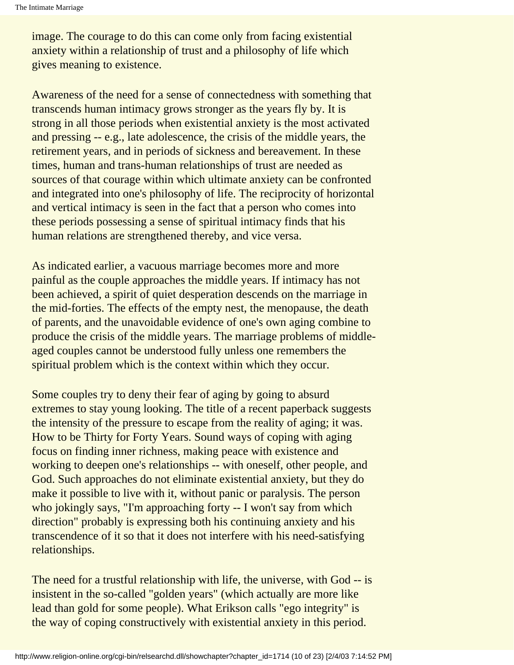image. The courage to do this can come only from facing existential anxiety within a relationship of trust and a philosophy of life which gives meaning to existence.

Awareness of the need for a sense of connectedness with something that transcends human intimacy grows stronger as the years fly by. It is strong in all those periods when existential anxiety is the most activated and pressing -- e.g., late adolescence, the crisis of the middle years, the retirement years, and in periods of sickness and bereavement. In these times, human and trans-human relationships of trust are needed as sources of that courage within which ultimate anxiety can be confronted and integrated into one's philosophy of life. The reciprocity of horizontal and vertical intimacy is seen in the fact that a person who comes into these periods possessing a sense of spiritual intimacy finds that his human relations are strengthened thereby, and vice versa.

As indicated earlier, a vacuous marriage becomes more and more painful as the couple approaches the middle years. If intimacy has not been achieved, a spirit of quiet desperation descends on the marriage in the mid-forties. The effects of the empty nest, the menopause, the death of parents, and the unavoidable evidence of one's own aging combine to produce the crisis of the middle years. The marriage problems of middleaged couples cannot be understood fully unless one remembers the spiritual problem which is the context within which they occur.

Some couples try to deny their fear of aging by going to absurd extremes to stay young looking. The title of a recent paperback suggests the intensity of the pressure to escape from the reality of aging; it was. How to be Thirty for Forty Years. Sound ways of coping with aging focus on finding inner richness, making peace with existence and working to deepen one's relationships -- with oneself, other people, and God. Such approaches do not eliminate existential anxiety, but they do make it possible to live with it, without panic or paralysis. The person who jokingly says, "I'm approaching forty -- I won't say from which direction" probably is expressing both his continuing anxiety and his transcendence of it so that it does not interfere with his need-satisfying relationships.

The need for a trustful relationship with life, the universe, with God -- is insistent in the so-called "golden years" (which actually are more like lead than gold for some people). What Erikson calls "ego integrity" is the way of coping constructively with existential anxiety in this period.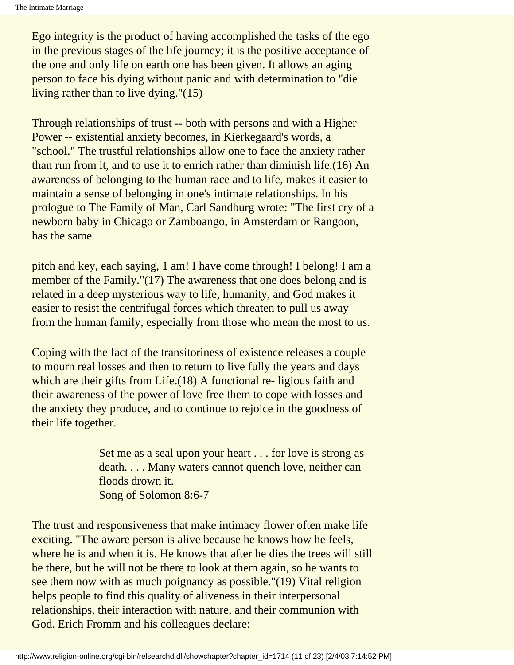Ego integrity is the product of having accomplished the tasks of the ego in the previous stages of the life journey; it is the positive acceptance of the one and only life on earth one has been given. It allows an aging person to face his dying without panic and with determination to "die living rather than to live dying."(15)

Through relationships of trust -- both with persons and with a Higher Power -- existential anxiety becomes, in Kierkegaard's words, a "school." The trustful relationships allow one to face the anxiety rather than run from it, and to use it to enrich rather than diminish life.(16) An awareness of belonging to the human race and to life, makes it easier to maintain a sense of belonging in one's intimate relationships. In his prologue to The Family of Man, Carl Sandburg wrote: "The first cry of a newborn baby in Chicago or Zamboango, in Amsterdam or Rangoon, has the same

pitch and key, each saying, 1 am! I have come through! I belong! I am a member of the Family."(17) The awareness that one does belong and is related in a deep mysterious way to life, humanity, and God makes it easier to resist the centrifugal forces which threaten to pull us away from the human family, especially from those who mean the most to us.

Coping with the fact of the transitoriness of existence releases a couple to mourn real losses and then to return to live fully the years and days which are their gifts from Life.(18) A functional re- ligious faith and their awareness of the power of love free them to cope with losses and the anxiety they produce, and to continue to rejoice in the goodness of their life together.

> Set me as a seal upon your heart . . . for love is strong as death. . . . Many waters cannot quench love, neither can floods drown it. Song of Solomon 8:6-7

The trust and responsiveness that make intimacy flower often make life exciting. "The aware person is alive because he knows how he feels, where he is and when it is. He knows that after he dies the trees will still be there, but he will not be there to look at them again, so he wants to see them now with as much poignancy as possible."(19) Vital religion helps people to find this quality of aliveness in their interpersonal relationships, their interaction with nature, and their communion with God. Erich Fromm and his colleagues declare: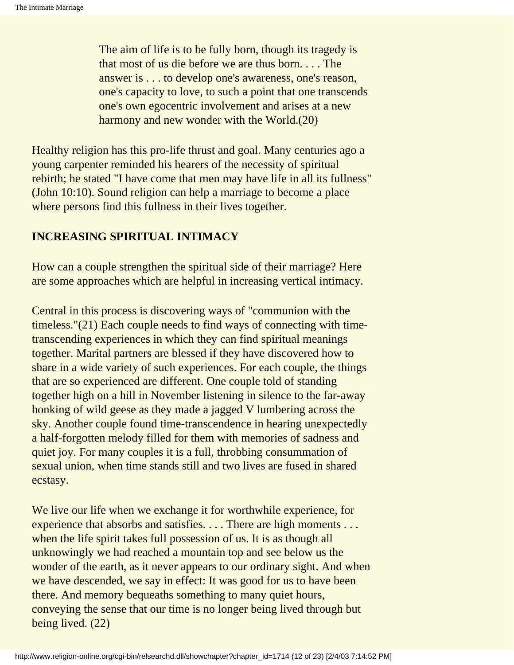The aim of life is to be fully born, though its tragedy is that most of us die before we are thus born. . . . The answer is . . . to develop one's awareness, one's reason, one's capacity to love, to such a point that one transcends one's own egocentric involvement and arises at a new harmony and new wonder with the World.<sup>(20)</sup>

Healthy religion has this pro-life thrust and goal. Many centuries ago a young carpenter reminded his hearers of the necessity of spiritual rebirth; he stated "I have come that men may have life in all its fullness" (John 10:10). Sound religion can help a marriage to become a place where persons find this fullness in their lives together.

## **INCREASING SPIRITUAL INTIMACY**

How can a couple strengthen the spiritual side of their marriage? Here are some approaches which are helpful in increasing vertical intimacy.

Central in this process is discovering ways of "communion with the timeless."(21) Each couple needs to find ways of connecting with timetranscending experiences in which they can find spiritual meanings together. Marital partners are blessed if they have discovered how to share in a wide variety of such experiences. For each couple, the things that are so experienced are different. One couple told of standing together high on a hill in November listening in silence to the far-away honking of wild geese as they made a jagged V lumbering across the sky. Another couple found time-transcendence in hearing unexpectedly a half-forgotten melody filled for them with memories of sadness and quiet joy. For many couples it is a full, throbbing consummation of sexual union, when time stands still and two lives are fused in shared ecstasy.

We live our life when we exchange it for worthwhile experience, for experience that absorbs and satisfies. . . . There are high moments . . . when the life spirit takes full possession of us. It is as though all unknowingly we had reached a mountain top and see below us the wonder of the earth, as it never appears to our ordinary sight. And when we have descended, we say in effect: It was good for us to have been there. And memory bequeaths something to many quiet hours, conveying the sense that our time is no longer being lived through but being lived. (22)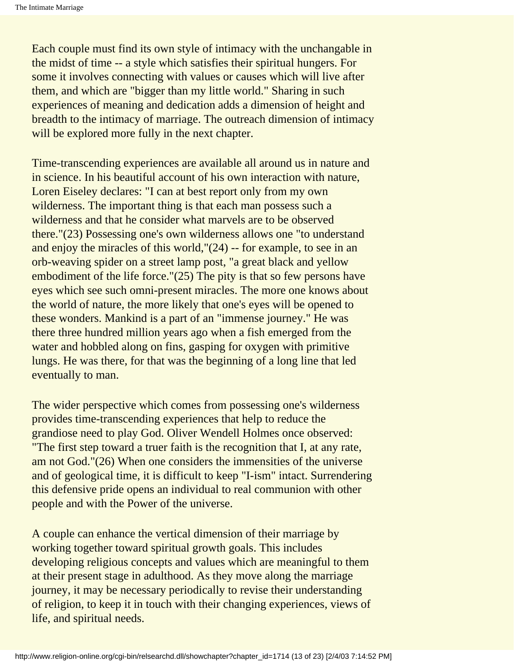Each couple must find its own style of intimacy with the unchangable in the midst of time -- a style which satisfies their spiritual hungers. For some it involves connecting with values or causes which will live after them, and which are "bigger than my little world." Sharing in such experiences of meaning and dedication adds a dimension of height and breadth to the intimacy of marriage. The outreach dimension of intimacy will be explored more fully in the next chapter.

Time-transcending experiences are available all around us in nature and in science. In his beautiful account of his own interaction with nature, Loren Eiseley declares: "I can at best report only from my own wilderness. The important thing is that each man possess such a wilderness and that he consider what marvels are to be observed there."(23) Possessing one's own wilderness allows one "to understand and enjoy the miracles of this world,"(24) -- for example, to see in an orb-weaving spider on a street lamp post, "a great black and yellow embodiment of the life force."(25) The pity is that so few persons have eyes which see such omni-present miracles. The more one knows about the world of nature, the more likely that one's eyes will be opened to these wonders. Mankind is a part of an "immense journey." He was there three hundred million years ago when a fish emerged from the water and hobbled along on fins, gasping for oxygen with primitive lungs. He was there, for that was the beginning of a long line that led eventually to man.

The wider perspective which comes from possessing one's wilderness provides time-transcending experiences that help to reduce the grandiose need to play God. Oliver Wendell Holmes once observed: "The first step toward a truer faith is the recognition that I, at any rate, am not God."(26) When one considers the immensities of the universe and of geological time, it is difficult to keep "I-ism" intact. Surrendering this defensive pride opens an individual to real communion with other people and with the Power of the universe.

A couple can enhance the vertical dimension of their marriage by working together toward spiritual growth goals. This includes developing religious concepts and values which are meaningful to them at their present stage in adulthood. As they move along the marriage journey, it may be necessary periodically to revise their understanding of religion, to keep it in touch with their changing experiences, views of life, and spiritual needs.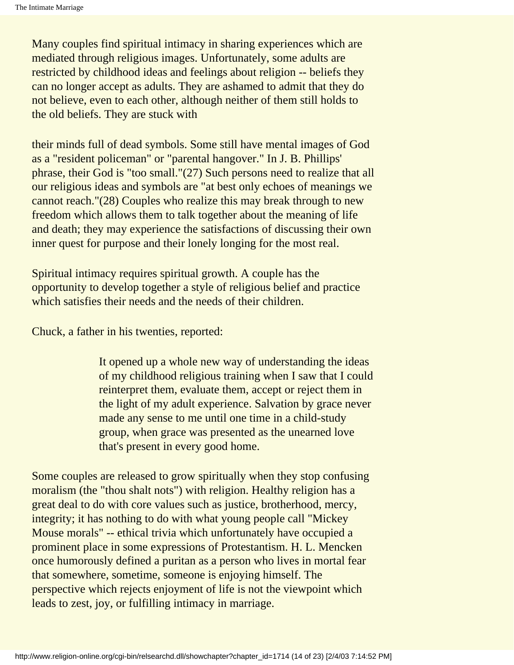Many couples find spiritual intimacy in sharing experiences which are mediated through religious images. Unfortunately, some adults are restricted by childhood ideas and feelings about religion -- beliefs they can no longer accept as adults. They are ashamed to admit that they do not believe, even to each other, although neither of them still holds to the old beliefs. They are stuck with

their minds full of dead symbols. Some still have mental images of God as a "resident policeman" or "parental hangover." In J. B. Phillips' phrase, their God is "too small."(27) Such persons need to realize that all our religious ideas and symbols are "at best only echoes of meanings we cannot reach."(28) Couples who realize this may break through to new freedom which allows them to talk together about the meaning of life and death; they may experience the satisfactions of discussing their own inner quest for purpose and their lonely longing for the most real.

Spiritual intimacy requires spiritual growth. A couple has the opportunity to develop together a style of religious belief and practice which satisfies their needs and the needs of their children.

Chuck, a father in his twenties, reported:

It opened up a whole new way of understanding the ideas of my childhood religious training when I saw that I could reinterpret them, evaluate them, accept or reject them in the light of my adult experience. Salvation by grace never made any sense to me until one time in a child-study group, when grace was presented as the unearned love that's present in every good home.

Some couples are released to grow spiritually when they stop confusing moralism (the "thou shalt nots") with religion. Healthy religion has a great deal to do with core values such as justice, brotherhood, mercy, integrity; it has nothing to do with what young people call "Mickey Mouse morals" -- ethical trivia which unfortunately have occupied a prominent place in some expressions of Protestantism. H. L. Mencken once humorously defined a puritan as a person who lives in mortal fear that somewhere, sometime, someone is enjoying himself. The perspective which rejects enjoyment of life is not the viewpoint which leads to zest, joy, or fulfilling intimacy in marriage.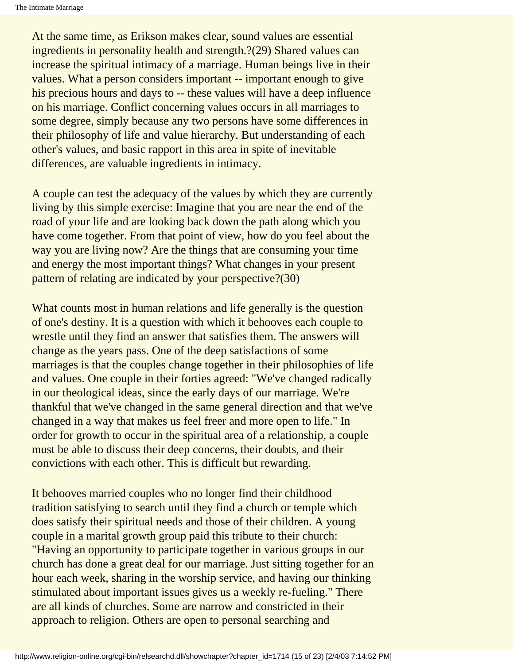At the same time, as Erikson makes clear, sound values are essential ingredients in personality health and strength.?(29) Shared values can increase the spiritual intimacy of a marriage. Human beings live in their values. What a person considers important -- important enough to give his precious hours and days to -- these values will have a deep influence on his marriage. Conflict concerning values occurs in all marriages to some degree, simply because any two persons have some differences in their philosophy of life and value hierarchy. But understanding of each other's values, and basic rapport in this area in spite of inevitable differences, are valuable ingredients in intimacy.

A couple can test the adequacy of the values by which they are currently living by this simple exercise: Imagine that you are near the end of the road of your life and are looking back down the path along which you have come together. From that point of view, how do you feel about the way you are living now? Are the things that are consuming your time and energy the most important things? What changes in your present pattern of relating are indicated by your perspective?(30)

What counts most in human relations and life generally is the question of one's destiny. It is a question with which it behooves each couple to wrestle until they find an answer that satisfies them. The answers will change as the years pass. One of the deep satisfactions of some marriages is that the couples change together in their philosophies of life and values. One couple in their forties agreed: "We've changed radically in our theological ideas, since the early days of our marriage. We're thankful that we've changed in the same general direction and that we've changed in a way that makes us feel freer and more open to life." In order for growth to occur in the spiritual area of a relationship, a couple must be able to discuss their deep concerns, their doubts, and their convictions with each other. This is difficult but rewarding.

It behooves married couples who no longer find their childhood tradition satisfying to search until they find a church or temple which does satisfy their spiritual needs and those of their children. A young couple in a marital growth group paid this tribute to their church: "Having an opportunity to participate together in various groups in our church has done a great deal for our marriage. Just sitting together for an hour each week, sharing in the worship service, and having our thinking stimulated about important issues gives us a weekly re-fueling." There are all kinds of churches. Some are narrow and constricted in their approach to religion. Others are open to personal searching and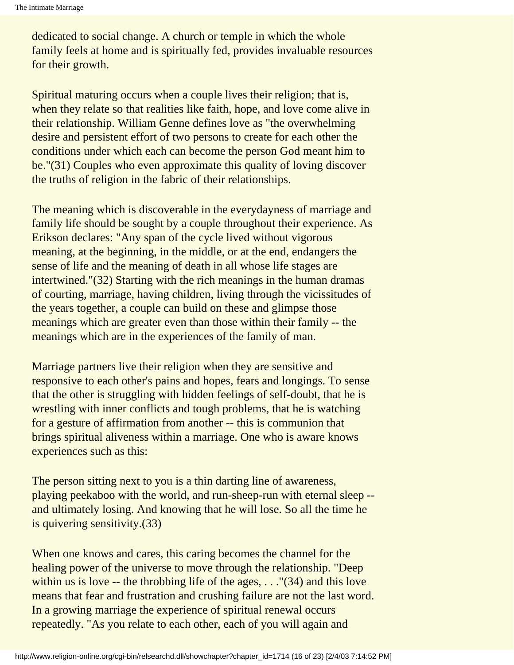dedicated to social change. A church or temple in which the whole family feels at home and is spiritually fed, provides invaluable resources for their growth.

Spiritual maturing occurs when a couple lives their religion; that is, when they relate so that realities like faith, hope, and love come alive in their relationship. William Genne defines love as "the overwhelming desire and persistent effort of two persons to create for each other the conditions under which each can become the person God meant him to be."(31) Couples who even approximate this quality of loving discover the truths of religion in the fabric of their relationships.

The meaning which is discoverable in the everydayness of marriage and family life should be sought by a couple throughout their experience. As Erikson declares: "Any span of the cycle lived without vigorous meaning, at the beginning, in the middle, or at the end, endangers the sense of life and the meaning of death in all whose life stages are intertwined."(32) Starting with the rich meanings in the human dramas of courting, marriage, having children, living through the vicissitudes of the years together, a couple can build on these and glimpse those meanings which are greater even than those within their family -- the meanings which are in the experiences of the family of man.

Marriage partners live their religion when they are sensitive and responsive to each other's pains and hopes, fears and longings. To sense that the other is struggling with hidden feelings of self-doubt, that he is wrestling with inner conflicts and tough problems, that he is watching for a gesture of affirmation from another -- this is communion that brings spiritual aliveness within a marriage. One who is aware knows experiences such as this:

The person sitting next to you is a thin darting line of awareness, playing peekaboo with the world, and run-sheep-run with eternal sleep - and ultimately losing. And knowing that he will lose. So all the time he is quivering sensitivity.(33)

When one knows and cares, this caring becomes the channel for the healing power of the universe to move through the relationship. "Deep within us is love -- the throbbing life of the ages,  $\dots$  "(34) and this love means that fear and frustration and crushing failure are not the last word. In a growing marriage the experience of spiritual renewal occurs repeatedly. "As you relate to each other, each of you will again and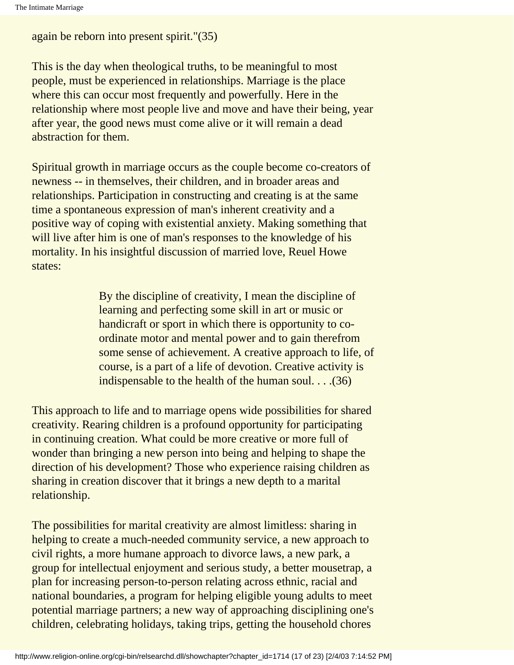#### again be reborn into present spirit."(35)

This is the day when theological truths, to be meaningful to most people, must be experienced in relationships. Marriage is the place where this can occur most frequently and powerfully. Here in the relationship where most people live and move and have their being, year after year, the good news must come alive or it will remain a dead abstraction for them.

Spiritual growth in marriage occurs as the couple become co-creators of newness -- in themselves, their children, and in broader areas and relationships. Participation in constructing and creating is at the same time a spontaneous expression of man's inherent creativity and a positive way of coping with existential anxiety. Making something that will live after him is one of man's responses to the knowledge of his mortality. In his insightful discussion of married love, Reuel Howe states:

> By the discipline of creativity, I mean the discipline of learning and perfecting some skill in art or music or handicraft or sport in which there is opportunity to coordinate motor and mental power and to gain therefrom some sense of achievement. A creative approach to life, of course, is a part of a life of devotion. Creative activity is indispensable to the health of the human soul. . . .(36)

This approach to life and to marriage opens wide possibilities for shared creativity. Rearing children is a profound opportunity for participating in continuing creation. What could be more creative or more full of wonder than bringing a new person into being and helping to shape the direction of his development? Those who experience raising children as sharing in creation discover that it brings a new depth to a marital relationship.

The possibilities for marital creativity are almost limitless: sharing in helping to create a much-needed community service, a new approach to civil rights, a more humane approach to divorce laws, a new park, a group for intellectual enjoyment and serious study, a better mousetrap, a plan for increasing person-to-person relating across ethnic, racial and national boundaries, a program for helping eligible young adults to meet potential marriage partners; a new way of approaching disciplining one's children, celebrating holidays, taking trips, getting the household chores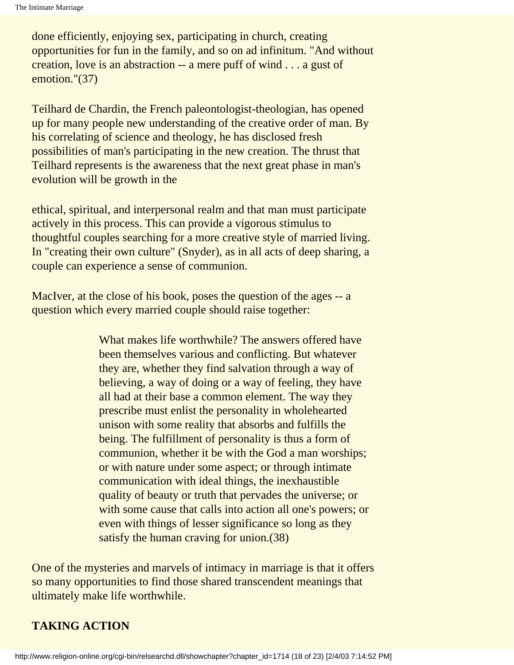done efficiently, enjoying sex, participating in church, creating opportunities for fun in the family, and so on ad infinitum. "And without creation, love is an abstraction -- a mere puff of wind . . . a gust of emotion."(37)

Teilhard de Chardin, the French paleontologist-theologian, has opened up for many people new understanding of the creative order of man. By his correlating of science and theology, he has disclosed fresh possibilities of man's participating in the new creation. The thrust that Teilhard represents is the awareness that the next great phase in man's evolution will be growth in the

ethical, spiritual, and interpersonal realm and that man must participate actively in this process. This can provide a vigorous stimulus to thoughtful couples searching for a more creative style of married living. In "creating their own culture" (Snyder), as in all acts of deep sharing, a couple can experience a sense of communion.

MacIver, at the close of his book, poses the question of the ages -- a question which every married couple should raise together:

> What makes life worthwhile? The answers offered have been themselves various and conflicting. But whatever they are, whether they find salvation through a way of believing, a way of doing or a way of feeling, they have all had at their base a common element. The way they prescribe must enlist the personality in wholehearted unison with some reality that absorbs and fulfills the being. The fulfillment of personality is thus a form of communion, whether it be with the God a man worships; or with nature under some aspect; or through intimate communication with ideal things, the inexhaustible quality of beauty or truth that pervades the universe; or with some cause that calls into action all one's powers; or even with things of lesser significance so long as they satisfy the human craving for union.(38)

One of the mysteries and marvels of intimacy in marriage is that it offers so many opportunities to find those shared transcendent meanings that ultimately make life worthwhile.

## **TAKING ACTION**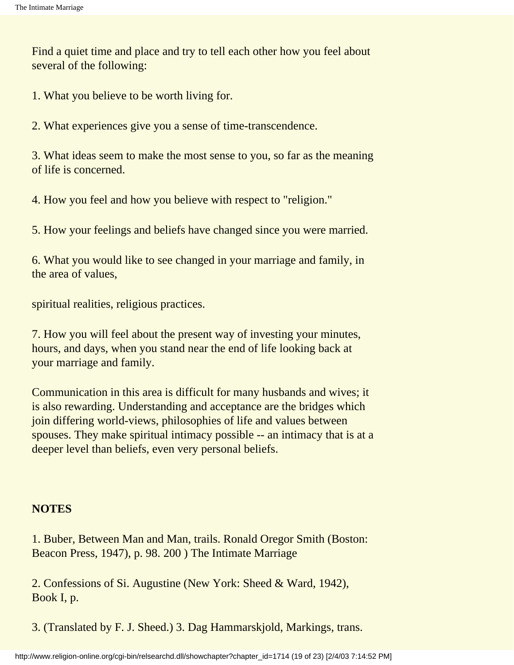Find a quiet time and place and try to tell each other how you feel about several of the following:

1. What you believe to be worth living for.

2. What experiences give you a sense of time-transcendence.

3. What ideas seem to make the most sense to you, so far as the meaning of life is concerned.

4. How you feel and how you believe with respect to "religion."

5. How your feelings and beliefs have changed since you were married.

6. What you would like to see changed in your marriage and family, in the area of values,

spiritual realities, religious practices.

7. How you will feel about the present way of investing your minutes, hours, and days, when you stand near the end of life looking back at your marriage and family.

Communication in this area is difficult for many husbands and wives; it is also rewarding. Understanding and acceptance are the bridges which join differing world-views, philosophies of life and values between spouses. They make spiritual intimacy possible -- an intimacy that is at a deeper level than beliefs, even very personal beliefs.

## **NOTES**

1. Buber, Between Man and Man, trails. Ronald Oregor Smith (Boston: Beacon Press, 1947), p. 98. 200 ) The Intimate Marriage

2. Confessions of Si. Augustine (New York: Sheed & Ward, 1942), Book I, p.

3. (Translated by F. J. Sheed.) 3. Dag Hammarskjold, Markings, trans.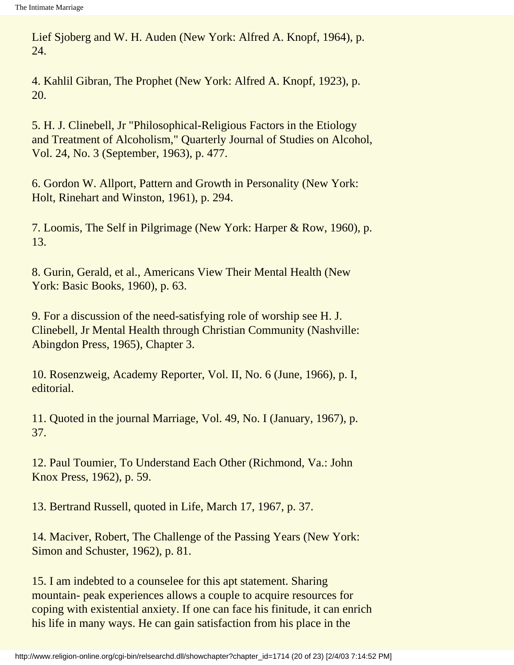Lief Sjoberg and W. H. Auden (New York: Alfred A. Knopf, 1964), p. 24.

4. Kahlil Gibran, The Prophet (New York: Alfred A. Knopf, 1923), p. 20.

5. H. J. Clinebell, Jr "Philosophical-Religious Factors in the Etiology and Treatment of Alcoholism," Quarterly Journal of Studies on Alcohol, Vol. 24, No. 3 (September, 1963), p. 477.

6. Gordon W. Allport, Pattern and Growth in Personality (New York: Holt, Rinehart and Winston, 1961), p. 294.

7. Loomis, The Self in Pilgrimage (New York: Harper & Row, 1960), p. 13.

8. Gurin, Gerald, et al., Americans View Their Mental Health (New York: Basic Books, 1960), p. 63.

9. For a discussion of the need-satisfying role of worship see H. J. Clinebell, Jr Mental Health through Christian Community (Nashville: Abingdon Press, 1965), Chapter 3.

10. Rosenzweig, Academy Reporter, Vol. II, No. 6 (June, 1966), p. I, editorial.

11. Quoted in the journal Marriage, Vol. 49, No. I (January, 1967), p. 37.

12. Paul Toumier, To Understand Each Other (Richmond, Va.: John Knox Press, 1962), p. 59.

13. Bertrand Russell, quoted in Life, March 17, 1967, p. 37.

14. Maciver, Robert, The Challenge of the Passing Years (New York: Simon and Schuster, 1962), p. 81.

15. I am indebted to a counselee for this apt statement. Sharing mountain- peak experiences allows a couple to acquire resources for coping with existential anxiety. If one can face his finitude, it can enrich his life in many ways. He can gain satisfaction from his place in the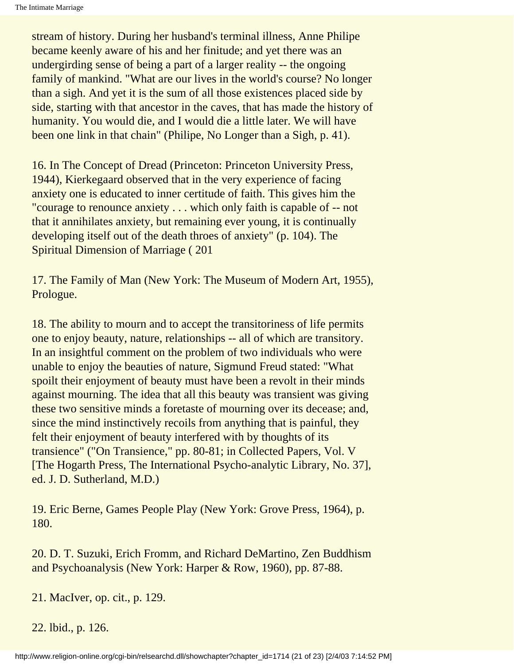stream of history. During her husband's terminal illness, Anne Philipe became keenly aware of his and her finitude; and yet there was an undergirding sense of being a part of a larger reality -- the ongoing family of mankind. "What are our lives in the world's course? No longer than a sigh. And yet it is the sum of all those existences placed side by side, starting with that ancestor in the caves, that has made the history of humanity. You would die, and I would die a little later. We will have been one link in that chain" (Philipe, No Longer than a Sigh, p. 41).

16. In The Concept of Dread (Princeton: Princeton University Press, 1944), Kierkegaard observed that in the very experience of facing anxiety one is educated to inner certitude of faith. This gives him the "courage to renounce anxiety . . . which only faith is capable of -- not that it annihilates anxiety, but remaining ever young, it is continually developing itself out of the death throes of anxiety" (p. 104). The Spiritual Dimension of Marriage ( 201

17. The Family of Man (New York: The Museum of Modern Art, 1955), Prologue.

18. The ability to mourn and to accept the transitoriness of life permits one to enjoy beauty, nature, relationships -- all of which are transitory. In an insightful comment on the problem of two individuals who were unable to enjoy the beauties of nature, Sigmund Freud stated: "What spoilt their enjoyment of beauty must have been a revolt in their minds against mourning. The idea that all this beauty was transient was giving these two sensitive minds a foretaste of mourning over its decease; and, since the mind instinctively recoils from anything that is painful, they felt their enjoyment of beauty interfered with by thoughts of its transience" ("On Transience," pp. 80-81; in Collected Papers, Vol. V [The Hogarth Press, The International Psycho-analytic Library, No. 37], ed. J. D. Sutherland, M.D.)

19. Eric Berne, Games People Play (New York: Grove Press, 1964), p. 180.

20. D. T. Suzuki, Erich Fromm, and Richard DeMartino, Zen Buddhism and Psychoanalysis (New York: Harper & Row, 1960), pp. 87-88.

21. MacIver, op. cit., p. 129.

22. lbid., p. 126.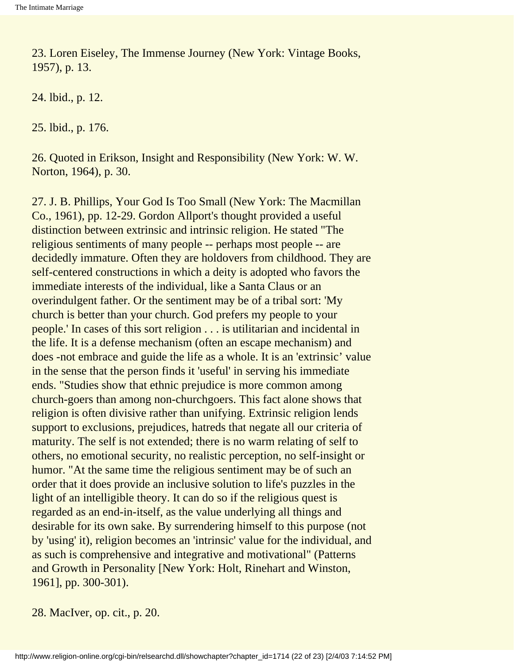23. Loren Eiseley, The Immense Journey (New York: Vintage Books, 1957), p. 13.

24. lbid., p. 12.

25. lbid., p. 176.

26. Quoted in Erikson, Insight and Responsibility (New York: W. W. Norton, 1964), p. 30.

27. J. B. Phillips, Your God Is Too Small (New York: The Macmillan Co., 1961), pp. 12-29. Gordon Allport's thought provided a useful distinction between extrinsic and intrinsic religion. He stated "The religious sentiments of many people -- perhaps most people -- are decidedly immature. Often they are holdovers from childhood. They are self-centered constructions in which a deity is adopted who favors the immediate interests of the individual, like a Santa Claus or an overindulgent father. Or the sentiment may be of a tribal sort: 'My church is better than your church. God prefers my people to your people.' In cases of this sort religion . . . is utilitarian and incidental in the life. It is a defense mechanism (often an escape mechanism) and does -not embrace and guide the life as a whole. It is an 'extrinsic' value in the sense that the person finds it 'useful' in serving his immediate ends. "Studies show that ethnic prejudice is more common among church-goers than among non-churchgoers. This fact alone shows that religion is often divisive rather than unifying. Extrinsic religion lends support to exclusions, prejudices, hatreds that negate all our criteria of maturity. The self is not extended; there is no warm relating of self to others, no emotional security, no realistic perception, no self-insight or humor. "At the same time the religious sentiment may be of such an order that it does provide an inclusive solution to life's puzzles in the light of an intelligible theory. It can do so if the religious quest is regarded as an end-in-itself, as the value underlying all things and desirable for its own sake. By surrendering himself to this purpose (not by 'using' it), religion becomes an 'intrinsic' value for the individual, and as such is comprehensive and integrative and motivational" (Patterns and Growth in Personality [New York: Holt, Rinehart and Winston, 1961], pp. 300-301).

28. MacIver, op. cit., p. 20.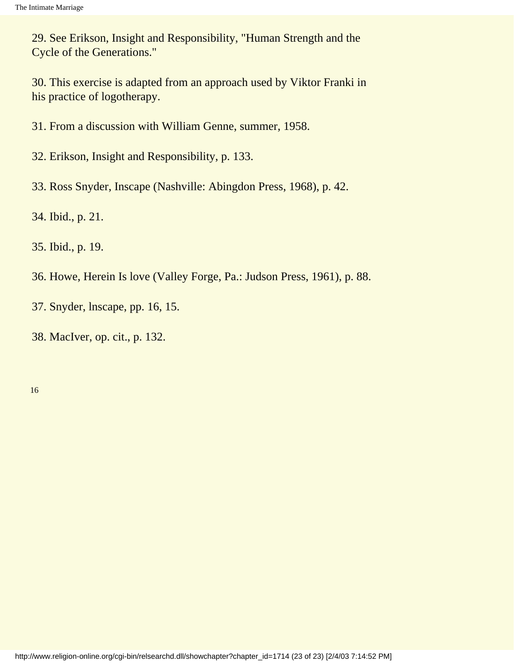29. See Erikson, Insight and Responsibility, "Human Strength and the Cycle of the Generations."

30. This exercise is adapted from an approach used by Viktor Franki in his practice of logotherapy.

31. From a discussion with William Genne, summer, 1958.

32. Erikson, Insight and Responsibility, p. 133.

33. Ross Snyder, Inscape (Nashville: Abingdon Press, 1968), p. 42.

34. Ibid., p. 21.

35. Ibid., p. 19.

36. Howe, Herein Is love (Valley Forge, Pa.: Judson Press, 1961), p. 88.

37. Snyder, lnscape, pp. 16, 15.

38. MacIver, op. cit., p. 132.

16